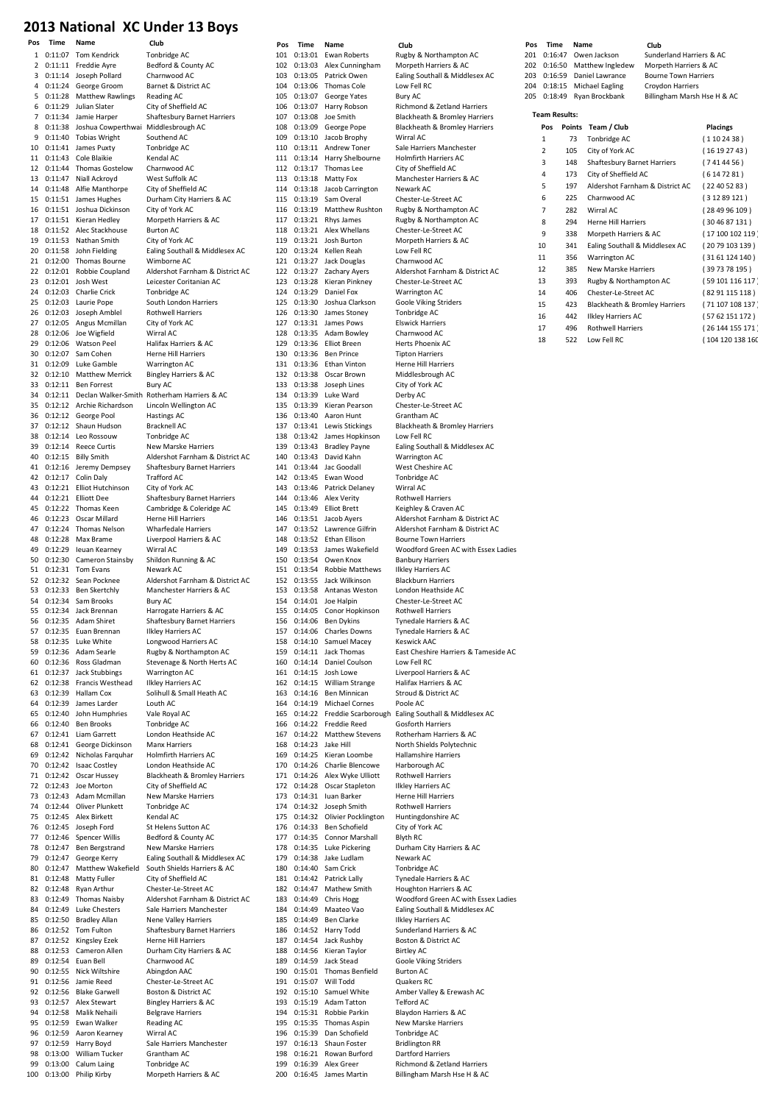#### 2013 National XC Under 13 Boys

| 1         | 0:11:07            | <b>Tom Kendrick</b>                       | Tonbridge AC                                                   |
|-----------|--------------------|-------------------------------------------|----------------------------------------------------------------|
| 2         | 0:11:11            | Freddie Ayre                              | Bedford & County AC                                            |
| 3<br>4    | 0:11:14            | Joseph Pollard<br>0:11:24 George Groom    | Charnwood AC<br>Barnet & District AC                           |
| 5         | 0:11:28            | <b>Matthew Rawlings</b>                   | Reading AC                                                     |
| 6         |                    | 0:11:29 Julian Slater                     | City of Sheffield AC                                           |
| 7         | 0:11:34            | Jamie Harper                              | Shaftesbury Barnet Harriers                                    |
| 8         | 0:11:38            | Joshua Cowperthwai Middlesbrough AC       |                                                                |
| 9         | 0:11:40            | <b>Tobias Wright</b>                      | Southend AC                                                    |
| 10        | 0:11:41            | James Puxty                               | Tonbridge AC                                                   |
| 11<br>12  | 0:11:43<br>0:11:44 | Cole Blaikie                              | Kendal AC                                                      |
| 13        | 0:11:47            | Thomas Gostelow<br>Niall Ackroyd          | Charnwood AC<br>West Suffolk AC                                |
| 14        |                    | 0:11:48 Alfie Manthorpe                   | City of Sheffield AC                                           |
| 15        | 0:11:51            | James Hughes                              | Durham City Harriers & AC                                      |
| 16        | 0:11:51            | Joshua Dickinson                          | City of York AC                                                |
| 17        |                    | 0:11:51 Kieran Hedley                     | Morpeth Harriers & AC                                          |
| 18        | 0:11:52            | Alec Stackhouse                           | <b>Burton AC</b>                                               |
| 19        |                    | 0:11:53 Nathan Smith                      | City of York AC                                                |
| 20        | 0:11:58            | John Fielding                             | Ealing Southall & Middlesex AC                                 |
| 21<br>22  | 0:12:00<br>0:12:01 | Thomas Bourne<br>Robbie Coupland          | Wimborne AC<br>Aldershot Farnham & District AC                 |
| 23        | 0:12:01            | Josh West                                 | Leicester Coritanian AC                                        |
| 24        | 0:12:03            | Charlie Crick                             | Tonbridge AC                                                   |
| 25        | 0:12:03            | Laurie Pope                               | South London Harriers                                          |
| 26        | 0:12:03            | Joseph Amblel                             | <b>Rothwell Harriers</b>                                       |
| 27        | 0:12:05            | Angus Mcmillan                            | City of York AC                                                |
| 28        | 0:12:06            | Joe Wigfield                              | Wirral AC                                                      |
| 29        | 0:12:06            | <b>Watson Peel</b>                        | Halifax Harriers & AC                                          |
| 30<br>31  | 0:12:07<br>0:12:09 | Sam Cohen<br>Luke Gamble                  | Herne Hill Harriers<br>Warrington AC                           |
| 32        | 0:12:10            | <b>Matthew Merrick</b>                    | <b>Bingley Harriers &amp; AC</b>                               |
| 33        |                    | 0:12:11 Ben Forrest                       | Bury AC                                                        |
| 34        | 0:12:11            |                                           | Declan Walker-Smith Rotherham Harriers & AC                    |
| 35        |                    | 0:12:12 Archie Richardson                 | Lincoln Wellington AC                                          |
| 36        | 0:12:12            | George Pool                               | <b>Hastings AC</b>                                             |
| 37        | 0:12:12            | Shaun Hudson                              | <b>Bracknell AC</b>                                            |
| 38        | 0:12:14            | Leo Rossouw                               | Tonbridge AC                                                   |
| 39<br>40  | 0:12:14            | <b>Reece Curtis</b>                       | New Marske Harriers                                            |
| 41        | 0:12:16            | 0:12:15 Billy Smith<br>Jeremy Dempsey     | Aldershot Farnham & District AC<br>Shaftesbury Barnet Harriers |
| 42        | 0:12:17            | Colin Daly                                | <b>Trafford AC</b>                                             |
| 43        | 0:12:21            | Elliot Hutchinson                         | City of York AC                                                |
| 44        | 0:12:21            | <b>Elliott Dee</b>                        | Shaftesbury Barnet Harriers                                    |
| 45        | 0:12:22            | Thomas Keen                               | Cambridge & Coleridge AC                                       |
| 46        | 0:12:23            | Oscar Millard                             | Herne Hill Harriers                                            |
| 47        | 0:12:24            | Thomas Nelson                             | <b>Wharfedale Harriers</b>                                     |
| 48<br>49  | 0:12:28            | Max Brame                                 | Liverpool Harriers & AC                                        |
| 50        | 0:12:29            | leuan Kearney<br>0:12:30 Cameron Stainsby | Wirral AC<br>Shildon Running & AC                              |
| 51        | 0:12:31            | Tom Evans                                 | Newark AC                                                      |
| 52        | 0:12:32            | Sean Pocknee                              | Aldershot Farnham & District AC                                |
| 53        |                    | 0:12:33 Ben Skertchly                     | Manchester Harriers & AC                                       |
| 54        |                    | 0:12:34 Sam Brooks                        | <b>Bury AC</b>                                                 |
| 55        | 0:12:34            | Jack Brennan                              | Harrogate Harriers & AC                                        |
| 56        | 0:12:35            | Adam Shiret                               | Shaftesbury Barnet Harriers                                    |
| 57<br>58  | 0:12:35<br>0:12:35 | Euan Brennan<br>Luke White                | Ilkley Harriers AC<br>Longwood Harriers AC                     |
| 59        | 0:12:36            | Adam Searle                               | Rugby & Northampton AC                                         |
| 60        | 0:12:36            | Ross Gladman                              | Stevenage & North Herts AC                                     |
| 61        | 0:12:37            | <b>Jack Stubbings</b>                     | Warrington AC                                                  |
| 62        | 0:12:38            | Francis Westhead                          | <b>Ilkley Harriers AC</b>                                      |
| 63        | 0:12:39            | Hallam Cox                                | Solihull & Small Heath AC                                      |
| 64        | 0:12:39            | James Larder                              | Louth AC                                                       |
| 65        | 0:12:40            | John Humphries                            | Vale Royal AC                                                  |
| 66<br>67  | 0:12:40<br>0:12:41 | <b>Ben Brooks</b><br>Liam Garrett         | Tonbridge AC<br>London Heathside AC                            |
| 68        | 0:12:41            | George Dickinson                          | <b>Manx Harriers</b>                                           |
| 69        | 0:12:42            | Nicholas Farguhar                         | <b>Holmfirth Harriers AC</b>                                   |
| 70        | 0:12:42            | <b>Isaac Costley</b>                      | London Heathside AC                                            |
| 71        | 0:12:42            | Oscar Hussey                              | Blackheath & Bromley Harriers                                  |
| 72        | 0:12:43            | Joe Morton                                | City of Sheffield AC                                           |
| 73        | 0:12:43            | Adam Mcmillan                             | <b>New Marske Harriers</b>                                     |
| 74<br>75  | 0:12:44<br>0:12:45 | Oliver Plunkett<br>Alex Birkett           | Tonbridge AC<br>Kendal AC                                      |
| 76        | 0:12:45            | Joseph Ford                               | St Helens Sutton AC                                            |
| 77        | 0:12:46            | Spencer Willis                            | Bedford & County AC                                            |
| 78        | 0:12:47            | Ben Bergstrand                            | New Marske Harriers                                            |
| 79        | 0:12:47            | George Kerry                              | Ealing Southall & Middlesex AC                                 |
| 80        | 0:12:47            | Matthew Wakefield                         | South Shields Harriers & AC                                    |
| 81        | 0:12:48            | Matty Fuller                              | City of Sheffield AC                                           |
| 82<br>83  | 0:12:48<br>0:12:49 | Ryan Arthur<br><b>Thomas Naisby</b>       | Chester-Le-Street AC<br>Aldershot Farnham & District AC        |
| 84        | 0:12:49            | <b>Luke Chesters</b>                      | Sale Harriers Manchester                                       |
| 85        | 0:12:50            | <b>Bradley Allan</b>                      | Nene Valley Harriers                                           |
| 86        | 0:12:52            | Tom Fulton                                | Shaftesbury Barnet Harriers                                    |
| 87        | 0:12:52            | Kingsley Ezek                             | Herne Hill Harriers                                            |
| 88        | 0:12:53            | Cameron Allen                             | Durham City Harriers & AC                                      |
| 89        | 0:12:54            | Euan Bell                                 | Charnwood AC                                                   |
| 90<br>91  | 0:12:55            | Nick Wiltshire<br>Jamie Reed              | Abingdon AAC<br>Chester-Le-Street AC                           |
| 92        | 0:12:56<br>0:12:56 | <b>Blake Garwell</b>                      | Boston & District AC                                           |
| 93        | 0:12:57            | Alex Stewart                              | <b>Bingley Harriers &amp; AC</b>                               |
| 94        | 0:12:58            | Malik Nehaili                             | <b>Belgrave Harriers</b>                                       |
| 95        | 0:12:59            | Ewan Walker                               | Reading AC                                                     |
| 96        | 0:12:59            | Aaron Kearney                             | Wirral AC                                                      |
| 97        | 0:12:59            | Harry Boyd                                | Sale Harriers Manchester                                       |
| 98        | 0:13:00            | William Tucker                            | Grantham AC                                                    |
| 99<br>100 | 0:13:00            | Calum Laing<br>Philip Kirby               | Tonbridge AC                                                   |
|           | 0:13:00            |                                           | Morpeth Harriers & AC                                          |

| ridge AC                                                            |
|---------------------------------------------------------------------|
| ord & County AC                                                     |
| nwood AC                                                            |
| et & District AC                                                    |
| ling AC                                                             |
| of Sheffield AC                                                     |
| tesbury Barnet Harriers<br>llesbrough AC                            |
| hend AC                                                             |
| ridge AC                                                            |
| lal AC                                                              |
| nwood AC                                                            |
| t Suffolk AC                                                        |
| of Sheffield AC                                                     |
| am City Harriers & AC                                               |
| of York AC<br>oeth Harriers & AC                                    |
| on AC                                                               |
| of York AC                                                          |
| g Southall & Middlesex AC                                           |
| borne AC                                                            |
| rshot Farnham & District AC                                         |
| ster Coritanian AC                                                  |
| ridge AC<br>h London Harriers                                       |
| well Harriers                                                       |
| of York AC                                                          |
| al AC                                                               |
| ax Harriers & AC                                                    |
| e Hill Harriers                                                     |
| ington AC                                                           |
| ey Harriers & AC<br>AC                                              |
| erham Harriers & AC                                                 |
| oln Wellington AC                                                   |
| ings AC                                                             |
| knell AC                                                            |
| ridge AC                                                            |
| Marske Harriers                                                     |
| rshot Farnham & District AC                                         |
| tesbury Barnet Harriers<br>ord AC                                   |
| of York AC                                                          |
| tesbury Barnet Harriers                                             |
| bridge & Coleridge AC                                               |
| e Hill Harriers                                                     |
| rfedale Harriers                                                    |
| pool Harriers & AC                                                  |
| al AC                                                               |
|                                                                     |
| on Running & AC                                                     |
|                                                                     |
| ark AC<br>rshot Farnham & District AC<br>chester Harriers & AC      |
|                                                                     |
|                                                                     |
|                                                                     |
| AC<br>ogate Harriers & AC<br>tesbury Barnet Harriers<br>Harriers AC |
|                                                                     |
| wood Harriers AC<br>y & Northampton AC<br>enage & North Herts AC    |
| ington AC                                                           |
| Harriers AC                                                         |
| ull & Small Heath AC                                                |
| h AC                                                                |
| Royal AC                                                            |
| ridge AC                                                            |
| on Heathside AC<br>x Harriers                                       |
| <b>Ifirth Harriers AC</b>                                           |
| on Heathside AC                                                     |
| heath & Bromley Harriers                                            |
| of Sheffield AC                                                     |
| Marske Harriers                                                     |
| ridge AC<br>lal AC                                                  |
| elens Sutton AC                                                     |
| ord & County AC                                                     |
| Marske Harriers                                                     |
|                                                                     |
| g Southall & Middlesex AC<br>h Shields Harriers & AC                |
| of Sheffield AC<br>ter-Le-Street AC                                 |
| rshot Farnham & District AC                                         |
|                                                                     |
| Harriers Manchester<br><b>Valley Harriers</b>                       |
| tesbury Barnet Harriers                                             |
| e Hill Harriers                                                     |
| am City Harriers & AC                                               |
| nwood AC<br>gdon AAC                                                |
| ter-Le-Street AC                                                    |
| on & District AC                                                    |
| ey Harriers & AC                                                    |
| ave Harriers                                                        |
| ing AC                                                              |
| al AC<br>Harriers Manchester                                        |
| tham AC<br>ridge AC                                                 |

| 101        | 0:13:01            | <b>Ewan Roberts</b>                       | Rugby & Northampton AC                                     |
|------------|--------------------|-------------------------------------------|------------------------------------------------------------|
| 102        | 0:13:03            | Alex Cunningham                           | Morpeth Harriers & AC                                      |
| 103        | 0:13:05            | Patrick Owen                              | Ealing Southall & Middlesex AC                             |
| 104        | 0:13:06            | <b>Thomas Cole</b>                        | Low Fell RC                                                |
| 105        | 0:13:07            | George Yates                              | Bury AC                                                    |
| 106        | 0:13:07            | Harry Robson                              | Richmond & Zetland Harriers                                |
| 107        | 0:13:08            | Joe Smith                                 | Blackheath & Bromley Harriers                              |
| 108        | 0:13:09            | George Pope                               | Blackheath & Bromley Harriers                              |
| 109        | 0:13:10            | Jacob Brophy                              | Wirral AC                                                  |
| 110        | 0:13:11            | Andrew Toner                              | Sale Harriers Manchester                                   |
| 111        | 0:13:14            | Harry Shelbourne                          | <b>Holmfirth Harriers AC</b>                               |
| 112        | 0:13:17            | Thomas Lee                                | City of Sheffield AC                                       |
| 113        | 0:13:18            | Matty Fox                                 | Manchester Harriers & AC                                   |
| 114        | 0:13:18            | Jacob Carrington                          | Newark AC                                                  |
| 115        | 0:13:19            | Sam Overal                                | Chester-Le-Street AC                                       |
| 116        | 0:13:19            | Matthew Rushton                           | Rugby & Northampton AC                                     |
| 117        | 0:13:21            | Rhys James                                | Rugby & Northampton AC                                     |
| 118        | 0:13:21            | Alex Whellans                             | Chester-Le-Street AC                                       |
| 119        | 0:13:21            | Josh Burton                               | Morpeth Harriers & AC                                      |
| 120        | 0:13:24            | Kellen Reah                               | Low Fell RC                                                |
| 121        | 0:13:27            | Jack Douglas                              | Charnwood AC                                               |
| 122        | 0:13:27            | Zachary Ayers                             | Aldershot Farnham & District AC                            |
| 123        | 0:13:28            | Kieran Pinkney                            | Chester-Le-Street AC                                       |
| 124        | 0:13:29            | Daniel Fox                                | Warrington AC                                              |
| 125        | 0:13:30            | Joshua Clarkson<br>James Stoney           | Goole Viking Striders                                      |
| 126<br>127 | 0:13:30<br>0:13:31 | James Pows                                | Tonbridge AC<br><b>Elswick Harriers</b>                    |
| 128        | 0:13:35            | Adam Bowley                               | Charnwood AC                                               |
| 129        | 0:13:36            | <b>Elliot Breen</b>                       | Herts Phoenix AC                                           |
| 130        | 0:13:36            | <b>Ben Prince</b>                         | <b>Tipton Harriers</b>                                     |
| 131        | 0:13:36            | Ethan Vinton                              | Herne Hill Harriers                                        |
| 132        | 0:13:38            | Oscar Brown                               | Middlesbrough AC                                           |
| 133        | 0:13:38            | Joseph Lines                              | City of York AC                                            |
| 134        | 0:13:39            | Luke Ward                                 | Derby AC                                                   |
| 135        | 0:13:39            | Kieran Pearson                            | Chester-Le-Street AC                                       |
| 136        | 0:13:40            | Aaron Hunt                                | Grantham AC                                                |
| 137        | 0:13:41            | Lewis Stickings                           | Blackheath & Bromley Harriers                              |
| 138        | 0:13:42            | James Hopkinson                           | Low Fell RC                                                |
| 139        | 0:13:43            | <b>Bradley Payne</b>                      | Ealing Southall & Middlesex AC                             |
| 140        | 0:13:43            | David Kahn                                | Warrington AC                                              |
| 141        | 0:13:44            | Jac Goodall                               | West Cheshire AC                                           |
| 142        | 0:13:45            | Ewan Wood                                 | Tonbridge AC                                               |
| 143        | 0:13:46            | Patrick Delaney                           | Wirral AC                                                  |
| 144        | 0:13:46            | Alex Verity                               | Rothwell Harriers                                          |
| 145        | 0:13:49            | <b>Elliot Brett</b>                       | Keighley & Craven AC                                       |
| 146        | 0:13:51            | Jacob Ayers                               | Aldershot Farnham & District AC                            |
| 147        | 0:13:52            | Lawrence Gilfrin                          | Aldershot Farnham & District AC                            |
| 148        | 0:13:52            | Ethan Ellison                             | <b>Bourne Town Harriers</b>                                |
| 149        | 0:13:53            | James Wakefield                           | Woodford Green AC with Essex L                             |
| 150        | 0:13:54            | Owen Knox                                 | <b>Banbury Harriers</b>                                    |
| 151        | 0:13:54            | Robbie Matthews                           | <b>Ilkley Harriers AC</b>                                  |
| 152        | 0:13:55            | Jack Wilkinson                            | <b>Blackburn Harriers</b>                                  |
| 153        | 0:13:58            | Antanas Weston                            | London Heathside AC                                        |
| 154        | 0:14:01            | Joe Halpin                                | Chester-Le-Street AC                                       |
| 155        | 0:14:05<br>0:14:06 | Conor Hopkinson                           | Rothwell Harriers                                          |
| 156<br>157 | 0:14:06            | <b>Ben Dykins</b><br><b>Charles Downs</b> | Tynedale Harriers & AC<br>Tynedale Harriers & AC           |
| 158        | 0:14:10            | Samuel Macey                              | Keswick AAC                                                |
| 159        | 0:14:11            | Jack Thomas                               | East Cheshire Harriers & Tamesic                           |
| 160        | 0:14:14            | Daniel Coulson                            | Low Fell RC                                                |
| 161        | 0:14:15            | Josh Lowe                                 | Liverpool Harriers & AC                                    |
| 162        | 0:14:15            | William Strange                           | Halifax Harriers & AC                                      |
| 163        | 0:14:16            | Ben Minnican                              | Stroud & District AC                                       |
| 164        | 0:14:19            | Michael Cornes                            | Poole AC                                                   |
| 165        | 0:14:22            |                                           | Freddie Scarborough Ealing Southall & Middlesex AC         |
| 166        | 0:14:22            | <b>Freddie Reed</b>                       | <b>Gosforth Harriers</b>                                   |
| 167        | 0:14:22            | <b>Matthew Stevens</b>                    |                                                            |
| 168        |                    |                                           | Rotherham Harriers & AC                                    |
| 169        | 0:14:23            | Jake Hill                                 | North Shields Polytechnic                                  |
| 170        | 0:14:25            | Kieran Loombe                             | <b>Hallamshire Harriers</b>                                |
|            | 0:14:26            | Charlie Blencowe                          | Harborough AC                                              |
| 171        | 0:14:26            | Alex Wyke Ulliott                         | Rothwell Harriers                                          |
| 172        | 0:14:28            | Oscar Stapleton                           | <b>Ilkley Harriers AC</b>                                  |
| 173        | 0:14:31            | Iuan Barker                               | Herne Hill Harriers                                        |
| 174        | 0:14:32            | Joseph Smith                              | <b>Rothwell Harriers</b>                                   |
| 175        | 0:14:32            | Olivier Pocklington                       | Huntingdonshire AC                                         |
| 176        | 0:14:33            | Ben Schofield                             | City of York AC                                            |
| 177        |                    | 0:14:35 Connor Marshall                   | <b>Blyth RC</b>                                            |
| 178        | 0:14:35            | Luke Pickering                            | Durham City Harriers & AC                                  |
| 179        | 0:14:38            | Jake Ludlam                               | Newark AC                                                  |
| 180        |                    | 0:14:40 Sam Crick                         | Tonbridge AC                                               |
| 181        | 0:14:42            | Patrick Lally                             | Tynedale Harriers & AC                                     |
| 182        | 0:14:47            | Mathew Smith                              | Houghton Harriers & AC                                     |
| 183        |                    | 0:14:49 Chris Hogg                        | Woodford Green AC with Essex L                             |
| 184        | 0:14:49            | Maateo Vao                                | Ealing Southall & Middlesex AC                             |
| 185<br>186 | 0:14:49            | Ben Clarke                                | <b>Ilkley Harriers AC</b>                                  |
| 187        |                    | 0:14:52 Harry Todd                        | Sunderland Harriers & AC<br>Boston & District AC           |
| 188        | 0:14:54<br>0:14:56 | Jack Rushby                               |                                                            |
| 189        | 0:14:59            | Kieran Taylor<br>Jack Stead               | <b>Birtley AC</b>                                          |
| 190        | 0:15:01            | Thomas Benfield                           | <b>Goole Viking Striders</b><br><b>Burton AC</b>           |
| 191        | 0:15:07            | Will Todd                                 | Quakers RC                                                 |
| 192        | 0:15:10            | Samuel White                              | Amber Valley & Erewash AC                                  |
| 193        |                    | 0:15:19 Adam Tatton                       | Telford AC                                                 |
| 194        | 0:15:31            | Robbie Parkin                             | Blaydon Harriers & AC                                      |
| 195        | 0:15:35            | Thomas Aspin                              | New Marske Harriers                                        |
| 196        |                    | 0:15:39 Dan Schofield                     | Tonbridge AC                                               |
| 197        | 0:16:13            | Shaun Foster                              | <b>Bridlington RR</b>                                      |
| 198        | 0:16:21            | Rowan Burford                             | Dartford Harriers                                          |
| 199<br>200 | 0:16:39            | Alex Greer<br>0:16:45 James Martin        | Richmond & Zetland Harriers<br>Billingham Marsh Hse H & AC |

Ealing Southall & Middlesex AC Blackheath & Bromley Harriers Sale Harriers Manchester City of Sheffield AC Rugby & Northampton AC Aldershot Farnham & District AC Flswick Harriers .<br>Herne Hill Harriers Blackheath & Bromley Harriers West Cheshire AC Aldershot Farnham & District AC 0:13:53 James Wakefield Woodford Green AC with Essex Ladies **Blackburn Harriers**  0:14:05 Conor Hopkinson Rothwell Harriers nes mentales is a Tameside AC Liverpool Harriers & AC Gosforth Harriers 0:14:26 Charlie Blencowe Harborough AC City of York AC Tonbridge AC 0:14:49 Chris Hogg Woodford Green AC with Essex Ladies 186 0:14:49 March 2016.<br>184 Middlesex AC Sunderland Harriers & AC 0uakers RC New Marske Harriers external<br>1991 - Richmond & Zetland Harriers

|     |                    |                                     | UIS NATIONAL VU UNDEL 13 DOMS.  |     |         |                          |                                        |     |                      |        |                                    |                             |                 |
|-----|--------------------|-------------------------------------|---------------------------------|-----|---------|--------------------------|----------------------------------------|-----|----------------------|--------|------------------------------------|-----------------------------|-----------------|
| Pos | Time               | Name                                | Club                            | Pos | Time    | Name                     | Club                                   | Pos | Time                 | Name   |                                    | Club                        |                 |
|     | 1 0:11:07          | <b>Tom Kendrick</b>                 | Tonbridge AC                    | 101 | 0:13:01 | Ewan Roberts             | Rugby & Northampton AC                 | 201 | 0:16:47              |        | Owen Jackson                       | Sunderland Harriers & AC    |                 |
|     | 20:11:11           | Freddie Avre                        | Bedford & County AC             | 102 | 0:13:03 | Alex Cunningham          | Morpeth Harriers & AC                  | 202 | 0:16:50              |        | Matthew Ingledew                   | Morpeth Harriers & AC       |                 |
|     | 30:11:14           | Joseph Pollard                      | Charnwood AC                    | 103 | 0:13:05 | Patrick Owen             | Ealing Southall & Middlesex AC         | 203 | 0:16:59              |        | Daniel Lawrance                    | <b>Bourne Town Harriers</b> |                 |
|     | 4 0:11:24          | George Groom                        | Barnet & District AC            | 104 | 0:13:06 | Thomas Cole              | Low Fell RC                            | 204 | 0:18:15              |        | Michael Eagling                    | <b>Croydon Harriers</b>     |                 |
|     | 50:11:28           | <b>Matthew Rawlings</b>             | Reading AC                      | 105 | 0:13:07 | George Yates             | Bury AC                                | 205 |                      |        | 0:18:49 Rvan Brockbank             | Billingham Marsh Hse H & AC |                 |
|     | 60:11:29           | Julian Slater                       | City of Sheffield AC            | 106 | 0:13:07 | Harry Robson             | <b>Richmond &amp; Zetland Harriers</b> |     |                      |        |                                    |                             |                 |
|     | 70:11:34           | Jamie Harper                        | Shaftesbury Barnet Harriers     | 107 |         | $0:13:08$ Joe Smith      | Blackheath & Bromley Harriers          |     | <b>Team Results:</b> |        |                                    |                             |                 |
|     | 8 0:11:38          | Joshua Cowperthwai Middlesbrough AC |                                 | 108 | 0:13:09 | George Pope              | Blackheath & Bromley Harriers          |     | Pos                  | Points | Team / Club                        |                             | <b>Placings</b> |
|     |                    | 9 0:11:40 Tobias Wright             | Southend AC                     | 109 | 0:13:10 | Jacob Brophy             | Wirral AC                              |     | 1                    | 73     | Tonbridge AC                       |                             | (1102438)       |
|     | 10 0:11:41         | James Puxty                         | Tonbridge AC                    | 110 | 0:13:11 | <b>Andrew Toner</b>      | Sale Harriers Manchester               |     | $\overline{2}$       | 105    | City of York AC                    |                             | (16192743)      |
|     | $11 \quad 0:11:43$ | Cole Blaikie                        | Kendal AC                       | 111 | 0:13:14 | <b>Harry Shelbourne</b>  | Holmfirth Harriers AC                  |     | 3                    | 148    | <b>Shaftesbury Barnet Harriers</b> |                             | (7414456)       |
|     | 12 0:11:44         | <b>Thomas Gostelow</b>              | Charnwood AC                    | 112 | 0:13:17 | Thomas Lee               | City of Sheffield AC                   |     |                      |        |                                    |                             |                 |
|     | 13 0:11:47         | Niall Ackroyd                       | West Suffolk AC                 | 113 |         | $0:13:18$ Matty Fox      | Manchester Harriers & AC               |     | 4                    | 173    | City of Sheffield AC               |                             | (6147281)       |
|     |                    | 14 0:11:48 Alfie Manthorpe          | City of Sheffield AC            | 114 |         | 0:13:18 Jacob Carrington | Newark AC                              |     | 5                    | 197    | Aldershot Farnham & District AC    |                             | (22405283)      |
|     |                    | 15 0:11:51 James Hughes             | Durham City Harriers & AC       | 115 |         | 0:13:19 Sam Overal       | Chester-Le-Street AC                   |     | 6                    | 225    | Charnwood AC                       |                             | (31289121)      |
|     |                    | 16 0:11:51 Joshua Dickinson         | City of York AC                 | 116 | 0:13:19 | Matthew Rushton          | Rugby & Northampton AC                 |     |                      | 282    | Wirral AC                          |                             | (284996109)     |
|     | 17 0:11:51         | Kieran Hedlev                       | Morpeth Harriers & AC           | 117 |         | 0:13:21 Rhys James       | Rugby & Northampton AC                 |     | 8                    | 294    | <b>Herne Hill Harriers</b>         |                             | (304687131)     |
|     | 18 0:11:52         | Alec Stackhouse                     | <b>Burton AC</b>                | 118 | 0:13:21 | Alex Whellans            | Chester-Le-Street AC                   |     | 9                    | 338    | Morpeth Harriers & AC              |                             | (17 100 102 119 |
|     | 19 0:11:53         | Nathan Smith                        | City of York AC                 | 119 | 0:13:21 | Josh Burton              | Morpeth Harriers & AC                  |     | 10                   | 341    | Ealing Southall & Middlesex AC     |                             | (2079103139)    |
|     | 20 0:11:58         | John Fielding                       | Ealing Southall & Middlesex AC  | 120 | 0:13:24 | Kellen Reah              | Low Fell RC                            |     |                      |        |                                    |                             |                 |
|     | 21 0:12:00         | <b>Thomas Bourne</b>                | Wimborne AC                     | 121 | 0:13:27 | Jack Douglas             | Charnwood AC                           |     | 11                   | 356    | Warrington AC                      |                             | (3161124140)    |
|     | 22 0:12:01         | Robbie Coupland                     | Aldershot Farnham & District AC | 122 | 0:13:27 | Zachary Ayers            | Aldershot Farnham & District AC        |     | 12                   | 385    | New Marske Harriers                |                             | (397378195)     |
|     | 23 0:12:01         | Josh West                           | Leicester Coritanian AC         | 123 | 0:13:28 | Kieran Pinkney           | Chester-Le-Street AC                   |     | 13                   | 393    | Rugby & Northampton AC             |                             | (59 101 116 117 |
|     |                    | 24 0:12:03 Charlie Crick            | Tonbridge AC                    | 124 | 0:13:29 | Daniel Fox               | Warrington AC                          |     | 14                   | 406    | Chester-Le-Street AC               |                             | (8291115118)    |

 423 Blackheath & Bromley Harriers ( 71 107 108 137 ) 16 442 Ilkley Harriers AC (57 62 151 172)<br>17 496 Rothwell Harriers (26 144 155 171 17 496 Rothwell Harriers ( 26 144 155 171 )<br>18 522 Low Fell RC ( 104 120 138 160

522 Low Fell RC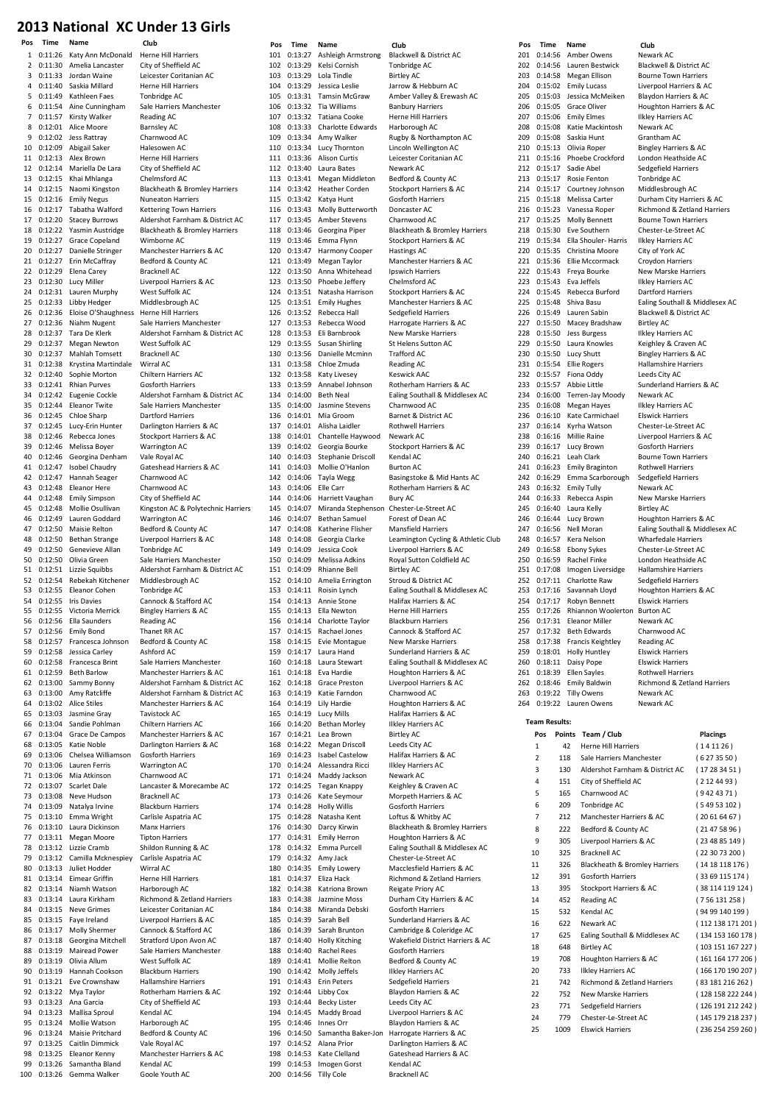### 2013 National XC Under 13 Girls

| 1         | 0:11:26            | Katy Ann McDonald                        | Herne Hill Harriers                      |
|-----------|--------------------|------------------------------------------|------------------------------------------|
| 2         | 0:11:30            | Amelia Lancaster                         | City of Sheffield AC                     |
| 3         | 0:11:33            | Jordan Waine<br>Saskia Millard           | Leicester Coritanian AC                  |
| 4<br>5    | 0:11:40            | 0:11:49 Kathleen Faes                    | <b>Herne Hill Harriers</b>               |
|           |                    |                                          | Tonbridge AC                             |
| 6<br>7    | 0:11:54<br>0:11:57 | Aine Cunningham<br>Kirsty Walker         | Sale Harriers Manchester<br>Reading AC   |
| 8         | 0:12:01            | Alice Moore                              | <b>Barnsley AC</b>                       |
| 9         | 0:12:02            | Jess Rattray                             | Charnwood AC                             |
| 10        |                    | 0:12:09 Abigail Saker                    | Halesowen AC                             |
| 11        | 0:12:13            | Alex Brown                               | Herne Hill Harriers                      |
| 12        | 0:12:14            | Mariella De Lara                         | City of Sheffield AC                     |
| 13        | 0:12:15            | Khai Mhlanga                             | Chelmsford AC                            |
| 14        | 0:12:15            | Naomi Kingston                           | Blackheath & Bromley Harriers            |
| 15        | 0:12:16            | <b>Emily Negus</b>                       | Nuneaton Harriers                        |
| 16        | 0:12:17            | Tabatha Walford                          | <b>Kettering Town Harriers</b>           |
| 17        | 0:12:20            | <b>Stacey Burrows</b>                    | Aldershot Farnham & District AC          |
| 18        | 0:12:22            | Yasmin Austridge                         | Blackheath & Bromley Harriers            |
| 19        | 0:12:27            | Grace Copeland                           | Wimborne AC                              |
| 20        | 0:12:27            | Danielle Stringer                        | Manchester Harriers & AC                 |
| 21        | 0:12:27            | Erin McCaffray                           | Bedford & County AC                      |
| 22        | 0:12:29            | Elena Carey                              | <b>Bracknell AC</b>                      |
| 23        | 0:12:30            | Lucy Miller                              | Liverpool Harriers & AC                  |
| 24        | 0:12:31            | Lauren Murphy                            | West Suffolk AC                          |
| 25        | 0:12:33            | Libby Hedger                             | Middlesbrough AC                         |
| 26        | 0:12:36            | Eloise O'Shaughness                      | Herne Hill Harriers                      |
| 27        | 0:12:36            | Niahm Nugent                             | Sale Harriers Manchester                 |
| 28        | 0:12:37            | Tara De Klerk                            | Aldershot Farnham & District AC          |
| 29        | 0:12:37            | <b>Megan Newton</b>                      | West Suffolk AC                          |
| 30        | 0:12:37            | Mahlah Tomsett                           | <b>Bracknell AC</b>                      |
| 31        | 0:12:38            | Krystina Martindale                      | Wirral AC                                |
| 32        | 0:12:40            | Sophie Morton                            | Chiltern Harriers AC                     |
| 33        | 0:12:41            | <b>Rhian Purves</b>                      | Gosforth Harriers                        |
| 34        | 0:12:42            | Eugenie Cockle                           | Aldershot Farnham & District AC          |
| 35        | 0:12:44            | <b>Eleanor Twite</b>                     | Sale Harriers Manchester                 |
| 36        | 0:12:45            | Chloe Sharp                              | Dartford Harriers                        |
| 37        | 0:12:45            | Lucy-Erin Hunter                         | Darlington Harriers & AC                 |
| 38        | 0:12:46            | Rebecca Jones                            | Stockport Harriers & AC                  |
| 39        | 0:12:46            | Melissa Boyer                            | Warrington AC                            |
| 40        | 0:12:46<br>0:12:47 | Georgina Denham<br><b>Isobel Chaudry</b> | Vale Royal AC<br>Gateshead Harriers & AC |
| 41        |                    |                                          |                                          |
| 42<br>43  | 0:12:47<br>0:12:48 | Hannah Seager<br>Eleanor Here            | Charnwood AC<br>Charnwood AC             |
| 44        | 0:12:48            | <b>Emily Simpson</b>                     | City of Sheffield AC                     |
| 45        | 0:12:48            | Mollie Osullivan                         | Kingston AC & Polytechnic Harriers       |
| 46        | 0:12:49            | Lauren Goddard                           | Warrington AC                            |
| 47        | 0:12:50            | Maisie Relton                            | Bedford & County AC                      |
| 48        | 0:12:50            | <b>Bethan Strange</b>                    | Liverpool Harriers & AC                  |
| 49        | 0:12:50            | Genevieve Allan                          | Tonbridge AC                             |
| 50        | 0:12:50            | Olivia Green                             | Sale Harriers Manchester                 |
| 51        | 0:12:51            | Lizzie Squibbs                           | Aldershot Farnham & District AC          |
|           |                    |                                          |                                          |
| 52        |                    | 0:12:54 Rebekah Kitchener                | Middlesbrough AC                         |
| 53        | 0:12:55            | Eleanor Cohen                            | Tonbridge AC                             |
| 54        | 0:12:55            | <b>Iris Davies</b>                       | Cannock & Stafford AC                    |
| 55        | 0:12:55            | Victoria Merrick                         | <b>Bingley Harriers &amp; AC</b>         |
| 56        | 0:12:56            | Ella Saunders                            | Reading AC                               |
| 57        | 0:12:56            | <b>Emily Bond</b>                        | Thanet RR AC                             |
| 58        | 0:12:57            | Francesca Johnson                        | Bedford & County AC                      |
| 59        | 0:12:58            | Jessica Carlev                           | Ashford AC                               |
| 60        |                    | 0:12:58 Francesca Brint                  | Sale Harriers Manchester                 |
| 61        | 0:12:59            | <b>Beth Barlow</b>                       | Manchester Harriers & AC                 |
| 62        | 0:13:00            | Sammy Bonny                              | Aldershot Farnham & District AC          |
| 63        |                    | 0:13:00 Amy Ratcliffe                    | Aldershot Farnham & District AC          |
| 64        | 0:13:02            | <b>Alice Stiles</b>                      | Manchester Harriers & AC                 |
| 65        | 0:13:03            | Jasmine Gray                             | Tavistock AC                             |
| 66        | 0:13:04            | Sandie Pohlman                           | Chiltern Harriers AC                     |
| 67        | 0:13:04            | Grace De Campos                          | Manchester Harriers & AC                 |
| 68        | 0:13:05            | Katie Noble                              | Darlington Harriers & AC                 |
| 69        | 0:13:06            | Chelsea Williamson                       | <b>Gosforth Harriers</b>                 |
| 70        | 0:13:06            | Lauren Ferris                            | Warrington AC                            |
| 71        | 0:13:06            | Mia Atkinson                             | Charnwood AC                             |
| 72        | 0:13:07            | Scarlet Dale                             | Lancaster & Morecambe AC                 |
| 73        | 0:13:08            | Neve Hudson                              | <b>Bracknell AC</b>                      |
| 74        | 0:13:09            | Natalya Irvine                           | <b>Blackburn Harriers</b>                |
| 75<br>76  | 0:13:10<br>0:13:10 | Emma Wright<br>Laura Dickinson           | Carlisle Aspatria AC<br>Manx Harriers    |
| 77        | 0:13:11            | Megan Moore                              | <b>Tipton Harriers</b>                   |
| 78        | 0:13:12            | Lizzie Cramb                             | Shildon Running & AC                     |
| 79        | 0:13:12            | Camilla Mcknespiey                       | Carlisle Aspatria AC                     |
| 80        | 0:13:13            | Juliet Hodder                            | Wirral AC                                |
| 81        | 0:13:14            | <b>Eimear Griffin</b>                    | <b>Herne Hill Harriers</b>               |
| 82        | 0:13:14            | Niamh Watson                             | Harborough AC                            |
| 83        | 0:13:14            | Laura Kirkham                            | Richmond & Zetland Harriers              |
| 84        | 0:13:15            | <b>Neve Grimes</b>                       | Leicester Coritanian AC                  |
| 85        | 0:13:15            | Faye Ireland                             | Liverpool Harriers & AC                  |
| 86        | 0:13:17            | <b>Molly Shermer</b>                     | Cannock & Stafford AC                    |
| 87        | 0:13:18            | Georgina Mitchell                        | Stratford Upon Avon AC                   |
| 88        | 0:13:19            | Mairead Power                            | Sale Harriers Manchester                 |
| 89        | 0:13:19            | Olivia Allum                             | West Suffolk AC                          |
| 90        | 0:13:19            | Hannah Cookson                           | <b>Blackburn Harriers</b>                |
| 91        | 0:13:21            | Eve Crownshaw                            | Hallamshire Harriers                     |
| 92        | 0:13:22            | Mya Taylor                               | Rotherham Harriers & AC                  |
| 93        | 0:13:23            | Ana Garcia                               | City of Sheffield AC                     |
| 94        | 0:13:23            | Mallisa Sproul                           | Kendal AC                                |
| 95        | 0:13:24            | Mollie Watson                            | Harborough AC                            |
| 96        | 0:13:24            | Maisie Pritchard                         | Bedford & County AC                      |
| 97        | 0:13:25            | Caitlin Dimmick                          | Vale Royal AC                            |
| 98        | 0:13:25            | Eleanor Kenny                            | Manchester Harriers & AC                 |
| 99<br>100 | 0:13:26<br>0:13:26 | Samantha Bland<br>Gemma Walker           | Kendal AC<br>Goole Youth AC              |

|                      | rus        | типе               | name                                   |
|----------------------|------------|--------------------|----------------------------------------|
|                      | 101        |                    | 0:13:27 Ashleigh Armstro               |
|                      | 102        | 0:13:29            | Kelsi Cornish                          |
|                      | 103<br>104 | 0:13:29            | 0:13:29 Lola Tindle<br>Jessica Leslie  |
|                      | 105        | 0:13:31            | Tamsin McGraw                          |
| .r                   | 106        | 0:13:32            | Tia Williams                           |
|                      | 107        | 0:13:32            | Tatiana Cooke                          |
|                      | 108        | 0:13:33            | Charlotte Edward                       |
|                      | 109        | 0:13:34            | Amy Walker                             |
|                      | 110        |                    | 0:13:34 Lucy Thornton                  |
|                      | 111        | 0:13:36            | Alison Curtis                          |
|                      | 112        | 0:13:40            | Laura Bates                            |
|                      | 113        | 0:13:41            | Megan Middletor                        |
| arriers              | 114        | 0:13:42            | <b>Heather Corden</b>                  |
|                      | 115        | 0:13:42            | Katya Hunt                             |
|                      | 116        |                    | 0:13:43 Molly Butterwort               |
| strict AC            | 117        | 0:13:45            | Amber Stevens                          |
| arriers              | 118        | 0:13:46            | Georgina Piper                         |
|                      | 119        | 0:13:46            | Emma Flynn                             |
| ١C                   | 120        |                    | 0:13:47 Harmony Cooper                 |
|                      | 121        |                    | 0:13:49 Megan Taylor                   |
|                      | 122        | 0:13:50            | Anna Whitehead                         |
|                      | 123        |                    | 0:13:50 Phoebe Jeffery                 |
|                      | 124        |                    | 0:13:51 Natasha Harrison               |
|                      | 125        | 0:13:51            | <b>Emily Hughes</b>                    |
|                      | 126        |                    | 0:13:52 Rebecca Hall                   |
| 'r                   | 127        |                    | 0:13:53 Rebecca Wood                   |
| strict AC            | 128        | 0:13:53            | Eli Barnbrook                          |
|                      | 129        | 0:13:55            | Susan Shirling                         |
|                      | 130        |                    | 0:13:56 Danielle Mcminn                |
|                      | 131        | 0:13:58            | Chloe Zmuda                            |
|                      | 132        | 0:13:58            | Katy Livesey                           |
|                      | 133        | 0:13:59            | Annabel Johnson                        |
| strict AC            | 134        | 0:14:00            | <b>Beth Neal</b>                       |
| 'r                   | 135        | 0:14:00            | Jasmine Stevens                        |
| $\ddot{\phantom{0}}$ | 136        | 0:14:01            | Mia Groom                              |
|                      | 137        | 0:14:01            | Alisha Laidler                         |
|                      | 138<br>139 | 0:14:01<br>0:14:02 | Chantelle Haywoo<br>Georgia Bourke     |
|                      | 140        | 0:14:03            | Stephanie Driscol                      |
| C                    | 141        | 0:14:03            | Mollie O'Hanlon                        |
|                      | 142        | 0:14:06            | Tayla Wegg                             |
|                      | 143        | 0:14:06 Elle Carr  |                                        |
|                      | 144        | 0:14:06            | Harriett Vaughan                       |
| ic Harriers          | 145        | 0:14:07            | Miranda Stephen:                       |
|                      | 146        |                    | 0:14:07 Bethan Samuel                  |
|                      | 147        | 0:14:08            | Katherine Flisher                      |
|                      | 148        | 0:14:08            | Georgia Clarke                         |
|                      | 149        | 0:14:09            | Jessica Cook                           |
| 'n                   | 150        | 0:14:09            | Melissa Adkins                         |
| strict AC            | 151        | 0:14:09            | Rhianne Bell                           |
|                      | 152        | 0:14:10            | Amelia Errington                       |
|                      | 153        |                    | 0:14:11 Roisin Lynch                   |
|                      | 154        | 0:14:13            | Annie Stone                            |
|                      | 155        |                    | 0:14:13 Ella Newton                    |
|                      | 156        |                    | 0:14:14 Charlotte Taylor               |
|                      |            |                    | 157 0:14:15 Rachael Jones              |
|                      | 158        | 0:14:15            | Evie Montague                          |
|                      | 159        |                    | 0:14:17 Laura Hand                     |
| ۱ŕ                   | 160        | 0:14:18            | Laura Stewart                          |
| ١Ċ                   | 161        | 0:14:18            | Eva Hardie                             |
| strict AC            | 162        |                    | 0:14:18 Grace Preston                  |
| strict AC            | 163        |                    | 0:14:19 Katie Farndon                  |
| ١C                   | 164        | 0:14:19            | Lily Hardie                            |
|                      | 165        | 0:14:19            | Lucy Mills                             |
|                      | 166        | 0:14:20            | <b>Bethan Morley</b>                   |
| ١C                   | 167        | 0:14:21            | Lea Brown                              |
| Ĵ                    | 168        | 0:14:22            | Megan Driscoll                         |
|                      | 169        |                    | 0:14:23 Isabel Castelow                |
|                      | 170        | 0:14:24            | Alessandra Ricci                       |
|                      | 171        | 0:14:24            | Maddy Jackson                          |
| : AC                 | 172<br>173 | 0:14:25<br>0:14:26 | Tegan Knappy<br>Kate Seymour           |
|                      | 174        | 0:14:28            | <b>Holly Willis</b>                    |
|                      | 175        | 0:14:28            | Natasha Kent                           |
|                      | 176        | 0:14:30            | Darcy Kirwin                           |
|                      | 177        | 0:14:31            | <b>Emily Herron</b>                    |
|                      | 178        | 0:14:32            | Emma Purcell                           |
|                      | 179        | 0:14:32            | Amy Jack                               |
|                      | 180        | 0:14:35            | <b>Emily Lowery</b>                    |
|                      | 181        | 0:14:37            | Eliza Hack                             |
|                      | 182        |                    | 0:14:38 Katriona Brown                 |
| riers                | 183        | 0:14:38            | Jazmine Moss                           |
|                      | 184        |                    | 0:14:38 Miranda Debski                 |
|                      | 185        | 0:14:39            | Sarah Bell                             |
|                      | 186        | 0:14:39            | Sarah Brunton                          |
|                      | 187        | 0:14:40            | <b>Holly Kitching</b>                  |
| :r                   | 188        |                    | 0:14:40 Rachel Rees                    |
|                      | 189        | 0:14:41            | Mollie Relton                          |
|                      | 190        | 0:14:42            | Molly Jeffels                          |
|                      | 191        | 0:14:43            | <b>Erin Peters</b>                     |
| C                    | 192        | 0:14:44            | Libby Cox                              |
|                      | 193        | 0:14:44            | Becky Lister                           |
|                      | 194        |                    | 0:14:45 Maddy Broad                    |
|                      | 195        | 0:14:46            | Innes Orr                              |
|                      | 196        | 0:14:50            | Samantha Baker-J                       |
|                      | 197        | 0:14:52            | Alana Prior                            |
| ١C                   | 198        |                    | 0:14:53 Kate Clelland                  |
|                      | 199        | 0:14:53            | Imogen Gorst<br>200 0:14:56 Tilly Cole |
|                      |            |                    |                                        |

1 Armstrong Blackwell & District AC<br>
rnish Fonbridge AC  $\begin{array}{ccc}\n\text{This is a } & \text{The equation } \\
\text{The equation } & \text{Birel} \\
\text{The equation } & \text{Birel} \\
\end{array}$ **Birtley AC** eslie 1950 Jarrow & Hebburn AC<br>McGraw 14:40 Amber Valley & Erewa 105 McGraw Amber Valley & Erewash AC<br>1995 - Banbury Harriers 106 0:13:32 Tia Williams Banbury Harriers Herne Hill Harriers 108 Edwards Harborough AC 109 Iker Rugby & Northampton AC ornton Lincoln Wellington AC urtis Leicester Coritanian AC<br>1111 112:36 Alewark AC Newark AC 113 Middleton Bedford & County AC Corden Stockport Harriers & AC unt Gosforth Harriers<br>1115 - Concaster AC 111 1116 decrement decrement Doncaster AC<br>116 Mollem Charnwood AC Charnwood AC 118 0:13:46 Georgina Piper Blackheath & Bromley Harriers Iynn Stockport Harriers & AC<br>119 Y Cooper Hastings AC Hastings AC nder Manchester Harriers & AC<br>hitebead Manchester Insuriers **Inswich Harriers** 123 0:13:50 Phoebe Jeffery Chelmsford AC 124 - Harrison Stockport Harriers & AC externalism descriptions and the manchester Harriers & AC 126 Hall Sedgefield Harriers<br>
126 Wood Harrogate Harriers Harrogate Harriers & AC 128 0:13:53 Eli Barnbrook New Marske Harriers 120 112:55 St Helens Sutton AC<br>12:55 Mcminn Trafford AC 130 Mcminn Trafford AC<br>131 Reading AC Reading AC esey Keswick AAC 133 0:13:59 Annabel Johnson Rotherham Harriers & AC al Ealing Southall & Middlesex AC<br>Stevens Charnwood AC Charnwood AC en and Barnet & District AC<br>136 112:01 Morthwell Harriers Rothwell Harriers 138 0:14:01 Chantelle Haywood Newark AC 139 Bourke Stockport Harriers & AC<br>ie Driscoll Kendal AC .<br>Kendal AC 'Hanlon Burton AC egg Basingstoke & Mid Hants AC Rotherham Harriers & AC<br>Bury AC Stephenson Chester-Le-Street AC amuel Forest of Dean AC e Flisher Mansfield Harriers Clarke Leamington Cycling & Athletic Club 149 149 Liverpool Harriers & <mark>AC</mark><br>149 Adkins 14:09 Roval Sutton Coldfield 150 Adkins Royal Sutton Coldfield AC<br>150 Birtley AC ender divided by Bell Birtley AC<br>151 Errington Biroud & D **Stroud & District AC** 153 0:14:11 Roisin Lynch Ealing Southall & Middlesex AC 154 0:14:13 Annie Stone Halifax Harriers & AC **Herne Hill Harriers** e Taylor Blackburn Harriers 157 0:14:15 Rachael Jones Cannock & Stafford AC ntague New Marske Harriers and Sunderland Harriers & AC ewart Ealing Southall & Middlesex AC 161 Houghton Harriers & AC reston Liverpool Harriers & AC 163 0:14:19 Katie Farndon Charnwood AC 164 Houghton Harriers & AC Halifax Harriers & AC Morley Ilkley Harriers AC un Birtley <mark>AC</mark><br>167 - Leeds City niscoll Leeds City AC<br>168 - Leeds City AC<br>Halifax Harrie extelow Halifax Harriers & AC<br>Ira Ricci Ilklev Harriers AC 170 0:14:24 Alessandra Ricci Ilkley Harriers AC ackson Newark AC nappy Keighley & Craven AC n 173 Morpeth Harriers & AC **174 Ilis** Gosforth Harriers Kent Loftus & Whitby AC 176 0:14:30 Darcy Kirwin Blackheath & Bromley Harriers erron Houghton Harriers & AC 178 0:14:32 Emma Purcell Ealing Southall & Middlesex AC 179 bester-Le-Street AC<br>179 Macclesfield Harriers Macclesfield Harriers & AC Richmond & Zetland Harriers Brown Reigate Priory AC Moss Durham City Harriers & AC<br>1 Debski Gosforth Harriers Gosforth Harriers 2<br>185 1185 114:44:59 Sunderland Harriers & AC<br>14:59 Cambridge & Coleridge AC Cambridge & Coleridge AC 187 0:14:40 Holly Kitching Wakefield District Harriers & AC 2018 188 Gosforth Harriers<br>198 Bedford & County 189 0:14:41 Mollie Relton Bedford & County AC .<br>190 Ilkley Harriers AC ers Sedgefield Harriers Blaydon Harriers & AC 193 114:45 Leeds City AC e<br>1946 111 March 2014 Liverpool Harriers & AC Blaydon Harriers & AC 196 13:40 a Baker-Jon Harrogate Harriers & AC ior **Darlington Harriers & AC** 198 0:14:53 Kate Clelland Gateshead Harriers & AC Gorst Kendal AC Bracknell AC

Pos Time Name Club Pos Time Name Club Pos Time Name Club 201 0:14:56 Amber Owens Newark AC<br>202 0:14:56 Lauren Bestwick Blackwell & 202 0:14:56 Lauren Bestwick Blackwell & District AC<br>203 0:14:58 Megan Ellison Bourne Town Harriers 204 0:15:02 Emily Lucass Liverpool Harriers & AC<br>205 0:15:03 Jessica McMeiken Blaydon Harriers & AC 205 0:15:03 Jessica McMeiken Blaydon Harriers & AC<br>206 0:15:05 Grace Oliver Houghton Harriers & A 206 0:15:05 Grace Oliver Houghton Harriers & AC<br>206 0:15:05 Grace Oliver Houghton Harriers & AC<br>207 0:15:06 Emily Elmes Ilkley Harriers AC 208 0:15:08 Katie Mackintosh Newark AC 209 0:15:08 Saskia Hunt Grantham AC<br>210 0:15:13 Olivia Roper Bingley Harrie 211 0:15:16 Phoebe Crockford London Heathside AC<br>212 0:15:17 Sadie Abel Sedgefield Harriers 213 0:15:17 Rosie Fenton Tonbridge AC 214 0:15:17 Courtney Johnson Middlesbrough AC<br>215 0:15:18 Melissa Carter Durham City Harrie 215 0:15:18 Melissa Carter Durham City Harriers & AC<br>216 0:15:23 Vanessa Roper Richmond & Zetland Harrie 216 0:15:23 Vanessa Roper Richmond & Zetland Harriers n:15:25 Molly Bennett 218 0:15:30 Eve Southern Chester-Le-Street AC<br>219 0:15:34 Ella Shouler- Harris Ilkley Harriers AC 219 0:15:34 Ella Shouler-Harris Ilkley Harriers 4<br>220 0:15:35 Christina Moore City of York AC 0:15:35 Christina Moore<br>0:15:36 Ellie Mccormack 221 0:15:36 Ellie Mccormack Croydon Harriers<br>222 0:15:43 Freya Bourke New Marske Har 223 0:15:43 Eva Jeffels Ilkley Harriers AC<br>224 0:15:45 Rebecca Burford Dartford Harriers 224 0:15:45 Rebecca Burford<br>225 0:15:48 Shiva Basu 226 0:15:49 Lauren Sabin Blackwell & District AC<br>227 0:15:50 Macey Bradshaw Birtley AC Macey Bradshaw 228 0:15:50 Jess Burgess Ilkley Harriers AC 229 0:15:50 Laura Knowles Keighley & Craven AC<br>230 0:15:50 Lucy Shutt Bingley Harriers & AC 230 0:15:50 Lucy Shutt Bingley Harriers & AC<br>231 0:15:54 Ellie Rogers Hallamshire Harriers 232 0:15:57 Fiona Oddy Leeds City AC 233 0:15:57 Abbie Little Sunderland Harriers & AC<br>234 0:16:00 Terren-Jay Moody Newark AC 234 0:16:00 Terren-Jay Moody<br>235 0:16:08 Megan Hayes 0:16:08 Megan Hayes Ilkley Harriers AC<br>0:16:10 Kate Carmichael Flswick Harriers 236 0:16:10 Kate Carmichael<br>237 0:16:14 Kyrha Watson 238 0:16:16 Millie Raine Liverpool Harriers & AC<br>239 0:16:17 Lucy Brown Gosforth Harriers 239 0:16:17 Lucy Brown<br>240 0:16:21 Leab Clark 241 0:16:23 Emily Braginton Rothwell Harriers 242 0:16:29 Emma Scarborough Sedgefield Harriers 243 0:16:32 Emily Tully Newark AC<br>244 0:16:33 Rebecca Aspin New Marsk 244 0:16:33 Rebecca Aspin New Marske Harriers<br>245 0:16:40 Laura Kelly Birtley AC  $0:16:40$  Laura Kelly  $0:16:44$  Lucy Brown 246 0:16:44 Lucy Brown Houghton Harriers & AC 247 0:16:56 Nell Moran Ealing Southall & Middlesex AC 248 0:16:57 Kera Nelson Wharfedale Harriers 249 0:16:58 Ebony Sykes Chester-Le-Street AC<br>250 0:16:59 Rachel Finke London Heathside AC 250 0:16:59 Rachel Finke London Heathside AC<br>251 0:17:08 Imogen Liversidge Hallamshire Harriers 251 0:17:08 Imogen Liversidge Hallamshire Harrier<br>252 0:17:11 Charlotte Raw Sedgefield Harriers  $0.17:11$  Charlotte Raw 253 0:17:16 Savannah Lloyd Houghton Harriers & AC<br>254 0:17:17 Robyn Bennett Flswick Harriers 254 0:17:17 Robyn Bennett Elswick Harriers<br>255 0:17:26 Rhiannon Woolerton Burton AC 2.<br>Rhiannon Woolerton 256 0:17:31 Eleanor Miller Newark AC 257 0:17:32 Beth Edwards Charnwood AC 258 0:17:38 Francis Keightley Reading AC<br>259 0:18:01 Holly Huntley Elswick Harriers 0:18:01 Holly Huntley 260 0:18:11 Daisy Pope Elswick Harriers<br>261 0:18:39 Ellen Savles Rothwell Harriers 261 0:18:39 Ellen Sayles 262 0:18:46 Emily Baldwin Richmond & Zetland Harriers 263 0:19:22 Tilly Owens Newark AC 264 0:19:22 Lauren Owens Newark AC Team Results:

**Bourne Town Harriers** Ilkley Harriers AC Bingley Harriers & AC Sedgefield Harriers 2.<br>New Marske Harriers Ealing Southall & Middlesex AC Hallamshire Harriers Chester-Le-Street AC **Bourne Town Harriers** 

| Pos |      | Points Team / Club              | <b>Placings</b>   |
|-----|------|---------------------------------|-------------------|
| 1   | 42   | <b>Herne Hill Harriers</b>      | (141126)          |
| 2   | 118  | Sale Harriers Manchester        | (6273550)         |
| 3   | 130  | Aldershot Farnham & District AC | (17283451)        |
| 4   | 151  | City of Sheffield AC            | (2124493)         |
| 5   | 165  | Charnwood AC                    | (9424371)         |
| 6   | 209  | Tonbridge AC                    | (54953102)        |
| 7   | 212  | Manchester Harriers & AC        | (20616467)        |
| 8   | 222  | Bedford & County AC             | (21475896)        |
| 9   | 305  | Liverpool Harriers & AC         | (234885149)       |
| 10  | 325  | Bracknell AC                    | (223073200)       |
| 11  | 326  | Blackheath & Bromley Harriers   | (14 18 118 176)   |
| 12  | 391  | <b>Gosforth Harriers</b>        | (33 69 115 174)   |
| 13  | 395  | Stockport Harriers & AC         | (38 114 119 124)  |
| 14  | 452  | Reading AC                      | (756 131 258)     |
| 15  | 532  | Kendal AC                       | (94 99 140 199)   |
| 16  | 622  | Newark AC                       | (112 138 171 201) |
| 17  | 625  | Ealing Southall & Middlesex AC  | (134 153 160 178) |
| 18  | 648  | <b>Birtley AC</b>               | (103 151 167 227) |
| 19  | 708  | Houghton Harriers & AC          | (161 164 177 206) |
| 20  | 733  | <b>Ilkley Harriers AC</b>       | (166 170 190 207) |
| 21  | 742  | Richmond & Zetland Harriers     | (83 181 216 262)  |
| 22  | 752  | New Marske Harriers             | (128 158 222 244) |
| 23  | 771  | Sedgefield Harriers             | (126 191 212 242) |
| 24  | 779  | Chester-Le-Street AC            | (145 179 218 237) |
| 25  | 1009 | <b>Flswick Harriers</b>         | (236 254 259 260) |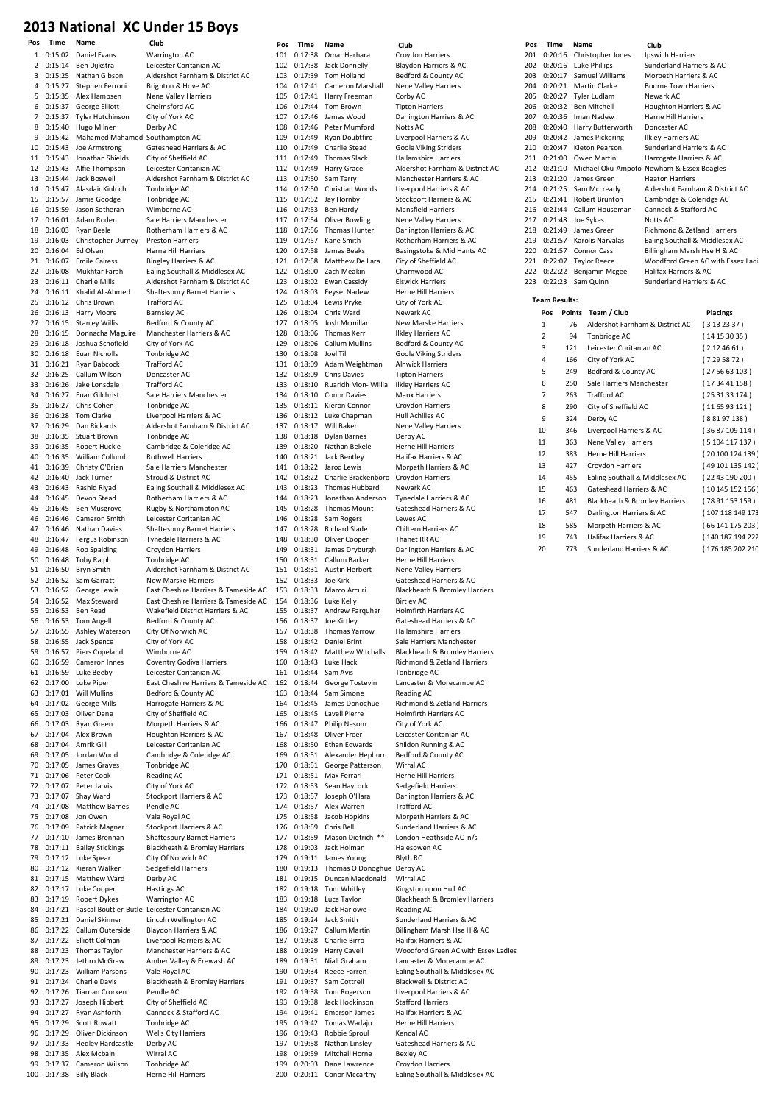#### 2013 National XC Under 15 Boys

| Pos | Time              | Name                                   | Club                                                     | Pos | Time                 | Name                               | Club                                | Pos | Time                 | Name   |                             | Club          |
|-----|-------------------|----------------------------------------|----------------------------------------------------------|-----|----------------------|------------------------------------|-------------------------------------|-----|----------------------|--------|-----------------------------|---------------|
|     |                   | 1 0:15:02 Daniel Evans                 | Warrington AC                                            |     | 101 0:17:38          | Omar Harhara                       | Croydon Harriers                    | 201 | 0:20:16              |        | Christopher Jones           | Ipswi         |
|     | $2 \quad 0:15:14$ | Ben Dijkstra                           | Leicester Coritanian AC                                  | 102 | 0:17:38              | Jack Donnelly                      | Blaydon Harriers & AC               | 202 | 0:20:16              |        | <b>Luke Phillips</b>        | Sund          |
|     |                   | 3 0:15:25 Nathan Gibson                | Aldershot Farnham & District AC                          | 103 | 0:17:39              | Tom Holland                        | Bedford & County AC                 | 203 | 0:20:17              |        | Samuel Williams             |               |
|     |                   |                                        |                                                          |     |                      |                                    |                                     |     | 0:20:21              |        |                             | Morp          |
| 4   | 0:15:27           | Stephen Ferroni                        | Brighton & Hove AC                                       | 104 |                      | 0:17:41 Cameron Marshall           | Nene Valley Harriers                | 204 |                      |        | <b>Martin Clarke</b>        | Bour          |
|     | 5 0:15:35         | Alex Hampsen                           | Nene Valley Harriers                                     | 105 |                      | 0:17:41 Harry Freeman              | Corby AC                            | 205 | 0:20:27              |        | Tyler Ludlam                | Newa          |
|     | 60:15:37          | George Elliott                         | Chelmsford AC                                            | 106 | 0:17:44              | Tom Brown                          | <b>Tipton Harriers</b>              | 206 | 0:20:32              |        | Ben Mitchell                | Houg          |
| 7   | 0:15:37           | Tyler Hutchinson                       | City of York AC                                          | 107 | 0:17:46              | James Wood                         | Darlington Harriers & AC            | 207 | 0:20:36              |        | Iman Nadew                  | Hern          |
| 8   | 0:15:40           | Hugo Milner                            | Derby AC                                                 | 108 | 0:17:46              | Peter Mumford                      | Notts AC                            | 208 | 0:20:40              |        | Harry Butterworth           | Donc          |
| 9   |                   | 0:15:42 Mahamed Mahamed Southampton AC |                                                          | 109 | 0:17:49              | Ryan Doubtfire                     | Liverpool Harriers & AC             | 209 |                      |        | 0:20:42 James Pickering     | Ilkley        |
| 10  |                   | 0:15:43 Joe Armstrong                  | Gateshead Harriers & AC                                  | 110 | 0:17:49              | Charlie Stead                      | Goole Viking Striders               | 210 | 0:20:47              |        | Kieton Pearson              | Sund          |
|     | 11 0:15:43        | Jonathan Shields                       | City of Sheffield AC                                     |     | 111 0:17:49          | <b>Thomas Slack</b>                | <b>Hallamshire Harriers</b>         |     | 211 0:21:00          |        | Owen Martin                 | Harro         |
|     |                   |                                        |                                                          |     |                      |                                    |                                     |     |                      |        |                             |               |
|     |                   | 12 0:15:43 Alfie Thompson              | Leicester Coritanian AC                                  |     | 112 0:17:49          | Harry Grace                        | Aldershot Farnham & District AC     |     | 212 0:21:10          |        | Michael Oku-Ampofo Newl     |               |
|     |                   | 13 0:15:44 Jack Boswell                | Aldershot Farnham & District AC                          |     | 113 0:17:50          | Sam Tarry                          | Manchester Harriers & AC            | 213 | 0:21:20              |        | James Green                 | Heat          |
|     | 14 0:15:47        | Alasdair Kinloch                       | Tonbridge AC                                             |     | 114 0:17:50          | Christian Woods                    | Liverpool Harriers & AC             | 214 | 0:21:25              |        | Sam Mccready                | Alder         |
|     |                   | 15 0:15:57 Jamie Goodge                | Tonbridge AC                                             | 115 |                      | 0:17:52 Jay Hornby                 | Stockport Harriers & AC             | 215 | 0:21:41              |        | Robert Brunton              | Caml          |
| 16  |                   | 0:15:59 Jason Sotheran                 | Wimborne AC                                              |     |                      | 116 0:17:53 Ben Hardy              | <b>Mansfield Harriers</b>           | 216 | 0:21:44              |        | Callum Houseman             | Cann          |
|     |                   | 17 0:16:01 Adam Roden                  | Sale Harriers Manchester                                 | 117 |                      | 0:17:54 Oliver Bowling             | Nene Valley Harriers                | 217 | 0:21:48              |        | Joe Sykes                   | Nott:         |
|     |                   |                                        |                                                          |     |                      |                                    |                                     |     |                      |        |                             |               |
|     | 18 0:16:03        | Ryan Beale                             | Rotherham Harriers & AC                                  | 118 |                      | 0:17:56 Thomas Hunter              | Darlington Harriers & AC            | 218 | 0:21:49              |        | James Greer                 | Richr         |
| 19  |                   | 0:16:03 Christopher Durney             | <b>Preston Harriers</b>                                  |     | 119 0:17:57          | Kane Smith                         | Rotherham Harriers & AC             | 219 | 0:21:57              |        | Karolis Narvalas            | Ealing        |
| 20  | 0:16:04           | Ed Olsen                               | <b>Herne Hill Harriers</b>                               | 120 | 0:17:58              | James Beeks                        | Basingstoke & Mid Hants AC          | 220 | 0:21:57              |        | <b>Connor Cass</b>          | <b>Billin</b> |
|     |                   | 21 0:16:07 Emile Cairess               | <b>Bingley Harriers &amp; AC</b>                         |     | 121 0:17:58          | Matthew De Lara                    | City of Sheffield AC                |     | 221 0:22:07          |        | <b>Taylor Reece</b>         | Woo           |
|     |                   | 22 0:16:08 Mukhtar Farah               | Ealing Southall & Middlesex AC                           |     |                      | 122 0:18:00 Zach Meakin            | Charnwood AC                        |     | 222 0:22:22          |        | Benjamin Mcgee              | Halifa        |
|     |                   | 23 0:16:11 Charlie Mills               | Aldershot Farnham & District AC                          | 123 | 0:18:02              | Ewan Cassidy                       | <b>Elswick Harriers</b>             | 223 | 0:22:23              |        | Sam Quinn                   | Sund          |
|     |                   |                                        |                                                          |     |                      |                                    |                                     |     |                      |        |                             |               |
|     |                   | 24 0:16:11 Khalid Ali-Ahmed            | Shaftesbury Barnet Harriers                              | 124 |                      | 0:18:03 Feysel Nadew               | <b>Herne Hill Harriers</b>          |     | <b>Team Results:</b> |        |                             |               |
|     |                   | 25 0:16:12 Chris Brown                 | <b>Trafford AC</b>                                       | 125 |                      | 0:18:04 Lewis Pryke                | City of York AC                     |     |                      |        |                             |               |
| 26  |                   | 0:16:13 Harry Moore                    | <b>Barnsley AC</b>                                       | 126 |                      | 0:18:04 Chris Ward                 | Newark AC                           |     | Pos                  | Points | Team / Club                 |               |
|     |                   | 27 0:16:15 Stanley Willis              | Bedford & County AC                                      | 127 |                      | 0:18:05 Josh Mcmillan              | New Marske Harriers                 |     | 1                    | 76     | Aldershot Farnham & D       |               |
| 28  |                   | 0:16:15 Donnacha Maguire               | Manchester Harriers & AC                                 | 128 |                      | 0:18:06 Thomas Kerr                | <b>Ilkley Harriers AC</b>           |     | $\overline{2}$       | 94     | Tonbridge AC                |               |
| 29  |                   | 0:16:18 Joshua Schofield               | City of York AC                                          | 129 | 0:18:06              | <b>Callum Mullins</b>              | Bedford & County AC                 |     |                      |        |                             |               |
| 30  |                   | 0:16:18 Euan Nicholls                  | Tonbridge AC                                             | 130 | 0:18:08              | Joel Till                          | Goole Viking Striders               |     | 3                    | 121    | Leicester Coritanian AC     |               |
|     |                   |                                        |                                                          |     |                      |                                    |                                     |     | 4                    | 166    | City of York AC             |               |
|     |                   | 31 0:16:21 Ryan Babcock                | Trafford AC                                              |     | 131 0:18:09          | Adam Weightman                     | <b>Alnwick Harriers</b>             |     | 5                    | 249    | Bedford & County AC         |               |
|     |                   | 32 0:16:25 Callum Wilson               | Doncaster AC                                             |     | 132 0:18:09          | <b>Chris Davies</b>                | <b>Tipton Harriers</b>              |     |                      |        |                             |               |
| 33  | 0:16:26           | Jake Lonsdale                          | <b>Trafford AC</b>                                       | 133 | 0:18:10              | Ruaridh Mon- Willia                | <b>Ilkley Harriers AC</b>           |     | 6                    | 250    | Sale Harriers Manchest      |               |
|     |                   | 34 0:16:27 Euan Gilchrist              | Sale Harriers Manchester                                 | 134 | 0:18:10              | <b>Conor Davies</b>                | <b>Manx Harriers</b>                |     | $\overline{7}$       | 263    | Trafford AC                 |               |
|     |                   | 35 0:16:27 Chris Cohen                 | Tonbridge AC                                             | 135 |                      | 0:18:11 Kieron Connor              | Croydon Harriers                    |     |                      |        |                             |               |
|     |                   |                                        |                                                          |     |                      |                                    |                                     |     | $\bf 8$              | 290    | City of Sheffield AC        |               |
| 36  |                   | 0:16:28 Tom Clarke                     | Liverpool Harriers & AC                                  | 136 |                      | 0:18:12 Luke Chapman               | Hull Achilles AC                    |     | $\boldsymbol{9}$     | 324    | Derby AC                    |               |
|     | 37 0:16:29        | Dan Rickards                           | Aldershot Farnham & District AC                          | 137 |                      | 0:18:17 Will Baker                 | Nene Valley Harriers                |     | 10                   | 346    | Liverpool Harriers & AC     |               |
| 38  |                   | 0:16:35 Stuart Brown                   | Tonbridge AC                                             | 138 |                      | 0:18:18 Dylan Barnes               | Derby AC                            |     |                      |        |                             |               |
| 39  |                   | 0:16:35 Robert Huckle                  | Cambridge & Coleridge AC                                 | 139 | 0:18:20              | Nathan Bekele                      | Herne Hill Harriers                 |     | $11\,$               | 363    | <b>Nene Valley Harriers</b> |               |
| 40  | 0:16:35           | William Collumb                        | <b>Rothwell Harriers</b>                                 | 140 |                      | 0:18:21 Jack Bentley               | Halifax Harriers & AC               |     | 12                   | 383    | Herne Hill Harriers         |               |
|     | 41 0:16:39        | Christy O'Brien                        | Sale Harriers Manchester                                 | 141 |                      | 0:18:22 Jarod Lewis                | Morpeth Harriers & AC               |     | 13                   | 427    | Croydon Harriers            |               |
|     |                   |                                        |                                                          |     |                      |                                    |                                     |     |                      |        |                             |               |
|     |                   | 42 0:16:40 Jack Turner                 | Stroud & District AC                                     | 142 |                      | 0:18:22 Charlie Brackenboro        | Croydon Harriers                    |     | 14                   | 455    | Ealing Southall & Middl     |               |
| 43  |                   | 0:16:43 Rashid Riyad                   | Ealing Southall & Middlesex AC                           | 143 |                      | 0:18:23 Thomas Hubbard             | Newark AC                           |     | 15                   | 463    | Gateshead Harriers & A      |               |
|     |                   | 44 0:16:45 Devon Stead                 | Rotherham Harriers & AC                                  | 144 |                      | 0:18:23 Jonathan Anderson          | Tynedale Harriers & AC              |     | 16                   | 481    | Blackheath & Bromley        |               |
| 45  |                   | 0:16:45 Ben Musgrove                   | Rugby & Northampton AC                                   | 145 |                      | 0:18:28 Thomas Mount               | Gateshead Harriers & AC             |     |                      |        |                             |               |
| 46  | 0:16:46           | Cameron Smith                          | Leicester Coritanian AC                                  | 146 | 0:18:28              | Sam Rogers                         | Lewes AC                            |     | 17                   | 547    | Darlington Harriers & A     |               |
|     | 47 0:16:46        | Nathan Davies                          | Shaftesbury Barnet Harriers                              | 147 | 0:18:28              | Richard Slade                      | Chiltern Harriers AC                |     | 18                   | 585    | Morpeth Harriers & AC       |               |
|     |                   | 0:16:47 Fergus Robinson                | Tynedale Harriers & AC                                   | 148 |                      | 0:18:30 Oliver Cooper              | Thanet RR AC                        |     | 19                   | 743    | Halifax Harriers & AC       |               |
| 48  |                   |                                        |                                                          |     |                      |                                    |                                     |     |                      |        |                             |               |
| 49  | 0:16:48           | Rob Spalding                           | <b>Croydon Harriers</b>                                  | 149 |                      | 0:18:31 James Dryburgh             | Darlington Harriers & AC            |     | 20                   | 773    | Sunderland Harriers &       |               |
|     | 50 0:16:48        | Toby Ralph                             | Tonbridge AC                                             | 150 |                      | 0:18:31 Callum Barker              | <b>Herne Hill Harriers</b>          |     |                      |        |                             |               |
|     |                   | 51 0:16:50 Bryn Smith                  | Aldershot Farnham & District AC                          |     |                      | 151 0:18:31 Austin Herbert         | Nene Valley Harriers                |     |                      |        |                             |               |
|     |                   | 52 0:16:52 Sam Garratt                 | <b>New Marske Harriers</b>                               |     | 152 0:18:33 Joe Kirk |                                    | Gateshead Harriers & AC             |     |                      |        |                             |               |
|     |                   | 53 0:16:52 George Lewis                | East Cheshire Harriers & Tameside AC                     | 153 |                      | 0:18:33 Marco Arcuri               | Blackheath & Bromley Harriers       |     |                      |        |                             |               |
|     |                   | 54 0:16:52 Max Steward                 | East Cheshire Harriers & Tameside AC                     | 154 |                      | 0:18:36 Luke Kelly                 | <b>Birtley AC</b>                   |     |                      |        |                             |               |
|     |                   |                                        |                                                          |     |                      |                                    |                                     |     |                      |        |                             |               |
|     |                   | 55 0:16:53 Ben Read                    | Wakefield District Harriers & AC                         |     |                      | 155 0:18:37 Andrew Farguhar        | Holmfirth Harriers AC               |     |                      |        |                             |               |
|     |                   | 56 0:16:53 Tom Angell                  | Bedford & County AC                                      |     |                      | 156 0:18:37 Joe Kirtley            | Gateshead Harriers & AC             |     |                      |        |                             |               |
| 57  |                   | 0:16:55 Ashley Waterson                | City Of Norwich AC                                       | 157 | 0:18:38              | <b>Thomas Yarrow</b>               | Hallamshire Harriers                |     |                      |        |                             |               |
| 58  |                   | 0:16:55 Jack Spence                    | City of York AC                                          | 158 | 0:18:42              | Daniel Brint                       | Sale Harriers Manchester            |     |                      |        |                             |               |
|     |                   | 59 0:16:57 Piers Copeland              | Wimborne AC                                              | 159 |                      | 0:18:42 Matthew Witchalls          | Blackheath & Bromley Harriers       |     |                      |        |                             |               |
| 60  | 0:16:59           | Cameron Innes                          | Coventry Godiva Harriers                                 | 160 |                      | 0:18:43 Luke Hack                  | Richmond & Zetland Harriers         |     |                      |        |                             |               |
|     |                   | 61 0:16:59 Luke Beeby                  | Leicester Coritanian AC                                  |     |                      | 161 0:18:44 Sam Avis               | Tonbridge AC                        |     |                      |        |                             |               |
|     |                   |                                        |                                                          |     |                      |                                    |                                     |     |                      |        |                             |               |
|     |                   | 62 0:17:00 Luke Piper                  | East Cheshire Harriers & Tameside AC                     | 162 | 0:18:44              | George Tostevin                    | Lancaster & Morecambe AC            |     |                      |        |                             |               |
|     |                   | 63 0:17:01 Will Mullins                | Bedford & County AC                                      | 163 |                      | 0:18:44 Sam Simone                 | Reading AC                          |     |                      |        |                             |               |
|     |                   | 64 0:17:02 George Mills                | Harrogate Harriers & AC                                  | 164 |                      | 0:18:45 James Donoghue             | Richmond & Zetland Harriers         |     |                      |        |                             |               |
| 65  |                   | 0:17:03 Oliver Dane                    | City of Sheffield AC                                     | 165 |                      | 0:18:45 Lavell Pierre              | <b>Holmfirth Harriers AC</b>        |     |                      |        |                             |               |
| 66  |                   | 0:17:03 Ryan Green                     | Morpeth Harriers & AC                                    | 166 | 0:18:47              | <b>Philip Nesom</b>                | City of York AC                     |     |                      |        |                             |               |
|     |                   | 67 0:17:04 Alex Brown                  | Houghton Harriers & AC                                   | 167 |                      | 0:18:48 Oliver Freer               | Leicester Coritanian AC             |     |                      |        |                             |               |
| 68  |                   | 0:17:04 Amrik Gill                     | Leicester Coritanian AC                                  | 168 |                      | 0:18:50 Ethan Edwards              | Shildon Running & AC                |     |                      |        |                             |               |
|     |                   |                                        |                                                          |     |                      |                                    |                                     |     |                      |        |                             |               |
| 69  |                   | 0:17:05 Jordan Wood                    | Cambridge & Coleridge AC                                 | 169 |                      | 0:18:51 Alexander Hepburn          | Bedford & County AC                 |     |                      |        |                             |               |
|     |                   | 70 0:17:05 James Graves                | Tonbridge AC                                             | 170 |                      | 0:18:51 George Patterson           | Wirral AC                           |     |                      |        |                             |               |
|     |                   | 71 0:17:06 Peter Cook                  | Reading AC                                               |     |                      | 171 0:18:51 Max Ferrari            | <b>Herne Hill Harriers</b>          |     |                      |        |                             |               |
|     |                   | 72 0:17:07 Peter Jarvis                | City of York AC                                          |     |                      | 172 0:18:53 Sean Haycock           | Sedgefield Harriers                 |     |                      |        |                             |               |
|     |                   | 73 0:17:07 Shay Ward                   | Stockport Harriers & AC                                  | 173 |                      | 0:18:57 Joseph O'Hara              | Darlington Harriers & AC            |     |                      |        |                             |               |
|     |                   | 74 0:17:08 Matthew Barnes              | Pendle AC                                                | 174 |                      | 0:18:57 Alex Warren                | <b>Trafford AC</b>                  |     |                      |        |                             |               |
| 75  | 0:17:08           | Jon Owen                               | Vale Royal AC                                            | 175 | 0:18:58              | Jacob Hopkins                      | Morpeth Harriers & AC               |     |                      |        |                             |               |
|     | 76 0:17:09        |                                        |                                                          |     | 176 0:18:59          | Chris Bell                         |                                     |     |                      |        |                             |               |
|     |                   | Patrick Magner                         | Stockport Harriers & AC                                  |     |                      |                                    | Sunderland Harriers & AC            |     |                      |        |                             |               |
|     |                   | 77 0:17:10 James Brennan               | Shaftesbury Barnet Harriers                              | 177 |                      | 0:18:59 Mason Dietrich **          | London Heathside AC n/s             |     |                      |        |                             |               |
| 78  |                   | 0:17:11 Bailey Stickings               | Blackheath & Bromley Harriers                            | 178 |                      | 0:19:03 Jack Holman                | Halesowen AC                        |     |                      |        |                             |               |
| 79  |                   | 0:17:12 Luke Spear                     | City Of Norwich AC                                       | 179 |                      | 0:19:11 James Young                | Blyth RC                            |     |                      |        |                             |               |
|     |                   | 80 0:17:12 Kieran Walker               | Sedgefield Harriers                                      | 180 |                      | 0:19:13 Thomas O'Donoghue Derby AC |                                     |     |                      |        |                             |               |
|     |                   | 81 0:17:15 Matthew Ward                | Derby AC                                                 |     |                      | 181 0:19:15 Duncan Macdonald       | Wirral AC                           |     |                      |        |                             |               |
|     |                   |                                        |                                                          |     |                      |                                    |                                     |     |                      |        |                             |               |
|     |                   | 82 0:17:17 Luke Cooper                 | Hastings AC                                              |     |                      | 182 0:19:18 Tom Whitley            | Kingston upon Hull AC               |     |                      |        |                             |               |
|     |                   | 83 0:17:19 Robert Dykes                | Warrington AC                                            | 183 |                      | 0:19:18 Luca Taylor                | Blackheath & Bromley Harriers       |     |                      |        |                             |               |
|     |                   |                                        | 84 0:17:21 Pascal Bouttier-Butle Leicester Coritanian AC | 184 |                      | 0:19:20 Jack Harlowe               | Reading AC                          |     |                      |        |                             |               |
|     |                   | 85 0:17:21 Daniel Skinner              | Lincoln Wellington AC                                    | 185 |                      | 0:19:24 Jack Smith                 | Sunderland Harriers & AC            |     |                      |        |                             |               |
|     |                   | 86 0:17:22 Callum Outerside            | Blaydon Harriers & AC                                    | 186 |                      | 0:19:27 Callum Martin              | Billingham Marsh Hse H & AC         |     |                      |        |                             |               |
| 87  |                   | 0:17:22 Elliott Colman                 | Liverpool Harriers & AC                                  | 187 |                      | 0:19:28 Charlie Birro              | Halifax Harriers & AC               |     |                      |        |                             |               |
|     |                   |                                        |                                                          |     |                      |                                    |                                     |     |                      |        |                             |               |
| 88  |                   | 0:17:23 Thomas Taylor                  | Manchester Harriers & AC                                 | 188 | 0:19:29              | Harry Cavell                       | Woodford Green AC with Essex Ladies |     |                      |        |                             |               |
| 89  |                   | 0:17:23 Jethro McGraw                  | Amber Valley & Erewash AC                                | 189 |                      | 0:19:31 Niall Graham               | Lancaster & Morecambe AC            |     |                      |        |                             |               |
|     |                   | 90 0:17:23 William Parsons             | Vale Royal AC                                            | 190 |                      | 0:19:34 Reece Farren               | Ealing Southall & Middlesex AC      |     |                      |        |                             |               |
|     |                   | 91 0:17:24 Charlie Davis               | Blackheath & Bromley Harriers                            | 191 | 0:19:37              | Sam Cottrell                       | Blackwell & District AC             |     |                      |        |                             |               |
|     | 92 0:17:26        | Tiarnan Crorken                        | Pendle AC                                                | 192 | 0:19:38              | Tom Rogerson                       | Liverpool Harriers & AC             |     |                      |        |                             |               |
|     |                   | 93 0:17:27 Joseph Hibbert              | City of Sheffield AC                                     | 193 |                      | 0:19:38 Jack Hodkinson             | <b>Stafford Harriers</b>            |     |                      |        |                             |               |
|     |                   |                                        |                                                          |     |                      | 0:19:41 Emerson James              |                                     |     |                      |        |                             |               |
|     |                   | 94 0:17:27 Ryan Ashforth               | Cannock & Stafford AC                                    | 194 |                      |                                    | Halifax Harriers & AC               |     |                      |        |                             |               |
|     |                   | 95 0:17:29 Scott Rowatt                | Tonbridge AC                                             |     |                      | 195 0:19:42 Tomas Wadajo           | Herne Hill Harriers                 |     |                      |        |                             |               |
| 96  |                   | 0:17:29 Oliver Dickinson               | <b>Wells City Harriers</b>                               | 196 | 0:19:43              | Robbie Sproul                      | Kendal AC                           |     |                      |        |                             |               |
|     |                   | 97 0:17:33 Hedley Hardcastle           | Derby AC                                                 | 197 |                      | 0:19:58 Nathan Linsley             | Gateshead Harriers & AC             |     |                      |        |                             |               |
| 98  |                   | 0:17:35 Alex Mcbain                    | Wirral AC                                                | 198 | 0:19:59              | Mitchell Horne                     | <b>Bexley AC</b>                    |     |                      |        |                             |               |
| 99  |                   | 0:17:37 Cameron Wilson                 | Tonbridge AC                                             | 199 | 0:20:03              | Dane Lawrence                      | Croydon Harriers                    |     |                      |        |                             |               |
|     |                   | 100 0:17:38 Billy Black                | Herne Hill Harriers                                      |     |                      | 200 0:20:11 Conor Mccarthy         | Ealing Southall & Middlesex AC      |     |                      |        |                             |               |
|     |                   |                                        |                                                          |     |                      |                                    |                                     |     |                      |        |                             |               |

#### 101 0:17:38 Omar Harhara Croydon Harriers<br>102 0:17:38 Jack Donnelly Blaydon Harriers & AC 102 0:17:38 Jack Donnelly Blaydon Harriers & AC 103  $0:17:39$  Tom Holland 104 0:17:41 Cameron Marshall Nene Valley Harriers 105 0:17:41 Harry Freeman Corby AC<br>106 0:17:44 Tom Brown Tipton Harriers  $106$  0:17:44 Tom Brown 107 0:17:46 James Wood Darlington Harriers & AC 108 0:17:46 Peter Mumford Notts AC 109 0:17:49 Ryan Doubtfire Liverpool Harriers & AC 110 0:17:49 Charlie Stead 111 0:17:49 Thomas Slack Hallamshire Harriers<br>112 0:17:49 Harry Grace Aldershot Farnham & 113 0:17:50 Sam Tarry Manchester Harriers & AC 114 0:17:50 Christian Woods Liverpool Harriers & AC 115 0:17:52 Jay Hornby Stockport Harriers<br>116 0:17:53 Ben Hardy Mansfield Harriers 116 0:17:53 Ben Hardy Mansfield Harriers 117  $0:17:54$  Oliver Bowling 118 0:17:56 Thomas Hunter Darlington Harriers & AC 119 0:17:57 Kane Smith<br>120 0:17:58 James Beeks 121  $0:17:58$  Matthew De Lara 122 0:18:00 Zach Meakin Charnwood AC 123 0:18:02 Ewan Cassidy Elswick Harriers 124 0:18:03 Feysel Nadew Herne Hill Harriers<br>125 0:18:04 Lewis Pryke City of York AC 125 0:18:04 Lewis Pryke 126 0:18:04 Chris Ward Newark AC<br>127 0:18:05 Josh Mcmillan New Marske Harriers  $127$  0:18:05 Josh Mcmillan 128 0:18:06 Thomas Kerr Ilkley Harriers AC<br>129 0:18:06 Callum Mullins Bedford & County AC 129 0:18:06 Callum Mullins Bedford & County AC 130 0:18:08 Joel Till Goole Viking Str<br>131 0:18:09 Adam Weightman Alnwick Harriers 131 0:18:09 Adam Weightman 132 0:18:09 Chris Davies Tipton Harriers 133 0:18:10 Ruaridh Mon- Willia Ilkley Harriers AC 134 0:18:10 Conor Davies Manx Harriers 135 0:18:11 Kieron Connor Croydon Harrier<br>136 0:18:12 Luke Chanman Hull Achilles AC 136 0:18:12 Luke Chapman 137 0:18:17 Will Baker Nene Valley Harriers 138 0:18:18 Dylan Barnes Derby AC 139 0:18:20 Nathan Bekele Herne Hill Harriers 140  $0.18.21$  Jack Bentley 141 0:18:22 Jarod Lewis Morpeth Harriers & AC 142 0:18:22 Charlie Brackenboro Croydon Harriers 143 0:18:23 Thomas Hubbard Newark AC<br>144 0:18:23 Jonathan Anderson Tynedale Harriers & AC 144 0:18:23 Jonathan Anderson Tynedale Harriers & AC 145  $0:18:28$  Thomas Mount 146 0:18:28 Sam Rogers Lewes AC 147 0:18:28 Richard Slade Chiltern Harriers AC 148 0:18:30 Oliver Cooper Thanet RR AC 149 0:18:31 James Dryburgh Darlington Harriers & AC 150 0:18:31 Callum Barker Herne Hill Harriers 151 0:18:31 Austin Herbert<br>152 0:18:33 Joe Kirk 155 0:18:37 Andrew Farquhar Holmfirth Harriers AC 156 0:18:37 Joe Kirtley Gateshead Harriers & AC 157 0:18:38 Thomas Yarrow Hallamshire Harriers 158 0:18:42 Daniel Brint Sale Harriers Manchester<br>159 0:18:42 Matthew Witchalls Blackheath & Bromley Harriers 159 0:18:42 Matthew Witchalls 160 0:18:43 Luke Hack Richmond & Zetland Harriers 161  $0:18:44$  Sam Avis 163 0:18:44 Sam Simone Reading AC 164 0:18:45 James Donoghue Richmond & Zetland Harriers 165 0:18:45 Lavell Pierre Holmfirth Harrie<br>166 0:18:47 Philip Nesom City of York AC 166 0:18:47 Philip Nesom 167 0:18:48 Oliver Freer Leicester Coritanian AC 168 0:18:50 Ethan Edwards Shildon Running & AC 169 0:18:51 Alexander Hepburn Bedford &<br>170 0:18:51 George Patterson Wirral AC 170 0:18:51 George Patterson 171 0:18:51 Max Ferrari Herne Hill Harriers 172 0:18:53 Sean Haycock Sedgefield Harriers 173 0:18:57 Joseph O'Hara Darlington Harriers & AC 174 0:18:57 Alex Warren 175 0:18:58 Jacob Hopkins Morpeth Harriers & AC<br>176 0:18:59 Chris Bell Sunderland Harriers & AC 176 0:18:59 Chris Bell 177 0:18:59 Mason Dietrich \*\* London Heathside AC n/s 178 0:19:03 Jack Holman Halesowen AC<br>179 0:19:11 James Young Blyth RC 179 0:19:11 James Young 180 0:19:13 Thomas O'Donoghue Derby AC 181 0:19:15 Duncan Macdonald Wirral AC 182 0:19:18 Tom Whitley Kingston upon Hull AC 183 0:19:18 Luca Taylor Blackheath & Bromley Harriers 184 0:19:20 Jack Harlowe 185 0:19:24 Jack Smith Sunderland Harriers & AC<br>186 0:19:27 Callum Martin Billingham Marsh Hse H & 187 0:19:28 Charlie Birro Halifax Harriers & AC 188 0:19:29 Harry Cavell Woodford Green AC with Essex Ladies 190 0:19:34 Reece Farren Ealing Southall & Middlesex AC 191  $0.1937$  Sam Cottrell 192 0:19:38 Tom Rogerson Liverpool Harriers & AC 193 0:19:38 Jack Hodkinson Stafford Harriers 194 0:19:41 Emerson James Halifax Harriers & <br>195 0:19:42 Tomas Wadajo Herne Hill Harriers 195 0:19:42 Tomas Wadajo Herne Hill<br>196 0:19:43 Robbie Sproul Kendal AC 196 0:19:43 Robbie Sproul 197 0:19:58 Nathan Linsley Gateshead Harriers & AC 198 0:19:59 Mitchell Horne Bexley AC<br>199 0:20:03 Dane Lawrence Croydon Harriers 199 0:20:03 Dane Lawrence

| 201        |                      |               |                                           |                                                   |                  |  |  |  |
|------------|----------------------|---------------|-------------------------------------------|---------------------------------------------------|------------------|--|--|--|
|            | 0:20:16              |               | Christopher Jones                         | Ipswich Harriers                                  |                  |  |  |  |
| 202        | 0:20:16              |               | <b>Luke Phillips</b>                      | Sunderland Harriers & AC                          |                  |  |  |  |
| 203        | 0:20:17              |               | Samuel Williams                           | Morpeth Harriers & AC                             |                  |  |  |  |
| 204        | 0:20:21              |               | Martin Clarke                             | <b>Bourne Town Harriers</b>                       |                  |  |  |  |
| 205        | 0:20:27              |               | <b>Tyler Ludlam</b>                       | Newark AC                                         |                  |  |  |  |
| 206<br>207 | 0:20:32<br>0:20:36   |               | <b>Ben Mitchell</b><br>Iman Nadew         | Houghton Harriers & AC                            |                  |  |  |  |
| 208        | 0:20:40              |               | Harry Butterworth                         | <b>Herne Hill Harriers</b>                        |                  |  |  |  |
| 209        | 0:20:42              |               | James Pickering                           | Doncaster AC<br><b>Ilkley Harriers AC</b>         |                  |  |  |  |
| 210        | 0:20:47              |               | Kieton Pearson                            | Sunderland Harriers & AC                          |                  |  |  |  |
| 211        | 0:21:00              |               | Owen Martin                               | Harrogate Harriers & AC                           |                  |  |  |  |
| 212        | 0:21:10              |               | Michael Oku-Ampofo Newham & Essex Beagles |                                                   |                  |  |  |  |
| 213        | 0:21:20              |               | James Green                               | <b>Heaton Harriers</b>                            |                  |  |  |  |
| 214        | 0:21:25              |               | Sam Mccready                              | Aldershot Farnham & District AC                   |                  |  |  |  |
| 215        | 0:21:41              |               | Robert Brunton                            | Cambridge & Coleridge AC                          |                  |  |  |  |
| 216        | 0:21:44              |               | Callum Houseman                           | Cannock & Stafford AC                             |                  |  |  |  |
| 217        | 0:21:48              |               | Joe Sykes                                 | Notts AC                                          |                  |  |  |  |
| 218        | 0:21:49              |               | James Greer                               | Richmond & Zetland Harriers                       |                  |  |  |  |
| 219        | 0:21:57              |               | Karolis Narvalas                          | Ealing Southall & Middlesex AC                    |                  |  |  |  |
| 220        | 0:21:57              |               | Connor Cass                               | Billingham Marsh Hse H & AC                       |                  |  |  |  |
| 221        | 0:22:07              |               | <b>Taylor Reece</b>                       | Woodford Green AC with Essex Ladi                 |                  |  |  |  |
| 222        | 0:22:22              |               | Benjamin Mcgee                            | Halifax Harriers & AC<br>Sunderland Harriers & AC |                  |  |  |  |
| 223        | 0:22:23              |               | Sam Quinn                                 |                                                   |                  |  |  |  |
|            | <b>Team Results:</b> |               |                                           |                                                   |                  |  |  |  |
|            | Pos                  | <b>Points</b> | Team / Club                               |                                                   | <b>Placings</b>  |  |  |  |
|            | 1                    | 76            | Aldershot Farnham & District AC           |                                                   | (3132337)        |  |  |  |
|            | $\overline{2}$       | 94            | Tonbridge AC                              |                                                   | (14 15 30 35)    |  |  |  |
|            |                      |               |                                           |                                                   |                  |  |  |  |
|            | 3<br>121             |               |                                           |                                                   | (2124661)        |  |  |  |
|            | 4                    | 166           | Leicester Coritanian AC                   |                                                   |                  |  |  |  |
|            |                      |               | City of York AC                           |                                                   | (7295872)        |  |  |  |
|            | 5                    | 249           | Bedford & County AC                       |                                                   | (275663103)      |  |  |  |
|            | 6                    | 250           | Sale Harriers Manchester                  |                                                   | (173441158)      |  |  |  |
|            | 7                    | 263           | <b>Trafford AC</b>                        |                                                   | (25 31 33 174)   |  |  |  |
|            | 8                    | 290           | City of Sheffield AC                      |                                                   | (116593121)      |  |  |  |
|            | 9                    | 324           | Derby AC                                  |                                                   | (88197138)       |  |  |  |
|            | 10                   | 346           | Liverpool Harriers & AC                   |                                                   | (3687109114)     |  |  |  |
|            | 11                   | 363           | Nene Valley Harriers                      |                                                   | (5104117137)     |  |  |  |
|            | 12                   | 383           | <b>Herne Hill Harriers</b>                |                                                   | (20 100 124 139) |  |  |  |
|            | 13                   | 427           | Croydon Harriers                          |                                                   | (49 101 135 142) |  |  |  |
|            | 14                   | 455           | Ealing Southall & Middlesex AC            |                                                   | (2243190200)     |  |  |  |
|            | 15                   | 463           | Gateshead Harriers & AC                   |                                                   | (10 145 152 156) |  |  |  |
|            | 16                   | 481           | Blackheath & Bromley Harriers             |                                                   | (78 91 153 159)  |  |  |  |
|            | 17                   | 547           | Darlington Harriers & AC                  |                                                   | (107 118 149 173 |  |  |  |
|            | 18                   | 585           | Morpeth Harriers & AC                     |                                                   | (66 141 175 203) |  |  |  |
|            | 19                   | 743           | Halifax Harriers & AC                     |                                                   | (140 187 194 222 |  |  |  |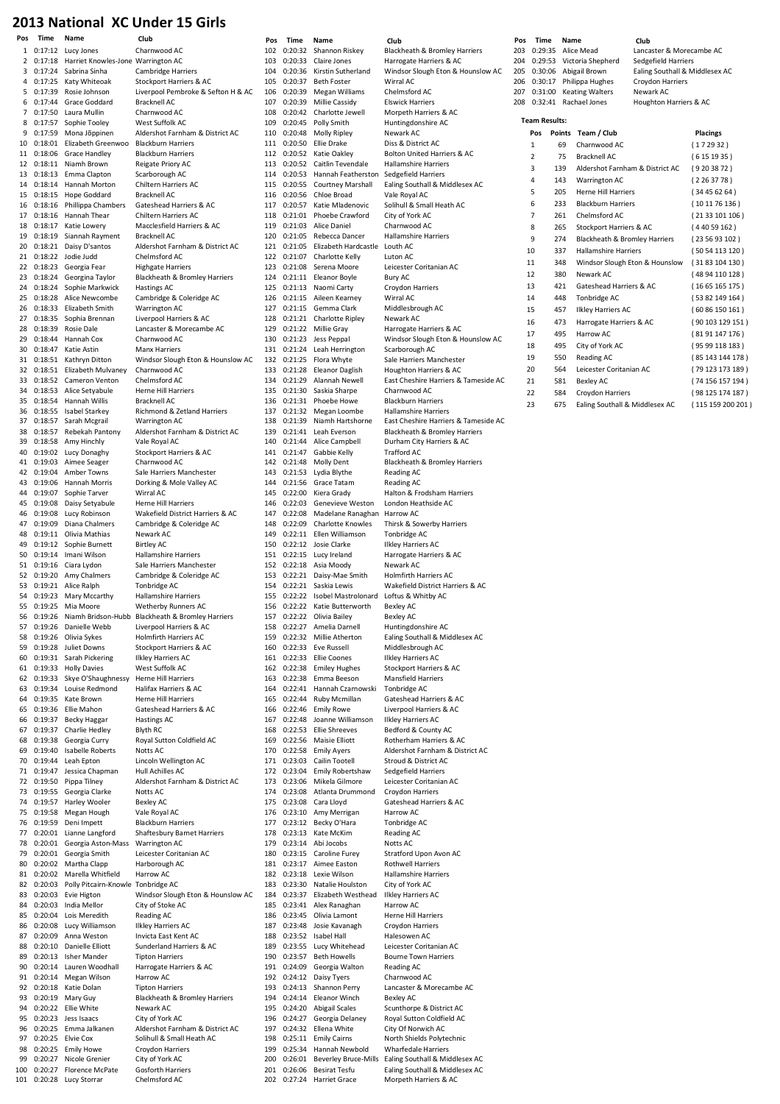### 2013 National XC Under 15 Girls

| Pos      | Time                  | Name                                          | Club                                                        | Pos        | Time                   | Name                                                         | Club                                                         | Pos        | Time                 | Name       |                                          | Club                                               |                                 |
|----------|-----------------------|-----------------------------------------------|-------------------------------------------------------------|------------|------------------------|--------------------------------------------------------------|--------------------------------------------------------------|------------|----------------------|------------|------------------------------------------|----------------------------------------------------|---------------------------------|
|          |                       | 1 0:17:12 Lucy Jones                          | Charnwood AC                                                | 102        |                        | 0:20:32 Shannon Riskey                                       | Blackheath & Bromley Harriers                                | 203        | 0:29:35              |            | Alice Mead                               | Lancaster & Morecambe AC                           |                                 |
| 2        |                       | 0:17:18 Harriet Knowles-Jone Warrington AC    |                                                             | 103        | 0:20:33                | Claire Jones                                                 | Harrogate Harriers & AC                                      | 204        | 0:29:53              |            | Victoria Shepherd                        | Sedgefield Harriers                                |                                 |
| 3<br>4   | 0:17:24<br>0:17:25    | Sabrina Sinha<br>Katy Whiteoak                | <b>Cambridge Harriers</b><br>Stockport Harriers & AC        | 105        | 104 0:20:36<br>0:20:37 | Kirstin Sutherland<br><b>Beth Foster</b>                     | Windsor Slough Eton & Hounslow AC<br>Wirral AC               | 205<br>206 | 0:30:06              |            | Abigail Brown<br>0:30:17 Philippa Hughes | Ealing Southall & Middlesex AC<br>Croydon Harriers |                                 |
| 5        | 0:17:39               | Rosie Johnson                                 | Liverpool Pembroke & Sefton H & AC                          | 106        | 0:20:39                | Megan Williams                                               | Chelmsford AC                                                | 207        | 0:31:00              |            | <b>Keating Walters</b>                   | Newark AC                                          |                                 |
| 6        | 0:17:44               | Grace Goddard                                 | <b>Bracknell AC</b>                                         | 107        | 0:20:39                | Millie Cassidy                                               | <b>Elswick Harriers</b>                                      | 208        |                      |            | 0:32:41 Rachael Jones                    | Houghton Harriers & AC                             |                                 |
| 7        | 0:17:50               | Laura Mullin                                  | Charnwood AC                                                | 108        |                        | 0:20:42 Charlotte Jewell                                     | Morpeth Harriers & AC                                        |            | <b>Team Results:</b> |            |                                          |                                                    |                                 |
| 8<br>9   | 0:17:57<br>0:17:59    | Sophie Tooley<br>Mona Jõppinen                | West Suffolk AC<br>Aldershot Farnham & District AC          | 109        | 0:20:45<br>110 0:20:48 | Polly Smith<br>Molly Ripley                                  | Huntingdonshire AC<br>Newark AC                              |            |                      |            | Pos Points Team / Club                   |                                                    | <b>Placings</b>                 |
| 10       | 0:18:01               | Elizabeth Greenwoo                            | <b>Blackburn Harriers</b>                                   |            | 111 0:20:50            | Ellie Drake                                                  | Diss & District AC                                           |            | 1                    | 69         | Charnwood AC                             |                                                    | (172932)                        |
| 11       | 0:18:06               | Grace Handley                                 | <b>Blackburn Harriers</b>                                   | 112        | 0:20:52                | Katie Oakley                                                 | Bolton United Harriers & AC                                  |            | 2                    | 75         | <b>Bracknell AC</b>                      |                                                    | (6151935)                       |
|          | 12 0:18:11            | Niamh Brown                                   | Reigate Priory AC                                           |            |                        | 113 0:20:52 Caitlin Tevendale                                | <b>Hallamshire Harriers</b>                                  |            | 3                    | 139        | Aldershot Farnham & District AC          |                                                    | (9203872)                       |
| 13       | 0:18:13<br>14 0:18:14 | Emma Clapton<br>Hannah Morton                 | Scarborough AC<br>Chiltern Harriers AC                      | 114<br>115 | 0:20:53<br>0:20:55     | Hannah Featherston<br><b>Courtney Marshall</b>               | Sedgefield Harriers<br>Ealing Southall & Middlesex AC        |            | 4                    | 143        | Warrington AC                            |                                                    | (2263778)                       |
|          | 15 0:18:15            | Hope Goddard                                  | <b>Bracknell AC</b>                                         | 116        |                        | 0:20:56 Chloe Broad                                          | Vale Royal AC                                                |            | 5                    | 205        | Herne Hill Harriers                      |                                                    | (34456264)                      |
| 16       | 0:18:16               | Phillippa Chambers                            | Gateshead Harriers & AC                                     | 117        | 0:20:57                | Katie Mladenovic                                             | Solihull & Small Heath AC                                    |            | 6                    | 233        | <b>Blackburn Harriers</b>                |                                                    | (101176136)                     |
| 17       | 0:18:16               | Hannah Thear                                  | <b>Chiltern Harriers AC</b>                                 | 118        |                        | 0:21:01 Phoebe Crawford                                      | City of York AC                                              |            | 7                    | 261        | Chelmsford AC                            |                                                    | (2133101106)                    |
| 18       | 0:18:17               | Katie Lowery                                  | Macclesfield Harriers & AC                                  | 119        | 0:21:03                | Alice Daniel                                                 | Charnwood AC                                                 |            | 8                    | 265        | Stockport Harriers & AC                  |                                                    | (44059162)                      |
| 19       | 0:18:19               | Siannah Rayment<br>20 0:18:21 Daisy D'santos  | <b>Bracknell AC</b><br>Aldershot Farnham & District AC      | 120        | 0:21:05<br>121 0:21:05 | Rebecca Dancer<br>Elizabeth Hardcastle                       | <b>Hallamshire Harriers</b><br>Louth AC                      |            | 9                    | 274        | Blackheath & Bromley Harriers            |                                                    | (235693102)                     |
| 21       | 0:18:22               | Jodie Judd                                    | Chelmsford AC                                               | 122        | 0:21:07                | Charlotte Kelly                                              | Luton AC                                                     |            | 10                   | 337        | <b>Hallamshire Harriers</b>              |                                                    | (5054113120)                    |
|          | 22 0:18:23            | Georgia Fear                                  | <b>Highgate Harriers</b>                                    | 123        | 0:21:08                | Serena Moore                                                 | Leicester Coritanian AC                                      |            | 11                   | 348        |                                          | Windsor Slough Eton & Hounslow                     | (3183104130)                    |
|          | 23 0:18:24            | Georgina Taylor                               | Blackheath & Bromley Harriers                               |            |                        | 124 0:21:11 Eleanor Boyle                                    | Bury AC                                                      |            | 12<br>13             | 380<br>421 | Newark AC<br>Gateshead Harriers & AC     |                                                    | (48 94 110 128)<br>(1665165175) |
| 24<br>25 | 0:18:24<br>0:18:28    | Sophie Markwick<br>Alice Newcombe             | Hastings AC<br>Cambridge & Coleridge AC                     | 125<br>126 | 0:21:15                | 0:21:13 Naomi Carty<br>Aileen Kearney                        | Croydon Harriers<br>Wirral AC                                |            | 14                   | 448        | Tonbridge AC                             |                                                    | (5382149164)                    |
| 26       | 0:18:33               | Elizabeth Smith                               | <b>Warrington AC</b>                                        | 127        | 0:21:15                | Gemma Clark                                                  | Middlesbrough AC                                             |            | 15                   | 457        | <b>Ilkley Harriers AC</b>                |                                                    | (6086150161)                    |
|          |                       | 27 0:18:35 Sophia Brennan                     | Liverpool Harriers & AC                                     | 128        |                        | 0:21:21 Charlotte Ripley                                     | Newark AC                                                    |            | 16                   | 473        | Harrogate Harriers & AC                  |                                                    | (90 103 129 151)                |
| 28       | 0:18:39               | Rosie Dale                                    | Lancaster & Morecambe AC                                    | 129        |                        | 0:21:22 Millie Gray                                          | Harrogate Harriers & AC                                      |            | 17                   | 495        | Harrow AC                                |                                                    | (8191147176)                    |
| 29<br>30 | 0:18:44<br>0:18:47    | Hannah Cox<br>Katie Astin                     | Charnwood AC<br><b>Manx Harriers</b>                        | 130<br>131 | 0:21:24                | 0:21:23 Jess Peppal<br>Leah Herrington                       | Windsor Slough Eton & Hounslow AC<br>Scarborough AC          |            | 18                   | 495        | City of York AC                          |                                                    | (9599118183)                    |
|          | 31 0:18:51            | Kathryn Ditton                                | Windsor Slough Eton & Hounslow AC                           |            | 132 0:21:25            | Flora Whyte                                                  | Sale Harriers Manchester                                     |            | 19                   | 550        | Reading AC                               |                                                    | (85 143 144 178 )               |
|          | 32 0:18:51            | Elizabeth Mulvaney                            | Charnwood AC                                                | 133        | 0:21:28                | Eleanor Daglish                                              | Houghton Harriers & AC                                       |            | 20                   | 564        | Leicester Coritanian AC                  |                                                    | (79 123 173 189)                |
| 33       | 0:18:52               | Cameron Venton                                | Chelmsford AC                                               |            | 134 0:21:29            | Alannah Newell                                               | East Cheshire Harriers & Tameside AC                         |            | 21                   | 581        | <b>Bexley AC</b>                         |                                                    | (74 156 157 194)                |
| 34       | 0:18:53<br>35 0:18:54 | Alice Setyabule<br>Hannah Willis              | Herne Hill Harriers<br><b>Bracknell AC</b>                  | 135<br>136 | 0:21:30                | Saskia Sharpe<br>0:21:31 Phoebe Howe                         | Charnwood AC<br><b>Blackburn Harriers</b>                    |            | 22                   | 584        | Croydon Harriers                         |                                                    | (98125174187)                   |
|          |                       | 36 0:18:55 Isabel Starkey                     | Richmond & Zetland Harriers                                 | 137        |                        | 0:21:32 Megan Loombe                                         | <b>Hallamshire Harriers</b>                                  |            | 23                   | 675        | Ealing Southall & Middlesex AC           |                                                    | (115 159 200 201)               |
| 37       | 0:18:57               | Sarah Mcgrail                                 | Warrington AC                                               | 138        | 0:21:39                | Niamh Hartshorne                                             | East Cheshire Harriers & Tameside AC                         |            |                      |            |                                          |                                                    |                                 |
| 38       | 0:18:57               | Rebekah Pantony                               | Aldershot Farnham & District AC                             | 139        |                        | 0:21:41 Leah Everson                                         | Blackheath & Bromley Harriers                                |            |                      |            |                                          |                                                    |                                 |
| 39<br>40 | 0:18:58               | Amy Hinchly<br>0:19:02 Lucy Donaghy           | Vale Royal AC<br>Stockport Harriers & AC                    | 140<br>141 | 0:21:47                | 0:21:44 Alice Campbell<br>Gabbie Kelly                       | Durham City Harriers & AC<br>Trafford AC                     |            |                      |            |                                          |                                                    |                                 |
|          | 41 0:19:03            | Aimee Seager                                  | Charnwood AC                                                | 142        | 0:21:48                | Molly Dent                                                   | Blackheath & Bromley Harriers                                |            |                      |            |                                          |                                                    |                                 |
| 42       | 0:19:04               | Amber Towns                                   | Sale Harriers Manchester                                    | 143        |                        | 0:21:53 Lydia Blythe                                         | Reading AC                                                   |            |                      |            |                                          |                                                    |                                 |
| 43       | 0:19:06               | Hannah Morris                                 | Dorking & Mole Valley AC                                    | 144        |                        | 0:21:56 Grace Tatam                                          | Reading AC                                                   |            |                      |            |                                          |                                                    |                                 |
| 44       | 0:19:07<br>45 0:19:08 | Sophie Tarver<br>Daisy Setyabule              | Wirral AC<br>Herne Hill Harriers                            | 145<br>146 | 0:22:00<br>0:22:03     | Kiera Grady<br>Genevieve Weston                              | Halton & Frodsham Harriers<br>London Heathside AC            |            |                      |            |                                          |                                                    |                                 |
| 46       | 0:19:08               | Lucy Robinson                                 | Wakefield District Harriers & AC                            | 147        | 0:22:08                | Madelane Ranaghan                                            | Harrow AC                                                    |            |                      |            |                                          |                                                    |                                 |
| 47       | 0:19:09               | Diana Chalmers                                | Cambridge & Coleridge AC                                    | 148        | 0:22:09                | <b>Charlotte Knowles</b>                                     | Thirsk & Sowerby Harriers                                    |            |                      |            |                                          |                                                    |                                 |
| 48       | 0:19:11               | Olivia Mathias                                | Newark AC                                                   | 149        |                        | 0:22:11 Ellen Williamson                                     | Tonbridge AC                                                 |            |                      |            |                                          |                                                    |                                 |
| 49<br>50 | 0:19:14               | 0:19:12 Sophie Burnett<br>Imani Wilson        | <b>Birtley AC</b><br>Hallamshire Harriers                   | 150<br>151 | 0:22:15                | 0:22:12 Josie Clarke<br>Lucy Ireland                         | <b>Ilkley Harriers AC</b><br>Harrogate Harriers & AC         |            |                      |            |                                          |                                                    |                                 |
|          | 51 0:19:16            | Ciara Lydon                                   | Sale Harriers Manchester                                    | 152        | 0:22:18                | Asia Moody                                                   | Newark AC                                                    |            |                      |            |                                          |                                                    |                                 |
|          | 52 0:19:20            | Amy Chalmers                                  | Cambridge & Coleridge AC                                    |            |                        | 153 0:22:21 Daisy-Mae Smith                                  | <b>Holmfirth Harriers AC</b>                                 |            |                      |            |                                          |                                                    |                                 |
| 53       | 0:19:21               | Alice Ralph                                   | Tonbridge AC                                                | 154        |                        | 0:22:21 Saskia Lewis                                         | Wakefield District Harriers & AC                             |            |                      |            |                                          |                                                    |                                 |
| 54       |                       | 0:19:23 Mary Mccarthy<br>55 0:19:25 Mia Moore | <b>Hallamshire Harriers</b><br><b>Wetherby Runners AC</b>   | 155        |                        | 0:22:22 Isobel Mastrolonard<br>156 0:22:22 Katie Butterworth | Loftus & Whitby AC<br>Bexley AC                              |            |                      |            |                                          |                                                    |                                 |
|          |                       |                                               | 56 0:19:26 Niamh Bridson-Hubb Blackheath & Bromley Harriers | 157        |                        | 0:22:22 Olivia Bailey                                        | <b>Bexley AC</b>                                             |            |                      |            |                                          |                                                    |                                 |
| 57       | 0:19:26               | Danielle Webb                                 | Liverpool Harriers & AC                                     | 158        |                        | 0:22:27 Amelia Darnell                                       | Huntingdonshire AC                                           |            |                      |            |                                          |                                                    |                                 |
| 58<br>59 |                       | 0:19:26 Olivia Sykes<br>0:19:28 Juliet Downs  | Holmfirth Harriers AC<br>Stockport Harriers & AC            | 159<br>160 |                        | 0:22:32 Millie Atherton<br>0:22:33 Eve Russell               | Ealing Southall & Middlesex AC<br>Middlesbrough AC           |            |                      |            |                                          |                                                    |                                 |
| 60       | 0:19:31               | Sarah Pickering                               | <b>Ilkley Harriers AC</b>                                   | 161        | 0:22:33                | Ellie Coones                                                 | <b>Ilkley Harriers AC</b>                                    |            |                      |            |                                          |                                                    |                                 |
|          | 61 0:19:33            | <b>Holly Davies</b>                           | West Suffolk AC                                             | 162        | 0:22:38                | <b>Emiley Hughes</b>                                         | Stockport Harriers & AC                                      |            |                      |            |                                          |                                                    |                                 |
|          | 62 0:19:33            | Skye O'Shaughnessy                            | Herne Hill Harriers                                         | 163        | 0:22:38                | Emma Beeson                                                  | <b>Mansfield Harriers</b>                                    |            |                      |            |                                          |                                                    |                                 |
| 63<br>64 | 0:19:34<br>0:19:35    | Louise Redmond<br>Kate Brown                  | Halifax Harriers & AC<br>Herne Hill Harriers                | 164<br>165 | 0:22:44                | 0:22:41 Hannah Czarnowski<br>Ruby Mcmillan                   | Tonbridge AC<br>Gateshead Harriers & AC                      |            |                      |            |                                          |                                                    |                                 |
|          |                       | 65 0:19:36 Ellie Mahon                        | Gateshead Harriers & AC                                     | 166        | 0:22:46                | <b>Emily Rowe</b>                                            | Liverpool Harriers & AC                                      |            |                      |            |                                          |                                                    |                                 |
| 66       | 0:19:37               | Becky Haggar                                  | Hastings AC                                                 | 167        | 0:22:48                | Joanne Williamson                                            | <b>Ilkley Harriers AC</b>                                    |            |                      |            |                                          |                                                    |                                 |
| 67       | 0:19:37               | Charlie Hedley                                | Blyth RC                                                    | 168        | 0:22:53                | <b>Ellie Shreeves</b>                                        | Bedford & County AC                                          |            |                      |            |                                          |                                                    |                                 |
| 68<br>69 | 0:19:38<br>0:19:40    | Georgia Curry<br>Isabelle Roberts             | Royal Sutton Coldfield AC<br>Notts AC                       | 169<br>170 |                        | 0:22:56 Maisie Elliott<br>0:22:58 Emily Ayers                | Rotherham Harriers & AC<br>Aldershot Farnham & District AC   |            |                      |            |                                          |                                                    |                                 |
| 70       | 0:19:44               | Leah Epton                                    | Lincoln Wellington AC                                       | 171        | 0:23:03                | Cailin Tootell                                               | Stroud & District AC                                         |            |                      |            |                                          |                                                    |                                 |
| 71       | 0:19:47               | Jessica Chapman                               | Hull Achilles AC                                            |            | 172 0:23:04            | <b>Emily Robertshaw</b>                                      | Sedgefield Harriers                                          |            |                      |            |                                          |                                                    |                                 |
|          | 72 0:19:50            | Pippa Tilney                                  | Aldershot Farnham & District AC                             | 173        | 0:23:06                | Mikela Gilmore                                               | Leicester Coritanian AC                                      |            |                      |            |                                          |                                                    |                                 |
| 73       | 0:19:55<br>74 0:19:57 | Georgia Clarke<br><b>Harley Wooler</b>        | Notts AC<br><b>Bexley AC</b>                                | 174<br>175 | 0:23:08<br>0:23:08     | Atlanta Drummond<br>Cara Lloyd                               | Croydon Harriers<br>Gateshead Harriers & AC                  |            |                      |            |                                          |                                                    |                                 |
|          | 75 0:19:58            | Megan Hough                                   | Vale Royal AC                                               | 176        |                        | 0:23:10 Amy Merrigan                                         | Harrow AC                                                    |            |                      |            |                                          |                                                    |                                 |
| 76       | 0:19:59               | Deni Impett                                   | <b>Blackburn Harriers</b>                                   | 177        | 0:23:12                | Becky O'Hara                                                 | Tonbridge AC                                                 |            |                      |            |                                          |                                                    |                                 |
|          | 77 0:20:01            | Lianne Langford                               | <b>Shaftesbury Barnet Harriers</b>                          | 178        | 0:23:13                | Kate McKim                                                   | Reading AC                                                   |            |                      |            |                                          |                                                    |                                 |
| 78<br>79 | 0:20:01<br>0:20:01    | Georgia Aston-Mass<br>Georgia Smith           | Warrington AC<br>Leicester Coritanian AC                    | 179<br>180 | 0:23:15                | 0:23:14 Abi Jocobs<br>Caroline Furey                         | Notts AC<br>Stratford Upon Avon AC                           |            |                      |            |                                          |                                                    |                                 |
| 80       | 0:20:02               | Martha Clapp                                  | Harborough AC                                               | 181        |                        | 0:23:17 Aimee Easton                                         | <b>Rothwell Harriers</b>                                     |            |                      |            |                                          |                                                    |                                 |
| 81       | 0:20:02               | Marella Whitfield                             | Harrow AC                                                   | 182        | 0:23:18                | Lexie Wilson                                                 | <b>Hallamshire Harriers</b>                                  |            |                      |            |                                          |                                                    |                                 |
| 82       | 0:20:03               | Polly Pitcairn-Knowle Tonbridge AC            |                                                             | 183        | 0:23:30                | Natalie Houlston                                             | City of York AC                                              |            |                      |            |                                          |                                                    |                                 |
| 83<br>84 | 0:20:03<br>0:20:03    | Evie Higton<br>India Mellor                   | Windsor Slough Eton & Hounslow AC<br>City of Stoke AC       | 184<br>185 | 0:23:37                | Elizabeth Westhead<br>0:23:41 Alex Ranaghan                  | <b>Ilkley Harriers AC</b><br>Harrow AC                       |            |                      |            |                                          |                                                    |                                 |
| 85       | 0:20:04               | Lois Meredith                                 | Reading AC                                                  | 186        | 0:23:45                | Olivia Lamont                                                | Herne Hill Harriers                                          |            |                      |            |                                          |                                                    |                                 |
| 86       | 0:20:08               | Lucy Williamson                               | <b>Ilkley Harriers AC</b>                                   | 187        | 0:23:48                | Josie Kavanagh                                               | Croydon Harriers                                             |            |                      |            |                                          |                                                    |                                 |
|          | 87 0:20:09            | Anna Weston                                   | Invicta East Kent AC                                        | 188        | 0:23:52                | Isabel Hall                                                  | Halesowen AC                                                 |            |                      |            |                                          |                                                    |                                 |
| 88<br>89 | 0:20:13               | 0:20:10 Danielle Elliott<br>Isher Mander      | Sunderland Harriers & AC<br><b>Tipton Harriers</b>          | 189<br>190 | 0:23:57                | 0:23:55 Lucy Whitehead<br><b>Beth Howells</b>                | Leicester Coritanian AC<br><b>Bourne Town Harriers</b>       |            |                      |            |                                          |                                                    |                                 |
| 90       | 0:20:14               | Lauren Woodhall                               | Harrogate Harriers & AC                                     | 191        | 0:24:09                | Georgia Walton                                               | Reading AC                                                   |            |                      |            |                                          |                                                    |                                 |
|          | 91 0:20:14            | Megan Wilson                                  | Harrow AC                                                   | 192        |                        | 0:24:12 Daisy Tyers                                          | Charnwood AC                                                 |            |                      |            |                                          |                                                    |                                 |
| 92       | 0:20:18               | Katie Dolan                                   | <b>Tipton Harriers</b>                                      | 193        |                        | 0:24:13 Shannon Perry                                        | Lancaster & Morecambe AC                                     |            |                      |            |                                          |                                                    |                                 |
| 93<br>94 | 0:20:22               | 0:20:19 Mary Guy<br>Ellie White               | Blackheath & Bromley Harriers<br>Newark AC                  | 194<br>195 | 0:24:14<br>0:24:20     | Eleanor Winch<br>Abigail Scales                              | Bexley AC<br>Scunthorpe & District AC                        |            |                      |            |                                          |                                                    |                                 |
|          |                       | 95 0:20:23 Jess Isaacs                        | City of York AC                                             | 196        | 0:24:27                | Georgia Delaney                                              | Royal Sutton Coldfield AC                                    |            |                      |            |                                          |                                                    |                                 |
| 96       |                       | 0:20:25 Emma Jalkanen                         | Aldershot Farnham & District AC                             | 197        | 0:24:32                | Ellena White                                                 | City Of Norwich AC                                           |            |                      |            |                                          |                                                    |                                 |
| 97       |                       | 0:20:25 Elvie Cox                             | Solihull & Small Heath AC                                   | 198        |                        | 0:25:11 Emily Cairns                                         | North Shields Polytechnic                                    |            |                      |            |                                          |                                                    |                                 |
| 98<br>99 | 0:20:27               | 0:20:25 Emily Howe<br>Nicole Grenier          | Croydon Harriers<br>City of York AC                         | 199<br>200 | 0:25:34<br>0:26:01     | Hannah Newbold<br><b>Beverley Bruce-Mills</b>                | <b>Wharfedale Harriers</b><br>Ealing Southall & Middlesex AC |            |                      |            |                                          |                                                    |                                 |
| 100      |                       | 0:20:27 Florence McPate                       | Gosforth Harriers                                           | 201        |                        | 0:26:06 Besirat Tesfu                                        | Ealing Southall & Middlesex AC                               |            |                      |            |                                          |                                                    |                                 |
|          |                       | 101 0:20:28 Lucy Storrar                      | Chelmsford AC                                               |            |                        | 202 0:27:24 Harriet Grace                                    | Morpeth Harriers & AC                                        |            |                      |            |                                          |                                                    |                                 |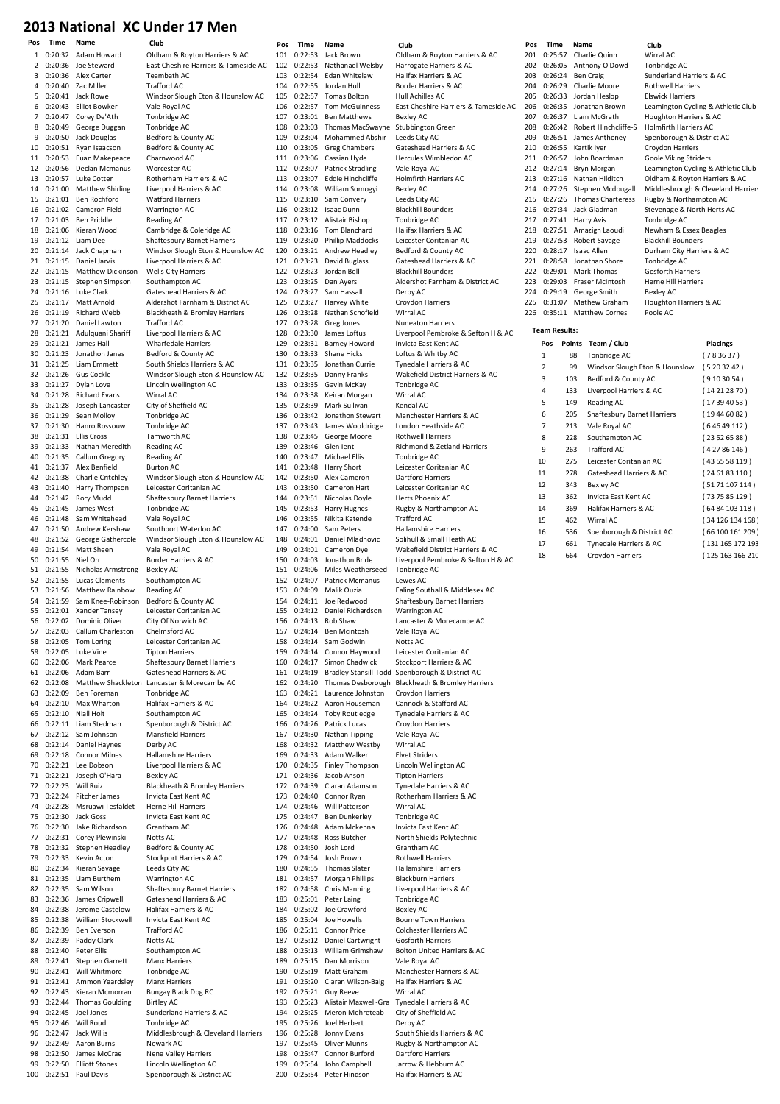# 2013 National XC Under 17 Men

|                |             | name                                        | <b>Liup</b>                                        |
|----------------|-------------|---------------------------------------------|----------------------------------------------------|
| 1              |             | 0:20:32 Adam Howard                         | Oldham & Royton Harriers & AC                      |
| $\overline{2}$ |             | 0:20:36 Joe Steward                         | East Cheshire Harriers & Tameside AC               |
| 3              |             | 0:20:36 Alex Carter                         | Teambath AC                                        |
| 4              |             | 0:20:40 Zac Miller                          | <b>Trafford AC</b>                                 |
|                |             |                                             |                                                    |
| 5              | 0:20:41     | Jack Rowe                                   | Windsor Slough Eton & Hounslow AC                  |
| 6              |             | 0:20:43 Elliot Bowker                       | Vale Royal AC                                      |
| 7              | 0:20:47     | Corey De'Ath                                | Tonbridge AC                                       |
| 8              | 0:20:49     | George Duggan                               | Tonbridge AC                                       |
| 9              |             | 0:20:50 Jack Douglas                        | Bedford & County AC                                |
| 10             | 0:20:51     | Ryan Isaacson                               | Bedford & County AC                                |
| 11             | 0:20:53     | Euan Makepeace                              | Charnwood AC                                       |
|                |             |                                             |                                                    |
| 12             | 0:20:56     | Declan Mcmanus                              | Worcester AC                                       |
| 13             | 0:20:57     | Luke Cotter                                 | Rotherham Harriers & AC                            |
| 14             | 0:21:00     | <b>Matthew Shirling</b>                     | Liverpool Harriers & AC                            |
| 15             | 0:21:01     | Ben Rochford                                | <b>Watford Harriers</b>                            |
| 16             | 0:21:02     | Cameron Field                               | Warrington AC                                      |
| 17             | 0:21:03     | <b>Ben Priddle</b>                          | <b>Reading AC</b>                                  |
| 18             | 0:21:06     | Kieran Wood                                 | Cambridge & Coleridge AC                           |
|                |             |                                             |                                                    |
| 19             | 0:21:12     | Liam Dee                                    | Shaftesbury Barnet Harriers                        |
| 20             | 0:21:14     | Jack Chapman                                | Windsor Slough Eton & Hounslow AC                  |
| 21             | 0:21:15     | Daniel Jarvis                               | Liverpool Harriers & AC                            |
| 22             | 0:21:15     | Matthew Dickinson                           | <b>Wells City Harriers</b>                         |
| 23             | 0:21:15     | Stephen Simpson                             | Southampton AC                                     |
| 24             | 0:21:16     | Luke Clark                                  | Gateshead Harriers & AC                            |
|                | 0:21:17     |                                             |                                                    |
| 25             |             | Matt Arnold                                 | Aldershot Farnham & District AC                    |
| 26             | 0:21:19     | Richard Webb                                | Blackheath & Bromley Harriers                      |
| 27             | 0:21:20     | Daniel Lawton                               | <b>Trafford AC</b>                                 |
| 28             | 0:21:21     | Adulquani Shariff                           | Liverpool Harriers & AC                            |
| 29             | 0:21:21     | James Hall                                  | <b>Wharfedale Harriers</b>                         |
| 30             | 0:21:23     | Jonathon Janes                              | Bedford & County AC                                |
| 31             | 0:21:25     | Liam Emmett                                 | South Shields Harriers & AC                        |
|                |             |                                             |                                                    |
| 32             |             | 0:21:26 Gus Cockle                          | Windsor Slough Eton & Hounslow AC                  |
| 33             | 0:21:27     | Dylan Love                                  | Lincoln Wellington AC                              |
| 34             | 0:21:28     | <b>Richard Evans</b>                        | Wirral AC                                          |
| 35             | 0:21:28     | Joseph Lancaster                            | City of Sheffield AC                               |
| 36             | 0:21:29     | Sean Molloy                                 | Tonbridge AC                                       |
| 37             | 0:21:30     | Hanro Rossouw                               | Tonbridge AC                                       |
| 38             | 0:21:31     | <b>Ellis Cross</b>                          | Tamworth AC                                        |
|                |             |                                             |                                                    |
| 39             | 0:21:33     | Nathan Meredith                             | <b>Reading AC</b>                                  |
| 40             | 0:21:35     | Callum Gregory                              | Reading AC                                         |
| 41             | 0:21:37     | Alex Benfield                               | <b>Burton AC</b>                                   |
| 42             | 0:21:38     | Charlie Critchley                           | Windsor Slough Eton & Hounslow AC                  |
| 43             | 0:21:40     | Harry Thompson                              | Leicester Coritanian AC                            |
| 44             | 0:21:42     | Rory Mudd                                   | Shaftesbury Barnet Harriers                        |
| 45             | 0:21:45     | James West                                  | Tonbridge AC                                       |
|                |             |                                             |                                                    |
| 46             | 0:21:48     | Sam Whitehead                               | Vale Royal AC                                      |
| 47             |             | 0:21:50 Andrew Kershaw                      | Southport Waterloo AC                              |
| 48             | 0:21:52     | George Gathercole                           | Windsor Slough Eton & Hounslow AC                  |
| 49             | 0:21:54     | Matt Sheen                                  | Vale Royal AC                                      |
| 50             | 0:21:55     | Niel Orr                                    | Border Harriers & AC                               |
| 51             | 0:21:55     | Nicholas Armstrong                          | <b>Bexley AC</b>                                   |
|                |             |                                             |                                                    |
| 52             | 0:21:55     | <b>Lucas Clements</b>                       | Southampton AC                                     |
| 53             | 0:21:56     | Matthew Rainbow                             | Reading AC                                         |
| 54             | 0:21:59     | Sam Knee-Robinson                           | Bedford & County AC                                |
| 55             | 0:22:01     | Xander Tansey                               | Leicester Coritanian AC                            |
| 56             | 0:22:02     | Dominic Oliver                              | City Of Norwich AC                                 |
|                |             | 57 0:22:03 Callum Charleston                | Chelmsford AC                                      |
| 58             |             | 0:22:05 Tom Loring                          | Leicester Coritanian AC                            |
| 59             | 0:22:05     | Luke Vine                                   | <b>Tipton Harriers</b>                             |
| 60             |             | 0:22:06 Mark Pearce                         | Shaftesbury Barnet Harriers                        |
|                |             |                                             |                                                    |
| 61             |             | 0:22:06 Adam Barr                           | Gateshead Harriers & AC                            |
| 62             |             |                                             |                                                    |
| 63             | 0:22:08     | Matthew Shackleton Lancaster & Morecambe AC |                                                    |
|                | 0:22:09     | Ben Foreman                                 | Tonbridge AC                                       |
| 64             |             | 0:22:10 Max Wharton                         | Halifax Harriers & AC                              |
| 65             | 0:22:10     | Niall Holt                                  | Southampton AC                                     |
|                |             |                                             |                                                    |
| 66             | 0:22:11     | Liam Stedman                                | Spenborough & District AC                          |
| 67             | 0:22:12     | Sam Johnson                                 | <b>Mansfield Harriers</b>                          |
| 68             |             | 0:22:14 Daniel Haynes                       | Derby AC                                           |
| 69             | 0:22:18     | <b>Connor Milnes</b>                        | <b>Hallamshire Harriers</b>                        |
| 70             | 0:22:21     | Lee Dobson                                  | Liverpool Harriers & AC                            |
| 71             | 0:22:21     | Joseph O'Hara                               | <b>Bexley AC</b>                                   |
| 72             | 0:22:23     | Will Ruiz                                   | Blackheath & Bromley Harriers                      |
| 73             |             | 0:22:24 Pitcher James                       | Invicta East Kent AC                               |
|                |             |                                             |                                                    |
| 74             |             | 0:22:28 Msruawi Tesfaldet                   | Herne Hill Harriers                                |
| 75             |             | 0:22:30 Jack Goss                           | Invicta East Kent AC                               |
| 76             |             | 0:22:30 Jake Richardson                     | Grantham AC                                        |
| 77             |             | 0:22:31 Corey Plewinski                     | Notts AC                                           |
| 78             |             | 0:22:32 Stephen Headley                     | Bedford & County AC                                |
| 79             | 0:22:33     | Kevin Acton                                 | Stockport Harriers & AC                            |
| 80             |             | 0:22:34 Kieran Savage                       | Leeds City AC                                      |
| 81             |             | 0:22:35 Liam Burthem                        |                                                    |
|                |             |                                             | Warrington AC                                      |
| 82             | 0:22:35     | Sam Wilson                                  | Shaftesbury Barnet Harriers                        |
| 83             |             | 0:22:36 James Cripwell                      | Gateshead Harriers & AC                            |
| 84             |             | 0:22:38 Jerome Castelow                     | Halifax Harriers & AC                              |
| 85             | 0:22:38     | William Stockwell                           | Invicta East Kent AC                               |
| 86             |             | 0:22:39 Ben Everson                         | <b>Trafford AC</b>                                 |
| 87             |             | 0:22:39 Paddy Clark                         | Notts AC                                           |
| 88             |             |                                             |                                                    |
|                | 0:22:40     | Peter Ellis                                 | Southampton AC                                     |
| 89             | 0:22:41     | Stephen Garrett                             | <b>Manx Harriers</b>                               |
| 90             | 0:22:41     | Will Whitmore                               | Tonbridge AC                                       |
| 91             |             | 0:22:41 Ammon Yeardsley                     | <b>Manx Harriers</b>                               |
|                |             | 92 0:22:43 Kieran Mcmorran                  | <b>Bungay Black Dog RC</b>                         |
|                | 93 0:22:44  | <b>Thomas Goulding</b>                      | <b>Birtley AC</b>                                  |
| 94             |             | 0:22:45 Joel Jones                          | Sunderland Harriers & AC                           |
| 95             | 0:22:46     | Will Roud                                   | Tonbridge AC                                       |
|                |             |                                             |                                                    |
|                | 96 0:22:47  | Jack Willis                                 | Middlesbrough & Cleveland Harriers                 |
| 97             |             | 0:22:49 Aaron Burns                         | Newark AC                                          |
| 98             |             | 0:22:50 James McCrae                        | Nene Valley Harriers                               |
| 99             | 100 0:22:51 | 0:22:50 Elliott Stones<br>Paul Davis        | Lincoln Wellington AC<br>Spenborough & District AC |

| Oldham & Royton Harriers & AC                               | 1                 |
|-------------------------------------------------------------|-------------------|
| ast Cheshire Harriers & Tameside AC<br>eambath AC           | 1<br>1            |
| rafford AC                                                  | 1                 |
| Vindsor Slough Eton & Hounslow AC                           | 1                 |
| ale Royal AC                                                | 1                 |
| onbridge AC<br>onbridge AC                                  | 1<br>1            |
| Bedford & County AC                                         | 1                 |
| Bedford & County AC                                         | 1                 |
| harnwood AC                                                 | 1                 |
| Vorcester AC                                                | 1                 |
| Rotherham Harriers & AC<br>iverpool Harriers & AC           | 1<br>1            |
| <b>Natford Harriers</b>                                     | 1                 |
| Varrington AC                                               | 1                 |
| leading AC                                                  | 1                 |
| Cambridge & Coleridge AC<br>haftesbury Barnet Harriers      | 1<br>1            |
| Vindsor Slough Eton & Hounslow AC                           | 1                 |
| iverpool Harriers & AC                                      | 1                 |
| <b>Vells City Harriers</b>                                  | 1                 |
| iouthampton AC                                              | 1                 |
| Gateshead Harriers & AC<br>Aldershot Farnham & District AC  | 1<br>1            |
| Blackheath & Bromley Harriers                               | 1                 |
| rafford AC                                                  | 1                 |
| iverpool Harriers & AC                                      | 1                 |
| Wharfedale Harriers                                         | 1                 |
| Bedford & County AC<br>outh Shields Harriers & AC           | 1<br>1            |
| Vindsor Slough Eton & Hounslow AC                           | 1                 |
| incoln Wellington AC.                                       | 1                 |
| Virral AC                                                   | 1                 |
| City of Sheffield AC                                        | 1                 |
| onbridge AC<br>onbridge AC                                  | 1<br>1            |
| amworth AC                                                  | 1                 |
| leading AC                                                  | 1                 |
| Reading AC                                                  | 1                 |
| 3urton AC                                                   | 1                 |
| Vindsor Slough Eton & Hounslow AC<br>eicester Coritanian AC | 1<br>1            |
| haftesbury Barnet Harriers                                  | 1                 |
| onbridge AC                                                 | 1                 |
| ale Royal AC                                                | 1                 |
| outhport Waterloo AC                                        | 1                 |
| Vindsor Slough Eton & Hounslow AC<br>ale Royal AC           | 1<br>1            |
| Border Harriers & AC                                        | 1                 |
| Bexley AC                                                   | 1                 |
| outhampton AC                                               | 1                 |
| Reading AC                                                  | 1<br>1            |
| Bedford & County AC<br>eicester Coritanian AC               | 1                 |
| City Of Norwich AC                                          | 1                 |
| <b>Chelmsford AC</b>                                        | 1                 |
| eicester Coritanian AC                                      | 1                 |
| ipton Harriers<br>haftesbury Barnet Harriers                | 1<br>1            |
| Gateshead Harriers & AC                                     | 1                 |
| ancaster & Morecambe AC                                     | 1                 |
| onbridge AC                                                 | 1                 |
| Ialifax Harriers & AC                                       | 1                 |
| outhampton AC                                               | 1<br>$\mathbf{1}$ |
| ipenborough & District AC<br>Aansfield Harriers             | 1                 |
| Jerby AC                                                    | 1                 |
| Iallamshire Harriers                                        | 1                 |
| iverpool Harriers & AC                                      | 1                 |
| Bexley AC<br>Blackheath & Bromley Harriers                  | 1<br>1            |
| nvicta East Kent AC                                         | 1                 |
| <b>Ierne Hill Harriers</b>                                  | 1                 |
| nvicta East Kent AC                                         | 1                 |
| Grantham AC                                                 | 1                 |
| <b>Notts AC</b><br>Bedford & County AC                      | 1<br>1            |
| tockport Harriers & AC                                      | $\mathbf{1}$      |
| eeds City AC.                                               | 1                 |
| Varrington AC                                               | 1                 |
| haftesbury Barnet Harriers                                  | 1                 |
| Gateshead Harriers & AC<br>Ialifax Harriers & AC            | 1<br>1            |
| nvicta East Kent AC                                         | 1                 |
| rafford AC                                                  | 1                 |
| <b>Notts AC</b>                                             | 1                 |
| iouthampton AC                                              | 1                 |
| Aanx Harriers<br>onbridge AC                                | 1<br>1            |
| <b>Manx Harriers</b>                                        | 1                 |
| Bungay Black Dog RC                                         | 1                 |
| Birtley AC                                                  | 1                 |
| iunderland Harriers & AC                                    | 1                 |
| onbridge AC<br>Middlesbrough & Cleveland Harriers           | 1<br>1            |
| Jewark AC                                                   | 1                 |
| <b>Jene Valley Harriers</b>                                 |                   |
|                                                             | 1                 |
| incoln Wellington AC<br>penborough & District AC            | 1<br>2            |

| .01               | 0:22:53            | Jack Brown                               | Oldham & Royton Harriers & A                                 |
|-------------------|--------------------|------------------------------------------|--------------------------------------------------------------|
| .02               | 0:22:53            | Nathanael Welsby                         | Harrogate Harriers & AC                                      |
| .03               | 0:22:54            | Edan Whitelaw                            | Halifax Harriers & AC                                        |
| 04                | 0:22:55            | Jordan Hull                              | Border Harriers & AC                                         |
| .05               | 0:22:57            | Tomas Bolton                             | <b>Hull Achilles AC</b>                                      |
| .06               | 0:22:57            | <b>Tom McGuinness</b>                    | East Cheshire Harriers & Tames                               |
| .07               | 0:23:01            | <b>Ben Matthews</b>                      | <b>Bexley AC</b>                                             |
| .08               | 0:23:03            | Thomas MacSwayne                         | Stubbington Green                                            |
| .09<br>.10        | 0:23:04<br>0:23:05 | Mohammed Abshir<br>Greg Chambers         | Leeds City AC<br>Gateshead Harriers & AC                     |
| .11               | 0:23:06            | Cassian Hyde                             | Hercules Wimbledon AC                                        |
| 12                | 0:23:07            | <b>Patrick Stradling</b>                 | Vale Royal AC                                                |
| .13               | 0:23:07            | <b>Eddie Hinchcliffe</b>                 | <b>Holmfirth Harriers AC</b>                                 |
| .14               | 0:23:08            | William Somogyi                          | <b>Bexley AC</b>                                             |
| .15               | 0:23:10            | Sam Convery                              | Leeds City AC                                                |
| .16               | 0:23:12            | <b>Isaac Dunn</b>                        | <b>Blackhill Bounders</b>                                    |
| .17               | 0:23:12            | Alistair Bishop                          | Tonbridge AC                                                 |
| .18               | 0:23:16            | Tom Blanchard                            | Halifax Harriers & AC                                        |
| .19<br>.20        | 0:23:20<br>0:23:21 | Phillip Maddocks<br>Andrew Headley       | Leicester Coritanian AC<br>Bedford & County AC               |
| 21                | 0:23:23            | David Buglass                            | Gateshead Harriers & AC                                      |
| .22               | 0:23:23            | Jordan Bell                              | <b>Blackhill Bounders</b>                                    |
| .23               | 0:23:25            | Dan Ayers                                | Aldershot Farnham & District A                               |
| .24               | 0:23:27            | Sam Hassall                              | Derby AC                                                     |
| .25               | 0:23:27            | Harvey White                             | Croydon Harriers                                             |
| .26               | 0:23:28            | Nathan Schofield                         | Wirral AC                                                    |
| .27               | 0:23:28            | Greg Jones                               | <b>Nuneaton Harriers</b>                                     |
| .28               | 0:23:30            | James Loftus                             | Liverpool Pembroke & Sefton F                                |
| .29<br>.30        | 0:23:31<br>0:23:33 | Barney Howard<br><b>Shane Hicks</b>      | Invicta East Kent AC<br>Loftus & Whitby AC                   |
| .31               | 0:23:35            | Jonathan Currie                          | Tynedale Harriers & AC                                       |
| .32               | 0:23:35            | Danny Franks                             | Wakefield District Harriers & A                              |
| 33                | 0:23:35            | Gavin McKay                              | Tonbridge AC                                                 |
| 34                | 0:23:38            | Keiran Morgan                            | Wirral AC                                                    |
| .35               | 0:23:39            | Mark Sullivan                            | Kendal AC                                                    |
| .36               | 0:23:42            | Jonathon Stewart                         | Manchester Harriers & AC                                     |
| .37               | 0:23:43            | James Wooldridge                         | London Heathside AC                                          |
| .38               | 0:23:45            | George Moore                             | Rothwell Harriers                                            |
| .39<br>.40        | 0:23:46<br>0:23:47 | Glen lent<br>Michael Ellis               | Richmond & Zetland Harriers<br>Tonbridge AC                  |
| .41               | 0:23:48            | Harry Short                              | Leicester Coritanian AC                                      |
| .42               | 0:23:50            | Alex Cameron                             | Dartford Harriers                                            |
| .43               | 0:23:50            | Cameron Hart                             | Leicester Coritanian AC                                      |
| .44               | 0:23:51            | Nicholas Doyle                           | Herts Phoenix AC                                             |
| 45                | 0:23:53            | Harry Hughes                             | Rugby & Northampton AC                                       |
| 46                | 0:23:55            | Nikita Katende                           | <b>Trafford AC</b>                                           |
| 47                | 0:24:00            | Sam Peters                               | <b>Hallamshire Harriers</b>                                  |
| .48<br>.49        | 0:24:01<br>0:24:01 | Daniel Mladnovic<br>Cameron Dye          | Solihull & Small Heath AC<br>Wakefield District Harriers & A |
| .50               | 0:24:03            | Jonathon Bride                           | Liverpool Pembroke & Sefton F                                |
| 51                | 0:24:06            | Miles Weatherseed                        | Tonbridge AC                                                 |
| 52                | 0:24:07            | Patrick Mcmanus                          | Lewes AC                                                     |
| .53               | 0:24:09            | Malik Ouzia                              | Ealing Southall & Middlesex AC                               |
| .54               | 0:24:11            | Joe Redwood                              | Shaftesbury Barnet Harriers                                  |
| .55               | 0:24:12            | Daniel Richardson                        | Warrington AC                                                |
| 56                | 0:24:13            | Rob Shaw                                 | Lancaster & Morecambe AC                                     |
| 57<br>.58         | 0:24:14<br>0:24:14 | Ben Mcintosh<br>Sam Godwin               | Vale Royal AC<br>Notts AC                                    |
| .59               | 0:24:14            | Connor Haywood                           | Leicester Coritanian AC                                      |
| .60               | 0:24:17            | Simon Chadwick                           | Stockport Harriers & AC                                      |
| .61               | 0:24:19            |                                          | Bradley Stansill-Todd Spenborough & District AC              |
| 62                | 0:24:20            |                                          | Thomas Desborough Blackheath & Bromley Harriers              |
| .63               | 0:24:21            | Laurence Johnston                        | Croydon Harriers                                             |
| .64               | 0:24:22            | Aaron Houseman                           | Cannock & Stafford AC                                        |
| .65<br>66         | 0:24:24<br>0:24:26 | <b>Toby Routledge</b><br>Patrick Lucas   | Tynedale Harriers & AC<br>Croydon Harriers                   |
| .67               | 0:24:30            | Nathan Tipping                           | Vale Royal AC                                                |
| .68               | 0:24:32            | Matthew Westby                           | Wirral AC                                                    |
| .69               | 0:24:33            | Adam Walker                              | <b>Elvet Striders</b>                                        |
| .70               | 0:24:35            | Finley Thompson                          | Lincoln Wellington AC                                        |
| .71               | 0:24:36            | Jacob Anson                              | <b>Tipton Harriers</b>                                       |
| .72               | 0:24:39            | Ciaran Adamson                           | Tynedale Harriers & AC                                       |
| .73               | 0:24:40            | Connor Ryan                              | Rotherham Harriers & AC                                      |
| .74<br>.75        | 0:24:46<br>0:24:47 | Will Patterson<br>Ben Dunkerley          | Wirral AC<br>Tonbridge AC                                    |
| .76               | 0:24:48            | Adam Mckenna                             | Invicta East Kent AC                                         |
| .77               | 0:24:48            | Ross Butcher                             | North Shields Polytechnic                                    |
| .78               | 0:24:50            | Josh Lord                                | Grantham AC                                                  |
| .79               | 0:24:54            | Josh Brown                               | <b>Rothwell Harriers</b>                                     |
| .80               | 0:24:55            | <b>Thomas Slater</b>                     | <b>Hallamshire Harriers</b>                                  |
| .81               | 0:24:57            | Morgan Phillips                          | <b>Blackburn Harriers</b>                                    |
| .82               | 0:24:58            | Chris Manning                            | Liverpool Harriers & AC                                      |
| .83<br>.84        | 0:25:01<br>0:25:02 | Peter Laing<br>Joe Crawford              | Tonbridge AC<br><b>Bexley AC</b>                             |
| 85                | 0:25:04            | Joe Howells                              | <b>Bourne Town Harriers</b>                                  |
| .86               | 0:25:11            | Connor Price                             | <b>Colchester Harriers AC</b>                                |
| .87               | 0:25:12            | Daniel Cartwright                        | Gosforth Harriers                                            |
| .88               | 0:25:13            | William Grimshaw                         | Bolton United Harriers & AC                                  |
| .89               | 0:25:15            | Dan Morrison                             | Vale Royal AC                                                |
| .90               | 0:25:19            | Matt Graham                              | Manchester Harriers & AC                                     |
| .91               | 0:25:20            | Ciaran Wilson-Baig                       | Halifax Harriers & AC                                        |
| .92<br>.93        | 0:25:21<br>0:25:23 | <b>Guy Reeve</b><br>Alistair Maxwell-Gra | Wirral AC<br>Tynedale Harriers & AC                          |
| .94               | 0:25:25            | Meron Mehreteab                          | City of Sheffield AC                                         |
| .95               | 0:25:26            | Joel Herbert                             | Derby AC                                                     |
| .96               | 0:25:28            | Jonny Evans                              | South Shields Harriers & AC                                  |
| 97                |                    |                                          | Rugby & Northampton AC                                       |
|                   | 0:25:45            | Oliver Munns                             |                                                              |
|                   | 0:25:47            | Connor Burford                           | Dartford Harriers                                            |
| .98<br>.99<br>:00 | 0:25:54<br>0:25:54 | John Campbell<br>Peter Hindson           | Jarrow & Hebburn AC<br>Halifax Harriers & AC                 |

er 101 0:22:53 Jack Brown Oldham & Royton Harriers & AC<br>102 0:22:53 Nathanael Welsby Harrogate Harriers & AC Halifax Harriers & AC 106 0:22:57 Tom McGuinness Fast Cheshire Harriers & Tameside AC 20<br>106 0:22:57 Tom McGuinness Fast Cheshire Harriers & Tameside AC 21 Bexley AC Gateshead Harriers & AC Vale Royal AC Tonbridge AC **Blackhill Bounders** 121 0:23:25 Dan Ayers 123 Aldershot Farnham & District AC<br>123 0:23:25 Dan Ayers 124 Aldershot Farnham & District AC<br>124 0:23:27 Sam Hassall 12 Derby AC **Nuneaton Harriers**  0:23:30 James Loftus Liverpool Pembroke & Sefton H & AC Tynedale Harriers & AC 0:23:35 Danny Franks Wakefield District Harriers & AC Rothwell Harriers Leicester Coritanian AC Trafford AC Solihull & Small Heath AC 0:24:01 Cameron Dye Wakefield District Harriers & AC 150 0:24:03 Jonathon Bride Liverpool Pembroke & Sefton H & AC<br>150 0:24:06 Miles Weatherseed Tonbridge AC Lewes AC 0:24:09 Malik Ouzia Ealing Southall & Middlesex AC 0:24:12 Daniel Richardson Warrington AC 1.<br>Leicester Coritanian AC Spenborough & District AC Croydon Harriers .<br>Croydon Harriers 0:24:35 Finley Thompson Lincoln Wellington AC Tynedale Harriers & AC Invicta East Kent AC Grantham AC Hallamshire Harriers Bexley AC Colchester Harriers AC Halifax Harriers & AC Tynedale Harriers & AC Derby AC

| Pos | Time              | Name                     | Club                                 | Pos | Time        | Name                     | Club                                 | Pos | Time                 | Name                                                                                                                                                                                                                                                | Club                               |                                    |
|-----|-------------------|--------------------------|--------------------------------------|-----|-------------|--------------------------|--------------------------------------|-----|----------------------|-----------------------------------------------------------------------------------------------------------------------------------------------------------------------------------------------------------------------------------------------------|------------------------------------|------------------------------------|
|     | $1 \quad 0:20:32$ | Adam Howard              | Oldham & Royton Harriers & AC        | 101 | 0:22:53     | Jack Brown               | Oldham & Royton Harriers & AC        | 201 | 0:25:57              | Charlie Quinn                                                                                                                                                                                                                                       | Wirral AC                          |                                    |
|     | 2 0:20:36         | Joe Steward              | East Cheshire Harriers & Tameside AC | 102 | 0:22:53     | Nathanael Welsby         | Harrogate Harriers & AC              | 202 | 0:26:05              | Anthony O'Dowd                                                                                                                                                                                                                                      | Tonbridge AC                       |                                    |
|     | 3 0:20:36         | Alex Carter              | Teambath AC                          | 103 | 0:22:54     | Edan Whitelaw            | Halifax Harriers & AC                | 203 | 0:26:24              | <b>Ben Craig</b>                                                                                                                                                                                                                                    | Sunderland Harriers & AC           |                                    |
|     | 4 0:20:40         | Zac Miller               | Trafford AC                          | 104 | 0:22:55     | Jordan Hull              | Border Harriers & AC                 | 204 | 0:26:29              | Charlie Moore                                                                                                                                                                                                                                       | <b>Rothwell Harriers</b>           |                                    |
|     | 5 0:20:41         | Jack Rowe                | Windsor Slough Eton & Hounslow AC    | 105 | 0:22:57     | Tomas Bolton             | <b>Hull Achilles AC</b>              | 205 | 0:26:33              | Jordan Heslop                                                                                                                                                                                                                                       | <b>Elswick Harriers</b>            |                                    |
|     | 6 0:20:43         | Elliot Bowker            | Vale Roval AC                        | 106 | 0:22:57     | <b>Tom McGuinness</b>    | East Cheshire Harriers & Tameside AC | 206 | 0:26:35              | Jonathan Brown                                                                                                                                                                                                                                      | Leamington Cycling & Athletic Club |                                    |
|     | 7 0:20:47         | Corey De'Ath             | Tonbridge AC                         | 107 | 0:23:01     | <b>Ben Matthews</b>      | <b>Bexley AC</b>                     | 207 | 0:26:37              | Liam McGrath                                                                                                                                                                                                                                        | Houghton Harriers & AC             |                                    |
|     | 8 0:20:49         | George Duggan            | Tonbridge AC                         | 108 | 0:23:03     | Thomas MacSwayne         | <b>Stubbington Green</b>             | 208 |                      | 0:26:42 Robert Hinchcliffe-S                                                                                                                                                                                                                        | <b>Holmfirth Harriers AC</b>       |                                    |
|     | 9 0:20:50         | Jack Douglas             | Bedford & County AC                  | 109 | 0:23:04     | Mohammed Abshir          | Leeds City AC                        | 209 |                      | 0:26:51 James Anthoney                                                                                                                                                                                                                              | Spenborough & District AC          |                                    |
|     | 10 0:20:51        | Ryan Isaacson            | Bedford & County AC                  | 110 | 0:23:05     | <b>Greg Chambers</b>     | Gateshead Harriers & AC              | 210 |                      | 0:26:55 Kartik Iyer                                                                                                                                                                                                                                 | <b>Croydon Harriers</b>            |                                    |
|     | 11 0:20:53        | Euan Makepeace           | Charnwood AC                         | 111 | 0:23:06     | Cassian Hyde             | Hercules Wimbledon AC                | 211 |                      | 0:26:57 John Boardman                                                                                                                                                                                                                               | <b>Goole Viking Striders</b>       |                                    |
|     | 12 0:20:56        | Declan Mcmanus           | Worcester AC                         | 112 | 0:23:07     | Patrick Stradling        | Vale Royal AC                        | 212 |                      | 0:27:14 Brvn Morgan                                                                                                                                                                                                                                 |                                    | Leamington Cycling & Athletic Club |
|     | 13 0:20:57        | Luke Cotter              | Rotherham Harriers & AC              | 113 | 0:23:07     | <b>Fddie Hinchcliffe</b> | Holmfirth Harriers AC                | 213 |                      | 0:27:16 Nathan Hilditch                                                                                                                                                                                                                             | Oldham & Royton Harriers & AC      |                                    |
|     | 14 0:21:00        | <b>Matthew Shirling</b>  | Liverpool Harriers & AC              | 114 | 0:23:08     | William Somogyi          | <b>Bexley AC</b>                     | 214 | 0:27:26              | Stephen Mcdougall                                                                                                                                                                                                                                   |                                    | Middlesbrough & Cleveland Harrier: |
|     | 15 0:21:01        | Ben Rochford             | <b>Watford Harriers</b>              | 115 | 0:23:10     | Sam Convery              | Leeds City AC                        | 215 |                      | 0:27:26 Thomas Charteress                                                                                                                                                                                                                           | Rugby & Northampton AC             |                                    |
|     | 16 0:21:02        | Cameron Field            | Warrington AC                        | 116 | 0:23:12     | Isaac Dunn               | <b>Blackhill Bounders</b>            | 216 |                      | 0:27:34 Jack Gladman                                                                                                                                                                                                                                | Stevenage & North Herts AC         |                                    |
|     | 17 0:21:03        | Ben Priddle              | Reading AC                           | 117 | 0:23:12     | Alistair Bishop          | Tonbridge AC                         | 217 |                      | 0:27:41 Harry Avis                                                                                                                                                                                                                                  | Tonbridge AC                       |                                    |
|     |                   | 18 0:21:06 Kieran Wood   | Cambridge & Coleridge AC             | 118 | 0:23:16     | Tom Blanchard            | Halifax Harriers & AC                | 218 |                      | 0:27:51 Amazigh Laoudi                                                                                                                                                                                                                              | Newham & Essex Beagles             |                                    |
|     |                   | 19 0:21:12 Liam Dee      | Shaftesbury Barnet Harriers          | 119 | 0:23:20     | <b>Phillip Maddocks</b>  | Leicester Coritanian AC              | 219 | 0:27:53              | Robert Savage                                                                                                                                                                                                                                       | <b>Blackhill Bounders</b>          |                                    |
|     | 20 0:21:14        | Jack Chapman             | Windsor Slough Eton & Hounslow AC    | 120 | 0:23:21     | Andrew Headley           | Bedford & County AC                  | 220 | 0:28:17              | Isaac Allen                                                                                                                                                                                                                                         | Durham City Harriers & AC          |                                    |
|     | 21 0:21:15        | Daniel Jarvis            | Liverpool Harriers & AC              | 121 | 0:23:23     | David Buglass            | Gateshead Harriers & AC              | 221 | 0:28:58              | Jonathan Shore                                                                                                                                                                                                                                      | Tonbridge AC                       |                                    |
|     | 22 0:21:15        | <b>Matthew Dickinson</b> | <b>Wells City Harriers</b>           | 122 | 0:23:23     | Jordan Bell              | <b>Blackhill Bounders</b>            | 222 | 0:29:01              | Mark Thomas                                                                                                                                                                                                                                         | <b>Gosforth Harriers</b>           |                                    |
|     | 23 0:21:15        | Stephen Simpson          | Southampton AC                       | 123 | 0:23:25     | Dan Avers                | Aldershot Farnham & District AC      | 223 | 0:29:03              | Fraser McIntosh                                                                                                                                                                                                                                     | <b>Herne Hill Harriers</b>         |                                    |
|     |                   | 24 0:21:16 Luke Clark    | Gateshead Harriers & AC              | 124 | 0:23:27     | Sam Hassall              | Derby AC                             | 224 | 0:29:19              | George Smith                                                                                                                                                                                                                                        | <b>Bexley AC</b>                   |                                    |
|     | 25 0:21:17        | Matt Arnold              | Aldershot Farnham & District AC      | 125 | 0:23:27     | Harvey White             | <b>Croydon Harriers</b>              | 225 | 0:31:07              | <b>Mathew Graham</b>                                                                                                                                                                                                                                | Houghton Harriers & AC             |                                    |
|     | 26 0:21:19        | <b>Richard Webb</b>      | Blackheath & Bromley Harriers        | 126 | 0:23:28     | Nathan Schofield         | Wirral AC                            | 226 |                      | 0:35:11 Matthew Cornes                                                                                                                                                                                                                              | Poole AC                           |                                    |
|     | 27 0:21:20        | Daniel Lawton            | Trafford AC                          | 127 | 0:23:28     | Greg Jones               | <b>Nuneaton Harriers</b>             |     |                      |                                                                                                                                                                                                                                                     |                                    |                                    |
|     | 28 0:21:21        | Adulguani Shariff        | Liverpool Harriers & AC              | 128 | 0:23:30     | James Loftus             | Liverpool Pembroke & Sefton H & AC   |     | <b>Team Results:</b> |                                                                                                                                                                                                                                                     |                                    |                                    |
|     | 29 0:21:21        | James Hall               | <b>Wharfedale Harriers</b>           | 129 | 0:23:31     | Barney Howard            | Invicta East Kent AC                 |     | Pos                  | Points Team / Club                                                                                                                                                                                                                                  |                                    | <b>Placings</b>                    |
|     | 30 0:21:23        | Jonathon Janes           | Bedford & County AC                  | 130 | 0:23:33     | Shane Hicks              | Loftus & Whitby AC                   |     | $\mathbf{1}$         | 88<br>Tonbridge AC                                                                                                                                                                                                                                  |                                    | (783637)                           |
|     |                   | 31 0:21:25 Liam Fmmett   | South Shields Harriers & AC          |     | 131 0:23:35 | Jonathan Currie          | Tynedale Harriers & AC               |     | $\overline{2}$       | 99                                                                                                                                                                                                                                                  | Windsor Slough Eton & Hounslow     | (5203242)                          |
|     |                   | 32 0:21:26 Gus Cockle    | Windsor Slough Eton & Hounslow AC    |     | 132 0:23:35 | Danny Franks             | Wakefield District Harriers & AC     |     | 3                    | Bedford & County AC<br>103                                                                                                                                                                                                                          |                                    | (9103054)                          |
|     |                   | 33 0:21:27 Dylan Love    | Lincoln Wellington AC                |     |             | 133 0:23:35 Gavin McKav  | Tonbridge AC                         |     |                      | $\mathbf{r}$ . The state of the state of the state of the state of the state of the state of the state of the state of the state of the state of the state of the state of the state of the state of the state of the state of th<br>$\overline{a}$ |                                    | 1.4.5.4.00                         |

| 2  | 99  | Windsor Slough Eton & Hounslow | (5203242)        |
|----|-----|--------------------------------|------------------|
| 3  | 103 | Bedford & County AC            | (9103054)        |
| 4  | 133 | Liverpool Harriers & AC        | (14212870)       |
| 5  | 149 | Reading AC                     | (17394053)       |
| 6  | 205 | Shaftesbury Barnet Harriers    | (19446082)       |
| 7  | 213 | Vale Royal AC                  | (64649112)       |
| 8  | 228 | Southampton AC                 | (23526588)       |
| 9  | 263 | <b>Trafford AC</b>             | (42786146)       |
| 10 | 275 | Leicester Coritanian AC        | (43 55 58 119)   |
| 11 | 278 | Gateshead Harriers & AC        | (246183110)      |
| 12 | 343 | <b>Bexley AC</b>               | (5171107114)     |
| 13 | 362 | Invicta East Kent AC           | (737585129)      |
| 14 | 369 | Halifax Harriers & AC          | (64 84 103 118)  |
| 15 | 462 | Wirral AC                      | (34 126 134 168) |
| 16 | 536 | Spenborough & District AC      | (66 100 161 209) |
| 17 | 661 | Tynedale Harriers & AC         | (131 165 172 193 |
| 18 | 664 | <b>Crovdon Harriers</b>        | (125 163 166 210 |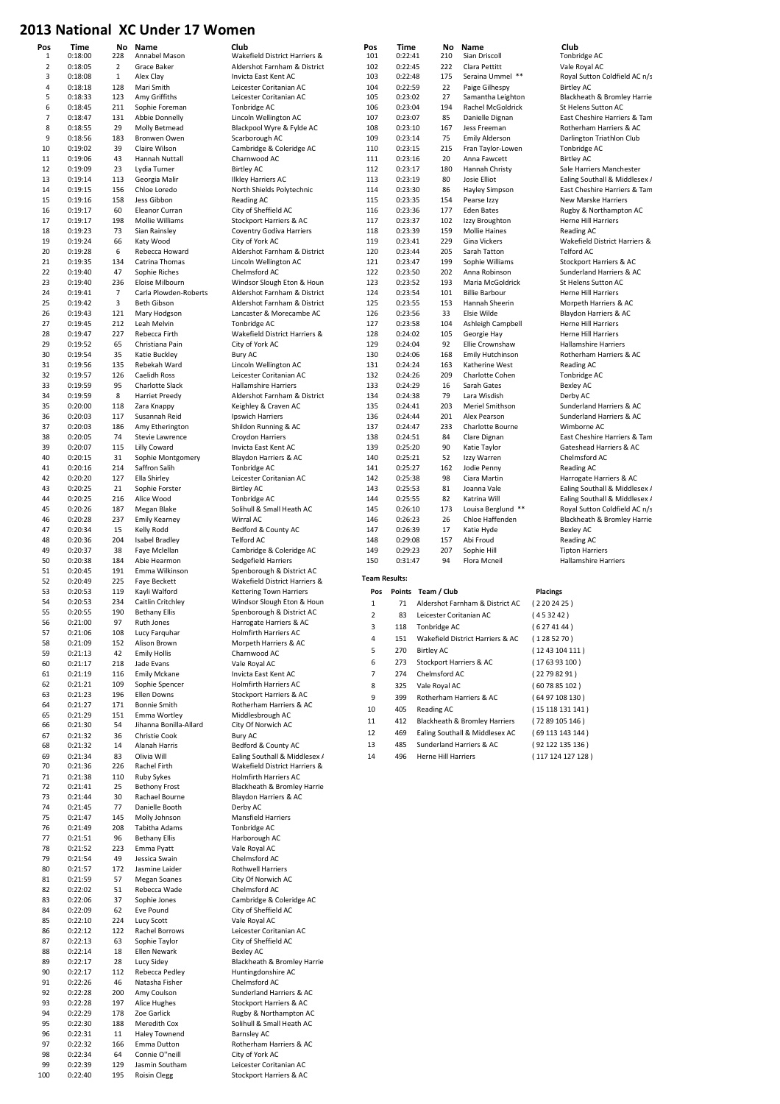## 2013 National XC Under 17 Women

| Pos                            | Time               |                       | No Name                                     | Club                                                         | Pos                      | Time               | No                      | Name                                    | Club                                                  |
|--------------------------------|--------------------|-----------------------|---------------------------------------------|--------------------------------------------------------------|--------------------------|--------------------|-------------------------|-----------------------------------------|-------------------------------------------------------|
| $\mathbf{1}$<br>$\overline{2}$ | 0:18:00<br>0:18:05 | 228<br>$\overline{2}$ | Annabel Mason                               | Wakefield District Harriers &                                | 101<br>102               | 0:22:41<br>0:22:45 | 210<br>222              | Sian Driscoll<br>Clara Pettitt          | Tonbridge AC<br>Vale Royal AC                         |
| 3                              | 0:18:08            | $\,1\,$               | Grace Baker<br>Alex Clay                    | Aldershot Farnham & District<br>Invicta East Kent AC         | 103                      | 0:22:48            | 175                     | Seraina Ummel **                        | Royal Sutton Coldfield AC n/s                         |
| $\overline{4}$                 | 0:18:18            | 128                   | Mari Smith                                  | Leicester Coritanian AC                                      | 104                      | 0:22:59            | 22                      | Paige Gilhespy                          | <b>Birtley AC</b>                                     |
| 5                              | 0:18:33            | 123                   | Amy Griffiths                               | Leicester Coritanian AC                                      | 105                      | 0:23:02            | 27                      | Samantha Leighton                       | Blackheath & Bromley Harrie                           |
| 6                              | 0:18:45            | 211                   | Sophie Foreman                              | Tonbridge AC                                                 | 106                      | 0:23:04            | 194                     | Rachel McGoldrick                       | St Helens Sutton AC                                   |
| $\overline{7}$                 | 0:18:47            | 131                   | Abbie Donnelly                              | Lincoln Wellington AC                                        | 107                      | 0:23:07            | 85                      | Danielle Dignan                         | East Cheshire Harriers & Tam                          |
| 8                              | 0:18:55            | 29                    | Molly Betmead                               | Blackpool Wyre & Fylde AC                                    | 108                      | 0:23:10            | 167                     | Jess Freeman                            | Rotherham Harriers & AC                               |
| 9<br>10                        | 0:18:56<br>0:19:02 | 183                   | Bronwen Owen                                | Scarborough AC<br>Cambridge & Coleridge AC                   | 109                      | 0:23:14<br>0:23:15 | 75<br>215               | <b>Emily Alderson</b>                   | Darlington Triathlon Club                             |
| 11                             | 0:19:06            | 39<br>43              | Claire Wilson<br>Hannah Nuttall             | Charnwood AC                                                 | 110<br>111               | 0:23:16            | 20                      | Fran Taylor-Lowen<br>Anna Fawcett       | Tonbridge AC<br><b>Birtley AC</b>                     |
| 12                             | 0:19:09            | 23                    | Lydia Turner                                | <b>Birtley AC</b>                                            | 112                      | 0:23:17            | 180                     | Hannah Christy                          | Sale Harriers Manchester                              |
| 13                             | 0:19:14            | 113                   | Georgia Malir                               | <b>Ilkley Harriers AC</b>                                    | 113                      | 0:23:19            | 80                      | Josie Elliot                            | Ealing Southall & Middlesex /                         |
| 14                             | 0:19:15            | 156                   | Chloe Loredo                                | North Shields Polytechnic                                    | 114                      | 0:23:30            | 86                      | Hayley Simpson                          | East Cheshire Harriers & Tam                          |
| 15                             | 0:19:16            | 158                   | Jess Gibbon                                 | Reading AC                                                   | 115                      | 0:23:35            | 154                     | Pearse Izzy                             | New Marske Harriers                                   |
| 16                             | 0:19:17            | 60                    | Eleanor Curran                              | City of Sheffield AC                                         | 116                      | 0:23:36            | 177                     | <b>Eden Bates</b>                       | Rugby & Northampton AC                                |
| 17<br>18                       | 0:19:17<br>0:19:23 | 198<br>73             | Mollie Williams<br>Sian Rainsley            | Stockport Harriers & AC<br><b>Coventry Godiva Harriers</b>   | 117<br>118               | 0:23:37<br>0:23:39 | 102<br>159              | Izzy Broughton<br><b>Mollie Haines</b>  | Herne Hill Harriers<br>Reading AC                     |
| 19                             | 0:19:24            | 66                    | Katy Wood                                   | City of York AC                                              | 119                      | 0:23:41            | 229                     | Gina Vickers                            | Wakefield District Harriers &                         |
| 20                             | 0:19:28            | 6                     | Rebecca Howard                              | Aldershot Farnham & District                                 | 120                      | 0:23:44            | 205                     | Sarah Tatton                            | Telford AC                                            |
| 21                             | 0:19:35            | 134                   | Catrina Thomas                              | Lincoln Wellington AC                                        | 121                      | 0:23:47            | 199                     | Sophie Williams                         | Stockport Harriers & AC                               |
| 22                             | 0:19:40            | 47                    | Sophie Riches                               | Chelmsford AC                                                | 122                      | 0:23:50            | 202                     | Anna Robinson                           | Sunderland Harriers & AC                              |
| 23                             | 0:19:40            | 236                   | Eloise Milbourn                             | Windsor Slough Eton & Houn                                   | 123                      | 0:23:52            | 193                     | Maria McGoldrick                        | St Helens Sutton AC                                   |
| 24<br>25                       | 0:19:41<br>0:19:42 | $\overline{7}$<br>3   | Carla Plowden-Roberts<br><b>Beth Gibson</b> | Aldershot Farnham & District<br>Aldershot Farnham & District | 124<br>125               | 0:23:54<br>0:23:55 | 101<br>153              | <b>Billie Barbour</b><br>Hannah Sheerin | Herne Hill Harriers<br>Morpeth Harriers & AC          |
| 26                             | 0:19:43            | 121                   | Mary Hodgson                                | Lancaster & Morecambe AC                                     | 126                      | 0:23:56            | 33                      | Elsie Wilde                             | Blaydon Harriers & AC                                 |
| 27                             | 0:19:45            | 212                   | Leah Melvin                                 | Tonbridge AC                                                 | 127                      | 0:23:58            | 104                     | Ashleigh Campbell                       | Herne Hill Harriers                                   |
| 28                             | 0:19:47            | 227                   | Rebecca Firth                               | Wakefield District Harriers &                                | 128                      | 0:24:02            | 105                     | Georgie Hay                             | Herne Hill Harriers                                   |
| 29                             | 0:19:52            | 65                    | Christiana Pain                             | City of York AC                                              | 129                      | 0:24:04            | 92                      | Ellie Crownshaw                         | <b>Hallamshire Harriers</b>                           |
| 30                             | 0:19:54            | 35                    | Katie Buckley                               | <b>Bury AC</b>                                               | 130                      | 0:24:06            | 168                     | <b>Emily Hutchinson</b>                 | Rotherham Harriers & AC                               |
| 31                             | 0:19:56            | 135                   | Rebekah Ward                                | Lincoln Wellington AC                                        | 131                      | 0:24:24            | 163                     | Katherine West                          | Reading AC                                            |
| 32<br>33                       | 0:19:57<br>0:19:59 | 126<br>95             | Caelidh Ross                                | Leicester Coritanian AC<br><b>Hallamshire Harriers</b>       | 132<br>133               | 0:24:26<br>0:24:29 | 209<br>16               | Charlotte Cohen<br>Sarah Gates          | Tonbridge AC<br><b>Bexley AC</b>                      |
| 34                             | 0:19:59            | 8                     | Charlotte Slack<br><b>Harriet Preedy</b>    | Aldershot Farnham & District                                 | 134                      | 0:24:38            | 79                      | Lara Wisdish                            | Derby AC                                              |
| 35                             | 0:20:00            | 118                   | Zara Knappy                                 | Keighley & Craven AC                                         | 135                      | 0:24:41            | 203                     | Meriel Smithson                         | Sunderland Harriers & AC                              |
| 36                             | 0:20:03            | 117                   | Susannah Reid                               | Ipswich Harriers                                             | 136                      | 0:24:44            | 201                     | Alex Pearson                            | Sunderland Harriers & AC                              |
| 37                             | 0:20:03            | 186                   | Amy Etherington                             | Shildon Running & AC                                         | 137                      | 0:24:47            | 233                     | Charlotte Bourne                        | Wimborne AC                                           |
| 38                             | 0:20:05            | 74                    | Stevie Lawrence                             | Croydon Harriers                                             | 138                      | 0:24:51            | 84                      | Clare Dignan                            | East Cheshire Harriers & Tam                          |
| 39                             | 0:20:07            | 115                   | Lilly Coward                                | Invicta East Kent AC                                         | 139                      | 0:25:20            | 90                      | Katie Taylor                            | Gateshead Harriers & AC                               |
| 40                             | 0:20:15            | 31<br>214             | Sophie Montgomery                           | Blaydon Harriers & AC                                        | 140                      | 0:25:21            | 52<br>162               | Izzy Warren                             | Chelmsford AC                                         |
| 41<br>42                       | 0:20:16<br>0:20:20 | 127                   | Saffron Salih<br>Ella Shirley               | Tonbridge AC<br>Leicester Coritanian AC                      | 141<br>142               | 0:25:27<br>0:25:38 | 98                      | Jodie Penny<br>Ciara Martin             | Reading AC<br>Harrogate Harriers & AC                 |
| 43                             | 0:20:25            | 21                    | Sophie Forster                              | <b>Birtley AC</b>                                            | 143                      | 0:25:53            | 81                      | Joanna Vale                             | Ealing Southall & Middlesex /                         |
| 44                             | 0:20:25            | 216                   | Alice Wood                                  | Tonbridge AC                                                 | 144                      | 0:25:55            | 82                      | Katrina Will                            | Ealing Southall & Middlesex /                         |
| 45                             | 0:20:26            | 187                   | Megan Blake                                 | Solihull & Small Heath AC                                    | 145                      | 0:26:10            | 173                     | Louisa Berglund **                      | Royal Sutton Coldfield AC n/s                         |
| 46                             | 0:20:28            | 237                   | <b>Emily Kearney</b>                        | Wirral AC                                                    | 146                      | 0:26:23            | 26                      | Chloe Haffenden                         | Blackheath & Bromley Harrie                           |
| 47                             | 0:20:34            | 15                    | Kelly Rodd                                  | Bedford & County AC                                          | 147                      | 0:26:39            | 17                      | Katie Hyde                              | <b>Bexley AC</b>                                      |
| 48<br>49                       | 0:20:36            | 204<br>38             | <b>Isabel Bradley</b>                       | <b>Telford AC</b>                                            | 148<br>149               | 0:29:08            | 157<br>207              | Abi Froud<br>Sophie Hill                | Reading AC                                            |
| 50                             | 0:20:37<br>0:20:38 | 184                   | Faye Mclellan<br>Abie Hearmon               | Cambridge & Coleridge AC<br>Sedgefield Harriers              | 150                      | 0:29:23<br>0:31:47 | 94                      | Flora Mcneil                            | <b>Tipton Harriers</b><br><b>Hallamshire Harriers</b> |
| 51                             | 0:20:45            | 191                   | Emma Wilkinson                              | Spenborough & District AC                                    |                          |                    |                         |                                         |                                                       |
| 52                             | 0:20:49            | 225                   | Faye Beckett                                | Wakefield District Harriers &                                | <b>Team Results:</b>     |                    |                         |                                         |                                                       |
| 53                             | 0:20:53            | 119                   | Kayli Walford                               | <b>Kettering Town Harriers</b>                               | Pos                      |                    | Points Team / Club      |                                         | Placings                                              |
| 54                             | 0:20:53            | 234                   | Caitlin Critchley                           | Windsor Slough Eton & Houn                                   | $\mathbf 1$              | 71                 |                         | Aldershot Farnham & District AC         | (2202425)                                             |
| 55<br>56                       | 0:20:55<br>0:21:00 | 190<br>97             | <b>Bethany Ellis</b><br>Ruth Jones          | Spenborough & District AC<br>Harrogate Harriers & AC         | $\mathbf 2$              | 83                 | Leicester Coritanian AC |                                         | (453242)                                              |
| 57                             | 0:21:06            | 108                   | Lucy Farquhar                               | Holmfirth Harriers AC                                        | $\overline{\mathbf{z}}$  |                    | 118 Tonbridge AC        |                                         | (6274144)                                             |
| 58                             | 0:21:09            | 152                   | Alison Brown                                | Morpeth Harriers & AC                                        | 4                        | 151                |                         | Wakefield District Harriers & AC        | (1285270)                                             |
| 59                             | 0:21:13            | 42                    | <b>Emily Hollis</b>                         | Charnwood AC                                                 | 5                        | 270                | <b>Birtley AC</b>       |                                         | (1243104111)                                          |
| 60                             | 0:21:17            | 218                   | Jade Evans                                  | Vale Royal AC                                                | 6                        | 273                | Stockport Harriers & AC |                                         | (176393100)                                           |
| 61                             | 0:21:19            | 116                   | <b>Emily Mckane</b>                         | Invicta East Kent AC                                         | $\overline{\phantom{a}}$ | 274                | Chelmsford AC           |                                         | (22798291)                                            |
| 62                             | 0:21:21            | 109                   | Sophie Spencer                              | Holmfirth Harriers AC                                        | 8                        | 325                | Vale Royal AC           |                                         | (607885102)                                           |
| 63<br>64                       | 0:21:23<br>0:21:27 | 196<br>171            | Ellen Downs<br><b>Bonnie Smith</b>          | Stockport Harriers & AC<br>Rotherham Harriers & AC           | 9                        | 399                |                         | Rotherham Harriers & AC                 | (6497108130)                                          |
| 65                             | 0:21:29            | 151                   | Emma Wortley                                | Middlesbrough AC                                             | 10                       | 405                | Reading AC              |                                         | (15118131141)                                         |
| 66                             | 0:21:30            | 54                    | Jihanna Bonilla-Allard                      | City Of Norwich AC                                           | 11                       | 412                |                         | Blackheath & Bromley Harriers           | (7289105146)                                          |
| 67                             | 0:21:32            | 36                    | Christie Cook                               | Bury AC                                                      | 12                       | 469                |                         | Ealing Southall & Middlesex AC          | (69 113 143 144)                                      |
| 68                             | 0:21:32            | 14                    | Alanah Harris                               | Bedford & County AC                                          | 13                       | 485                |                         | Sunderland Harriers & AC                | (92 122 135 136)                                      |
| 69                             | 0:21:34            | 83                    | Olivia Will                                 | Ealing Southall & Middlesex /                                | 14                       | 496                | Herne Hill Harriers     |                                         | (117 124 127 128)                                     |
| 70<br>71                       | 0:21:36<br>0:21:38 | 226<br>110            | Rachel Firth<br><b>Ruby Sykes</b>           | Wakefield District Harriers &<br>Holmfirth Harriers AC       |                          |                    |                         |                                         |                                                       |
| 72                             | 0:21:41            | 25                    | <b>Bethony Frost</b>                        | Blackheath & Bromley Harrie                                  |                          |                    |                         |                                         |                                                       |
| 73                             | 0:21:44            | 30                    | Rachael Bourne                              | Blaydon Harriers & AC                                        |                          |                    |                         |                                         |                                                       |
| 74                             | 0:21:45            | 77                    | Danielle Booth                              | Derby AC                                                     |                          |                    |                         |                                         |                                                       |
| 75                             | 0:21:47            | 145                   | Molly Johnson                               | <b>Mansfield Harriers</b>                                    |                          |                    |                         |                                         |                                                       |
| 76                             | 0:21:49            | 208                   | Tabitha Adams                               | Tonbridge AC                                                 |                          |                    |                         |                                         |                                                       |
| 77<br>78                       | 0:21:51<br>0:21:52 | 96<br>223             | <b>Bethany Ellis</b><br>Emma Pyatt          | Harborough AC<br>Vale Royal AC                               |                          |                    |                         |                                         |                                                       |
| 79                             | 0:21:54            | 49                    | Jessica Swain                               | Chelmsford AC                                                |                          |                    |                         |                                         |                                                       |
| 80                             | 0:21:57            | 172                   | Jasmine Laider                              | Rothwell Harriers                                            |                          |                    |                         |                                         |                                                       |
| 81                             | 0:21:59            | 57                    | <b>Megan Soanes</b>                         | City Of Norwich AC                                           |                          |                    |                         |                                         |                                                       |
| 82                             | 0:22:02            | 51                    | Rebecca Wade                                | Chelmsford AC                                                |                          |                    |                         |                                         |                                                       |
| 83                             | 0:22:06            | 37                    | Sophie Jones                                | Cambridge & Coleridge AC                                     |                          |                    |                         |                                         |                                                       |
| 84                             | 0:22:09<br>0:22:10 | 62<br>224             | Eve Pound                                   | City of Sheffield AC<br>Vale Royal AC                        |                          |                    |                         |                                         |                                                       |
| 85<br>86                       | 0:22:12            | 122                   | Lucy Scott<br>Rachel Borrows                | Leicester Coritanian AC                                      |                          |                    |                         |                                         |                                                       |
| 87                             | 0:22:13            | 63                    | Sophie Taylor                               | City of Sheffield AC                                         |                          |                    |                         |                                         |                                                       |
| 88                             | 0:22:14            | 18                    | Ellen Newark                                | Bexley AC                                                    |                          |                    |                         |                                         |                                                       |
| 89                             | 0:22:17            | 28                    | Lucy Sidey                                  | Blackheath & Bromley Harrie                                  |                          |                    |                         |                                         |                                                       |
| 90                             | 0:22:17            | 112                   | Rebecca Pedley                              | Huntingdonshire AC                                           |                          |                    |                         |                                         |                                                       |
| 91                             | 0:22:26            | 46                    | Natasha Fisher                              | Chelmsford AC                                                |                          |                    |                         |                                         |                                                       |
| 92<br>93                       | 0:22:28            | 200<br>197            | Amy Coulson<br>Alice Hughes                 | Sunderland Harriers & AC<br>Stockport Harriers & AC          |                          |                    |                         |                                         |                                                       |
| 94                             |                    |                       |                                             |                                                              |                          |                    |                         |                                         |                                                       |
|                                | 0:22:28<br>0:22:29 | 178                   | Zoe Garlick                                 |                                                              |                          |                    |                         |                                         |                                                       |
| 95                             | 0:22:30            | 188                   | Meredith Cox                                | Rugby & Northampton AC<br>Solihull & Small Heath AC          |                          |                    |                         |                                         |                                                       |
| 96                             | 0:22:31            | 11                    | <b>Haley Townend</b>                        | <b>Barnsley AC</b>                                           |                          |                    |                         |                                         |                                                       |
| 97                             | 0:22:32            | 166                   | Emma Dutton                                 | Rotherham Harriers & AC                                      |                          |                    |                         |                                         |                                                       |
| 98                             | 0:22:34            | 64                    | Connie O"neill                              | City of York AC                                              |                          |                    |                         |                                         |                                                       |
| 99<br>100                      | 0:22:39<br>0:22:40 | 129<br>195            | Jasmin Southam<br><b>Roisin Clegg</b>       | Leicester Coritanian AC<br>Stockport Harriers & AC           |                          |                    |                         |                                         |                                                       |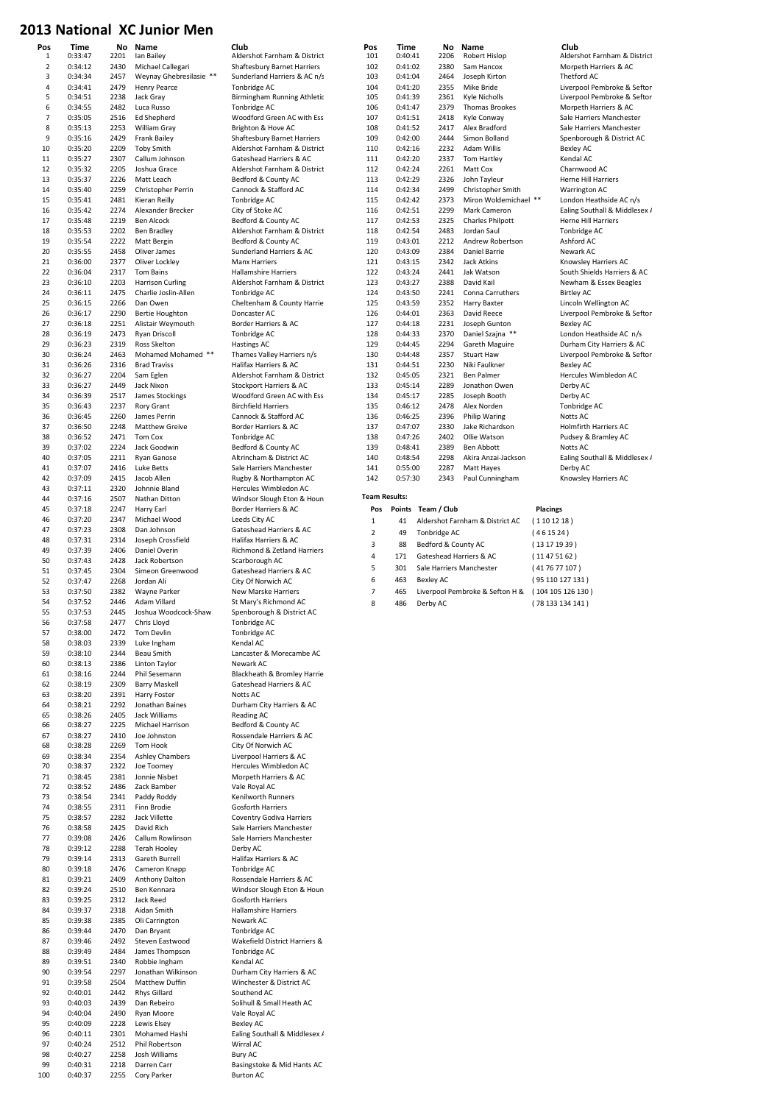| Pos              | Time               | No           | Name                                        | Club                                                        | Pos                  | Time               | No                       | Name                                              |                 | Club                                                  |
|------------------|--------------------|--------------|---------------------------------------------|-------------------------------------------------------------|----------------------|--------------------|--------------------------|---------------------------------------------------|-----------------|-------------------------------------------------------|
| 1<br>$\mathbf 2$ | 0:33:47<br>0:34:12 | 2201<br>2430 | Ian Bailey<br>Michael Callegari             | Aldershot Farnham & District<br>Shaftesbury Barnet Harriers | 101<br>102           | 0:40:41<br>0:41:02 | 2206<br>2380             | Robert Hislop<br>Sam Hancox                       |                 | Aldershot Farnham & District<br>Morpeth Harriers & AC |
| 3                | 0:34:34            | 2457         | Weynay Ghebresilasie **                     | Sunderland Harriers & AC n/s                                | 103                  | 0:41:04            | 2464                     | Joseph Kirton                                     |                 | Thetford AC                                           |
| $\overline{4}$   | 0:34:41            | 2479         | <b>Henry Pearce</b>                         | Tonbridge AC                                                | 104                  | 0:41:20            | 2355                     | Mike Bride                                        |                 | Liverpool Pembroke & Seftor                           |
| 5                | 0:34:51            | 2238         | Jack Gray                                   | Birmingham Running Athletic                                 | 105                  | 0:41:39            | 2361                     | Kyle Nicholls                                     |                 | Liverpool Pembroke & Seftor                           |
| 6                | 0:34:55            | 2482         | Luca Russo                                  | Tonbridge AC                                                | 106                  | 0:41:47            | 2379                     | <b>Thomas Brookes</b>                             |                 | Morpeth Harriers & AC                                 |
| $\overline{7}$   | 0:35:05            | 2516         | Ed Shepherd                                 | Woodford Green AC with Ess                                  | 107                  | 0:41:51            | 2418                     | Kyle Conway                                       |                 | Sale Harriers Manchester                              |
| 8                | 0:35:13            | 2253         | William Gray                                | Brighton & Hove AC                                          | 108                  | 0:41:52            | 2417                     | Alex Bradford                                     |                 | Sale Harriers Manchester                              |
| 9                | 0:35:16            | 2429         | <b>Frank Bailey</b>                         | Shaftesbury Barnet Harriers                                 | 109                  | 0:42:00            | 2444                     | Simon Bolland                                     |                 | Spenborough & District AC                             |
| 10               | 0:35:20            | 2209         | <b>Toby Smith</b>                           | Aldershot Farnham & District                                | 110                  | 0:42:16<br>2232    |                          | Adam Willis                                       |                 | Bexley AC                                             |
| 11               | 0:35:27            | 2307         | Callum Johnson                              | Gateshead Harriers & AC                                     | 111                  | 0:42:20<br>2337    |                          | Tom Hartley                                       |                 | Kendal AC                                             |
| 12               | 0:35:32            | 2205         | Joshua Grace                                | Aldershot Farnham & District                                | 112                  | 0:42:24            | 2261                     | Matt Cox                                          |                 | Charnwood AC                                          |
| 13               | 0:35:37            | 2226         | Matt Leach                                  | Bedford & County AC                                         | 113                  | 0:42:29            | 2326                     | John Tayleur                                      |                 | Herne Hill Harriers                                   |
| 14<br>15         | 0:35:40<br>0:35:41 | 2259<br>2481 | Christopher Perrin<br>Kieran Reilly         | Cannock & Stafford AC<br>Tonbridge AC                       | 114<br>115           | 0:42:34<br>0:42:42 | 2499<br>2373             | Christopher Smith<br>Miron Woldemichael **        |                 | Warrington AC<br>London Heathside AC n/s              |
| 16               | 0:35:42            | 2274         | Alexander Brecker                           | City of Stoke AC                                            | 116                  | 0:42:51            | 2299                     | Mark Cameron                                      |                 | Ealing Southall & Middlesex /                         |
| 17               | 0:35:48            | 2219         | Ben Alcock                                  | Bedford & County AC                                         | 117                  | 0:42:53            | 2325                     | <b>Charles Philpott</b>                           |                 | Herne Hill Harriers                                   |
| 18               | 0:35:53            | 2202         | <b>Ben Bradley</b>                          | Aldershot Farnham & District                                | 118                  | 0:42:54            | 2483                     | Jordan Saul                                       |                 | Tonbridge AC                                          |
| 19               | 0:35:54            | 2222         | Matt Bergin                                 | Bedford & County AC                                         | 119                  | 0:43:01            | 2212                     | Andrew Robertson                                  |                 | Ashford AC                                            |
| 20               | 0:35:55            | 2458         | Oliver James                                | Sunderland Harriers & AC                                    | 120                  | 0:43:09            | 2384                     | Daniel Barrie                                     |                 | Newark AC                                             |
| 21               | 0:36:00            | 2377         | Oliver Lockley                              | <b>Manx Harriers</b>                                        | 121                  | 0:43:15            | 2342                     | Jack Atkins                                       |                 | Knowsley Harriers AC                                  |
| 22               | 0:36:04            | 2317         | Tom Bains                                   | <b>Hallamshire Harriers</b>                                 | 122                  | 0:43:24            | 2441                     | Jak Watson                                        |                 | South Shields Harriers & AC                           |
| 23               | 0:36:10            | 2203         | <b>Harrison Curling</b>                     | Aldershot Farnham & District                                | 123                  | 0:43:27            | 2388                     | David Kail                                        |                 | Newham & Essex Beagles                                |
| 24               | 0:36:11            | 2475         | Charlie Joslin-Allen                        | Tonbridge AC                                                | 124                  | 0:43:50            | 2241                     | Conna Carruthers                                  |                 | <b>Birtley AC</b>                                     |
| 25               | 0:36:15            | 2266<br>2290 | Dan Owen                                    | Cheltenham & County Harrie<br>Doncaster AC                  | 125                  | 0:43:59            | 2352<br>2363             | Harry Baxter                                      |                 | Lincoln Wellington AC<br>Liverpool Pembroke & Seftor  |
| 26<br>27         | 0:36:17<br>0:36:18 | 2251         | Bertie Houghton<br>Alistair Weymouth        | Border Harriers & AC                                        | 126<br>127           | 0:44:01<br>0:44:18 | 2231                     | David Reece<br>Joseph Gunton                      |                 | <b>Bexley AC</b>                                      |
| 28               | 0:36:19            | 2473         | Ryan Driscoll                               | Tonbridge AC                                                | 128                  | 0:44:33            | 2370                     | Daniel Szajna **                                  |                 | London Heathside AC n/s                               |
| 29               | 0:36:23            | 2319         | Ross Skelton                                | Hastings AC                                                 | 129                  | 0:44:45            | 2294                     | Gareth Maguire                                    |                 | Durham City Harriers & AC                             |
| 30               | 0:36:24            | 2463         | Mohamed Mohamed **                          | Thames Valley Harriers n/s                                  | 130                  | 0:44:48            | 2357                     | <b>Stuart Haw</b>                                 |                 | Liverpool Pembroke & Seftor                           |
| 31               | 0:36:26            | 2316         | <b>Brad Traviss</b>                         | Halifax Harriers & AC                                       | 131                  | 0:44:51            | 2230                     | Niki Faulkner                                     |                 | <b>Bexley AC</b>                                      |
| 32               | 0:36:27            | 2204         | Sam Eglen                                   | Aldershot Farnham & District                                | 132                  | 0:45:05            | 2321                     | Ben Palmer                                        |                 | Hercules Wimbledon AC                                 |
| 33               | 0:36:27            | 2449         | Jack Nixon                                  | Stockport Harriers & AC                                     | 133                  | 0:45:14            | 2289                     | Jonathon Owen                                     |                 | Derby AC                                              |
| 34               | 0:36:39            | 2517         | James Stockings                             | Woodford Green AC with Ess                                  | 134                  | 0:45:17            | 2285                     | Joseph Booth                                      |                 | Derby AC                                              |
| 35               | 0:36:43            | 2237         | Rory Grant                                  | <b>Birchfield Harriers</b>                                  | 135                  | 0:46:12            | 2478                     | Alex Norden                                       |                 | Tonbridge AC                                          |
| 36               | 0:36:45            | 2260         | James Perrin                                | Cannock & Stafford AC                                       | 136                  | 0:46:25            | 2396                     | <b>Philip Waring</b>                              |                 | Notts AC                                              |
| 37               | 0:36:50            | 2248         | <b>Matthew Greive</b>                       | Border Harriers & AC                                        | 137                  | 0:47:07            | 2330                     | Jake Richardson                                   |                 | Holmfirth Harriers AC                                 |
| 38               | 0:36:52            | 2471         | Tom Cox                                     | Tonbridge AC                                                | 138                  | 0:47:26            | 2402                     | Ollie Watson                                      |                 | Pudsey & Bramley AC                                   |
| 39               | 0:37:02            | 2224         | Jack Goodwin                                | Bedford & County AC                                         | 139                  | 0:48:41            | 2389                     | Ben Abbott                                        |                 | Notts AC                                              |
| 40               | 0:37:05            | 2211         | Ryan Ganose                                 | Altrincham & District AC                                    | 140                  | 0:48:54            | 2298<br>2287             | Akira Anzai-Jackson                               |                 | Ealing Southall & Middlesex /                         |
| 41<br>42         | 0:37:07<br>0:37:09 | 2416<br>2415 | Luke Betts<br>Jacob Allen                   | Sale Harriers Manchester<br>Rugby & Northampton AC          | 141<br>142           | 0:55:00<br>0:57:30 | 2343                     | Matt Hayes<br>Paul Cunningham                     |                 | Derby AC                                              |
| 43               | 0:37:11            | 2320         | Johnnie Bland                               | Hercules Wimbledon AC                                       |                      |                    |                          |                                                   |                 | Knowsley Harriers AC                                  |
| 44               | 0:37:16            | 2507         | Nathan Ditton                               | Windsor Slough Eton & Houn                                  | <b>Team Results:</b> |                    |                          |                                                   |                 |                                                       |
| 45               | 0:37:18            | 2247         | Harry Earl                                  | Border Harriers & AC                                        | Pos                  |                    | Points Team / Club       |                                                   | <b>Placings</b> |                                                       |
| 46               | 0:37:20            | 2347         | Michael Wood                                | Leeds City AC                                               | 1                    | 41                 |                          | Aldershot Farnham & District AC                   | (1101218)       |                                                       |
| 47               | 0:37:23            | 2308         | Dan Johnson                                 | Gateshead Harriers & AC                                     | $\overline{2}$       | 49                 | Tonbridge AC             |                                                   | (461524)        |                                                       |
| 48               | 0:37:31            | 2314         | Joseph Crossfield                           | Halifax Harriers & AC                                       | 3                    | 88                 |                          |                                                   |                 |                                                       |
| 49               | 0:37:39            | 2406         | Daniel Overin                               | Richmond & Zetland Harriers                                 |                      |                    | Bedford & County AC      |                                                   | (13171939)      |                                                       |
| 50               | 0:37:43            | 2428         | Jack Robertson                              | Scarborough AC                                              | $\overline{4}$       | 171                | Gateshead Harriers & AC  |                                                   | (11475162)      |                                                       |
| 51               | 0:37:45            | 2304         | Simeon Greenwood                            | Gateshead Harriers & AC                                     | 5                    | 301                | Sale Harriers Manchester |                                                   | (417677107)     |                                                       |
| 52               | 0:37:47            | 2268         | Jordan Ali                                  | City Of Norwich AC                                          | $\,6\,$              | 463                | <b>Bexley AC</b>         |                                                   |                 | (95 110 127 131)                                      |
| 53               | 0:37:50            | 2382         | Wayne Parker                                | New Marske Harriers                                         | $\overline{7}$       | 465                |                          | Liverpool Pembroke & Sefton H & (104 105 126 130) |                 |                                                       |
| 54               | 0:37:52            | 2446         | Adam Villard                                | St Mary's Richmond AC                                       | 8                    | 486                | Derby AC                 |                                                   |                 | (78 133 134 141)                                      |
| 55<br>56         | 0:37:53            | 2445         | Joshua Woodcock-Shaw                        | Spenborough & District AC                                   |                      |                    |                          |                                                   |                 |                                                       |
|                  |                    |              |                                             |                                                             |                      |                    |                          |                                                   |                 |                                                       |
|                  | 0:37:58            | 2477         | Chris Lloyd                                 | Tonbridge AC                                                |                      |                    |                          |                                                   |                 |                                                       |
| 57               | 0:38:00            | 2472         | Tom Devlin                                  | Tonbridge AC                                                |                      |                    |                          |                                                   |                 |                                                       |
| 58               | 0:38:03            | 2339         | Luke Ingham                                 | Kendal AC                                                   |                      |                    |                          |                                                   |                 |                                                       |
| 59               | 0:38:10            | 2344         | Beau Smith                                  | Lancaster & Morecambe AC                                    |                      |                    |                          |                                                   |                 |                                                       |
| 60               | 0:38:13            | 2386         | Linton Taylor                               | Newark AC                                                   |                      |                    |                          |                                                   |                 |                                                       |
| 61<br>62         | 0:38:16<br>0:38:19 | 2244<br>2309 | Phil Sesemann<br><b>Barry Maskell</b>       | Blackheath & Bromley Harrie<br>Gateshead Harriers & AC      |                      |                    |                          |                                                   |                 |                                                       |
| 63               | 0:38:20            |              | 2391 Harry Foster                           | Notts AC                                                    |                      |                    |                          |                                                   |                 |                                                       |
| 64               | 0:38:21            |              | 2292 Jonathan Baines                        | Durham City Harriers & AC                                   |                      |                    |                          |                                                   |                 |                                                       |
| 65               | 0:38:26            |              | 2405 Jack Williams                          | Reading AC                                                  |                      |                    |                          |                                                   |                 |                                                       |
| 66               | 0:38:27            |              | 2225 Michael Harrison                       | Bedford & County AC                                         |                      |                    |                          |                                                   |                 |                                                       |
| 67               | 0:38:27            | 2410         | Joe Johnston                                | Rossendale Harriers & AC                                    |                      |                    |                          |                                                   |                 |                                                       |
| 68               | 0:38:28            |              | 2269 Tom Hook                               | City Of Norwich AC                                          |                      |                    |                          |                                                   |                 |                                                       |
| 69               | 0:38:34            |              | 2354 Ashley Chambers                        | Liverpool Harriers & AC                                     |                      |                    |                          |                                                   |                 |                                                       |
| 70               | 0:38:37            |              | 2322 Joe Toomey                             | Hercules Wimbledon AC                                       |                      |                    |                          |                                                   |                 |                                                       |
| 71               | 0:38:45            |              | 2381 Jonnie Nisbet                          | Morpeth Harriers & AC                                       |                      |                    |                          |                                                   |                 |                                                       |
| 72               | 0:38:52            |              | 2486 Zack Bamber                            | Vale Royal AC                                               |                      |                    |                          |                                                   |                 |                                                       |
| 73<br>74         | 0:38:54<br>0:38:55 | 2341         | Paddy Roddy<br>2311 Finn Brodie             | Kenilworth Runners<br>Gosforth Harriers                     |                      |                    |                          |                                                   |                 |                                                       |
| 75               |                    |              | 2282 Jack Villette                          |                                                             |                      |                    |                          |                                                   |                 |                                                       |
| 76               | 0:38:57<br>0:38:58 | 2425         | David Rich                                  | Coventry Godiva Harriers<br>Sale Harriers Manchester        |                      |                    |                          |                                                   |                 |                                                       |
| 77               | 0:39:08            |              | 2426 Callum Rowlinson                       | Sale Harriers Manchester                                    |                      |                    |                          |                                                   |                 |                                                       |
| 78               | 0:39:12            |              | 2288 Terah Hooley                           | Derby AC                                                    |                      |                    |                          |                                                   |                 |                                                       |
| 79               | 0:39:14            |              | 2313 Gareth Burrell                         | Halifax Harriers & AC                                       |                      |                    |                          |                                                   |                 |                                                       |
| 80               | 0:39:18            | 2476         | Cameron Knapp                               | Tonbridge AC                                                |                      |                    |                          |                                                   |                 |                                                       |
| 81               | 0:39:21            | 2409         | Anthony Dalton                              | Rossendale Harriers & AC                                    |                      |                    |                          |                                                   |                 |                                                       |
| 82               | 0:39:24            | 2510         | Ben Kennara                                 | Windsor Slough Eton & Houn                                  |                      |                    |                          |                                                   |                 |                                                       |
| 83               | 0:39:25            |              | 2312 Jack Reed                              | Gosforth Harriers                                           |                      |                    |                          |                                                   |                 |                                                       |
| 84               | 0:39:37            |              | 2318 Aidan Smith                            | <b>Hallamshire Harriers</b>                                 |                      |                    |                          |                                                   |                 |                                                       |
| 85               | 0:39:38            |              | 2385 Oli Carrington                         | Newark AC                                                   |                      |                    |                          |                                                   |                 |                                                       |
| 86               | 0:39:44            | 2470         | Dan Bryant                                  | Tonbridge AC                                                |                      |                    |                          |                                                   |                 |                                                       |
| 87               | 0:39:46            |              | 2492 Steven Eastwood                        | Wakefield District Harriers &                               |                      |                    |                          |                                                   |                 |                                                       |
| 88               | 0:39:49            |              | 2484 James Thompson                         | Tonbridge AC                                                |                      |                    |                          |                                                   |                 |                                                       |
| 89               | 0:39:51            | 2340         | Robbie Ingham                               | Kendal AC                                                   |                      |                    |                          |                                                   |                 |                                                       |
| 90<br>91         | 0:39:54<br>0:39:58 | 2297<br>2504 | Jonathan Wilkinson<br><b>Matthew Duffin</b> | Durham City Harriers & AC<br>Winchester & District AC       |                      |                    |                          |                                                   |                 |                                                       |
| 92               | 0:40:01            | 2442         | Rhys Gillard                                | Southend AC                                                 |                      |                    |                          |                                                   |                 |                                                       |
| 93               | 0:40:03            | 2439         | Dan Rebeiro                                 | Solihull & Small Heath AC                                   |                      |                    |                          |                                                   |                 |                                                       |
| 94               | 0:40:04            | 2490         | Ryan Moore                                  | Vale Royal AC                                               |                      |                    |                          |                                                   |                 |                                                       |
| 95               | 0:40:09            | 2228         | Lewis Elsey                                 | Bexley AC                                                   |                      |                    |                          |                                                   |                 |                                                       |
| 96               | 0:40:11            | 2301         | Mohamed Hashi                               | Ealing Southall & Middlesex /                               |                      |                    |                          |                                                   |                 |                                                       |
| 97               | 0:40:24            | 2512         | Phil Robertson                              | Wirral AC                                                   |                      |                    |                          |                                                   |                 |                                                       |
| 98               | 0:40:27            | 2258         | Josh Williams                               | Bury AC                                                     |                      |                    |                          |                                                   |                 |                                                       |
| 99<br>100        | 0:40:31<br>0:40:37 | 2218         | Darren Carr<br>2255 Cory Parker             | Basingstoke & Mid Hants AC<br><b>Burton AC</b>              |                      |                    |                          |                                                   |                 |                                                       |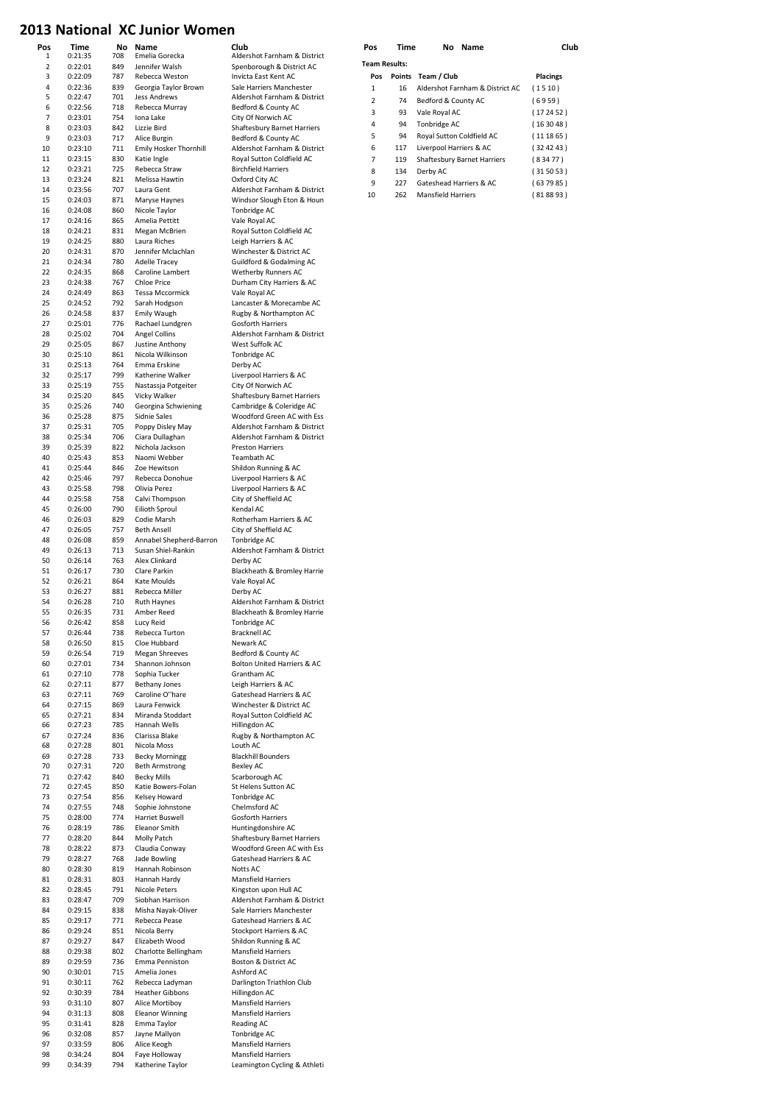#### 2013 National XC Junior Women

| Pos          | Time               | No         | Name                                        | Club                                               | Pos                  | Time | No Name                            | Club            |
|--------------|--------------------|------------|---------------------------------------------|----------------------------------------------------|----------------------|------|------------------------------------|-----------------|
| $\mathbf{1}$ | 0:21:35            | 708        | Emelia Gorecka                              | Aldershot Farnham & District                       | <b>Team Results:</b> |      |                                    |                 |
| $\mathbf 2$  | 0:22:01            | 849        | Jennifer Walsh                              | Spenborough & District AC                          |                      |      |                                    |                 |
| 3<br>4       | 0:22:09<br>0:22:36 | 787<br>839 | Rebecca Weston<br>Georgia Taylor Brown      | Invicta East Kent AC<br>Sale Harriers Manchester   | Pos                  |      | Points Team / Club                 | <b>Placings</b> |
| 5            | 0:22:47            | 701        | Jess Andrews                                | Aldershot Farnham & District                       | $\mathbf 1$          | 16   | Aldershot Farnham & District AC    | (1510)          |
| 6            | 0:22:56            | 718        | Rebecca Murray                              | Bedford & County AC                                | $\mathbf 2$          | 74   | Bedford & County AC                | (6959)          |
| 7            | 0:23:01            | 754        | Iona Lake                                   | City Of Norwich AC                                 | 3                    | 93   | Vale Royal AC                      | (172452)        |
| 8            | 0:23:03            | 842        | Lizzie Bird                                 | Shaftesbury Barnet Harriers                        | 4                    | 94   | Tonbridge AC                       | (163048)        |
| 9            | 0:23:03            | 717        | Alice Burgin                                | Bedford & County AC                                | 5                    | 94   | Royal Sutton Coldfield AC          | (111865)        |
| 10           | 0:23:10            | 711        | Emily Hosker Thornhill                      | Aldershot Farnham & District                       | 6                    | 117  | Liverpool Harriers & AC            | (324243)        |
| 11           | 0:23:15            | 830        | Katie Ingle                                 | Royal Sutton Coldfield AC                          | 7                    | 119  | <b>Shaftesbury Barnet Harriers</b> | (83477)         |
| 12           | 0:23:21            | 725        | Rebecca Straw                               | <b>Birchfield Harriers</b>                         | 8                    | 134  | Derby AC                           | (315053)        |
| 13           | 0:23:24            | 821        | Melissa Hawtin                              | Oxford City AC                                     | 9                    | 227  | Gateshead Harriers & AC            | (637985)        |
| 14           | 0:23:56            | 707        | Laura Gent                                  | Aldershot Farnham & District                       | 10                   | 262  | <b>Mansfield Harriers</b>          | (818893)        |
| 15           | 0:24:03            | 871        | Maryse Haynes                               | Windsor Slough Eton & Houn                         |                      |      |                                    |                 |
| 16           | 0:24:08            | 860        | Nicole Taylor                               | Tonbridge AC                                       |                      |      |                                    |                 |
| 17<br>18     | 0:24:16<br>0:24:21 | 865<br>831 | Amelia Pettitt<br>Megan McBrien             | Vale Royal AC<br>Royal Sutton Coldfield AC         |                      |      |                                    |                 |
| 19           | 0:24:25            | 880        | Laura Riches                                | Leigh Harriers & AC                                |                      |      |                                    |                 |
| 20           | 0:24:31            | 870        | Jennifer Mclachlan                          | Winchester & District AC                           |                      |      |                                    |                 |
| 21           | 0:24:34            | 780        | Adelle Tracey                               | Guildford & Godalming AC                           |                      |      |                                    |                 |
| 22           | 0:24:35            | 868        | Caroline Lambert                            | Wetherby Runners AC                                |                      |      |                                    |                 |
| 23           | 0:24:38            | 767        | <b>Chloe Price</b>                          | Durham City Harriers & AC                          |                      |      |                                    |                 |
| 24           | 0:24:49            | 863        | Tessa Mccormick                             | Vale Royal AC                                      |                      |      |                                    |                 |
| 25           | 0:24:52            | 792        | Sarah Hodgson                               | Lancaster & Morecambe AC                           |                      |      |                                    |                 |
| 26           | 0:24:58            | 837        | <b>Emily Waugh</b>                          | Rugby & Northampton AC                             |                      |      |                                    |                 |
| 27           | 0:25:01            | 776        | Rachael Lundgren                            | Gosforth Harriers                                  |                      |      |                                    |                 |
| 28           | 0:25:02            | 704        | Angel Collins                               | Aldershot Farnham & District                       |                      |      |                                    |                 |
| 29           | 0:25:05            | 867        | Justine Anthony                             | West Suffolk AC                                    |                      |      |                                    |                 |
| 30<br>31     | 0:25:10<br>0:25:13 | 861<br>764 | Nicola Wilkinson<br>Emma Erskine            | Tonbridge AC<br>Derby AC                           |                      |      |                                    |                 |
| 32           |                    | 799        | Katherine Walker                            | Liverpool Harriers & AC                            |                      |      |                                    |                 |
| 33           | 0:25:17<br>0:25:19 | 755        | Nastassja Potgeiter                         | City Of Norwich AC                                 |                      |      |                                    |                 |
| 34           | 0:25:20            | 845        | Vicky Walker                                | Shaftesbury Barnet Harriers                        |                      |      |                                    |                 |
| 35           | 0:25:26            | 740        | Georgina Schwiening                         | Cambridge & Coleridge AC                           |                      |      |                                    |                 |
| 36           | 0:25:28            | 875        | Sidnie Sales                                | Woodford Green AC with Ess                         |                      |      |                                    |                 |
| 37           | 0:25:31            | 705        | Poppy Disley May                            | Aldershot Farnham & District                       |                      |      |                                    |                 |
| 38           | 0:25:34            | 706        | Ciara Dullaghan                             | Aldershot Farnham & District                       |                      |      |                                    |                 |
| 39           | 0:25:39            | 822        | Nichola Jackson                             | <b>Preston Harriers</b>                            |                      |      |                                    |                 |
| 40           | 0:25:43            | 853        | Naomi Webber                                | Teambath AC                                        |                      |      |                                    |                 |
| 41           | 0:25:44            | 846        | Zoe Hewitson                                | Shildon Running & AC                               |                      |      |                                    |                 |
| 42           | 0:25:46            | 797        | Rebecca Donohue                             | Liverpool Harriers & AC                            |                      |      |                                    |                 |
| 43           | 0:25:58            | 798        | Olivia Perez                                | Liverpool Harriers & AC                            |                      |      |                                    |                 |
| 44           | 0:25:58            | 758        | Calvi Thompson                              | City of Sheffield AC                               |                      |      |                                    |                 |
| 45<br>46     | 0:26:00<br>0:26:03 | 790<br>829 | Eilioth Sproul<br>Codie Marsh               | Kendal AC<br>Rotherham Harriers & AC               |                      |      |                                    |                 |
| 47           | 0:26:05            | 757        | <b>Beth Ansell</b>                          | City of Sheffield AC                               |                      |      |                                    |                 |
| 48           | 0:26:08            | 859        | Annabel Shepherd-Barron                     | Tonbridge AC                                       |                      |      |                                    |                 |
| 49           | 0:26:13            | 713        | Susan Shiel-Rankin                          | Aldershot Farnham & District                       |                      |      |                                    |                 |
| 50           | 0:26:14            | 763        | Alex Clinkard                               | Derby AC                                           |                      |      |                                    |                 |
| 51           | 0:26:17            | 730        | Clare Parkin                                | Blackheath & Bromley Harrie                        |                      |      |                                    |                 |
| 52           | 0:26:21            | 864        | Kate Moulds                                 | Vale Royal AC                                      |                      |      |                                    |                 |
| 53           | 0:26:27            | 881        | Rebecca Miller                              | Derby AC                                           |                      |      |                                    |                 |
| 54           | 0:26:28            | 710        | <b>Ruth Haynes</b>                          | Aldershot Farnham & District                       |                      |      |                                    |                 |
| 55           | 0:26:35            | 731        | Amber Reed                                  | Blackheath & Bromley Harrie                        |                      |      |                                    |                 |
| 56           | 0:26:42            | 858        | Lucy Reid                                   | Tonbridge AC                                       |                      |      |                                    |                 |
| 57           | 0:26:44            | 738        | Rebecca Turton                              | Bracknell AC                                       |                      |      |                                    |                 |
| 58<br>59     | 0:26:50            | 815<br>719 | Cloe Hubbard<br><b>Megan Shreeves</b>       | Newark AC                                          |                      |      |                                    |                 |
| 60           | 0:26:54<br>0:27:01 | 734        | Shannon Johnson                             | Bedford & County AC<br>Bolton United Harriers & AC |                      |      |                                    |                 |
| 61           | 0:27:10            | 778        | Sophia Tucker                               | Grantham AC                                        |                      |      |                                    |                 |
| 62           | 0:27:11            | 877        | <b>Bethany Jones</b>                        | Leigh Harriers & AC                                |                      |      |                                    |                 |
| 63           | 0:27:11            | 769        | Caroline O"hare                             | Gateshead Harriers & AC                            |                      |      |                                    |                 |
| 64           | 0:27:15            | 869        | Laura Fenwick                               | Winchester & District AC                           |                      |      |                                    |                 |
| 65           | 0:27:21            | 834        | Miranda Stoddart                            | Royal Sutton Coldfield AC                          |                      |      |                                    |                 |
| 66           | 0:27:23            | 785        | Hannah Wells                                | Hillingdon AC                                      |                      |      |                                    |                 |
| 67           | 0:27:24            | 836        | Clarissa Blake                              | Rugby & Northampton AC                             |                      |      |                                    |                 |
| 68           | 0:27:28            | 801        | Nicola Moss                                 | Louth AC                                           |                      |      |                                    |                 |
| 69           | 0:27:28            | 733        | <b>Becky Morningg</b>                       | <b>Blackhill Bounders</b>                          |                      |      |                                    |                 |
| 70           | 0:27:31            | 720        | <b>Beth Armstrong</b><br><b>Becky Mills</b> | Bexley AC                                          |                      |      |                                    |                 |
| 71           | 0:27:42            | 840        |                                             | Scarborough AC                                     |                      |      |                                    |                 |
| 72<br>73     | 0:27:45<br>0:27:54 | 850<br>856 | Katie Bowers-Folan<br>Kelsey Howard         | St Helens Sutton AC<br>Tonbridge AC                |                      |      |                                    |                 |
| 74           | 0:27:55            | 748        | Sophie Johnstone                            | Chelmsford AC                                      |                      |      |                                    |                 |
| 75           | 0:28:00            | 774        | Harriet Buswell                             | Gosforth Harriers                                  |                      |      |                                    |                 |
| 76           | 0:28:19            | 786        | <b>Eleanor Smith</b>                        | Huntingdonshire AC                                 |                      |      |                                    |                 |
| 77           | 0:28:20            | 844        | Molly Patch                                 | Shaftesbury Barnet Harriers                        |                      |      |                                    |                 |
| 78           | 0:28:22            | 873        | Claudia Conway                              | Woodford Green AC with Ess                         |                      |      |                                    |                 |
| 79           | 0:28:27            | 768        | Jade Bowling                                | Gateshead Harriers & AC                            |                      |      |                                    |                 |
| 80           | 0:28:30            | 819        | Hannah Robinson                             | Notts AC                                           |                      |      |                                    |                 |
| 81           | 0:28:31            | 803        | Hannah Hardy                                | Mansfield Harriers                                 |                      |      |                                    |                 |
| 82           | 0:28:45            | 791        | Nicole Peters                               | Kingston upon Hull AC                              |                      |      |                                    |                 |
| 83           | 0:28:47            | 709        | Siobhan Harrison                            | Aldershot Farnham & District                       |                      |      |                                    |                 |
| 84           | 0:29:15            | 838        | Misha Nayak-Oliver                          | Sale Harriers Manchester                           |                      |      |                                    |                 |
| 85           | 0:29:17            | 771        | Rebecca Pease                               | Gateshead Harriers & AC                            |                      |      |                                    |                 |
| 86           | 0:29:24            | 851        | Nicola Berry                                | Stockport Harriers & AC                            |                      |      |                                    |                 |
| 87<br>88     | 0:29:27<br>0:29:38 | 847<br>802 | Elizabeth Wood<br>Charlotte Bellingham      | Shildon Running & AC<br><b>Mansfield Harriers</b>  |                      |      |                                    |                 |
| 89           | 0:29:59            | 736        | Emma Penniston                              | Boston & District AC                               |                      |      |                                    |                 |
| 90           | 0:30:01            | 715        | Amelia Jones                                | Ashford AC                                         |                      |      |                                    |                 |
| 91           | 0:30:11            | 762        | Rebecca Ladyman                             | Darlington Triathlon Club                          |                      |      |                                    |                 |
| 92           | 0:30:39            | 784        | <b>Heather Gibbons</b>                      | Hillingdon AC                                      |                      |      |                                    |                 |
| 93           | 0:31:10            | 807        | Alice Mortiboy                              | <b>Mansfield Harriers</b>                          |                      |      |                                    |                 |
| 94           | 0:31:13            | 808        | <b>Eleanor Winning</b>                      | <b>Mansfield Harriers</b>                          |                      |      |                                    |                 |
| 95           | 0:31:41            | 828        | Emma Taylor                                 | Reading AC                                         |                      |      |                                    |                 |
| 96           | 0:32:08            | 857        | Jayne Mallyon                               | Tonbridge AC                                       |                      |      |                                    |                 |
| 97           | 0:33:59            | 806        | Alice Keogh                                 | <b>Mansfield Harriers</b>                          |                      |      |                                    |                 |
| 98           | 0:34:24            | 804        | Faye Holloway                               | <b>Mansfield Harriers</b>                          |                      |      |                                    |                 |
| 99           | 0:34:39            | 794        | Katherine Taylor                            | Leamington Cycling & Athleti                       |                      |      |                                    |                 |

| POS | 1 ime                | NO<br>Name                         | u               |  |  |  |  |  |  |  |  |  |
|-----|----------------------|------------------------------------|-----------------|--|--|--|--|--|--|--|--|--|
|     | <b>Team Results:</b> |                                    |                 |  |  |  |  |  |  |  |  |  |
| Pos | Points               | Team / Club                        | <b>Placings</b> |  |  |  |  |  |  |  |  |  |
| 1   | 16                   | Aldershot Farnham & District AC    | (1510)          |  |  |  |  |  |  |  |  |  |
| 2   | 74                   | Bedford & County AC                | (6959)          |  |  |  |  |  |  |  |  |  |
| 3   | 93                   | Vale Royal AC                      | (172452)        |  |  |  |  |  |  |  |  |  |
| 4   | 94                   | Tonbridge AC                       | (163048)        |  |  |  |  |  |  |  |  |  |
| 5   | 94                   | Royal Sutton Coldfield AC          | (111865)        |  |  |  |  |  |  |  |  |  |
| 6   | 117                  | Liverpool Harriers & AC            | (324243)        |  |  |  |  |  |  |  |  |  |
| 7   | 119                  | <b>Shaftesbury Barnet Harriers</b> | (83477)         |  |  |  |  |  |  |  |  |  |
| 8   | 134                  | Derby AC                           | (315053)        |  |  |  |  |  |  |  |  |  |
| 9   | 227                  | Gateshead Harriers & AC            | (637985)        |  |  |  |  |  |  |  |  |  |
| 10  | 262                  | <b>Mansfield Harriers</b>          | (818893)        |  |  |  |  |  |  |  |  |  |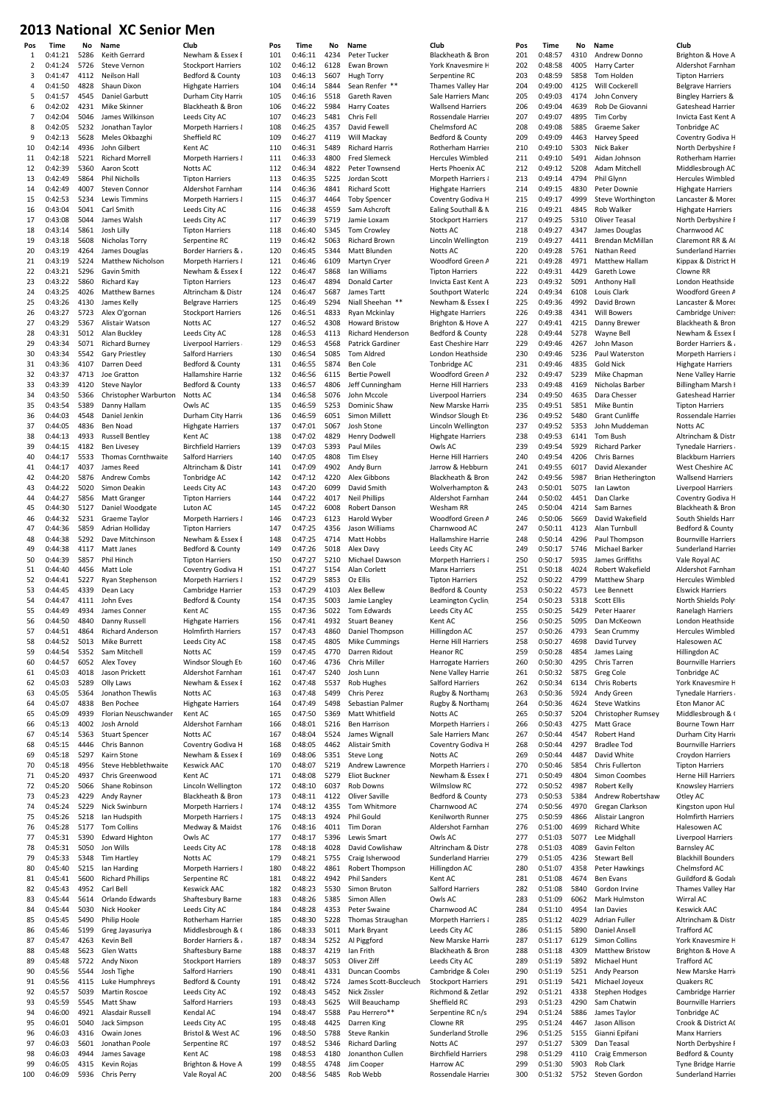| гиз<br>1 | ,,,,,,<br>0:41:21  | IVU<br>5286  | name<br>Keith Gerrard                        | uuw<br>Newham & Essex F                               | г,<br>10 |
|----------|--------------------|--------------|----------------------------------------------|-------------------------------------------------------|----------|
| 2        | 0:41:24            | 5726         | <b>Steve Vernon</b>                          | <b>Stockport Harriers</b>                             | 10       |
| 3        | 0:41:47            | 4112         | Neilson Hall                                 | Bedford & County.                                     | 10       |
| 4        | 0:41:50            | 4828         | Shaun Dixon                                  | <b>Highgate Harriers</b>                              | 10       |
| 5        | 0:41:57            | 4545         | Daniel Garbutt                               | Durham City Harrie                                    | 10       |
| 6<br>7   | 0:42:02<br>0:42:04 | 4231<br>5046 | Mike Skinner<br>James Wilkinson              | Blackheath & Bron<br>Leeds City AC                    | 1(<br>1( |
| 8        | 0:42:05            | 5232         | Jonathan Taylor                              | Morpeth Harriers &                                    | 1(       |
| 9        | 0:42:13            | 5628         | Meles Okbazghi                               | Sheffield RC                                          | 1(       |
| 10       | 0:42:14            | 4936         | John Gilbert                                 | Kent AC                                               | 11       |
| 11       | 0:42:18            | 5221         | <b>Richard Morrell</b>                       | Morpeth Harriers &                                    | 11       |
| 12<br>13 | 0:42:39<br>0:42:49 | 5360<br>5864 | Aaron Scott<br>Phil Nicholls                 | Notts AC<br><b>Tipton Harriers</b>                    | 11<br>11 |
| 14       | 0:42:49            | 4007         | Steven Connor                                | Aldershot Farnham                                     | 11       |
| 15       | 0:42:53            | 5234         | Lewis Timmins                                | Morpeth Harriers &                                    | 11       |
| 16       | 0:43:04            | 5041         | Carl Smith                                   | Leeds City AC                                         | 11       |
| 17       | 0:43:08            | 5044         | James Walsh                                  | Leeds City AC                                         | 11       |
| 18       | 0:43:14            | 5861         | Josh Lilly                                   | <b>Tipton Harriers</b>                                | 11       |
| 19<br>20 | 0:43:18<br>0:43:19 | 5608<br>4264 | Nicholas Torry<br>James Douglas              | Serpentine RC<br><b>Border Harriers &amp;</b>         | 11<br>12 |
| 21       | 0:43:19            | 5224         | Matthew Nicholson                            | Morpeth Harriers &                                    | 12       |
| 22       | 0:43:21            | 5296         | Gavin Smith                                  | Newham & Essex E                                      | 12       |
| 23       | 0:43:22            | 5860         | Richard Kay                                  | <b>Tipton Harriers</b>                                | 12       |
| 24       | 0:43:25            | 4026         | <b>Matthew Barnes</b>                        | Altrincham & Distr                                    | 12       |
| 25<br>26 | 0:43:26<br>0:43:27 | 4130<br>5723 | James Kelly<br>Alex O'gornan                 | <b>Belgrave Harriers</b><br><b>Stockport Harriers</b> | 12<br>12 |
| 27       | 0:43:29            | 5367         | Alistair Watson                              | Notts AC                                              | 12       |
| 28       | 0:43:31            | 5012         | Alan Buckley                                 | Leeds City AC                                         | 12       |
| 29       | 0:43:34            | 5071         | <b>Richard Burney</b>                        | Liverpool Harriers                                    | 12       |
| 30       | 0:43:34            | 5542         | <b>Gary Priestley</b>                        | Salford Harriers                                      | 13       |
| 31<br>32 | 0:43:36<br>0:43:37 | 4107<br>4713 | Darren Deed<br>Joe Gratton                   | Bedford & County.<br>Hallamshire Harrie               | 13       |
| 33       | 0:43:39            | 4120         | <b>Steve Naylor</b>                          | Bedford & County.                                     | 13<br>13 |
| 34       | 0:43:50            | 5366         | Christopher Warburton                        | Notts AC                                              | 13       |
| 35       | 0:43:54            | 5389         | Danny Hallam                                 | Owls AC                                               | 13       |
| 36       | 0:44:03            | 4548         | Daniel Jenkin                                | Durham City Harrie                                    | 13       |
| 37       | 0:44:05            | 4836         | Ben Noad                                     | <b>Highgate Harriers</b>                              | 13       |
| 38<br>39 | 0:44:13<br>0:44:15 | 4933<br>4182 | <b>Russell Bentley</b><br><b>Ben Livesey</b> | Kent AC<br><b>Birchfield Harriers</b>                 | 13<br>13 |
| 40       | 0:44:17            | 5533         | Thomas Cornthwaite                           | Salford Harriers                                      | 14       |
| 41       | 0:44:17            | 4037         | James Reed                                   | Altrincham & Distr                                    | 14       |
| 42       | 0:44:20            | 5876         | Andrew Combs                                 | Tonbridge AC                                          | 14       |
| 43       | 0:44:22            | 5020         | Simon Deakin                                 | Leeds City AC                                         | 14       |
| 44       | 0:44:27            | 5856         | Matt Granger                                 | <b>Tipton Harriers</b>                                | 14       |
| 45<br>46 | 0:44:30<br>0:44:32 | 5127<br>5231 | Daniel Woodgate<br>Graeme Taylor             | Luton AC<br>Morpeth Harriers &                        | 14<br>14 |
| 47       | 0:44:36            | 5859         | Adrian Holliday                              | <b>Tipton Harriers</b>                                | 14       |
| 48       | 0:44:38            | 5292         | Dave Mitchinson                              | Newham & Essex E                                      | 14       |
| 49       | 0:44:38            | 4117         | Matt Janes                                   | Bedford & County.                                     | 14       |
| 50       | 0:44:39            | 5857         | Phil Hinch                                   | <b>Tipton Harriers</b>                                | 15       |
| 51<br>52 | 0:44:40<br>0:44:41 | 4456<br>5227 | Matt Lole<br>Ryan Stephenson                 | Coventry Godiva H<br>Morpeth Harriers &               | 15<br>15 |
| 53       | 0:44:45            | 4339         | Dean Lacy                                    | Cambridge Harrier                                     | 15       |
| 54       | 0:44:47            | 4111         | John Eves                                    | Bedford & County                                      | 15       |
| 55       | 0:44:49            | 4934         | James Conner                                 | Kent AC                                               | 15       |
| 56       | 0:44:50            | 4840         | Danny Russell                                | <b>Highgate Harriers</b>                              | 15       |
| 57<br>58 | 0:44:51<br>0:44:52 | 4864<br>5013 | Richard Anderson<br>Mike Burrett             | <b>Holmfirth Harriers</b><br>Leeds City AC            | 15<br>15 |
| 59       | 0:44:54            | 5352         | Sam Mitchell                                 | Notts AC                                              | 15       |
| 60       | 0:44:57            | 6052         | Alex Tovey                                   | Windsor Slough Et                                     | 16       |
| 61       | 0:45:03            | 4018         | Jason Prickett                               | Aldershot Farnham                                     | 16       |
| 62       | 0:45:03            | 5289         | Olly Laws                                    | Newham & Essex E                                      | 16       |
| 63<br>64 | 0:45:05<br>0:45:07 | 5364<br>4838 | Jonathon Thewlis<br>Ben Pochee               | Notts AC<br><b>Highgate Harriers</b>                  | 16<br>16 |
| 65       | 0:45:09            | 4939         | Florian Neuschwander                         | Kent AC                                               | 16       |
| 66       | 0:45:13            | 4002         | Josh Arnold                                  | Aldershot Farnham                                     | 16       |
| 67       | 0:45:14            | 5363         | <b>Stuart Spencer</b>                        | Notts AC                                              | 16       |
| 68       | 0:45:15            | 4446         | Chris Bannon                                 | Coventry Godiva H                                     | 16       |
| 69       | 0:45:18            | 5297         | Kairn Stone                                  | Newham & Essex E                                      | 16       |
| 70<br>71 | 0:45:18<br>0:45:20 | 4956<br>4937 | Steve Hebblethwaite<br>Chris Greenwood       | <b>Keswick AAC</b><br>Kent AC                         | 17<br>1  |
| 72       | 0:45:20            | 5066         | Shane Robinson                               | Lincoln Wellington                                    | 17       |
| 73       | 0:45:23            | 4229         | Andy Rayner                                  | Blackheath & Bron                                     | 1        |
| 74       | 0:45:24            | 5229         | Nick Swinburn                                | Morpeth Harriers {                                    | 17       |
| 75       | 0:45:26            | 5218         | lan Hudspith                                 | Morpeth Harriers {                                    | 17       |
| 76<br>77 | 0:45:28<br>0:45:31 | 5177<br>5390 | <b>Tom Collins</b><br><b>Edward Highton</b>  | Medway & Maidst<br>Owls AC                            | 17<br>17 |
| 78       | 0:45:31            | 5050         | Jon Wills                                    | Leeds City AC                                         | 17       |
| 79       | 0:45:33            | 5348         | Tim Hartley                                  | Notts AC                                              | 17       |
| 80       | 0:45:40            | 5215         | lan Harding                                  | Morpeth Harriers &                                    | 18       |
| 81       | 0:45:41            | 5600         | <b>Richard Phillips</b>                      | Serpentine RC                                         | 18       |
| 82       | 0:45:43            | 4952         | Carl Bell                                    | <b>Keswick AAC</b>                                    | 18       |
| 83<br>84 | 0:45:44<br>0:45:44 | 5614<br>5030 | Orlando Edwards<br>Nick Hooker               | Shaftesbury Barne<br>Leeds City AC                    | 18<br>18 |
| 85       | 0:45:45            | 5490         | Philip Hoole                                 | Rotherham Harrier                                     | 18       |
| 86       | 0:45:46            | 5199         | Greg Jayasuriya                              | Middlesbrough & C                                     | 18       |
| 87       | 0:45:47            | 4263         | Kevin Bell                                   | <b>Border Harriers &amp;</b>                          | 18       |
| 88       | 0:45:48            | 5623         | Glen Watts                                   | Shaftesbury Barne                                     | 18       |
| 89       | 0:45:48            | 5722         | Andy Nixon                                   | <b>Stockport Harriers</b>                             | 18       |
| 90<br>91 | 0:45:56<br>0:45:56 | 5544<br>4115 | Josh Tighe<br>Luke Humphreys                 | Salford Harriers<br>Bedford & County.                 | 19<br>19 |
| 92       | 0:45:57            | 5039         | <b>Martin Roscoe</b>                         | Leeds City AC                                         | 19       |
| 93       | 0:45:59            | 5545         | Matt Shaw                                    | Salford Harriers                                      | 19       |
| 94       | 0:46:00            | 4921         | Alasdair Russell                             | Kendal AC                                             | 19       |
| 95       | 0:46:01            | 5040         | Jack Simpson                                 | Leeds City AC                                         | 19       |
| 96<br>97 | 0:46:03<br>0:46:03 | 4316<br>5601 | Owain Jones<br>Jonathan Poole                | Bristol & West AC<br>Serpentine RC                    | 19<br>19 |
| 98       | 0:46:03            | 4944         | James Savage                                 | Kent AC                                               | 19       |
| 99       | 0:46:05            | 4315         | Kevin Rojas                                  | Brighton & Hove A                                     | 19       |
| 100      | 0:46:09            | 5936         | Chris Perry                                  | Vale Royal AC                                         | 20       |

| ewham & Essex E                                                                              |
|----------------------------------------------------------------------------------------------|
|                                                                                              |
| ockport Harriers                                                                             |
| edford & County                                                                              |
| ighgate Harriers                                                                             |
| urham City Harrie<br>ackheath & Bron                                                         |
| eds City AC                                                                                  |
| orpeth Harriers {                                                                            |
| effield RC                                                                                   |
| $ent$ AC                                                                                     |
| lorpeth Harriers {                                                                           |
| otts AC                                                                                      |
| pton Harriers                                                                                |
| dershot Farnham                                                                              |
| orpeth Harriers &<br>eds City AC                                                             |
| eds City AC                                                                                  |
| pton Harriers                                                                                |
| erpentine RC                                                                                 |
| order Harriers &                                                                             |
| erpeth Harriers (                                                                            |
| ewham & Essex E                                                                              |
| pton Harriers                                                                                |
| trincham & Distr                                                                             |
| elgrave Harriers                                                                             |
| ockport Harriers<br>otts AC                                                                  |
| eds City AC                                                                                  |
| verpool Harriers                                                                             |
| alford Harriers                                                                              |
| edford & County                                                                              |
| allamshire Harrie                                                                            |
| edford & County                                                                              |
| otts AC                                                                                      |
| wls AC                                                                                       |
| urham City Harrie                                                                            |
| ighgate Harriers<br>ent AC                                                                   |
| rchfield Harriers                                                                            |
| alford Harriers                                                                              |
| trincham & Distr                                                                             |
| onbridge AC                                                                                  |
| eds City AC                                                                                  |
| pton Harriers                                                                                |
| iton AC                                                                                      |
| orpeth Harriers &                                                                            |
| pton Harriers                                                                                |
| ewham & Essex E<br>edford & County                                                           |
| pton Harriers                                                                                |
| <b>oventry Godiva H</b>                                                                      |
| orpeth Harriers &                                                                            |
| ambridge Harrier                                                                             |
| edford & County                                                                              |
| ent AC                                                                                       |
| ighgate Harriers                                                                             |
| olmfirth<br>3I                                                                               |
|                                                                                              |
| eds City AC                                                                                  |
| otts AC                                                                                      |
| 'indsor Slough Et                                                                            |
| dershot Farnham                                                                              |
| ewham & Essex E                                                                              |
| otts AC<br>ighgate Harriers                                                                  |
| ent AC                                                                                       |
| dershot Farnham                                                                              |
| otts AC                                                                                      |
| <b>oventry Godiva H</b>                                                                      |
| ewham & Essex E                                                                              |
|                                                                                              |
|                                                                                              |
| eswick AAC<br>ent AC<br>ncoln Wellington                                                     |
| ackheath & Bron                                                                              |
| orpeth Harriers &<br>orpeth Harriers &                                                       |
| ledway & Maidst                                                                              |
| wls AC                                                                                       |
| eds City AC                                                                                  |
|                                                                                              |
| otts AC<br>orpeth Harriers &                                                                 |
| erpentine RC                                                                                 |
| eswick AAC                                                                                   |
| aftesbury Barne                                                                              |
| eds City AC<br>otherham Harrier                                                              |
| liddlesbrough & (                                                                            |
|                                                                                              |
| ر & order Harriers<br>haftesbury Barne                                                       |
| ockport Harriers                                                                             |
| alford Harriers                                                                              |
| edford & County                                                                              |
|                                                                                              |
|                                                                                              |
|                                                                                              |
|                                                                                              |
| eds City AC<br>alford Harriers<br>endal AC<br>eds City AC<br>istol & West AC<br>erpentine RC |
| $ent$ AC                                                                                     |
| righton & Hove A<br>ale Royal AC                                                             |

| Pos        | Time               | No           | Name                                   | Club                                           | Pos        |
|------------|--------------------|--------------|----------------------------------------|------------------------------------------------|------------|
| 101        | 0:46:11            | 4234         | Peter Tucker                           | Blackheath & Bron                              | 201        |
| 102<br>103 | 0:46:12<br>0:46:13 | 6128<br>5607 | Ewan Brown<br>Hugh Torry               | York Knavesmire H<br>Serpentine RC             | 202<br>203 |
| 104        | 0:46:14            | 5844         | Sean Renfer **                         | Thames Valley Har                              | 204        |
| 105        | 0:46:16            | 5518         | Gareth Raven                           | Sale Harriers Manc                             | 205        |
| 106        | 0:46:22            | 5984         | <b>Harry Coates</b>                    | Wallsend Harriers                              | 206        |
| 107        | 0:46:23<br>0:46:25 | 5481         | Chris Fell                             | Rossendale Harrier                             | 207        |
| 108<br>109 | 0:46:27            | 4357<br>4119 | David Fewell<br>Will Mackay            | Chelmsford AC<br>Bedford & County              | 208<br>209 |
| 110        | 0:46:31            | 5489         | <b>Richard Harris</b>                  | Rotherham Harrier                              | 210        |
| 111        | 0:46:33            | 4800         | <b>Fred Slemeck</b>                    | Hercules Wimbled                               | 211        |
| 112        | 0:46:34            | 4822         | Peter Townsend                         | Herts Phoenix AC                               | 212        |
| 113<br>114 | 0:46:35<br>0:46:36 | 5225<br>4841 | Jordan Scott<br><b>Richard Scott</b>   | Morpeth Harriers &<br><b>Highgate Harriers</b> | 213<br>214 |
| 115        | 0:46:37            | 4464         | <b>Toby Spencer</b>                    | Coventry Godiva H                              | 215        |
| 116        | 0:46:38            | 4559         | Sam Ashcroft                           | Ealing Southall & N                            | 216        |
| 117        | 0:46:39            | 5719         | Jamie Loxam                            | <b>Stockport Harriers</b>                      | 217        |
| 118        | 0:46:40            | 5345         | <b>Tom Crowley</b>                     | Notts AC                                       | 218        |
| 119<br>120 | 0:46:42<br>0:46:45 | 5063<br>5344 | <b>Richard Brown</b><br>Matt Blunden   | Lincoln Wellington<br>Notts AC                 | 219<br>220 |
| 121        | 0:46:46            | 6109         | Martyn Cryer                           | Woodford Green A                               | 221        |
| 122        | 0:46:47            | 5868         | Ian Williams                           | <b>Tipton Harriers</b>                         | 222        |
| 123        | 0:46:47            | 4894         | Donald Carter                          | Invicta East Kent A                            | 223        |
| 124        | 0:46:47            | 5687         | James Tartt                            | Southport Waterlo                              | 224        |
| 125<br>126 | 0:46:49<br>0:46:51 | 5294<br>4833 | Niall Sheehan **<br>Ryan Mckinlay      | Newham & Essex E<br><b>Highgate Harriers</b>   | 225<br>226 |
| 127        | 0:46:52            | 4308         | <b>Howard Bristow</b>                  | Brighton & Hove A                              | 227        |
| 128        | 0:46:53            | 4113         | Richard Henderson                      | Bedford & County.                              | 228        |
| 129        | 0:46:53            | 4568         | Patrick Gardiner                       | East Cheshire Harr                             | 229        |
| 130        | 0:46:54            | 5085         | <b>Tom Aldred</b>                      | London Heathside                               | 230        |
| 131<br>132 | 0:46:55<br>0:46:56 | 5874<br>6115 | Ben Cole<br><b>Bertie Powell</b>       | Tonbridge AC<br>Woodford Green A               | 231<br>232 |
| 133        | 0:46:57            | 4806         | Jeff Cunningham                        | <b>Herne Hill Harriers</b>                     | 233        |
| 134        | 0:46:58            | 5076         | John Mccole                            | Liverpool Harriers                             | 234        |
| 135        | 0:46:59            | 5253         | Dominic Shaw                           | New Marske Harrie                              | 235        |
| 136        | 0:46:59            | 6051         | Simon Millett                          | Windsor Slough Et                              | 236        |
| 137        | 0:47:01            | 5067         | Josh Stone                             | Lincoln Wellington                             | 237        |
| 138<br>139 | 0:47:02<br>0:47:03 | 4829<br>5393 | Henry Dodwell<br>Paul Miles            | <b>Highgate Harriers</b><br>Owls AC            | 238<br>239 |
| 140        | 0:47:05            | 4808         | Tim Elsey                              | Herne Hill Harriers                            | 240        |
| 141        | 0:47:09            | 4902         | Andy Burn                              | Jarrow & Hebburn                               | 241        |
| 142        | 0:47:12            | 4220         | Alex Gibbons                           | Blackheath & Bron                              | 242        |
| 143        | 0:47:20            | 6099         | David Smith                            | Wolverhampton &                                | 243        |
| 144<br>145 | 0:47:22<br>0:47:22 | 4017<br>6008 | <b>Neil Phillips</b><br>Robert Danson  | Aldershot Farnham<br>Wesham RR                 | 244<br>245 |
| 146        | 0:47:23            | 6123         | Harold Wyber                           | Woodford Green A                               | 246        |
| 147        | 0:47:25            | 4356         | Jason Williams                         | Charnwood AC                                   | 247        |
| 148        | 0:47:25            | 4714         | Matt Hobbs                             | Hallamshire Harrie                             | 248        |
| 149        | 0:47:26            | 5018         | Alex Davy                              | Leeds City AC                                  | 249        |
| 150<br>151 | 0:47:27<br>0:47:27 | 5210<br>5154 | Michael Dawson<br>Alan Corlett         | Morpeth Harriers &<br><b>Manx Harriers</b>     | 250<br>251 |
| 152        | 0:47:29            | 5853         | Oz Ellis                               | <b>Tipton Harriers</b>                         | 252        |
| 153        | 0:47:29            | 4103         | <b>Alex Bellew</b>                     | Bedford & County.                              | 253        |
| 154        | 0:47:35            | 5003         | Jamie Langley                          | Leamington Cycling                             | 254        |
| 155        | 0:47:36            | 5022         | Tom Edwards                            | Leeds City AC                                  | 255<br>256 |
| 156<br>157 | 0:47:41<br>0:47:43 | 4932<br>4860 | Stuart Beaney<br>Daniel Thompson       | Kent AC<br>Hillingdon AC                       | 257        |
| 158        | 0:47:45            | 4805         | <b>Mike Cummings</b>                   | <b>Herne Hill Harriers</b>                     | 258        |
| 159        | 0:47:45            | 4770         | Darren Ridout                          | <b>Heanor RC</b>                               | 259        |
| 160        | 0:47:46            | 4736         | Chris Miller                           | Harrogate Harriers                             | 260        |
| 161        | 0:47:47            | 5240         | Josh Lunn                              | Nene Valley Harrie                             | 261        |
| 162<br>163 | 0:47:48<br>0:47:48 | 5537<br>5499 | Rob Hughes<br>Chris Perez              | Salford Harriers<br>Rugby & Northamp           | 262<br>263 |
| 164        | 0:47:49            | 5498         | Sebastian Palmer                       | Rugby & Northamp                               | 264        |
| 165        | 0:47:50            | 5369         | Matt Whitfield                         | <b>Notts AC</b>                                | 265        |
| 166        | 0:48:01            | 5216         | <b>Ben Harrison</b>                    | Morpeth Harriers &                             | 266        |
| 167        | 0:48:04            | 5524         | James Wignall                          | Sale Harriers Manc                             | 267        |
| 168<br>169 | 0:48:05<br>0:48:06 | 4462<br>5351 | Alistair Smith<br>Steve Long           | Coventry Godiva H<br>Notts AC                  | 268<br>269 |
| 170        | 0:48:07            | 5219         | Andrew Lawrence                        | Morpeth Harriers {                             | 270        |
| 171        | 0:48:08            | 5279         | Eliot Buckner                          | Newham & Essex E                               | 271        |
| 172        | 0:48:10            | 6037         | Rob Downs                              | Wilmslow RC                                    | 272        |
| 173        | 0:48:11            | 4122         | Oliver Saville                         | Bedford & County.                              | 273        |
| 174<br>175 | 0:48:12<br>0:48:13 | 4355<br>4924 | Tom Whitmore<br>Phil Gould             | Charnwood AC<br>Kenilworth Runner              | 274<br>275 |
| 176        | 0:48:16            | 4011         | Tim Doran                              | Aldershot Farnham                              | 276        |
| 177        | 0:48:17            | 5396         | Lewis Smart                            | Owls AC                                        | 277        |
| 178        | 0:48:18            | 4028         | David Cowlishaw                        | Altrincham & Distr                             | 278        |
| 179        | 0:48:21            | 5755         | Craig Isherwood                        | Sunderland Harrier                             | 279        |
| 180<br>181 | 0:48:22<br>0:48:22 | 4861<br>4942 | Robert Thompson<br><b>Phil Sanders</b> | Hillingdon AC<br>Kent AC                       | 280<br>281 |
| 182        | 0:48:23            | 5530         | Simon Bruton                           | Salford Harriers                               | 282        |
| 183        | 0:48:26            | 5385         | Simon Allen                            | Owls AC                                        | 283        |
| 184        | 0:48:28            | 4353         | Peter Swaine                           | Charnwood AC                                   | 284        |
| 185        | 0:48:30            | 5228         | Thomas Straughan                       | Morpeth Harriers &                             | 285        |
| 186<br>187 | 0:48:33<br>0:48:34 | 5011<br>5252 | Mark Bryant<br>Al Piggford             | Leeds City AC<br>New Marske Harrie             | 286<br>287 |
| 188        | 0:48:37            | 4219         | Ian Frith                              | Blackheath & Bron                              | 288        |
| 189        | 0:48:37            | 5053         | Oliver Ziff                            | Leeds City AC                                  | 289        |
| 190        | 0:48:41            | 4331         | Duncan Coombs                          | Cambridge & Coler                              | 290        |
| 191        | 0:48:42            | 5724         | James Scott-Buccleuch                  | <b>Stockport Harriers</b>                      | 291        |
| 192<br>193 | 0:48:43<br>0:48:43 | 5452<br>5625 | Nick Zissler<br>Will Beauchamp         | Richmond & Zetlar<br>Sheffield RC              | 292<br>293 |
| 194        | 0:48:47            | 5588         | Pau Herrero**                          | Serpentine RC n/s                              | 294        |
| 195        | 0:48:48            | 4425         | Darren King                            | Clowne RR                                      | 295        |
| 196        | 0:48:50            | 5788         | <b>Steve Rankin</b>                    | Sunderland Strolle                             | 296        |
| 197        | 0:48:52            | 5346         | <b>Richard Darling</b>                 | Notts AC                                       | 297        |
| 198        | 0:48:53            | 4180         | Jonanthon Cullen                       | <b>Birchfield Harriers</b>                     | 298<br>299 |
| 199<br>200 | 0:48:55<br>0:48:56 | 4748<br>5485 | Jim Cooper<br>Rob Webb                 | Harrow AC<br>Rossendale Harrier                | 300        |
|            |                    |              |                                        |                                                |            |

Pos Time No Name Club Pos Time No Name Club Pos Time No Name Club 0:48:57 4310 Andrew Donno Brighton & Hove A<br>0:48:58 4005 Harry Carter Aldershot Farnham 202 0:48:58 4005 Harry Carter Aldershot Farnham<br>203 0:48:59 5858 Tom Holden Tinton Harriers 0:49:00 4125 Will Cockerell Belgrave Harriers 205 0:49:03 4174 John Convery Bingley Harriers & <br>206 0:49:04 4639 Rob De Giovanni Gateshead Harrier 207 0:49:07 4895 Tim Corby Invicta East Kent A 208 0:49:08 5885 Graeme Saker Tonbridge AC 209 0:49:09 4463 Harvey Speed Coventry Godiva H<br>210 0:49:10 5303 Nick Baker North Derbyshire F 0:49:10 5303 Nick Baker North Derbyshire F<br>0:49:10 5491 Aidan Johnson Rotherham Harrier 211 0:49:10 5491 Aidan Johnson Rotherham Harrier<br>212 0:49:12 5208 Adam Mitchell Middlesbrough AC 0:49:12 5208 Adam Mitchell Middlesbrough AC 213 0:49:14 4794 Phil Glynn Hercules Wimbled 214 0:49:15 4830 Peter Downie Highgate Harriers<br>215 0:49:17 4999 Steve Worthington Lancaster & Morer 0:49:17 4999 Steve Worthington<br>0:49:21 4845 Rob Walker 0:49:21 4845 Rob Walker Highgate Harriers<br>0:49:25 5310 Oliver Teasal North Derbyshire 0:49:27 4347 James Douglas Charnwood AC 219 0:49:27 4411 Brendan McMillan Claremont RR & AC<br>220 0:49:28 5761 Nathan Reed Sunderland Harrier 220 0:49:28 5761 Nathan Reed Sunderland Harrier 0:49:28 4971 Matthew Hallam Kippax & District H 0:49:31 4429 Gareth Lowe Clowne RR 223 0:49:32 5091 Anthony Hall London Heathside 224 0:49:34 6108 Louis Clark Woodford Green A<br>225 0:49:36 4992 David Brown Lancaster & Morec 4992 David Brown Lancaster & Morec 226 0:49:38 4341 Will Bowers Cambridge University Cambridge University Cambridge University Hare & Strom Danny Brewer 228 0:49:44 5278 Wayne Bell Newham & Essex E  $0:49:46$  4267 John Mason Border Harriers & 230 0:49:46 5236 Paul Waterston Morpeth Harriers & <br>231 0:49:46 4835 Gold Nick Highgate Harriers 0:49:47 5239 Mike Chapman Nene Valley Harriers 233 0:49:48 4169 Nicholas Barber Billingham Marsh H<br>234 0:49:50 4635 Dara Chesser Gateshead Harrier 234 0:49:50 4635 Dara Chesser Gateshead Harrier 235 0:49:51 5851 Mike Buntin Tipton Harriers<br>236 0:49:52 5480 Grant Cunliffe Rossendale Har 5480 Grant Cunliffe Rossendale Harrier 237 0:49:52 5353 John Muddeman Notts AC 238 0:49:53 6141 Tom Bush Altrincham & Distr 239 0:49:54 5929 Richard Parker Tynedale Harriers (240 0:49:54 4206 Chris Barnes 0:49:55 6017 David Alexander West Cheshire AC 249:56 5987 Brian Hetherington Wallsend Harriers 0:50:01 5075 Ian Lawton Liverpool Harriers<br>0:50:02 4451 Dan Clarke Coventry Godiva H 0:50:02 4451 Dan Clarke Coventry Godiva H 245 0:50:04 4214 Sam Barnes Blackheath & Bron 0:50:06 5669 David Wakefield South Shields Harri 247 0:50:11 4123 Alan Turnbull Bedford & County 0:50:14 4296 Paul Thompson Bournville Harriers 249 0:50:17 5746 Michael Barker Sunderland Harrier<br>250 0:50:17 5935 James Griffiths Vale Royal AC 250 0:50:17 5935 James Griffiths Vale Royal AC<br>251 0:50:18 4024 Robert Wakefield Aldershot Fari 251 0:50:18 4024 Robert Wakefield Aldershot Farnham<br>252 0:50:22 4799 Matthew Sharp Hercules Wimbled 0:50:22 4573 Lee Bennett Elswick Harriers 0:50:23 5318 Scott Ellis North Shields Polyt<br>0:50:25 5429 Peter Haarer Ranelagh Harriers 256 0:50:25 5095 Dan McKeown London Heathside<br>257 0:50:26 4793 Sean Crummy Hercules Wimbled 257 0:50:26 4793 Sean Crummy Hercules Wimbled 258 0:50:27 4698 David Turvey Halesowen AC<br>259 0:50:28 4854 James Laing Hillingdon AC 259 0:50:28 4854 James Laing Hillingdon AC 0:50:30 4295 Chris Tarren Bournville Harriers 0:50:32 5875 Greg Cole Tonbridge AC 262 0:50:34 6134 Chris Roberts York Knavesmire H 263 0:50:36 5924 Andy Green Tynedale Harriers<br>264 0:50:36 4624 Steve Watkins Eton Manor AC 264 0:50:36 4624 Steve Watkins Eton Manor AC<br>265 0:50:37 5204 Christopher Rumsey Middlesbrough & C  $0:50:37$  5204 Christopher Rumsey<br> $0:50:43$  4275 Matt Grace 266 0:50:43 4275 Matt Grace Bourne Town Harri 267 0:50:44 4547 Robert Hand Durham City Harrie 0:50:44 4297 Bradlee Tod Bournville Harriers 269 0:50:44 4487 David White Croydon Harriers<br>270 0:50:46 5854 Chris Fullerton Tipton Harriers 0:50:49 4804 Simon Coombes Herne Hill Harriers 272 0:50:52 4987 Robert Kelly Knowsley Harriers 0:50:53 5384 Andrew Robertshaw Otley AC 274 0:50:56 4970 Gregan Clarkson Kingston upon Hull 275 0:50:59 4866 Alistair Langron Holmfirth Harriers<br>276 0:51:00 4699 Richard White Halesowen AC 0:51:00 4699 Richard White Halesowen AC 277 0:51:03 5077 Lee Midghall Liverpool Harriers 278 0:51:03 4089 Gavin Felton Barnsley AC 279 0:51:05 4236 Stewart Bell Blackhill Bounders<br>280 0:51:07 4358 Peter Hawkings Chelmsford AC 280 0:51:07 4358 Peter Hawkings<br>281 0:51:08 4674 Ben Evans 0:51:08 4674 Ben Evans Guildford & Godali 282 0:51:08 5840 Gordon Irvine Thames Valley Har 0:51:09 6062 Mark Hulmston Wirral AC 0:51:10 4954 Ian Davies Keswick AAC 285 0:51:12 4029 Adrian Fuller Altrincham & Distr 0:51:15 5890 Daniel Ansell Trafford AC 287 0:51:17 6129 Simon Collins York Knavesmire H 0:51:18 4309 Matthew Bristow Brighton & Hove A<br>0:51:19 5892 Michael Hunt Trafford AC 289 0:51:19 5892 Michael Hunt 0:51:19 5251 Andy Pearson New Marske Harrie<br>0:51:19 5421 Michael Joveux Quakers RC 291 0:51:19 5421 Michael Joyeux 0:51:21 4338 Stephen Hodges Cambridge Harrier 293 0:51:23 4290 Sam Chatwin Bournville Harriers 294 0:51:24 5886 James Taylor Tonbridge AC<br>295 0:51:24 4467 Jason Allison Crook & Distri 0:51:25 5155 Gianni Epifani Manx Harriers 297 0:51:27 5309 Dan Teasal North Derbyshire F 298 0:51:29 4110 Craig Emmerson Bedford & County 299 0:51:30 5903 Rob Clark Tyne Bridge Harrie 300 0:51:32 5752 Steven Gordon Sunderland Harrier

**Tinton Harriers** Gateshead Harrier 200<br>North Derbyshire F Highgate Harriers 0:49:54 4206 Chris Barnes Blackburn Harriers Hercules Wimbled .<br>Ranelagh Harriers 0:50:46 5854 Chris Fullerton Tipton Harriers Crook & District AC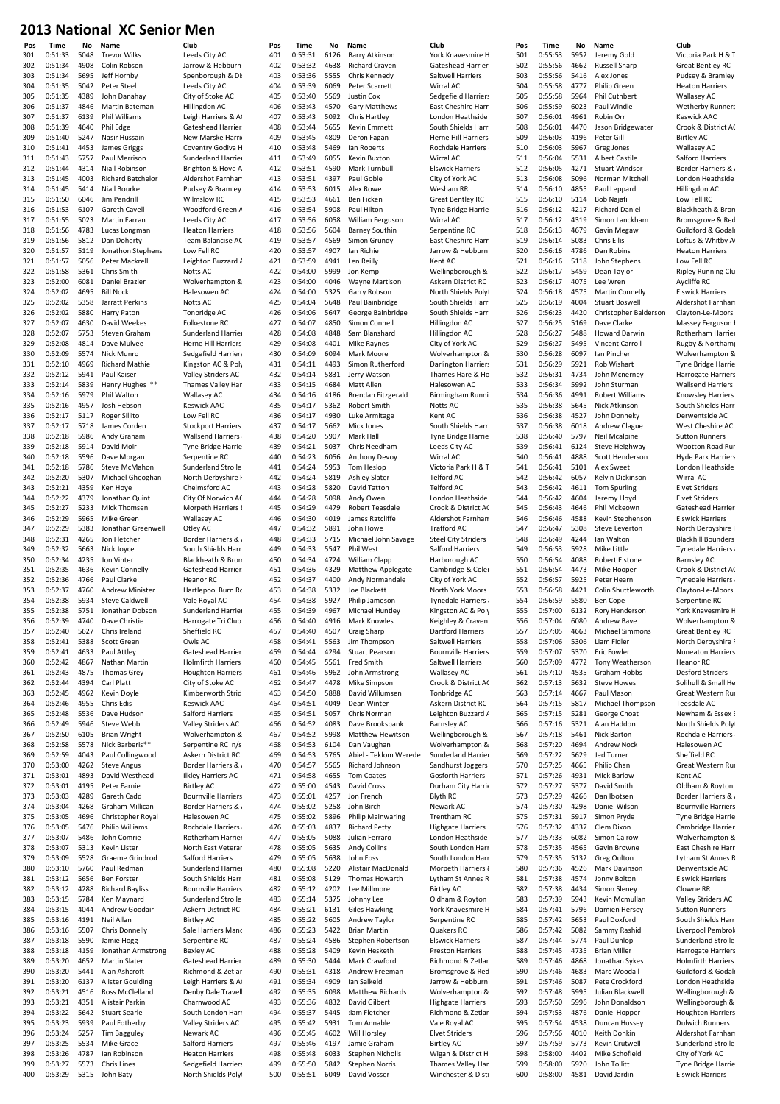| Club                                           |
|------------------------------------------------|
| Leeds City AC                                  |
| Jarrow & Hebburn<br>Spenborough & Di:          |
| Leeds City AC                                  |
| City of Stoke AO                               |
| Hillingdon AC                                  |
| Leigh Harriers & A                             |
| Gateshead Harrier                              |
| New Marske Harrio                              |
| Coventry Godiva H                              |
| Sunderland Harrier                             |
| Brighton & Hove A                              |
| Aldershot Farnham                              |
| Pudsey & Bramley                               |
| Wilmslow RC                                    |
| Woodford Green A                               |
| Leeds City AC                                  |
| <b>Heaton Harriers</b>                         |
| Team Balancise AC                              |
| Low Fell RC                                    |
| Leighton Buzzard A                             |
| Notts AC                                       |
| Wolverhampton &                                |
| Halesowen AC                                   |
| Notts AC                                       |
| Tonbridge AC                                   |
| Folkestone RC                                  |
| Sunderland Harrier                             |
| <b>Herne Hill Harriers</b>                     |
| Sedgefield Harriers                            |
| Kingston AC & Poly                             |
| Valley Striders AC<br>Thames Valley Har        |
|                                                |
| <b>Wallasey AC</b>                             |
| Keswick AAC                                    |
| Low Fell RC                                    |
| <b>Stockport Harriers</b><br>Wallsend Harriers |
| Tyne Bridge Harrie                             |
| Serpentine RC                                  |
| Sunderland Stroller                            |
| North Derbyshire F                             |
| Chelmsford AC                                  |
| City Of Norwich AC                             |
| Morpeth Harriers &                             |
| <b>Wallasey AC</b>                             |
| Otley AC                                       |
| <b>Border Harriers &amp; </b>                  |
| South Shields Harri                            |
|                                                |
|                                                |
| Blackheath & Brom                              |
| Gateshead Harrier                              |
| Heanor RC<br>Hartlepool Burn Ro                |
| Vale Royal AC                                  |
| Sunderland Harrier                             |
| Harrogate Tri Club                             |
| R(<br>Sheffield                                |
| Owls AC                                        |
| Gateshead Harrier                              |
| <b>Holmfirth Harriers</b>                      |
| <b>Houghton Harriers</b>                       |
| City of Stoke AC                               |
| Kimberworth Strid                              |
| <b>Keswick AAC</b>                             |
| Salford Harriers                               |
| <b>Valley Striders AC</b>                      |
| Wolverhampton &                                |
| Serpentine RC n/s                              |
| Askern District RC                             |
| Border Harriers &                              |
| <b>Ilkley Harriers AC</b>                      |
| <b>Birtley AC</b>                              |
| <b>Bournville Harriers</b>                     |
| Border Harriers &                              |
| Halesowen AC                                   |
| Rochdale Harriers                              |
| Rotherham Harrier                              |
| North East Veterar                             |
| Salford Harriers                               |
| Sunderland Harrier                             |
| South Shields Harri                            |
| <b>Bournville Harriers</b>                     |
| Sunderland Strolle                             |
| Askern District RC                             |
| <b>Birtley AC</b>                              |
| Sale Harriers Mand                             |
| Serpentine RC<br>Bexley AC                     |
|                                                |
| Gateshead Harrier                              |
| Richmond & Zetlar<br>Leigh Harriers & A        |
|                                                |
| Denby Dale Travell<br>Charnwood AC             |
| South London Harr                              |
| Valley Striders AC                             |
| Newark AC                                      |
| Salford Harriers                               |
| <b>Heaton Harriers</b>                         |
| Sedgefield Harriers<br>North Shields Polyt     |

| Pos  | Time    | No           | Name                     | Club                         | Pos | Time               | No           | Name                                | Club                       | Pos        | Time               | No           | Name                   | Club        |
|------|---------|--------------|--------------------------|------------------------------|-----|--------------------|--------------|-------------------------------------|----------------------------|------------|--------------------|--------------|------------------------|-------------|
| 301  | 0:51:33 | 5048         | <b>Trevor Wilks</b>      | Leeds City AC                | 401 | 0:53:31            | 6126         | Barry Atkinson                      | York Knavesmire H          | 501        | 0:55:53            | 5952         | Jeremy Gold            | Victo       |
| 302  | 0:51:34 | 4908         | Colin Robson             | Jarrow & Hebburn             | 402 | 0:53:32            | 4638         | <b>Richard Craven</b>               | Gateshead Harrier.         | 502        | 0:55:56            | 4662         | <b>Russell Sharp</b>   | Grea        |
| 303  | 0:51:34 | 5695         | Jeff Hornby              | Spenborough & Di:            | 403 | 0:53:36            | 5555         | Chris Kennedy                       | Saltwell Harriers          | 503        | 0:55:56            | 5416         | Alex Jones             | Puds        |
| 304  | 0:51:35 | 5042         | Peter Steel              | Leeds City AC                | 404 | 0:53:39            | 6069         | Peter Scarrett                      | Wirral AC                  | 504        | 0:55:58            | 4777         | <b>Philip Green</b>    | Heat        |
| 305  | 0:51:35 | 4389         | John Danahay             | City of Stoke AC             | 405 | 0:53:40            | 5569         | Justin Cox                          | Sedgefield Harriers        | 505        | 0:55:58            | 5964         | Phil Cuthbert          | Wall        |
| 306  | 0:51:37 | 4846         | Martin Bateman           | Hillingdon AC                | 406 | 0:53:43            | 4570         | <b>Gary Matthews</b>                | East Cheshire Harr         | 506        | 0:55:59            | 6023         | Paul Windle            | Wet         |
| 307  | 0:51:37 | 6139         | Phil Williams            | Leigh Harriers & A           | 407 | 0:53:43            | 5092         | <b>Chris Hartley</b>                | London Heathside           | 507        | 0:56:01            | 4961         | Robin Orr              | Kesy        |
| 308  | 0:51:39 | 4640         |                          | Gateshead Harrier.           | 408 | 0:53:44            | 5655         | Kevin Emmett                        | South Shields Harri        | 508        | 0:56:01            | 4470         | Jason Bridgewater      |             |
|      |         |              | Phil Edge                |                              |     |                    |              |                                     |                            |            |                    |              |                        | Croc        |
| 309  | 0:51:40 | 5247         | Nasir Hussain            | New Marske Harrio            | 409 | 0:53:45            | 4809         | Deron Fagan                         | <b>Herne Hill Harriers</b> | 509        | 0:56:03            | 4196         | Peter Gill             | Birtl       |
| 310  | 0:51:41 | 4453         | James Griggs             | Coventry Godiva H            | 410 | 0:53:48            | 5469         | Ian Roberts                         | Rochdale Harriers          | 510        | 0:56:03            | 5967         | Greg Jones             | Wall        |
| 311  | 0:51:43 | 5757         | Paul Merrison            | Sunderland Harrier           | 411 | 0:53:49            | 6055         | Kevin Buxton                        | Wirral AC                  | 511        | 0:56:04            | 5531         | <b>Albert Castile</b>  | Salfo       |
| 312  | 0:51:44 | 4314         | Niall Robinson           | Brighton & Hove A            | 412 | 0:53:51            | 4590         | Mark Turnbull                       | <b>Elswick Harriers</b>    | 512        | 0:56:05            | 4271         | <b>Stuart Windsor</b>  | Borc        |
| 313  | 0:51:45 | 4003         | <b>Richard Batchelor</b> | Aldershot Farnham            | 413 | 0:53:51            | 4397         | Paul Goble                          | City of York AC            | 513        | 0:56:08            | 5096         | Norman Mitchell        | Lond        |
| 314  | 0:51:45 | 5414         | <b>Niall Bourke</b>      | Pudsey & Bramley             | 414 | 0:53:53            | 6015         | Alex Rowe                           | Wesham RR                  | 514        | 0:56:10            | 4855         | Paul Leppard           | Hillir      |
| 315  | 0:51:50 | 6046         | Jim Pendrill             | <b>Wilmslow RC</b>           | 415 | 0:53:53            | 4661         | Ben Ficken                          | <b>Great Bentley RC</b>    | 515        | 0:56:10            | 5114         | <b>Bob Najafi</b>      | Low         |
| 316  | 0:51:53 | 6107         | Gareth Cavell            | Woodford Green A             | 416 | 0:53:54            | 5908         | Paul Hilton                         | <b>Tyne Bridge Harrie</b>  | 516        | 0:56:12            | 4217         | <b>Richard Daniel</b>  | Blac        |
|      | 0:51:55 |              |                          |                              |     | 0:53:56            |              |                                     |                            |            |                    |              |                        |             |
| 317  |         | 5023         | Martin Farran            | Leeds City AC                | 417 |                    | 6058         | William Ferguson                    | Wirral AC                  | 517        | 0:56:12            | 4319         | Simon Lanckham         | Bror        |
| 318  | 0:51:56 | 4783         | Lucas Longman            | <b>Heaton Harriers</b>       | 418 | 0:53:56            | 5604         | <b>Barney Southin</b>               | Serpentine RC              | 518        | 0:56:13            | 4679         | Gavin Megaw            | Guil        |
| 319  | 0:51:56 | 5812         | Dan Doherty              | Team Balancise AC            | 419 | 0:53:57            | 4569         | Simon Grundy                        | East Cheshire Harr         | 519        | 0:56:14            | 5083         | Chris Ellis            | Loft        |
| 320  | 0:51:57 | 5119         | Jonathon Stephens        | Low Fell RC                  | 420 | 0:53:57            | 4907         | Ian Richie                          | Jarrow & Hebburn           | 520        | 0:56:16            | 4786         | Dan Robins             | Heat        |
| 321  | 0:51:57 | 5056         | Peter Mackrell           | Leighton Buzzard A           | 421 | 0:53:59            | 4941         | Len Reilly                          | Kent AC                    | 521        | 0:56:16            | 5118         | John Stephens          | Low         |
| 322  | 0:51:58 | 5361         | Chris Smith              | Notts AC                     | 422 | 0:54:00            | 5999         | Jon Kemp                            | Wellingborough &           | 522        | 0:56:17            | 5459         | Dean Taylor            | Riple       |
| 323  | 0:52:00 | 6081         | Daniel Brazier           | Wolverhampton &              | 423 | 0:54:00            | 4046         | Wayne Martison                      | Askern District RC         | 523        | 0:56:17            | 4075         | Lee Wren               | Aycl        |
| 324  | 0:52:02 | 4695         | <b>Bill Nock</b>         | Halesowen AC                 | 424 | 0:54:00            | 5325         | Garry Robson                        | North Shields Polyt        | 524        | 0:56:18            | 4575         | <b>Martin Connelly</b> | Elsw        |
| 325  | 0:52:02 | 5358         | Jarratt Perkins          | Notts AC                     | 425 | 0:54:04            | 5648         | Paul Bainbridge                     | South Shields Harri        | 525        | 0:56:19            | 4004         | <b>Stuart Boswell</b>  | Alde        |
| 326  | 0:52:02 | 5880         | Harry Paton              | Tonbridge AC                 | 426 | 0:54:06            | 5647         | George Bainbridge                   | South Shields Harri        | 526        | 0:56:23            | 4420         | Christopher Balderson  | Clay        |
| 327  | 0:52:07 | 4630         |                          |                              | 427 | 0:54:07            | 4850         |                                     |                            | 527        | 0:56:25            | 5169         | Dave Clarke            |             |
|      |         |              | David Weekes             | Folkestone RC                |     | 0:54:08            |              | Simon Connell                       | Hillingdon AC              |            |                    |              |                        | Mas         |
| 328  | 0:52:07 | 5753         | Steven Graham            | Sunderland Harrier           | 428 |                    | 4848         | Sam Blanshard                       | Hillingdon AC              | 528        | 0:56:27            | 5488         | <b>Howard Darwin</b>   | Roth        |
| 329  | 0:52:08 | 4814         | Dave Mulvee              | Herne Hill Harriers          | 429 | 0:54:08            | 4401         | Mike Raynes                         | City of York AC            | 529        | 0:56:27            | 5495         | <b>Vincent Carroll</b> | Rugl        |
| 330  | 0:52:09 | 5574         | Nick Munro               | Sedgefield Harriers          | 430 | 0:54:09            | 6094         | Mark Moore                          | Wolverhampton &            | 530        | 0:56:28            | 6097         | Ian Pincher            | Wol         |
| 331  | 0:52:10 | 4969         | <b>Richard Mathie</b>    | Kingston AC & Poly           | 431 | 0:54:11            | 4493         | Simon Rutherford                    | Darlington Harriers        | 531        | 0:56:29            | 5921         | Rob Wishart            | Tyne        |
| 332  | 0:52:12 | 5941         | Paul Kaiser              | Valley Striders AC           | 432 | 0:54:14            | 5831         | Jerry Watson                        | Thames Hare & Ho           | 532        | 0:56:31            | 4734         | John Mcnerney          | Harr        |
| 333  | 0:52:14 | 5839         | Henry Hughes **          | Thames Valley Har            | 433 | 0:54:15            | 4684         | Matt Allen                          | Halesowen AC               | 533        | 0:56:34            | 5992         | John Sturman           | Wall        |
| 334  | 0:52:16 | 5979         | Phil Walton              | <b>Wallasey AC</b>           | 434 | 0:54:16            | 4186         | Brendan Fitzgerald                  | Birmingham Runni           | 534        | 0:56:36            | 4991         | <b>Robert Williams</b> | Knoy        |
| 335  | 0:52:16 | 4957         | Josh Hebson              | <b>Keswick AAC</b>           | 435 | 0:54:17            | 5362         | Robert Smith                        | Notts AC                   | 535        | 0:56:38            | 5645         | Nick Atkinson          | Sout        |
|      |         |              |                          |                              |     | 0:54:17            | 4930         |                                     |                            | 536        |                    | 4527         |                        |             |
| 336  | 0:52:17 | 5117         | Roger Sillito            | Low Fell RC                  | 436 |                    |              | Luke Armitage                       | Kent AC                    |            | 0:56:38            |              | John Donneky           | Derv        |
| 337  | 0:52:17 | 5718         | James Corden             | <b>Stockport Harriers</b>    | 437 | 0:54:17            | 5662         | Mick Jones                          | South Shields Harri        | 537        | 0:56:38            | 6018         | Andrew Clague          | Wes         |
| 338  | 0:52:18 | 5986         | Andy Graham              | Wallsend Harriers            | 438 | 0:54:20            | 5907         | Mark Hall                           | Tyne Bridge Harrie         | 538        | 0:56:40            | 5797         | Neil Mcalpine          | Sutt        |
| 339  | 0:52:18 | 5914         | David Moir               | Tyne Bridge Harrie           | 439 | 0:54:21            | 5037         | Chris Needham                       | Leeds City AC              | 539        | 0:56:41            | 6124         | Steve Heighway         | Woo         |
| 340  | 0:52:18 | 5596         | Dave Morgan              | Serpentine RC                | 440 | 0:54:23            | 6056         | Anthony Devoy                       | Wirral AC                  | 540        | 0:56:41            | 4888         | Scott Henderson        | Hyd         |
| 341  | 0:52:18 | 5786         | Steve McMahon            | Sunderland Strolle           | 441 | 0:54:24            | 5953         | Tom Heslop                          | Victoria Park H & T        | 541        | 0:56:41            | 5101         | Alex Sweet             | Lond        |
| 342  | 0:52:20 | 5307         | Michael Gheoghan         | North Derbyshire F           | 442 | 0:54:24            | 5819         | <b>Ashley Slater</b>                | <b>Telford AC</b>          | 542        | 0:56:42            | 6057         | Kelvin Dickinson       | Wirr        |
| 343  | 0:52:21 | 4359         | Ken Hoye                 | Chelmsford AC                | 443 | 0:54:28            | 5820         | David Tatton                        | <b>Telford AC</b>          | 543        | 0:56:42            | 4611         | <b>Tom Spurling</b>    | <b>Elve</b> |
| 344  | 0:52:22 | 4379         | Jonathan Quint           | City Of Norwich AC           | 444 | 0:54:28            | 5098         | Andy Owen                           | London Heathside           | 544        | 0:56:42            | 4604         | Jeremy Lloyd           | Elve        |
| 345  | 0:52:27 | 5233         | Mick Thomsen             | Morpeth Harriers {           | 445 | 0:54:29            | 4479         | Robert Teasdale                     | Crook & District AC        | 545        | 0:56:43            | 4646         | Phil Mckeown           | Gate        |
| 346  | 0:52:29 | 5965         | Mike Green               | <b>Wallasey AC</b>           | 446 | 0:54:30            | 4019         | James Ratcliffe                     | Aldershot Farnham          | 546        | 0:56:46            | 4588         | Kevin Stephenson       | Elsw        |
|      |         |              |                          |                              |     |                    |              |                                     |                            |            |                    |              |                        |             |
| 347  | 0:52:29 | 5383         | Jonathan Greenwell       | Otley AC                     | 447 | 0:54:32            | 5891         | John Howe                           | Trafford AC                | 547        | 0:56:47            | 5308         | Steve Leverton         | Nort        |
| 348  | 0:52:31 | 4265         | Jon Fletcher             | <b>Border Harriers &amp;</b> | 448 | 0:54:33            | 5715         | Michael John Savage                 | <b>Steel City Striders</b> | 548        | 0:56:49            | 4244         | Ian Walton             | Blac        |
| 349  | 0:52:32 | 5663         | Nick Joyce               | South Shields Harri          | 449 | 0:54:33            | 5547         | <b>Phil West</b>                    | Salford Harriers           | 549        | 0:56:53            | 5928         | Mike Little            | Tyne        |
| 350  | 0:52:34 | 4235         | Jon Vinter               | Blackheath & Bron            | 450 | 0:54:34            | 4724         | William Clapp                       | Harborough AC              | 550        | 0:56:54            | 4088         | <b>Robert Elstone</b>  | Barn        |
| 351  | 0:52:35 | 4636         | Kevin Connelly           | Gateshead Harrier.           | 451 | 0:54:36            | 4329         | <b>Matthew Applegate</b>            | Cambridge & Coler          | 551        | 0:56:54            | 4473         | Mike Hooper            | Croc        |
| 352  | 0:52:36 | 4766         | Paul Clarke              | <b>Heanor RC</b>             | 452 | 0:54:37            | 4400         | Andy Normandale                     | City of York AC            | 552        | 0:56:57            | 5925         | Peter Hearn            | Tyne        |
| 353  | 0:52:37 | 4760         | <b>Andrew Minister</b>   | Hartlepool Burn Rc           | 453 | 0:54:38            | 5332         | Joe Blackett                        | North York Moors           | 553        | 0:56:58            | 4421         | Colin Shuttleworth     | Clay        |
| 354  | 0:52:38 | 5934         | <b>Steve Caldwell</b>    | Vale Roval AC                | 454 | 0:54:38            | 5927         | Philip Jameson                      | Tynedale Harriers          | 554        | 0:56:59            | 5580         | <b>Ben Cope</b>        | Serp        |
| 355  | 0:52:38 |              | 5751 Jonathan Dobson     | Sunderland Harrier           | 455 | 0:54:39            |              | 4967 Michael Huntley                | Kingston AC & Poly         | 555        | 0:57:00            |              | 6132 Rory Henderson    | York        |
| 356. | 0:52:39 |              | 4740 Dave Christie       |                              | 456 | $0.54 - 40$        |              | 4916 Mark Knowles                   |                            | 556        | 0.57.04            |              | 6080 Andrew Baye       | Woh         |
|      |         |              |                          | Harrogate Tri Club           |     |                    |              |                                     | Keighley & Craven          |            |                    |              |                        |             |
| 357  | 0:52:40 | 5627         | Chris Ireland            | Sheffield RC                 | 457 | 0:54:40            | 4507         | Craig Sharp                         | Dartford Harriers          | 557        | 0:57:05            | 4663         | <b>Michael Simmons</b> | Grea        |
| 358  | 0:52:41 | 5388         | Scott Green              | Owls AC                      | 458 | 0:54:41            | 5563         | Jim Thompson                        | Saltwell Harriers          | 558        | 0:57:06            | 5306         | Liam Fidler            | Nort        |
| 359  | 0:52:41 | 4633         | Paul Attley              | Gateshead Harrier.           | 459 | 0:54:44            | 4294         | <b>Stuart Pearson</b>               | <b>Bournville Harriers</b> | 559        | 0:57:07            | 5370         | <b>Eric Fowler</b>     | Nun         |
| 360  | 0:52:42 | 4867         | Nathan Martin            | <b>Holmfirth Harriers</b>    | 460 | 0:54:45            | 5561         | Fred Smith                          | Saltwell Harriers          | 560        | 0:57:09            | 4772         | Tony Weatherson        | Hear        |
| 361  | 0:52:43 | 4875         | <b>Thomas Grey</b>       | <b>Houghton Harriers</b>     | 461 | 0:54:46            | 5962         | John Armstrong                      | <b>Wallasey AC</b>         | 561        | 0:57:10            | 4535         | Graham Hobbs           | Desf        |
| 362  | 0:52:44 | 4394         | Carl Platt               | City of Stoke AC             | 462 | 0:54:47            | 4478         | Mike Simpson                        | Crook & District AC        | 562        | 0:57:13            | 5632         | <b>Steve Howes</b>     | Solih       |
| 363  | 0:52:45 | 4962         | Kevin Doyle              | Kimberworth Strid            | 463 | 0:54:50            | 5888         | David Willumsen                     | Tonbridge AC               | 563        | 0:57:14            | 4667         | Paul Mason             | Grea        |
| 364  | 0:52:46 | 4955         | Chris Edis               | <b>Keswick AAC</b>           | 464 | 0:54:51            | 4049         | Dean Winter                         | Askern District RC         | 564        | 0:57:15            | 5817         | Michael Thompson       | Tees        |
| 365  | 0:52:48 | 5536         | Dave Hudson              | Salford Harriers             | 465 | 0:54:51            | 5057         | Chris Norman                        | Leighton Buzzard A         | 565        | 0:57:15            | 5281         | George Choat           | New         |
|      |         |              |                          |                              |     |                    |              |                                     |                            |            |                    |              | Alan Haddon            |             |
| 366  | 0:52:49 | 5946<br>6105 | <b>Steve Webb</b>        | Valley Striders AC           | 466 | 0:54:52<br>0:54:52 | 4083<br>5998 | Dave Brooksbank<br>Matthew Hewitson | <b>Barnsley AC</b>         | 566<br>567 | 0:57:16<br>0:57:18 | 5321<br>5461 | Nick Barton            | Nort        |
| 367  | 0:52:50 |              | <b>Brian Wright</b>      | Wolverhampton &              | 467 |                    |              |                                     | Wellingborough &           |            |                    |              |                        | Roch        |
| 368  | 0:52:58 | 5578         | Nick Barberis**          | Serpentine RC n/s            | 468 | 0:54:53            | 6104         | Dan Vaughan                         | Wolverhampton &            | 568        | 0:57:20            | 4694         | Andrew Nock            | Hale        |
| 369  | 0:52:59 | 4043         | Paul Collingwood         | Askern District RC           | 469 | 0:54:53            | 5765         | Abiel - Teklom Werede               | Sunderland Harrier         | 569        | 0:57:22            | 5629         | Jed Turner             | Shef        |
| 370  | 0:53:00 | 4262         | <b>Steve Angus</b>       | Border Harriers &            | 470 | 0:54:57            | 5565         | Richard Johnson                     | Sandhurst Joggers          | 570        | 0:57:25            | 4665         | Philip Chan            | Grea        |
| 371  | 0:53:01 | 4893         | David Westhead           | <b>Ilkley Harriers AC</b>    | 471 | 0:54:58            | 4655         | <b>Tom Coates</b>                   | <b>Gosforth Harriers</b>   | 571        | 0:57:26            | 4931         | <b>Mick Barlow</b>     | Kent        |
| 372  | 0:53:01 | 4195         | Peter Farnie             | <b>Birtley AC</b>            | 472 | 0:55:00            | 4543         | David Cross                         | Durham City Harrie         | 572        | 0:57:27            | 5377         | David Smith            | Oldh        |
| 373  | 0:53:03 | 4289         | Gareth Cadd              | <b>Bournville Harriers</b>   | 473 | 0:55:01            | 4257         | Jon French                          | Blyth RC                   | 573        | 0:57:29            | 4266         | Dan Ibotsen            | Borc        |
| 374  | 0:53:04 | 4268         | Graham Millican          | <b>Border Harriers &amp;</b> | 474 | 0:55:02            | 5258         | John Birch                          | Newark AC                  | 574        | 0:57:30            | 4298         | Daniel Wilson          | Bour        |
| 375  | 0:53:05 | 4696         | Christopher Royal        | Halesowen AC                 | 475 | 0:55:02            | 5896         | Philip Mainwaring                   | Trentham RC                | 575        | 0:57:31            | 5917         | Simon Pryde            | Tyne        |
| 376  | 0:53:05 | 5476         | Philip Williams          | Rochdale Harriers            | 476 | 0:55:03            | 4837         | <b>Richard Petty</b>                | <b>Highgate Harriers</b>   | 576        | 0:57:32            | 4337         | Clem Dixon             | Cam         |
| 377  | 0:53:07 | 5486         | John Comrie              | Rotherham Harrier            | 477 | 0:55:05            | 5088         | Julian Ferraro                      | London Heathside           | 577        | 0:57:33            | 6082         | Simon Calrow           | Wol         |
| 378  | 0:53:07 | 5313         | Kevin Lister             | North East Veterar           | 478 | 0:55:05            | 5635         | <b>Andy Collins</b>                 | South London Harr          | 578        | 0:57:35            | 4565         | Gavin Browne           | East        |
|      |         |              |                          |                              |     |                    |              |                                     |                            |            |                    |              |                        |             |
| 379  | 0:53:09 | 5528         | Graeme Grindrod          | Salford Harriers             | 479 | 0:55:05            | 5638         | John Foss                           | South London Harr          | 579        | 0:57:35            | 5132         | Greg Oulton            | Lyth        |
| 380  | 0:53:10 | 5760         | Paul Redman              | Sunderland Harrier           | 480 | 0:55:08            | 5220         | Alistair MacDonald                  | Morpeth Harriers &         | 580        | 0:57:36            | 4526         | Mark Davinson          | Derv        |
| 381  | 0:53:12 | 5656         | Ben Forster              | South Shields Harri          | 481 | 0:55:08            | 5129         | Thomas Howarth                      | Lytham St Annes R          | 581        | 0:57:38            | 4574         | Jonny Bolton           | Elsw        |
| 382  | 0:53:12 | 4288         | <b>Richard Bayliss</b>   | <b>Bournville Harriers</b>   | 482 | 0:55:12            | 4202         | Lee Millmore                        | <b>Birtley AC</b>          | 582        | 0:57:38            | 4434         | Simon Sleney           | Clow        |
| 383  | 0:53:15 | 5784         | Ken Maynard              | Sunderland Strolle           | 483 | 0:55:14            | 5375         | Johnny Lee                          | Oldham & Royton            | 583        | 0:57:39            | 5943         | Kevin Mcmullan         | Valle       |
| 384  | 0:53:15 | 4044         | Andrew Goodair           | Askern District RC           | 484 | 0:55:21            | 6131         | <b>Giles Hawking</b>                | York Knavesmire H          | 584        | 0:57:41            | 5796         | Damien Hersey          | Sutt        |
| 385  | 0:53:16 | 4191         | Neil Allan               | <b>Birtley AC</b>            | 485 | 0:55:22            | 5605         | Andrew Taylor                       | Serpentine RC              | 585        | 0:57:42            | 5653         | Paul Doxford           | Sout        |
| 386  | 0:53:16 | 5507         | Chris Donnelly           | Sale Harriers Manc           | 486 | 0:55:23            | 5422         | <b>Brian Martin</b>                 | Quakers RC                 | 586        | 0:57:42            | 5082         | Sammy Rashid           | Liver       |
|      | 0:53:18 | 5590         |                          |                              |     | 0:55:24            | 4586         |                                     |                            |            | 0:57:44            | 5774         | Paul Dunlop            |             |
| 387  |         |              | Jamie Hogg               | Serpentine RC                | 487 |                    |              | Stephen Robertson                   | <b>Elswick Harriers</b>    | 587        |                    |              |                        | Suno        |
| 388  | 0:53:18 | 4159         | Jonathan Armstrong       | <b>Bexley AC</b>             | 488 | 0:55:28            | 5409         | Kevin Hesketh                       | <b>Preston Harriers</b>    | 588        | 0:57:45            | 4735         | <b>Brian Miller</b>    | Harr        |
| 389  | 0:53:20 | 4652         | <b>Martin Slater</b>     | Gateshead Harrier:           | 489 | 0:55:30            | 5444         | Mark Crawford                       | Richmond & Zetlar          | 589        | 0:57:46            | 4868         | Jonathan Sykes         | Holn        |
| 390  | 0:53:20 | 5441         | Alan Ashcroft            | Richmond & Zetlar            | 490 | 0:55:31            | 4318         | Andrew Freeman                      | Bromsgrove & Red           | 590        | 0:57:46            | 4683         | Marc Woodall           | Guil        |
| 391  | 0:53:20 | 6137         | <b>Alister Goulding</b>  | Leigh Harriers & A           | 491 | 0:55:34            | 4909         | Ian Salkeld                         | Jarrow & Hebburn           | 591        | 0:57:46            | 5087         | Pete Crockford         | Lond        |
| 392  | 0:53:21 | 4516         | Ross McClelland          | Denby Dale Travell           | 492 | 0:55:35            | 6098         | Matthew Richards                    | Wolverhampton &            | 592        | 0:57:48            | 5995         | Julian Blackwell       | Well        |
| 393  | 0:53:21 | 4351         | Alistair Parkin          | Charnwood AC                 | 493 | 0:55:36            | 4832         | David Gilbert                       | <b>Highgate Harriers</b>   | 593        | 0:57:50            | 5996         | John Donaldson         | Well        |
| 394  | 0:53:22 | 5642         | <b>Stuart Searle</b>     | South London Harr            | 494 | 0:55:37            | 5445         | :iam Fletcher                       | Richmond & Zetlar          | 594        | 0:57:53            | 4876         | Daniel Hopper          | Hou         |
| 395  | 0:53:23 | 5939         | Paul Fotherby            | Valley Striders AC           | 495 | 0:55:42            | 5931         | Tom Annable                         | Vale Royal AC              | 595        | 0:57:54            | 4538         | Duncan Hussey          | Dulv        |
| 396  | 0:53:24 | 5257         | <b>Tim Bagguley</b>      | Newark AC                    | 496 | 0:55:45            | 4602         | Will Horsley                        | <b>Elvet Striders</b>      | 596        | 0:57:56            | 4010         | Keith Donkin           | Alde        |
| 397  | 0:53:25 | 5534         | <b>Mike Grace</b>        | Salford Harriers             | 497 | 0:55:46            | 4197         | Jamie Graham                        | <b>Birtley AC</b>          | 597        | 0:57:59            | 5773         | Kevin Crutwell         | Suno        |
|      |         |              |                          |                              |     |                    |              |                                     |                            |            |                    |              |                        |             |
| 398  | 0:53:26 | 4787         | lan Robinson             | <b>Heaton Harriers</b>       | 498 | 0:55:48            | 6033         | <b>Stephen Nicholls</b>             | Wigan & District H         | 598        | 0:58:00            | 4402         | Mike Schofield         | City        |
| 399  | 0:53:27 | 5573         | Chris Lines              | Sedgefield Harriers          | 499 | 0:55:50            | 5842         | <b>Stephen Norris</b>               | Thames Valley Har          | 599        | 0:58:00            | 5920         | John Tollitt           | Tyne        |
| 400  | 0:53:29 |              | 5315 John Baty           | North Shields Polyl          | 500 | 0:55:51            | 6049         | David Vosser                        | Winchester & Distr         | 600        | 0:58:00            | 4581         | David Jardin           | Elsw        |

501 0:55:53 5952 Jeremy Gold Victoria Park H & T<br>502 0:55:56 4662 Bussell Sharn Great Bentley RC 502 0:55:56 4662 Russell Sharp Great Bentley RC 504 0:55:58 4777 Philip Green Heaton Harriers 505 0:55:58 5964 Phil Cuthbert Wallasey AC 507 0:56:01 4961 Robin Orr Keswick AAC 0:56:01 4470 Jason Bridgewater Crook & District AC 509 0:56:03 4196 Peter Gill Birtley AC<br>
510 0:56:03 5967 Greg Jones Wallasey 510 0:56:03 5967 Greg Jones Wallasey AC 511 0:56:04 5531 Albert Castile Salford Harriers 512 0:56:05 4271 Stuart Windsor Border Harriers & 513 0:56:08 5096 Norman Mitchell London Heathside 514 0:56:10 4855 Paul Leppard Hillingdon AC 515 0:56:10 5114 Bob Najafi Low Fell RC 516 0:56:12 4217 Richard Daniel Blackheath & Bron<br>517 0:56:12 4319 Simon Lanckham Bromsgrove & Bec 518 0:56:13 4679 Gavin Megaw Guildford & Godali 0:56:14 5083 Chris Ellis Loftus & Whitby A<br>0:56:16 4786 Dan Robins Heaton Harriers 521 0:56:16 5118 John Stephens Low Fell RC 0:56:17 5459 Dean Taylor Ripley Running Clu 523 0:56:17 4075 Lee Wren Aycliffe RC 524 0:56:18 4575 Martin Connelly Elswick Harriers 0:56:23 4420 Christopher Balderson Clayton-Le-Moors<br>0:56:25 5169 Dave Clarke Massev Ferguson 528 0:56:27 5488 Howard Darwin Rotherham Harrier 529 0:56:27 5495 Vincent Carroll Rugby & Northampton Rugby & Rothampton Rugby & Northampton ACC 8 0:56:28 6097 Ian Pincher Wolverhampton & Bosses 6097 Ian Pincher Wolverhampton & 532 0:56:31 4734 John Mcnerney Harrogate Harriers 533 0:56:34 5992 John Sturman Wallsend Harriers <br>534 0:56:36 4991 Robert Williams Knowsley Harriers 0:56:36 4991 Robert Williams Knowsley Harriers<br>0:56:38 5645 Nick Atkinson South Shields Harr 535 0:56:38 5645 Nick Atkinson South Shields Harri 536 0:56:38 4527 John Donneky Derwentside AC 0:56:38 6018 Andrew Clague West Cheshire AC 538 0:56:40 5797 Neil Mcalpine Sutton Runners 539 0:56:41 6124 Steve Heighway Wootton Road Runners<br>540 0:56:41 4888 Scott Henderson Hyde Park Harriers 0:56:41 5101 Alex Sweet London Heathside 542 0:56:42 6057 Kelvin Dickinson Wirral AC 543 0:56:42 4611 Tom Spurling Elvet Striders<br>544 0:56:42 4604 Jeremy Lloyd Elvet Striders 544 0:56:42 4604 Jeremy Lloyd Elvet Striders 545 0:56:43 4646 Phil Mckeown Gateshead Harrier 546 0:56:46 4588 Kevin Stephenson Elswick Harriers 547 0:56:47 5308 Steve Leverton North Derbyshire E 548 0:56:49 4244 Ian Walton Blackhill Bounders 549 0:56:53 5928 Mike Little Tynedale Harriers & Tynedale Harriers & According to According the ACC 550 0.56:54 4088 Robert Elstone  $0:56:54$  4088 Robert Elstone<br> $0:56:54$  4473 Mike Hooper 0:56:54 4473 Mike Hooper Crook & District AC<br>0:56:57 5925 Peter Hearn Tynedale Harriers 553 0:56:58 4421 Colin Shuttleworth Clayton-Le-Moors 554 0:56:59 5580 Ben Cope Serpentine RC<br>555 0:57:00 6132 Rory Henderson York Knavesmi 556 0:57:04 6080 Andrew Bave Wolverhampton & 557 0:57:05 4663 Michael Simmons Great Bentley RC 558 0:57:06 5306 Liam Fidler North Derbyshire F<br>559 0:57:07 5370 Eric Fowler Nuneaton Harriers 559 0:57:07 5370 Eric Fowler Nuneaton Harriers<br>560 0:57:09 4772 Tony Weatherson Heanor RC 560 0:57:09 4772 Tony Weatherson<br>561 0:57:10 4535 Graham Hobbs 561 0:57:10 4535 Graham Hobbs Desford Striders 562 0:57:13 5632 Steve Howes Solihull & Small He 563 0:57:14 4667 Paul Mason Great Western Runners 30:57:15 5817 Michael Thompson Teesdale AC 564 0:57:15 5817 Michael Thompson<br>565 0:57:15 5281 George Choat 0:57:15 5281 George Choat Newham & Essex E<br>0:57:16 5321 Alan Haddon North Shields Polyi 566 0:57:16 5321 Alan Haddon North Shields Polyt 0:57:18 5461 Nick Barton Rochdale Harriers 568 0:57:20 4694 Andrew Nock Halesowen AC 0:57:22 5629 Jed Turner Sheffield RC<br>0:57:25 4665 Philip Chan Great Wester 571 0:57:26 4931 Mick Barlow Kent AC 0:57:27 5377 David Smith Clidham & Royton 13 0:57:29 4266 Dan Ibotsen Border Harriers & Border Harriers & Accorder Harriers & Accorder Harriers & Accorder Harriers & Accorder St 574 0:57:30 4298 Daniel Wilson Bournville Harriers 575 0:57:31 5917 Simon Pryde Tyne Bridge Harrier<br>576 0:57:32 4337 Clem Dixon Cambridge Harrier 576 0:57:32 4337 Clem Dixon Cambridge Harrier 577 0:57:33 6082 Simon Calrow Wolverhampton & 578 0:57:35 4565 Gavin Browne Fast Cheshire Harr 579 0:57:35 5132 Greg Oulton Lytham St Annes R<br>580 0:57:36 4526 Mark Davinson Derwentside AC 581 0:57:38 4574 Jonny Bolton Elswick Harriers 582 0:57:38 4434 Simon Sleney Clowne RR 583 0:57:39 5943 Kevin Mcmullan Valley Striders AC 584 0:57:41 5796 Damien Hersey Sutton Runners 585 0:57:42 5653 Paul Doxford South Shields Harri 586 0:57:42 5082 Sammy Rashid Liverpool Pembrok 587 0:57:44 5774 Paul Dunlop Sunderland Stroller 588 0:57:45 4735 Brian Miller Harrogate Harriers<br>589 0:57:46 4868 Ionathan Sykes Holmfirth Harriers 0:57:46 4683 Marc Woodall Guildford & Godall<br>0:57:46 5087 Pete Crockford London Heathside 591 0:57:46 5087 Pete Crockford London Heathside AC 0:57:48 5995 Julian Blackwell Wellingborough & 593 0:57:50 5996 John Donaldson Wellingborough & 0:57:53 4876 Daniel Hopper Houghton Harriers<br>0:57:54 4538 Duncan Hussey Dulwich Runners 596 0:57:56 4010 Keith Donkin Aldershot Farnhan 597 0:57:59 5773 Kevin Crutwell Sunderland Stroller 598 0:58:00 4402 Mike Schofield City of York AC 599 0:58:00 5920 John Tollitt Tyne Bridge Harrie 600 0:58:00 4581 David Jardin Elswick Harriers

Pudsey & Bramley .<br>Wetherby Runners Bromsgrove & Red .<br>Heaton Harriers Stuart Boswell Aldershot Farnham Massey Ferguson F Example 10:55 Rob Wishart Tyne Bridge Harriers<br>1251 10:55:29 Harrogate Harriers 540 0:56:41 4888 Scott Henderson Hyde Park Harriers Tynedale Harriers .<br>York Knavesmire H **Great Western Run** .<br>Derwentside AC 589 0:57:46 4868 Jonathan Sykes Holmfirth Harriers AC Dulwich Runners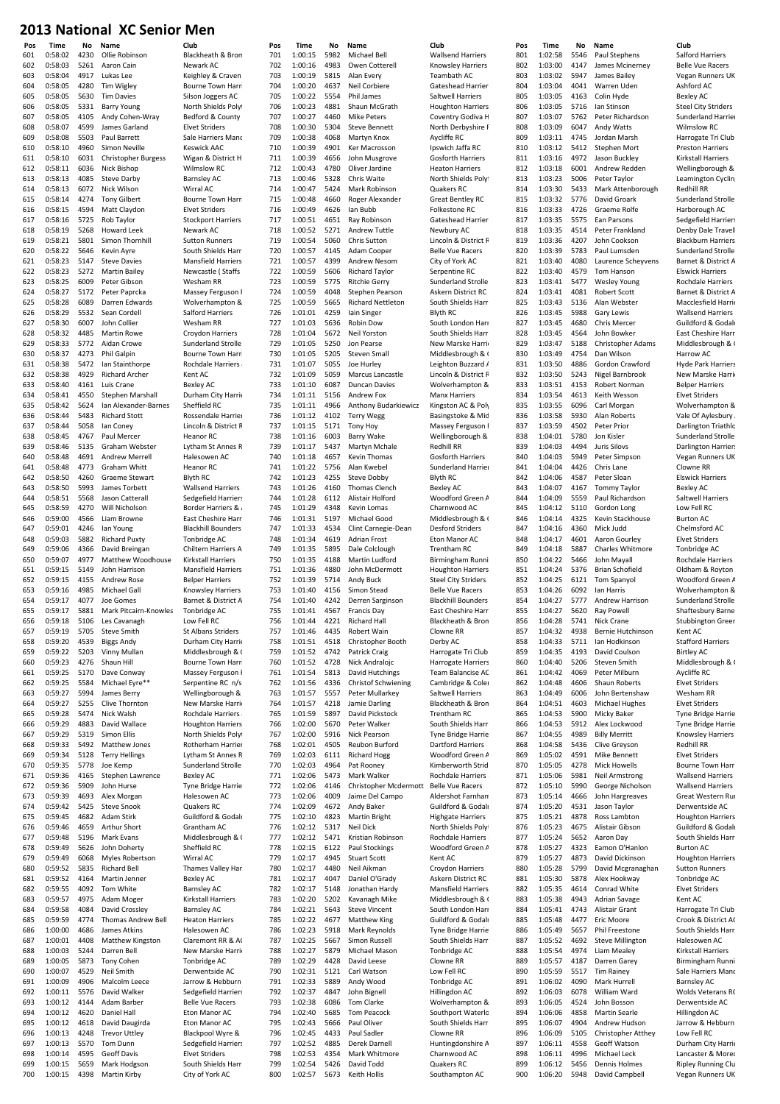| 601 | 0:58:02 | 4230 | Ollie Robinson             | Blackheath & Bron            | 70 |
|-----|---------|------|----------------------------|------------------------------|----|
| 602 | 0:58:03 | 5261 | Aaron Cain                 | Newark AC                    | 70 |
| 603 | 0:58:04 | 4917 | Lukas Lee                  | Keighley & Craven            | 70 |
| 604 | 0:58:05 | 4280 | Tim Wigley                 | Bourne Town Harri            | 70 |
| 605 | 0:58:05 | 5630 | <b>Tim Davies</b>          | Silson Joggers AC            | 70 |
| 606 | 0:58:05 | 5331 | <b>Barry Young</b>         | North Shields Polyt          | 70 |
| 607 | 0:58:05 | 4105 | Andy Cohen-Wray            | Bedford & County.            | 70 |
| 608 | 0:58:07 | 4599 | James Garland              | <b>Elvet Striders</b>        | 70 |
| 609 | 0:58:08 | 5503 | Paul Barrett               | Sale Harriers Manc           | 70 |
| 610 | 0:58:10 | 4960 | Simon Neville              | Keswick AAC                  | 71 |
| 611 | 0:58:10 | 6031 | <b>Christopher Burgess</b> | Wigan & District H           | 71 |
| 612 | 0:58:11 | 6036 | Nick Bishop                | <b>Wilmslow RC</b>           | 71 |
| 613 | 0:58:13 | 4085 | <b>Steve Darby</b>         | <b>Barnsley AC</b>           | 71 |
| 614 | 0:58:13 | 6072 | Nick Wilson                | Wirral AC                    | 71 |
| 615 | 0:58:14 | 4274 | <b>Tony Gilbert</b>        | Bourne Town Harri            | 71 |
| 616 | 0:58:15 | 4594 | Matt Claydon               | <b>Elvet Striders</b>        | 71 |
| 617 | 0:58:16 | 5725 | Rob Taylor                 | <b>Stockport Harriers</b>    | 71 |
| 618 | 0:58:19 | 5268 | <b>Howard Leek</b>         | Newark AC                    | 71 |
| 619 | 0:58:21 | 5801 | Simon Thornhill            | <b>Sutton Runners</b>        | 71 |
| 620 | 0:58:22 | 5646 | Kevin Ayre                 | South Shields Harri          | 72 |
| 621 | 0:58:23 | 5147 | <b>Steve Davies</b>        | <b>Mansfield Harriers</b>    | 72 |
| 622 | 0:58:23 | 5272 | <b>Martin Bailey</b>       | Newcastle (Staffs            | 72 |
| 623 | 0:58:25 | 6009 | Peter Gibson               | Wesham RR                    | 72 |
| 624 | 0:58:27 | 5172 | Peter Paprcka              | Massey Ferguson F            | 72 |
| 625 | 0:58:28 | 6089 | Darren Edwards             | Wolverhampton &              | 72 |
| 626 | 0:58:29 | 5532 | Sean Cordell               | Salford Harriers             | 72 |
| 627 | 0:58:30 | 6007 | John Collier               | Wesham RR                    | 72 |
| 628 | 0:58:32 | 4485 | Martin Rowe                | Croydon Harriers             | 72 |
| 629 | 0:58:33 | 5772 | Aidan Crowe                | Sunderland Strolle           | 72 |
| 630 | 0:58:37 | 4273 | Phil Galpin                | Bourne Town Harri            | 73 |
| 631 | 0:58:38 | 5472 | Ian Stainthorpe            | Rochdale Harriers            | 73 |
| 632 | 0:58:38 | 4929 | Richard Archer             | Kent AC                      | 73 |
| 633 | 0:58:40 | 4161 | Luis Crane                 | <b>Bexley AC</b>             | 73 |
| 634 | 0:58:41 | 4550 | Stephen Marshall           | Durham City Harrie           | 73 |
| 635 | 0:58:42 | 5624 | Ian Alexander-Barnes       | Sheffield RC                 | 73 |
| 636 | 0:58:44 | 5483 | <b>Richard Stott</b>       | Rossendale Harrier           | 73 |
| 637 | 0:58:44 | 5058 | lan Coney                  | Lincoln & District R         | 73 |
| 638 | 0:58:45 | 4767 | Paul Mercer                | <b>Heanor RC</b>             | 73 |
| 639 | 0:58:46 | 5135 | Graham Webster             | Lytham St Annes R            | 73 |
| 640 | 0:58:48 | 4691 | Andrew Merrell             | Halesowen AC                 | 74 |
| 641 | 0:58:48 | 4773 | <b>Graham Whitt</b>        | <b>Heanor RC</b>             | 74 |
| 642 | 0:58:50 | 4260 | <b>Graeme Stewart</b>      | <b>Blyth RC</b>              | 74 |
| 643 | 0:58:50 | 5993 | James Torbett              | Wallsend Harriers            | 74 |
| 644 | 0:58:51 | 5568 | Jason Catterall            | Sedgefield Harriers          | 74 |
| 645 | 0:58:59 | 4270 | Will Nicholson             | <b>Border Harriers &amp;</b> | 74 |
| 646 | 0:59:00 | 4566 | Liam Browne                | East Cheshire Harr           | 74 |
| 647 | 0:59:01 | 4246 | lan Young                  | <b>Blackhill Bounders</b>    | 74 |
| 648 | 0:59:03 | 5882 | <b>Richard Puxty</b>       | Tonbridge AC                 | 74 |
| 649 | 0:59:06 | 4366 | David Breingan             | Chiltern Harriers A          | 74 |
| 650 | 0:59:07 | 4977 | Matthew Woodhouse          | Kirkstall Harriers           | 75 |
|     |         |      |                            |                              |    |
|     |         |      |                            |                              |    |
| 651 | 0:59:15 | 5149 | John Harrison              | <b>Mansfield Harriers</b>    | 75 |
| 652 | 0:59:15 | 4155 | Andrew Rose                | <b>Belper Harriers</b>       | 75 |
| 653 | 0:59:16 | 4985 | Michael Gall               | Knowsley Harriers            | 75 |
| 654 | 0:59:17 | 4077 | Joe Gomes                  | Barnet & District A          | 75 |
| 655 | 0:59:17 | 5881 | Mark Pitcairn-Knowles      | Tonbridge AC                 | 75 |
| 656 | 0:59:18 | 5106 | Les Cavanagh               | Low Fell RC                  | 75 |
| 657 | 0:59:19 | 5705 | <b>Steve Smith</b>         | <b>St Albans Striders</b>    | 75 |
| 658 | 0:59:20 | 4539 | <b>Biggs Andy</b>          | Durham City Harrie           | 75 |
| 659 | 0:59:22 | 5203 | Vinny Mullan               | Middlesbrough & C            | 75 |
| 660 | 0:59:23 | 4276 | Shaun Hill                 | Bourne Town Harri            | 76 |
| 661 | 0:59:25 | 5170 | Dave Conway                | Massey Ferguson I            | 76 |
| 662 | 0:59:25 | 5584 | Michael Eyre**             | Serpentine RC n/s            | 76 |
| 663 | 0:59:27 | 5994 | James Berry                | Wellingborough &             | 76 |
| 664 | 0:59:27 | 5255 | Clive Thornton             | New Marske Harrie            | 76 |
| 665 | 0:59:28 | 5474 | Nick Walsh                 | Rochdale Harriers            | 76 |
| 666 | 0:59:29 | 4883 | David Wallace              | <b>Houghton Harriers</b>     | 76 |
| 667 | 0:59:29 | 5319 | Simon Ellis                | North Shields Polyt          | 76 |
| 668 | 0:59:33 | 5492 | Matthew Jones              | Rotherham Harrier            | 76 |
| 669 | 0:59:34 | 5128 | <b>Terry Hellings</b>      | Lytham St Annes R            | 76 |
| 670 | 0:59:35 | 5778 | Joe Kemp                   | Sunderland Strolle           | 77 |
| 671 | 0:59:36 | 4165 | Stephen Lawrence           | <b>Bexley AC</b>             | 77 |
| 672 | 0:59:36 | 5909 | John Hurse                 | <b>Tyne Bridge Harrie</b>    | 77 |
| 673 | 0:59:39 | 4693 | Alex Morgan                | Halesowen AC                 | 77 |
| 674 | 0:59:42 | 5425 | <b>Steve Snook</b>         | Quakers RC                   | 77 |
| 675 | 0:59:45 | 4682 | Adam Stirk                 | Guildford & Godalr           | 77 |
| 676 | 0:59:46 | 4659 | Arthur Short               | Grantham AC                  | 77 |
| 677 | 0:59:48 | 5196 | Mark Evans                 | Middlesbrough & (            | 77 |
| 678 | 0:59:49 | 5626 | John Doherty               | Sheffield RC                 | 77 |
| 679 | 0:59:49 | 6068 | Myles Robertson            | Wirral AC                    | 77 |
| 680 | 0:59:52 | 5835 | <b>Richard Bell</b>        | Thames Valley Har            | 78 |
| 681 | 0:59:52 | 4164 | Martin Jenner              | Bexley AC                    | 78 |
| 682 | 0:59:55 | 4092 | Tom White                  | <b>Barnsley AC</b>           | 78 |
| 683 | 0:59:57 | 4975 | Adam Moger                 | Kirkstall Harriers           | 78 |
| 684 | 0:59:58 | 4084 | David Crossley             | <b>Barnsley AC</b>           | 78 |
| 685 | 0:59:59 | 4774 | Thomas Andrew Bell         | <b>Heaton Harriers</b>       | 78 |
| 686 | 1:00:00 | 4686 | James Atkins               | Halesowen AC                 | 78 |
| 687 | 1:00:01 | 4408 | Matthew Kingston           | Claremont RR & AC            | 78 |
| 688 | 1:00:03 | 5244 | Darren Bell                | New Marske Harrio            | 78 |
| 689 | 1:00:05 | 5873 | <b>Tony Cohen</b>          | Tonbridge AC                 | 78 |
| 690 | 1:00:07 | 4529 | Neil Smith                 | Derwentside AC               | 79 |
| 691 | 1:00:09 | 4906 | Malcolm Leece              | Jarrow & Hebburn             | 79 |
| 692 | 1:00:11 | 5576 | David Walker               | Sedgefield Harriers          | 79 |
| 693 | 1:00:12 | 4144 | Adam Barber                | <b>Belle Vue Racers</b>      | 79 |
| 694 | 1:00:12 | 4620 | Daniel Hall                | Eton Manor AC                | 79 |
| 695 | 1:00:12 | 4618 | David Daugirda             | Eton Manor AC                | 79 |
| 696 | 1:00:13 | 4248 | <b>Trevor Uttley</b>       | Blackpool Wyre &             | 79 |
| 697 | 1:00:13 | 5570 | Tom Dunn                   | Sedgefield Harriers          | 79 |
| 698 | 1:00:14 | 4595 | Geoff Davis                | <b>Elvet Striders</b>        | 79 |
| 699 | 1:00:15 | 5659 | Mark Hodgson               | South Shields Harri          | 79 |

| Club                                                                                                                                         |
|----------------------------------------------------------------------------------------------------------------------------------------------|
| Blackheath & Brom                                                                                                                            |
| <b>Newark AC</b>                                                                                                                             |
| Geighley & Craven                                                                                                                            |
| Bourne Town Harri                                                                                                                            |
| Silson Joggers AC                                                                                                                            |
| <b>North Shields Polyt</b>                                                                                                                   |
| Bedford & County                                                                                                                             |
| Elvet Striders                                                                                                                               |
| Sale Harriers Mand                                                                                                                           |
| <b>Ceswick AAC</b>                                                                                                                           |
| Nigan & District H                                                                                                                           |
| <b>Nilmslow RC</b>                                                                                                                           |
| Barnsley AC                                                                                                                                  |
| Nirral AC                                                                                                                                    |
| Bourne Town Harri                                                                                                                            |
| Elvet Striders                                                                                                                               |
| Stockport Harriers                                                                                                                           |
| <b>Newark AC</b>                                                                                                                             |
| Sutton Runners                                                                                                                               |
| South Shields Harri                                                                                                                          |
| <b>Mansfield Harriers</b>                                                                                                                    |
| <b>Newcastle (Staffs</b>                                                                                                                     |
| Nesham RR                                                                                                                                    |
| <b>Massey Ferguson F</b>                                                                                                                     |
| <b>Nolverhampton &amp;</b>                                                                                                                   |
| Salford Harriers                                                                                                                             |
| <b>Nesham RR</b>                                                                                                                             |
| Croydon Harriers                                                                                                                             |
| Sunderland Strolle                                                                                                                           |
| Bourne Town Harri                                                                                                                            |
| Rochdale Harriers                                                                                                                            |
| <b>Cent AC</b>                                                                                                                               |
| Bexley AC                                                                                                                                    |
| <b>Durham City Harrie</b>                                                                                                                    |
| Sheffield RC                                                                                                                                 |
| Rossendale Harrier                                                                                                                           |
| .<br>Incoln & District R                                                                                                                     |
| Heanor RC                                                                                                                                    |
| eanon<br>_ytham St Annes R<br>-<br>alesowen AC                                                                                               |
|                                                                                                                                              |
| Heanor RC                                                                                                                                    |
| Blyth RC                                                                                                                                     |
| <b>Nallsend Harriers</b>                                                                                                                     |
| Sedgefield Harriers                                                                                                                          |
| ر & Border Harriers                                                                                                                          |
| East Cheshire Harr                                                                                                                           |
| <b>Blackhill Bounders</b>                                                                                                                    |
| <b>Tonbridge AC</b>                                                                                                                          |
|                                                                                                                                              |
| Chiltern Harriers A                                                                                                                          |
| <b>Kirkstall Harriers</b>                                                                                                                    |
| <b>Mansfield Harriers</b>                                                                                                                    |
| Belper Harriers                                                                                                                              |
| <b>Knowsley Harriers</b>                                                                                                                     |
| Barnet & District A                                                                                                                          |
| <b>Tonbridge AC</b>                                                                                                                          |
| ow Fell RC                                                                                                                                   |
| st Alba<br>'nd<br>ans Si                                                                                                                     |
| Durham City Harrie                                                                                                                           |
| Middlesbrough & O                                                                                                                            |
| Bourne Town Harri                                                                                                                            |
| Massey Ferguson F                                                                                                                            |
| Serpentine RC n/s                                                                                                                            |
| <b>Nellingborough &amp;</b>                                                                                                                  |
| <b>New Marske Harri</b> o                                                                                                                    |
| Rochdale Harriers                                                                                                                            |
| loughton Harriers                                                                                                                            |
| <b>North Shields Polyt</b>                                                                                                                   |
| Rotherham Harrier                                                                                                                            |
|                                                                                                                                              |
| ytham St Annes R                                                                                                                             |
| Sunderland Strolle                                                                                                                           |
| Bexley AC                                                                                                                                    |
|                                                                                                                                              |
| <b>Tyne Bridge Harrie</b><br>Halesowen AC                                                                                                    |
|                                                                                                                                              |
| Quakers RC<br>Guildford & Godalr                                                                                                             |
|                                                                                                                                              |
|                                                                                                                                              |
|                                                                                                                                              |
| Grantham AC<br>Middlesbrough & (<br>Sheffield RC<br>Nirral AC                                                                                |
| Thames Valley Har                                                                                                                            |
| Bexley AC                                                                                                                                    |
| Barnsley AC                                                                                                                                  |
| <b>Kirkstall Harriers</b>                                                                                                                    |
| Barnsley AC                                                                                                                                  |
|                                                                                                                                              |
|                                                                                                                                              |
| Heaton Harriers<br>Halesowen AC<br>Claremont RR & A                                                                                          |
|                                                                                                                                              |
|                                                                                                                                              |
|                                                                                                                                              |
|                                                                                                                                              |
|                                                                                                                                              |
| <b>New Marske Harri</b><br><b>Tonbridge AC</b><br>Derwentside A <mark>(</mark><br>arrow & Hebburn<br>Sedgefield Harriers<br>Belle Vue Racers |
| Eton Manor AC<br>ton Manor AC                                                                                                                |
| Blackpool Wyre &                                                                                                                             |
|                                                                                                                                              |
| Sedgefield Harriers<br>Elvet Striders                                                                                                        |
| South Shields Harri                                                                                                                          |

| Pos        | Time               | No           | Name                                     | Club                                                       | Pos        | Time               | No           | Name                                     | Club                                            | Pos        | <b>Time</b>        | No           | Name                                     | Club                      |
|------------|--------------------|--------------|------------------------------------------|------------------------------------------------------------|------------|--------------------|--------------|------------------------------------------|-------------------------------------------------|------------|--------------------|--------------|------------------------------------------|---------------------------|
| 501        | 0:58:02            | 4230         | Ollie Robinson                           | Blackheath & Bron                                          | 701        | 1:00:15            | 5982         | Michael Bell                             | Wallsend Harriers                               | 801        | 1:02:58            | 5546         | Paul Stephens                            | Salfo                     |
| 502        | 0:58:03            | 5261         | Aaron Cain                               | Newark AC                                                  | 702        | 1:00:16            | 4983         | Owen Cotterell                           | Knowsley Harriers                               | 802        | 1:03:00            | 4147         | James Mcinerney                          | Belle                     |
| 503        | 0:58:04            | 4917         | Lukas Lee                                | Keighley & Craven                                          | 703        | 1:00:19            | 5815         | Alan Every                               | Teambath AC                                     | 803        | 1:03:02            | 5947         | James Bailey                             | Vega                      |
| 504<br>505 | 0:58:05<br>0:58:05 | 4280<br>5630 | Tim Wigley<br><b>Tim Davies</b>          | Bourne Town Harri                                          | 704<br>705 | 1:00:20<br>1:00:22 | 4637<br>5554 | Neil Corbiere<br>Phil James              | Gateshead Harrier.<br>Saltwell Harriers         | 804<br>805 | 1:03:04<br>1:03:05 | 4041<br>4163 | Warren Uden                              | Ashf<br>Bexl              |
| 506        | 0:58:05            | 5331         | <b>Barry Young</b>                       | Silson Joggers AC<br>North Shields Polyt                   | 706        | 1:00:23            | 4881         | Shaun McGrath                            | <b>Houghton Harriers</b>                        | 806        | 1:03:05            | 5716         | Colin Hyde<br>lan Stinson                | Stee                      |
| 507        | 0:58:05            | 4105         | Andy Cohen-Wray                          | Bedford & County                                           | 707        | 1:00:27            | 4460         | <b>Mike Peters</b>                       | Coventry Godiva H                               | 807        | 1:03:07            | 5762         | Peter Richardson                         | Suno                      |
| 508        | 0:58:07            | 4599         | James Garland                            | <b>Elvet Striders</b>                                      | 708        | 1:00:30            | 5304         | <b>Steve Bennett</b>                     | North Derbyshire F                              | 808        | 1:03:09            | 6047         | Andy Watts                               | Wiln                      |
| 509        | 0:58:08            | 5503         | Paul Barrett                             | Sale Harriers Manc                                         | 709        | 1:00:38            | 4068         | Martyn Knox                              | Aycliffe RC                                     | 809        | 1:03:11            | 4745         | Jordan Marsh                             | Harr                      |
| 510        | 0:58:10            | 4960         | Simon Neville                            | <b>Keswick AAC</b>                                         | 710        | 1:00:39            | 4901         | Ker Macrosson                            | Ipswich Jaffa RC                                | 810        | 1:03:12            | 5412         | Stephen Mort                             | Pres                      |
| 511        | 0:58:10            | 6031         | <b>Christopher Burgess</b>               | Wigan & District H                                         | 711        | 1:00:39            | 4656         | John Musgrove                            | <b>Gosforth Harriers</b>                        | 811        | 1:03:16            | 4972         | Jason Buckley                            | Kirks                     |
| 512        | 0:58:11            | 6036         | Nick Bishop                              | <b>Wilmslow RC</b>                                         | 712        | 1:00:43            | 4780         | Oliver Jardine                           | <b>Heaton Harriers</b>                          | 812        | 1:03:18            | 6001         | Andrew Redden                            | Well                      |
| 513        | 0:58:13<br>0:58:13 | 4085         | <b>Steve Darby</b>                       | <b>Barnsley AC</b>                                         | 713        | 1:00:46            | 5328         | Chris Waite<br>Mark Robinson             | North Shields Polyl                             | 813<br>814 | 1:03:23            | 5006         | Peter Taylor                             | Lear                      |
| 514<br>515 | 0:58:14            | 6072<br>4274 | Nick Wilson<br><b>Tony Gilbert</b>       | Wirral AC<br>Bourne Town Harri                             | 714<br>715 | 1:00:47<br>1:00:48 | 5424<br>4660 | Roger Alexander                          | Quakers RC<br><b>Great Bentley RC</b>           | 815        | 1:03:30<br>1:03:32 | 5433<br>5776 | Mark Attenborough<br>David Groark        | Red<br>Suno               |
| 516        | 0:58:15            | 4594         | Matt Claydon                             | <b>Elvet Striders</b>                                      | 716        | 1:00:49            | 4626         | Ian Bubb                                 | Folkestone RC                                   | 816        | 1:03:33            | 4726         | Graeme Rolfe                             | Hart                      |
| 517        | 0:58:16            | 5725         | Rob Taylor                               | <b>Stockport Harriers</b>                                  | 717        | 1:00:51            | 4651         | Ray Robinson                             | Gateshead Harrier                               | 817        | 1:03:35            | 5575         | Ean Parsons                              | Sedg                      |
| 518        | 0:58:19            | 5268         | Howard Leek                              | Newark AC                                                  | 718        | 1:00:52            | 5271         | <b>Andrew Tuttle</b>                     | Newbury AC                                      | 818        | 1:03:35            | 4514         | Peter Frankland                          | Denl                      |
| 519        | 0:58:21            | 5801         | Simon Thornhill                          | <b>Sutton Runners</b>                                      | 719        | 1:00:54            | 5060         | Chris Sutton                             | Lincoln & District R                            | 819        | 1:03:36            | 4207         | John Cookson                             | Blac                      |
| 520        | 0:58:22            | 5646         | Kevin Ayre                               | South Shields Harri                                        | 720        | 1:00:57            | 4145         | Adam Cooper                              | <b>Belle Vue Racers</b>                         | 820        | 1:03:39            | 5783         | Paul Lumsden                             | Suno                      |
| 521        | 0:58:23            | 5147         | <b>Steve Davies</b>                      | <b>Mansfield Harriers</b>                                  | 721        | 1:00:57            | 4399         | Andrew Nesom                             | City of York AC                                 | 821        | 1:03:40            | 4080         | Laurence Scheyvens                       | Barn                      |
| 522        | 0:58:23            | 5272         | <b>Martin Bailey</b>                     | Newcastle (Staffs                                          | 722        | 1:00:59            | 5606         | <b>Richard Taylor</b>                    | Serpentine RC                                   | 822        | 1:03:40            | 4579         | Tom Hanson                               | Elsw                      |
| 523        | 0:58:25<br>0:58:27 | 6009<br>5172 | Peter Gibson                             | Wesham RR                                                  | 723<br>724 | 1:00:59<br>1:00:59 | 5775<br>4048 | <b>Ritchie Gerry</b><br>Stephen Pearson  | Sunderland Strolle                              | 823<br>824 | 1:03:41<br>1:03:41 | 5477<br>4081 | <b>Wesley Young</b>                      | Roch                      |
| 524<br>525 | 0:58:28            | 6089         | Peter Paprcka<br>Darren Edwards          | Massey Ferguson F<br>Wolverhampton &                       | 725        | 1:00:59            | 5665         | <b>Richard Nettleton</b>                 | Askern District RC<br>South Shields Harri       | 825        | 1:03:43            | 5136         | <b>Robert Scott</b><br>Alan Webster      | Barn<br>Mac               |
| 526        | 0:58:29            | 5532         | Sean Cordell                             | Salford Harriers                                           | 726        | 1:01:01            | 4259         | Iain Singer                              | <b>Blyth RC</b>                                 | 826        | 1:03:45            | 5988         | <b>Gary Lewis</b>                        | Wall                      |
| 527        | 0:58:30            | 6007         | John Collier                             | Wesham RR                                                  | 727        | 1:01:03            | 5636         | <b>Robin Dow</b>                         | South London Harr                               | 827        | 1:03:45            | 4680         | Chris Mercer                             | Guil                      |
| 528        | 0:58:32            | 4485         | <b>Martin Rowe</b>                       | Croydon Harriers                                           | 728        | 1:01:04            | 5672         | Neil Yorston                             | South Shields Harri                             | 828        | 1:03:45            | 4564         | John Bowker                              | East                      |
| 529        | 0:58:33            | 5772         | Aidan Crowe                              | Sunderland Strolle                                         | 729        | 1:01:05            | 5250         | Jon Pearse                               | New Marske Harrie                               | 829        | 1:03:47            | 5188         | <b>Christopher Adams</b>                 | Mid                       |
| 530        | 0:58:37            | 4273         | Phil Galpin                              | <b>Bourne Town Harri</b>                                   | 730        | 1:01:05            | 5205         | <b>Steven Small</b>                      | Middlesbrough & C                               | 830        | 1:03:49            | 4754         | Dan Wilson                               | Harr                      |
| 531        | 0:58:38            | 5472         | Ian Stainthorpe                          | Rochdale Harriers                                          | 731        | 1:01:07            | 5055         | Joe Hurley                               | Leighton Buzzard A                              | 831        | 1:03:50            | 4886         | Gordon Crawford                          | Hyd                       |
| 532        | 0:58:38            | 4929         | Richard Archer                           | Kent AC                                                    | 732        | 1:01:09            | 5059         | Marcus Lancastle                         | Lincoln & District R                            | 832        | 1:03:50            | 5243         | Nigel Barnbrook                          | New                       |
| 533        | 0:58:40<br>0:58:41 | 4161<br>4550 | Luis Crane                               | <b>Bexley AC</b>                                           | 733        | 1:01:10<br>1:01:11 | 6087         | Duncan Davies                            | Wolverhampton &<br><b>Manx Harriers</b>         | 833        | 1:03:51<br>1:03:54 | 4153<br>4613 | Robert Norman                            | Belp                      |
| 534<br>535 | 0:58:42            | 5624         | Stephen Marshall<br>Ian Alexander-Barnes | Durham City Harrie<br>Sheffield RC                         | 734<br>735 | 1:01:11            | 5156<br>4966 | Andrew Fox<br>Anthony Budarkiewicz       | Kingston AC & Poly                              | 834<br>835 | 1:03:55            | 6096         | Keith Wesson<br>Carl Morgan              | Elve <sup>®</sup><br>Wol  |
| 536        | 0:58:44            | 5483         | <b>Richard Stott</b>                     | Rossendale Harrier                                         | 736        | 1:01:12            | 4102         | <b>Terry Wegg</b>                        | Basingstoke & Mid                               | 836        | 1:03:58            | 5930         | Alan Roberts                             | Vale                      |
| 537        | 0:58:44            | 5058         | lan Coney                                | Lincoln & District R                                       | 737        | 1:01:15            | 5171         | <b>Tony Hoy</b>                          | Massey Ferguson F                               | 837        | 1:03:59            | 4502         | Peter Prior                              | Darl                      |
| 538        | 0:58:45            | 4767         | Paul Mercer                              | <b>Heanor RC</b>                                           | 738        | 1:01:16            | 6003         | <b>Barry Wake</b>                        | Wellingborough &                                | 838        | 1:04:01            | 5780         | Jon Kisler                               | Suno                      |
| 539        | 0:58:46            | 5135         | Graham Webster                           | Lytham St Annes R                                          | 739        | 1:01:17            | 5437         | Martyn Mchale                            | Redhill RR                                      | 839        | 1:04:03            | 4494         | Juris Silovs                             | Darl                      |
| 540        | 0:58:48            | 4691         | <b>Andrew Merrell</b>                    | Halesowen AC                                               | 740        | 1:01:18            | 4657         | Kevin Thomas                             | <b>Gosforth Harriers</b>                        | 840        | 1:04:03            | 5949         | Peter Simpson                            | Vega                      |
| 541        | 0:58:48            | 4773         | Graham Whitt                             | <b>Heanor RC</b>                                           | 741        | 1:01:22            | 5756         | Alan Kwebel                              | Sunderland Harrier                              | 841        | 1:04:04            | 4426         | Chris Lane                               | Clow                      |
| 542        | 0:58:50            | 4260         | Graeme Stewart                           | <b>Blyth RC</b>                                            | 742        | 1:01:23            | 4255         | <b>Steve Dobby</b>                       | <b>Blyth RC</b>                                 | 842        | 1:04:06            | 4587         | Peter Sloan                              | Elsw                      |
| 543        | 0:58:50            | 5993         | James Torbett                            | Wallsend Harriers                                          | 743<br>744 | 1:01:26            | 4160         | Thomas Clench                            | <b>Bexley AC</b>                                | 843        | 1:04:07            | 4167         | Tommy Taylor                             | Bexl                      |
| 544<br>545 | 0:58:51<br>0:58:59 | 5568<br>4270 | Jason Catterall<br>Will Nicholson        | <b>Sedgefield Harriers</b><br><b>Border Harriers &amp;</b> | 745        | 1:01:28<br>1:01:29 | 6112<br>4348 | Alistair Holford<br>Kevin Lomas          | Woodford Green A<br>Charnwood AC                | 844<br>845 | 1:04:09<br>1:04:12 | 5559<br>5110 | Paul Richardson<br>Gordon Long           | Salty<br>Low              |
| 546        | 0:59:00            | 4566         | Liam Browne                              | East Cheshire Harr                                         | 746        | 1:01:31            | 5197         | Michael Good                             | Middlesbrough & C                               | 846        | 1:04:14            | 4325         | Kevin Stackhouse                         | Burt                      |
| 547        | 0:59:01            | 4246         | lan Young                                | <b>Blackhill Bounders</b>                                  | 747        | 1:01:33            | 4534         | Clint Carnegie-Dean                      | <b>Desford Striders</b>                         | 847        | 1:04:16            | 4360         | Mick Judd                                | Chel                      |
| 548        | 0:59:03            | 5882         | <b>Richard Puxty</b>                     | Tonbridge AC                                               | 748        | 1:01:34            | 4619         | <b>Adrian Frost</b>                      | Eton Manor AC                                   | 848        | 1:04:17            | 4601         | Aaron Gourley                            | Elve <sup>®</sup>         |
| 549        | 0:59:06            | 4366         | David Breingan                           | Chiltern Harriers A                                        | 749        | 1:01:35            | 5895         | Dale Colclough                           | Trentham RC                                     | 849        | 1:04:18            | 5887         | Charles Whitmore                         | Tonb                      |
| 550        | 0:59:07            | 4977         | Matthew Woodhouse                        | Kirkstall Harriers                                         | 750        | 1:01:35            | 4188         | Martin Ludford                           | Birmingham Runni                                | 850        | 1:04:22            | 5466         | John Mayall                              | Roch                      |
| 551        | 0:59:15            | 5149         | John Harrison                            | <b>Mansfield Harriers</b>                                  | 751        | 1:01:36            | 4880         | John McDermott                           | <b>Houghton Harriers</b>                        | 851        | 1:04:24            | 5376         | <b>Brian Schofield</b>                   | Oldh                      |
| 552        | 0:59:15            | 4155         | <b>Andrew Rose</b>                       | <b>Belper Harriers</b>                                     | 752        | 1:01:39            | 5714         | Andy Buck                                | <b>Steel City Striders</b>                      | 852        | 1:04:25            | 6121         | <b>Tom Spanyol</b>                       | Woo                       |
| 553        | 0:59:16<br>0:59:17 | 4985<br>4077 | Michael Gall<br>Joe Gomes                | Knowsley Harriers                                          | 753<br>754 | 1:01:40<br>1:01:40 | 4156<br>4242 | Simon Stead                              | <b>Belle Vue Racers</b>                         | 853<br>854 | 1:04:26            | 6092<br>5777 | lan Harris                               | Wol                       |
| 554<br>555 | 0:59:17            | 5881         | Mark Pitcairn-Knowles                    | Barnet & District A<br>Tonbridge AC                        | 755        | 1:01:41            |              | Derren Sarginson<br>4567 Francis Day     | <b>Blackhill Bounders</b><br>East Cheshire Harr | 855        | 1:04:27<br>1:04:27 | 5620         | Andrew Harrison<br>Ray Powell            | Suno<br>Shaf              |
| 556        | 0:59:18            | 5106         | Les Cavanagh                             | Low Fell RC                                                | 756        | 1:01:44            | 4221         | <b>Richard Hall</b>                      | Blackheath & Bron                               | 856        | 1:04:28            | 5741         | Nick Crane                               | Stub                      |
| 557        | 0:59:19            | 5705         | <b>Steve Smith</b>                       | St Albans Striders                                         | 757        | 1:01:46            | 4435         | Robert Wain                              | Clowne RR                                       | 857        | 1:04:32            | 4938         | Bernie Hutchinson                        | Kent                      |
| 558        | 0:59:20            | 4539         | <b>Biggs Andy</b>                        | Durham City Harrie                                         | 758        | 1:01:51            | 4518         | Christopher Booth                        | Derby AC                                        | 858        | 1:04:33            | 5711         | Ian Hodkinson                            | Staf                      |
| 559        | 0:59:22            | 5203         | Vinny Mullan                             | Middlesbrough & (                                          | 759        | 1:01:52            | 4742         | Patrick Craig                            | Harrogate Tri Club                              | 859        | 1:04:35            | 4193         | David Coulson                            | Birtl                     |
| 560        | 0:59:23            | 4276         | Shaun Hill                               | Bourne Town Harri                                          | 760        | 1:01:52            | 4728         | Nick Andralojc                           | <b>Harrogate Harriers</b>                       | 860        | 1:04:40            | 5206         | Steven Smith                             | Mid                       |
| 561        | 0:59:25            | 5170         | Dave Conway                              | Massey Ferguson F                                          | 761        | 1:01:54            | 5813         | David Hutchings                          | Team Balancise AC                               | 861        | 1:04:42            | 4069         | Peter Milburn                            | Aycl                      |
| 562        | 0:59:25            | 5584         | Michael Eyre**                           | Serpentine RC n/s                                          | 762        | 1:01:56            | 4336         | <b>Christof Schwiening</b>               | Cambridge & Coler                               | 862        | 1:04:48            | 4606         | Shaun Roberts                            | <b>Elve</b>               |
| 563<br>564 | 0:59:27<br>0:59:27 | 5994<br>5255 | James Berry<br>Clive Thornton            | Wellingborough &<br>New Marske Harrio                      | 763<br>764 | 1:01:57<br>1:01:57 | 5557<br>4218 | Peter Mullarkey<br>Jamie Darling         | Saltwell Harriers<br>Blackheath & Bron          | 863<br>864 | 1:04:49<br>1:04:51 | 6006<br>4603 | John Bertenshaw<br><b>Michael Hughes</b> | Wes<br>Elve <sup>®</sup>  |
| 565        | 0:59:28            | 5474         | Nick Walsh                               | Rochdale Harriers                                          | 765        | 1:01:59            | 5897         | David Pickstock                          | <b>Trentham RC</b>                              | 865        | 1:04:53            | 5900         | <b>Micky Baker</b>                       | Tyne                      |
| 566        | 0:59:29            | 4883         | David Wallace                            | <b>Houghton Harriers</b>                                   | 766        | 1:02:00            | 5670         | Peter Walker                             | South Shields Harri                             | 866        | 1:04:53            | 5912         | Alex Lockwood                            | Tyne                      |
| 567        | 0:59:29            | 5319         | Simon Ellis                              | North Shields Polyt                                        | 767        | 1:02:00            | 5916         | Nick Pearson                             | Tyne Bridge Harrie                              | 867        | 1:04:55            | 4989         | <b>Billy Merritt</b>                     | Knoy                      |
| 568        | 0:59:33            | 5492         | Matthew Jones                            | Rotherham Harrier                                          | 768        | 1:02:01            | 4505         | Reubon Burford                           | <b>Dartford Harriers</b>                        | 868        | 1:04:58            | 5436         | Clive Greyson                            | Redl                      |
| 569        | 0:59:34            | 5128         | <b>Terry Hellings</b>                    | Lytham St Annes R                                          | 769        | 1:02:03            | 6111         | <b>Richard Hogg</b>                      | Woodford Green A                                | 869        | 1:05:02            | 4591         | Mike Bennett                             | Elve <sup>®</sup>         |
| 570        | 0:59:35            | 5778         | Joe Kemp                                 | Sunderland Strolle                                         | 770        | 1:02:03            | 4964         | Pat Rooney                               | Kimberworth Strid                               | 870        | 1:05:05            | 4278         | <b>Mick Howells</b>                      | Bour                      |
| 571        | 0:59:36<br>0:59:36 | 4165<br>5909 | Stephen Lawrence<br>John Hurse           | <b>Bexley AC</b>                                           | 771<br>772 | 1:02:06<br>1:02:06 | 5473<br>4146 | Mark Walker                              | Rochdale Harriers                               | 871<br>872 | 1:05:06            | 5981<br>5990 | <b>Neil Armstrong</b>                    | Wall                      |
| 572<br>573 | 0:59:39            | 4693         | Alex Morgan                              | Tyne Bridge Harrie<br>Halesowen AC                         | 773        | 1:02:06            | 4009         | Christopher Mcdermott<br>Jaime Del Campo | <b>Belle Vue Racers</b><br>Aldershot Farnham    | 873        | 1:05:10<br>1:05:14 | 4666         | George Nicholson<br>John Hargreaves      | Wall<br>Grea              |
| 574        | 0:59:42            | 5425         | <b>Steve Snook</b>                       | Quakers RC                                                 | 774        | 1:02:09            | 4672         | Andy Baker                               | Guildford & Godalr                              | 874        | 1:05:20            | 4531         | Jason Taylor                             | Derv                      |
| 575        | 0:59:45            | 4682         | Adam Stirk                               | Guildford & Godalr                                         | 775        | 1:02:10            | 4823         | Martin Bright                            | <b>Highgate Harriers</b>                        | 875        | 1:05:21            | 4878         | Ross Lambton                             | Hou                       |
| 576        | 0:59:46            | 4659         | Arthur Short                             | Grantham AC                                                | 776        | 1:02:12            | 5317         | <b>Neil Dick</b>                         | North Shields Polyl                             | 876        | 1:05:23            | 4675         | Alistair Gibson                          | Guil                      |
| 577        | 0:59:48            | 5196         | Mark Evans                               | Middlesbrough & C                                          | 777        | 1:02:12            | 5471         | Kristian Robinson                        | Rochdale Harriers                               | 877        | 1:05:24            | 5652         | Aaron Day                                | Sout                      |
| 578        | 0:59:49            | 5626         | John Doherty                             | Sheffield RC                                               | 778        | 1:02:15            | 6122         | Paul Stockings                           | Woodford Green A                                | 878        | 1:05:27            | 4323         | Eamon O'Hanlon                           | Burt                      |
| 579        | 0:59:49            | 6068         | Myles Robertson                          | Wirral AC                                                  | 779        | 1:02:17            | 4945         | <b>Stuart Scott</b>                      | Kent AC                                         | 879        | 1:05:27            | 4873         | David Dickinson                          | Hou                       |
| 580        | 0:59:52            | 5835         | <b>Richard Bell</b>                      | Thames Valley Har                                          | 780        | 1:02:17            | 4480         | Neil Aikman                              | Croydon Harriers                                | 880        | 1:05:28            | 5799         | David Mcgranaghan                        | Sutt                      |
| 581        | 0:59:52            | 4164         | Martin Jenner                            | <b>Bexley AC</b>                                           | 781        | 1:02:17            | 4047         | Daniel O'Grady                           | Askern District RC                              | 881        | 1:05:30            | 5878         | Alex Hookway                             | Tonb                      |
| 582<br>583 | 0:59:55<br>0:59:57 | 4092<br>4975 | Tom White<br>Adam Moger                  | <b>Barnsley AC</b><br>Kirkstall Harriers                   | 782<br>783 | 1:02:17<br>1:02:20 | 5148<br>5202 | Jonathan Hardy<br>Kavanagh Mike          | <b>Mansfield Harriers</b><br>Middlesbrough & C  | 882<br>883 | 1:05:35<br>1:05:38 | 4614<br>4943 | Conrad White<br>Adrian Savage            | Elve <sup>®</sup><br>Kent |
| 584        | 0:59:58            | 4084         | David Crossley                           | <b>Barnsley AC</b>                                         | 784        | 1:02:21            | 5643         | <b>Steve Vincent</b>                     | South London Harr                               | 884        | 1:05:41            | 4743         | Alistair Grant                           | Harr                      |
| 585        | 0:59:59            | 4774         | Thomas Andrew Bell                       | <b>Heaton Harriers</b>                                     | 785        | 1:02:22            | 4677         | <b>Matthew King</b>                      | Guildford & Godalr                              | 885        | 1:05:48            | 4477         | <b>Eric Moore</b>                        | Croc                      |
| 586        | 1:00:00            | 4686         | James Atkins                             | Halesowen AC                                               | 786        | 1:02:23            | 5918         | Mark Reynolds                            | Tyne Bridge Harrie                              | 886        | 1:05:49            | 5657         | Phil Freestone                           | Sout                      |
| 587        | 1:00:01            | 4408         | Matthew Kingston                         | Claremont RR & AC                                          | 787        | 1:02:25            | 5667         | Simon Russell                            | South Shields Harri                             | 887        | 1:05:52            | 4692         | <b>Steve Millington</b>                  | Hale                      |
| 588        | 1:00:03            | 5244         | Darren Bell                              | New Marske Harrie                                          | 788        | 1:02:27            | 5879         | Michael Mason                            | Tonbridge AC                                    | 888        | 1:05:54            | 4974         | Liam Mealey                              | Kirks                     |
| 589        | 1:00:05            | 5873         | <b>Tony Cohen</b>                        | Tonbridge AC                                               | 789        | 1:02:29            | 4428         | David Leese                              | Clowne RR                                       | 889        | 1:05:57            | 4187         | Darren Garey                             | Birm                      |
| 590        | 1:00:07            | 4529         | Neil Smith                               | Derwentside AC                                             | 790        | 1:02:31            | 5121         | Carl Watson                              | Low Fell RC                                     | 890        | 1:05:59            | 5517         | <b>Tim Rainey</b>                        | Sale                      |
| 591        | 1:00:09            | 4906         | Malcolm Leece                            | Jarrow & Hebburn                                           | 791        | 1:02:33            | 5889         | Andy Wood                                | Tonbridge AC                                    | 891        | 1:06:02            | 4090         | Mark Hurrell                             | Barn                      |
| 592<br>593 | 1:00:11<br>1:00:12 | 5576<br>4144 | David Walker<br>Adam Barber              | Sedgefield Harriers<br><b>Belle Vue Racers</b>             | 792<br>793 | 1:02:37<br>1:02:38 | 4847<br>6086 | John Bignell<br>Tom Clarke               | Hillingdon AC<br>Wolverhampton &                | 892<br>893 | 1:06:03<br>1:06:05 | 6078<br>4524 | William Ward<br>John Bosson              | Wol<br>Dery               |
| 594        | 1:00:12            | 4620         | Daniel Hall                              | Eton Manor AC                                              | 794        | 1:02:40            | 5685         | Tom Peacock                              | Southport Waterlo                               | 894        | 1:06:06            | 4858         | <b>Martin Searle</b>                     | Hillir                    |
| 595        | 1:00:12            | 4618         | David Daugirda                           | Eton Manor AC                                              | 795        | 1:02:43            | 5666         | Paul Oliver                              | South Shields Harri                             | 895        | 1:06:07            | 4904         | Andrew Hudson                            | Jarro                     |
| 596        | 1:00:13            | 4248         | <b>Trevor Uttley</b>                     | Blackpool Wyre &                                           | 796        | 1:02:45            | 4433         | Paul Sadler                              | Clowne RR                                       | 896        | 1:06:09            | 5105         | Christopher Atthey                       | Low                       |
| 597        | 1:00:13            | 5570         | Tom Dunn                                 | Sedgefield Harriers                                        | 797        | 1:02:52            | 4885         | Derek Darnell                            | Huntingdonshire A                               | 897        | 1:06:11            | 4558         | Geoff Watson                             | Durh                      |
| 598        | 1:00:14            | 4595         | Geoff Davis                              | <b>Elvet Striders</b>                                      | 798        | 1:02:53            | 4354         | Mark Whitmore                            | Charnwood AC                                    | 898        | 1:06:11            | 4996         | Michael Leck                             | Land                      |
| 599        | 1:00:15            | 5659         | Mark Hodgson                             | South Shields Harri                                        | 799        | 1:02:54            | 5426         | David Todd                               | Quakers RC                                      | 899        | 1:06:12            | 5456         | Dennis Holmes                            | Riple                     |
| 700        | 1:00:15            | 4398         | <b>Martin Kirby</b>                      | City of York AC                                            | 800        | 1:02:57            | 5673         | Keith Hollis                             | Southampton AC                                  | 900        | 1:06:20            | 5948         | David Campbell                           | Vega                      |

801 1:02:58 5546 Paul Stephens Salford Harriers<br>802 1:03:00 4147 James Mcinerney Belle Vue Racers 802 1:03:00 4147 James Mcinerney<br>803 1:03:02 5947 James Bailey 804 1:03:04 4041 Warren Uden Ashford AC 805 1:03:05 4163 Colin Hyde Bexley AC<br>806 1:03:05 5716 Ian Stinson Steel City 807 1:03:07 5762 Peter Richardson Sunderland Harrier 808 1:03:09 6047 Andy Watts Wilmslow RC 809 1:03:11 4745 Jordan Marsh Harrogate Tri Club<br>810 1:03:12 5412 Stephen Mort Preston Harriers 810 1:03:12 5412 Stephen Mort Preston Harriers 811 1:03:16 4972 Jason Buckley Kirkstall Harriers<br>812 1:03:18 6001 Andrew Redden Wellingborough 812 1:03:18 6001 Andrew Redden Wellingborough &<br>813 1:03:23 5006 Peter Taylor Leamington Cyclin 813 1:03:23 5006 Peter Taylor Leamington Cycling 814 1:03:30 5433 Mark Attenborough Redhill RR 815 1:03:32 5776 David Groark Sunderland Strollers<br>816 1:03:33 4726 Graeme Rolfe Harborough AC 816 1:03:33 4726 Graeme Rolfe Harborough AC<br>817 1:03:35 5575 Ean Parsons Sedeefield Harr 818 1:03:35 4514 Peter Frankland Denby Dale Travell 819 1:03:36 4207 John Cookson Blackburn Harriers 820 1:03:39 5783 Paul Lumsden Sunderland Stroller 821 1:03:40 4080 Laurence Scheyvens Barnet & District A 822 1:03:40 4579 Tom Hanson Elswick Harriers 823 1:03:41 5477 Wesley Young Rochdale Harriers 824 1:03:41 4081 Robert Scott Barnet & District A<br>825 1:03:43 5136 Alan Webster Macclesfield Harric 5136 Alan Webster Macclesfield Harrie 826 1:03:45 5988 Gary Lewis Wallsend Harriers (1992)<br>827 1:03:45 4680 Chris Mercer (1994) Guildford & Godali Chris Mercer Guildford & Godali 1:03:45 4564 John Bowker East Cheshire Harr 829 1:03:47 5188 Christopher Adams Middlesbrough & C 1:03:49 4754 Dan Wilson Harrow AC<br>1:03:50 4886 Gordon Crawford Hyde Park 832 1:03:50 5243 Nigel Barnbrook New Marske Harrie 1:03:51 4153 Robert Norman Belper Harriers<br>1:03:54 4613 Keith Wesson Elvet Striders 834 1:03:54 4613 Keith Wesson<br>835 1:03:55 6096 Carl Morgan 1:03:55 6096 Carl Morgan Wolverhampton & 1:03:58 5930 Alan Roberts Vale Of Aylesbury<br>1:03:59 4502 Peter Prior Darlington Triathle 837 1:03:59 4502 Peter Prior Darlington Triathlo 1:04:01 5780 Jon Kisler Sunderland Stroller 839 1:04:03 4494 Juris Silovs Darlington Harriers (1894) Darlington Harriers (1894) And Darlington Harriers (18 Peter Simpson Vegan Runners UK 841 1:04:04 4426 Chris Lane Clowne RR 842 1:04:06 4587 Peter Sloan Elswick Harriers 843 1:04:07 4167 Tommy Taylor Bexley AC<br>844 1:04:09 5559 Paul Richardson Saltwell Ha 5559 Paul Richardson Saltwell Harriers 845 1:04:12 5110 Gordon Long Low Fell RC 4325 Kevin Stackhouse Burton AC 847 1:04:16 4360 Mick Judd Chelmsford AC 848 1:04:17 4601 Aaron Gourley Elvet Striders<br>849 1:04:18 5887 Charles Whitmore Tonbridge AC 849 1:04:18 5887 Charles Whitmore Tonbridge AC 1:04:22 5466 John Mayall Rochdale Harriers Rochdale Harriers Rochdale Harriers & Accords Rochdale Harriers & Accords Rochdale Harriers & Accords Rochdale Harriers & Accords Rochdale Harriers & Accords Rochdale Harriers & A 851 1:04:24 5376 Brian Schofield Oldham & Royton 852 1:04:25 6121 Tom Spanyol Woodford Green A 853 1:04:26 6092 Ian Harris Wolverhampton & 854 1:04:27 5777 Andrew Harrison Sunderland Stroller<br>855 1:04:27 5620 Rav Powell Shaftesbury Barne 856 1:04:28 5741 Nick Crane Stubbington Green 857 1:04:32 4938 Bernie Hutchinson Kent AC 858 1:04:33 5711 Ian Hodkinson Stafford Harriers<br>859 1:04:35 4193 David Coulson Birtley AC 859 1:04:35 4193 David Coulson 860 1:04:40 5206 Steven Smith Middlesbrough & C<br>861 1:04:42 4069 Peter Milburn Aycliffe RC 861 1:04:42 4069 Peter Milburn 862 1:04:48 4606 Shaun Roberts Elvet Striders 863 1:04:49 6006 John Bertenshaw Wesham RR  $1:04:51$   $4603$  Michael Hughes<br> $1:04:53$   $5900$  Micky Baker 1:04:53 5900 Micky Baker Tyne Bridge Harrie<br>1:04:53 5912 Alex Lockwood Tyne Bridge Harrie 5912 Alex Lockwood Tyne Bridge Harrie 867 1:04:55 4989 Billy Merritt Knowsley Harriers 868 1:04:58 5436 Clive Greyson Redhill RR 1:05:02 4591 Mike Bennett Elvet Striders<br>1:05:05 4278 Mick Howells Bourne Town 871 1:05:06 5981 Neil Armstrong Wallsend Harriers 872 1:05:10 5990 George Nicholson Wallsend Harriers 1:05:14 4666 John Hargreaves Great Western Run 874 1:05:20 4531 Jason Taylor Derwentside AC 875 1:05:21 4878 Ross Lambton Houghton Harriers<br>876 1:05:23 4675 Alistair Gibson Guildford & Godalı 876 1:05:23 4675 Alistair Gibson Guildford & Godali 877 1:05:24 5652 Aaron Day South Shields Harri 878 1:05:27 4323 Eamon O'Hanlon Burton AC 879 1:05:27 4873 David Dickinson Houghton Harriers<br>880 1:05:28 5799 David Mcgranaghan Sutton Runners David Mcgranaghan 881 1:05:30 5878 Alex Hookway Tonbridge AC 882 1:05:35 4614 Conrad White Elvet Striders 883 1:05:38 4943 Adrian Savage Kent AC 884 1:05:41 4743 Alistair Grant Harrogate Tri Club 885 1:05:48 4477 Eric Moore Crook & District AC 886 1:05:49 5657 Phil Freestone South Shields Harri 887 1:05:52 4692 Steve Millington Halesowen AC 888 1:05:54 4974 Liam Mealey Kirkstall Harriers<br>889 1:05:57 4187 Darren Garey Birmingham Run 889 1:05:57 4187 Darren Garey Birmingham Runni 890 1:05:59 5517 Tim Rainey Sale Harriers Manchester 1:06:02 4090 Mark Hurrell Barnsley AC 891 1:06:02 4090 Mark Hurrell 892 1:06:03 6078 William Ward Wolds Veterans RC 893 1:06:05 4524 John Bosson Derwentside AC 894 1:06:06 4858 Martin Searle Hillingdon AC<br>895 1:06:07 4904 Andrew Hudson Jarrow & Heb 896 1:06:09 5105 Christopher Atthey Low Fell RC 897 1:06:11 4558 Geoff Watson Durham City Harrie 898 1:06:11 4996 Michael Leck Lancaster & Morec 899 1:06:12 5456 Dennis Holmes Ripley Running Clu 900 1:06:20 5948 David Campbell Vegan Runners UK

Vegan Runners UK steel City Striders Sedgefield Harriers Hyde Park Harriers Woodford Green A Shaftesbury Barne Bourne Town Harri Jarrow & Hebburn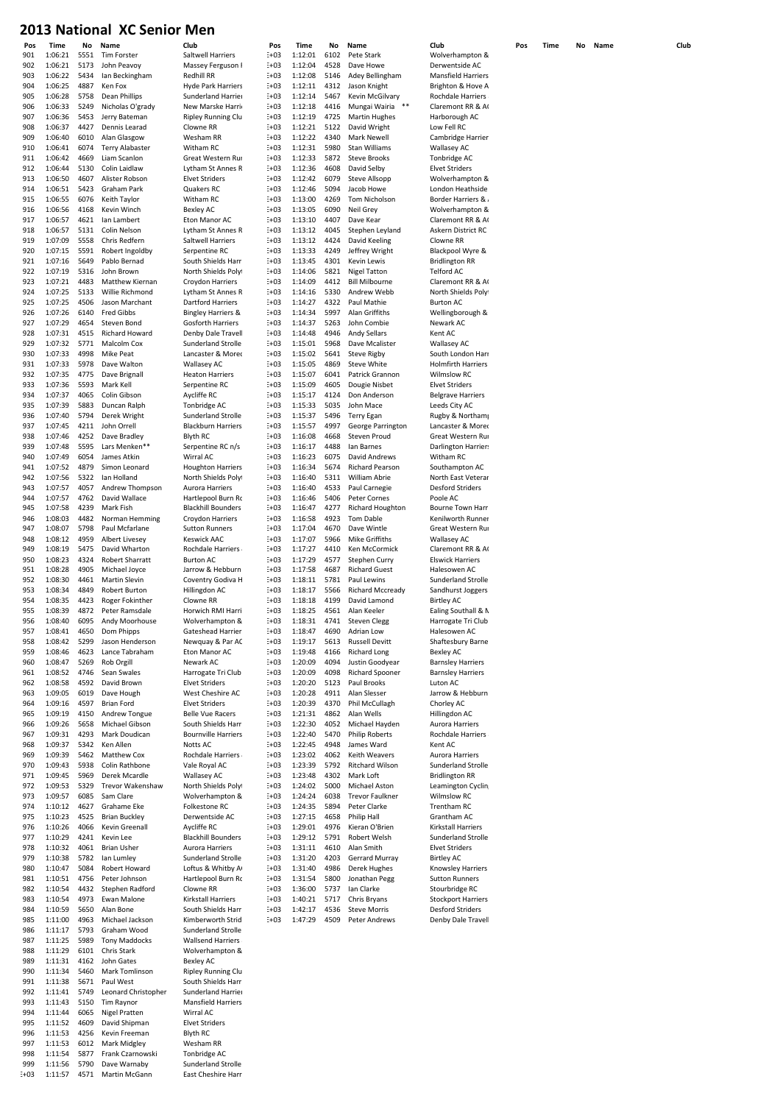| rus           | <b>TIME</b>        | IVΟ          | ivame                         | uup                                      | rι      |
|---------------|--------------------|--------------|-------------------------------|------------------------------------------|---------|
| 901           | 1:06:21            | 5551         | Tim Forster<br>John Peavoy    | Saltwell Harriers                        | Ξ+Ο     |
| 902<br>903    | 1:06:21            | 5173<br>5434 |                               | Massey Ferguson F                        | E+0     |
| 904           | 1:06:22            | 4887         | Ian Beckingham<br>Ken Fox     | Redhill RR                               | $E + C$ |
|               | 1:06:25            |              |                               | <b>Hyde Park Harriers</b>                | $E + C$ |
| 905           | 1:06:28            | 5758         | Dean Phillips                 | Sunderland Harrier                       | $E + C$ |
| 906           | 1:06:33            | 5249         | Nicholas O'grady              | New Marske Harrio                        | $E + C$ |
| 907           | 1:06:36            | 5453         | Jerry Bateman                 | <b>Ripley Running Clu</b>                | $E + C$ |
| 908           | 1:06:37            | 4427         | Dennis Learad                 | Clowne RR                                | $E + C$ |
| 909           | 1:06:40            | 6010         | Alan Glasgow                  | Wesham RR                                | $E + C$ |
| 910           | 1:06:41            | 6074         | Terry Alabaster               | Witham RC                                | $E + C$ |
| 911           | 1:06:42            | 4669         | Liam Scanlon                  | Great Western Rur                        | $E + C$ |
| 912           | 1:06:44            | 5130         | Colin Laidlaw                 | Lytham St Annes R                        | E+0     |
| 913           | 1:06:50            | 4607         | Alister Robson                | <b>Elvet Striders</b>                    | $E + C$ |
| 914           | 1:06:51            | 5423         | Graham Park                   | Quakers RC                               | $E + C$ |
| 915           | 1:06:55            | 6076         | Keith Taylor                  | Witham RC                                | $E + C$ |
| 916           | 1:06:56            | 4168         | Kevin Winch                   | <b>Bexley AC</b>                         | $E + C$ |
| 917           | 1:06:57            | 4621         | lan Lambert                   | Eton Manor AC                            | $E + C$ |
| 918           | 1:06:57            | 5131         | Colin Nelson                  | Lytham St Annes R                        | $E + C$ |
| 919           | 1:07:09            | 5558         | Chris Redfern                 | Saltwell Harriers                        | $E + C$ |
| 920           | 1:07:15            | 5591         | Robert Ingoldby               | Serpentine RC                            | $E + C$ |
| 921           | 1:07:16            | 5649         | Pablo Bernad                  | South Shields Harri                      | $E + C$ |
| 922           | 1:07:19            | 5316         | John Brown                    | North Shields Polyt                      | $E + C$ |
|               |                    |              |                               |                                          |         |
| 923           | 1:07:21            | 4483         | Matthew Kiernan               | Croydon Harriers                         | $E + C$ |
| 924           | 1:07:25            | 5133         | Willie Richmond               | Lytham St Annes R                        | $E + C$ |
| 925           | 1:07:25            | 4506         | Jason Marchant                | Dartford Harriers                        | E+0     |
| 926           | 1:07:26            | 6140         | <b>Fred Gibbs</b>             | <b>Bingley Harriers &amp;</b>            | $E + C$ |
| 927           | 1:07:29            | 4654         | Steven Bond                   | Gosforth Harriers                        | $E + C$ |
| 928           | 1:07:31            | 4515         | Richard Howard                | Denby Dale Travell                       | $E + C$ |
| 929           | 1:07:32            | 5771         | Malcolm Cox                   | Sunderland Strolle                       | $E + C$ |
| 930           | 1:07:33            | 4998         | <b>Mike Peat</b>              | Lancaster & Morec                        | $E + C$ |
| 931           | 1:07:33            | 5978         | Dave Walton                   | <b>Wallasey AC</b>                       | $E + C$ |
| 932           | 1:07:35            | 4775         | Dave Brignall                 | <b>Heaton Harriers</b>                   | $E + C$ |
| 933           | 1:07:36            | 5593         | Mark Kell                     | Serpentine RC                            | $E + C$ |
| 934           | 1:07:37            | 4065         | Colin Gibson                  | Aycliffe RC                              | $E + C$ |
| 935           | 1:07:39            | 5883         | Duncan Ralph                  | Tonbridge AC                             | $E + C$ |
| 936           | 1:07:40            | 5794         | Derek Wright                  | Sunderland Strolle                       | $E + C$ |
| 937           |                    |              |                               | <b>Blackburn Harriers</b>                |         |
|               | 1:07:45            | 4211         | John Orrell                   |                                          | $E + C$ |
| 938           | 1:07:46            | 4252         | Dave Bradley                  | <b>Blyth RC</b>                          | $E + C$ |
| 939           | 1:07:48            | 5595         | Lars Menken**                 | Serpentine RC n/s                        | $E + C$ |
| 940           | 1:07:49            | 6054         | James Atkin                   | Wirral AC                                | $E + C$ |
| 941           | 1:07:52            | 4879         | Simon Leonard                 | <b>Houghton Harriers</b>                 | $E + C$ |
| 942           | 1:07:56            | 5322         | lan Holland                   | North Shields Polyt                      | $E + C$ |
| 943           | 1:07:57            | 4057         | Andrew Thompson               | Aurora Harriers                          | $E + C$ |
| 944           | 1:07:57            | 4762         | David Wallace                 | Hartlepool Burn Rc                       | $E + C$ |
| 945           | 1:07:58            | 4239         | Mark Fish                     | <b>Blackhill Bounders</b>                | $E + C$ |
| 946           | 1:08:03            | 4482         | Norman Hemming                | Croydon Harriers                         | E+0     |
| 947           | 1:08:07            | 5798         | Paul Mcfarlane                | <b>Sutton Runners</b>                    | $E + C$ |
| 948           | 1:08:12            | 4959         | Albert Livesey                | <b>Keswick AAC</b>                       | $E + C$ |
| 949           | 1:08:19            | 5475         | David Wharton                 | Rochdale Harriers                        | $E + C$ |
| 950           | 1:08:23            | 4324         | Robert Sharratt               | <b>Burton AC</b>                         | $E + C$ |
| 951           | 1:08:28            | 4905         | Michael Joyce                 | Jarrow & Hebburn                         | $E + C$ |
| 952           | 1:08:30            | 4461         | Martin Slevin                 | Coventry Godiva H                        | $E + C$ |
|               |                    |              |                               | Hillingdon AC                            |         |
| 953           | 1:08:34            | 4849         | Robert Burton                 |                                          | $E + C$ |
| 954           | 1:08:35            | 4423         | Roger Fokinther               | Clowne RR                                | E+0     |
| 955           | 1:08:39            | 4872         | Peter Ramsdale                | Horwich RMI Harri                        | $E + C$ |
| 956           | 1:08:40            | 6095         | Andy Moorhouse                | Wolverhampton &                          | $E + C$ |
| 957           | 1:08:41            | 4650         | Dom Phipps                    | Gateshead Harrier.                       | Ξ+Ο     |
| 958           | 1:08:42            | 5299         | Jason Henderson               | Newquay & Par AC                         | E+C     |
| 959           | 1:08:46            | 4623         | Lance Tabraham                | Eton Manor AC                            | Ξ+Ο     |
| 960           | 1:08:47            | 5269         | Rob Orgill                    | Newark AC                                | $E + C$ |
| 961           | 1:08:52            | 4746         | Sean Swales                   | Harrogate Tri Club                       | Ξ+Ο     |
| 962           | 1:08:58            | 4592         | David Brown                   | <b>Elvet Striders</b>                    | $E + C$ |
| 963           | 1:09:05            | 6019         | Dave Hough                    | West Cheshire AC                         | $E + C$ |
| 964           | 1:09:16            | 4597         | Brian Ford                    | <b>Elvet Striders</b>                    | $E + C$ |
| 965           | 1:09:19            | 4150         | Andrew Tongue                 | <b>Belle Vue Racers</b>                  | $E + C$ |
| 966           | 1:09:26            | 5658         | Michael Gibson                | South Shields Harri                      | $E + C$ |
| 967           | 1:09:31            | 4293         | Mark Doudican                 | <b>Bournville Harriers</b>               | E+0     |
| 968           | 1:09:37            | 5342         | Ken Allen                     | Notts AC                                 | $E + C$ |
| 969           | 1:09:39            | 5462         | Matthew Cox                   | Rochdale Harriers                        | $E + C$ |
| 970           | 1:09:43            | 5938         | Colin Rathbone                | Vale Royal AC                            | $E + C$ |
| 971           | 1:09:45            | 5969         | Derek Mcardle                 | <b>Wallasey AC</b>                       | Ξ+Ο     |
| 972           | 1:09:53            | 5329         | <b>Trevor Wakenshaw</b>       | North Shields Polyt                      | $E + C$ |
| 973           | 1:09:57            | 6085         | Sam Clare                     | Wolverhampton &                          | $E + C$ |
|               |                    |              |                               |                                          |         |
| 974           | 1:10:12            | 4627         | Grahame Eke                   | Folkestone RC                            | $E + C$ |
| 975           | 1:10:23            | 4525         | <b>Brian Buckley</b>          | Derwentside AC                           | $E + C$ |
| 976           | 1:10:26            | 4066         | Kevin Greenall                | Aycliffe RC                              | $E + C$ |
| 977           | 1:10:29            | 4241         | Kevin Lee                     | <b>Blackhill Bounders</b>                | $E + C$ |
| 978           | 1:10:32            | 4061         | <b>Brian Usher</b>            | Aurora Harriers                          | $E + C$ |
| 979           | 1:10:38            | 5782         | lan Lumley                    | Sunderland Strolle                       | $E + C$ |
| 980           | 1:10:47            | 5084         | Robert Howard                 | Loftus & Whitby A                        | E+0     |
| 981           | 1:10:51            | 4756         | Peter Johnson                 | Hartlepool Burn Rc                       | $E + C$ |
| 982           | 1:10:54            | 4432         | Stephen Radford               | Clowne RR                                | $E + C$ |
| 983           | 1:10:54            | 4973         | Ewan Malone                   | Kirkstall Harriers                       | $E + C$ |
| 984           | 1:10:59            | 5650         | Alan Bone                     | South Shields Harri                      | Ξ+Ο     |
| 985           | 1:11:00            | 4963         | Michael Jackson               | Kimberworth Strid                        | $E + C$ |
| 986           | 1:11:17            | 5793         | Graham Wood                   | Sunderland Strolle                       |         |
| 987           | 1:11:25            | 5989         | <b>Tony Maddocks</b>          | Wallsend Harriers                        |         |
| 988           | 1:11:29            | 6101         | Chris Stark                   | Wolverhampton &                          |         |
| 989           | 1:11:31            | 4162         | John Gates                    | <b>Bexley AC</b>                         |         |
| 990           | 1:11:34            | 5460         | Mark Tomlinson                | <b>Ripley Running Clu</b>                |         |
| 991           | 1:11:38            | 5671         | Paul West                     | South Shields Harri                      |         |
| 992           | 1:11:41            | 5749         | Leonard Christopher           | Sunderland Harrier                       |         |
| 993           | 1:11:43            | 5150         | Tim Raynor                    | <b>Mansfield Harriers</b>                |         |
| 994           |                    | 6065         | <b>Nigel Pratten</b>          | Wirral AC                                |         |
|               |                    |              |                               |                                          |         |
|               | 1:11:44            |              |                               |                                          |         |
| 995           | 1:11:52            | 4609         | David Shipman                 | <b>Elvet Striders</b>                    |         |
| 996           | 1:11:53            | 4256         | Kevin Freeman                 | Blyth RC                                 |         |
| 997           | 1:11:53            | 6012         | Mark Midgley                  | Wesham RR                                |         |
| 998           | 1:11:54            | 5877         | Frank Czarnowski              | Tonbridge AC                             |         |
| 999<br>$E+03$ | 1:11:56<br>1:11:57 | 5790<br>4571 | Dave Warnaby<br>Martin McGann | Sunderland Strolle<br>East Cheshire Harr |         |

| Club<br>Saltwell Harriers                                 |
|-----------------------------------------------------------|
| Massey Ferguson F                                         |
| Redhill RR<br><b>Hyde Park Harriers</b>                   |
| Sunderland Harrier                                        |
| New Marske Harrie                                         |
| <b>Ripley Running Clu</b><br>Clowne RR                    |
| Wesham RR                                                 |
| Witham RC                                                 |
| Great Western Rur<br>Lytham St Annes R                    |
| <b>Elvet Striders</b>                                     |
| Quakers RC                                                |
| Witham RC<br><b>Bexley AC</b>                             |
| Eton Manor AC                                             |
| Lytham St Annes R<br>Saltwell Harriers                    |
| Serpentine RC                                             |
| South Shields Harri                                       |
| North Shields Polyt<br>Croydon Harriers                   |
| Lytham St Annes R                                         |
| <b>Dartford Harriers</b>                                  |
| <b>Bingley Harriers &amp;</b><br><b>Gosforth Harriers</b> |
| Denby Dale Travell                                        |
| Sunderland Stroller                                       |
| Lancaster & Mored<br><b>Wallasey AC</b>                   |
| <b>Heaton Harriers</b>                                    |
| Serpentine RC                                             |
| Aycliffe RC<br>Tonbridge AC                               |
| Sunderland Stroller                                       |
| <b>Blackburn Harriers</b>                                 |
| <b>Blyth RC</b><br>Serpentine RC n/s                      |
| Wirral AC                                                 |
| <b>Houghton Harriers</b>                                  |
| North Shields Polyt<br>Aurora Harriers                    |
| Hartlepool Burn Ro                                        |
| <b>Blackhill Bounders</b><br>Croydon Harriers             |
| <b>Sutton Runners</b>                                     |
| <b>Keswick AAC</b>                                        |
|                                                           |
| Rochdale Harriers                                         |
| <b>Burton AC</b><br>Jarrow & Hebburn                      |
| Coventry Godiva H                                         |
| Hillingdon AC                                             |
| Clowne RR<br>Horwich RMI Harri                            |
| Wolverhampton &                                           |
| Gateshead Har<br>.r                                       |
| Newquay & Par AC<br>Eton Manor AC                         |
| Newark AC                                                 |
| Harrogate Tri Club                                        |
| <b>Elvet Striders</b><br>West Cheshire AC                 |
| <b>Elvet Striders</b>                                     |
| <b>Belle Vue Racers</b>                                   |
| South Shields Harri<br><b>Bournville Harriers</b>         |
| Notts AC                                                  |
| Rochdale Harriers                                         |
| Vale Royal AC<br><b>Wallasey AC</b>                       |
| North Shields Polyl                                       |
| Wolverhampton &<br>Folkestone RC                          |
| Derwentside AC                                            |
| Aycliffe RC                                               |
| <b>Blackhill Bounders</b><br>Aurora Harriers              |
| Sunderland Strolle                                        |
| Loftus & Whitby A                                         |
| Hartlepool Burn Ro<br>Clowne RR                           |
| Kirkstall Harriers                                        |
| South Shields Harri                                       |
| Kimberworth Strid<br>Sunderland Strolle                   |
| Wallsend Harriers                                         |
| Wolverhampton &                                           |
| <b>Bexley AC</b><br><b>Ripley Running Clu</b>             |
| South Shields Harri                                       |
| Sunderland Harrier<br><b>Mansfield Harriers</b>           |
| Wirral AC<br><b>Elvet Striders</b>                        |

| Pos        | Time               | No           | Name                   | Club                                   | Pos                  | Time               | No           | Name                                | Club                              | Pos | Time | No | Name | Club |
|------------|--------------------|--------------|------------------------|----------------------------------------|----------------------|--------------------|--------------|-------------------------------------|-----------------------------------|-----|------|----|------|------|
| 901        | 1:06:21            | 5551         | Tim Forster            | Saltwell Harriers                      | $E+03$               | 1:12:01            | 6102         | Pete Stark                          | Wolverhampton &                   |     |      |    |      |      |
| 902        | 1:06:21            | 5173         | John Peavoy            | Massey Ferguson F                      | $E + 03$             | 1:12:04            | 4528         | Dave Howe                           | Derwentside AC                    |     |      |    |      |      |
| 903        | 1:06:22            | 5434         | Ian Beckingham         | Redhill RR                             | $E+03$               | 1:12:08            | 5146         | Adey Bellingham                     | <b>Mansfield Harriers</b>         |     |      |    |      |      |
| 904        | 1:06:25            | 4887         | Ken Fox                | <b>Hyde Park Harriers</b>              | $E+03$               | 1:12:11            | 4312         | Jason Knight                        | Brighton & Hove A                 |     |      |    |      |      |
| 905        | 1:06:28            | 5758         | Dean Phillips          | Sunderland Harrier                     | $E+03$               | 1:12:14            | 5467         | Kevin McGilvary                     | Rochdale Harriers                 |     |      |    |      |      |
| 906        | 1:06:33            | 5249         | Nicholas O'grady       | New Marske Harrio                      | $E+03$               | 1:12:18            | 4416         | Mungai Wairia                       | Claremont RR & AC                 |     |      |    |      |      |
| 907        | 1:06:36            | 5453         | Jerry Bateman          | <b>Ripley Running Clu</b>              | $E + 03$             | 1:12:19            | 4725         | <b>Martin Hughes</b>                | Harborough AC                     |     |      |    |      |      |
| 908        | 1:06:37            | 4427         | Dennis Learad          | Clowne RR                              | $E+03$               | 1:12:21            | 5122         | David Wright                        | Low Fell RC                       |     |      |    |      |      |
| 909        | 1:06:40            | 6010         | Alan Glasgow           | Wesham RR                              | $E+03$               | 1:12:22            | 4340         | Mark Newell                         | Cambridge Harrier                 |     |      |    |      |      |
| 910        | 1:06:41            | 6074         | <b>Terry Alabaster</b> | Witham RC                              | $E+03$               | 1:12:31            | 5980         | Stan Williams                       | <b>Wallasey AC</b>                |     |      |    |      |      |
|            |                    |              | Liam Scanlon           |                                        |                      |                    |              |                                     |                                   |     |      |    |      |      |
| 911        | 1:06:42            | 4669         |                        | Great Western Rur                      | $E+03$               | 1:12:33            | 5872         | <b>Steve Brooks</b>                 | Tonbridge AC                      |     |      |    |      |      |
| 912        | 1:06:44            | 5130         | Colin Laidlaw          | Lytham St Annes R                      | $E + 03$             | 1:12:36            | 4608         | David Selby                         | <b>Elvet Striders</b>             |     |      |    |      |      |
| 913        | 1:06:50            | 4607         | Alister Robson         | <b>Elvet Striders</b>                  | $E+03$               | 1:12:42            | 6079         | <b>Steve Allsopp</b>                | Wolverhampton &                   |     |      |    |      |      |
| 914        | 1:06:51            | 5423         | Graham Park            | Quakers RC                             | $E+03$               | 1:12:46            | 5094         | Jacob Howe                          | London Heathside                  |     |      |    |      |      |
| 915        | 1:06:55            | 6076         | Keith Taylor           | Witham RC                              | $E + 03$             | 1:13:00            | 4269         | Tom Nicholson                       | <b>Border Harriers &amp;</b>      |     |      |    |      |      |
| 916        | 1:06:56            | 4168         | Kevin Winch            | Bexley AC                              | $E + 03$             | 1:13:05            | 6090         | Neil Grev                           | Wolverhampton &                   |     |      |    |      |      |
| 917        | 1:06:57            | 4621         | lan Lambert            | Eton Manor AC                          | $E+03$               | 1:13:10            | 4407         | Dave Kear                           | Claremont RR & AC                 |     |      |    |      |      |
| 918        | 1:06:57            | 5131         | Colin Nelson           | Lytham St Annes R                      | $E + 03$             | 1:13:12            | 4045         | Stephen Leyland                     | Askern District RC                |     |      |    |      |      |
| 919        | 1:07:09            | 5558         | Chris Redfern          | Saltwell Harriers                      | $E + 03$             | 1:13:12            | 4424         | David Keeling                       | Clowne RR                         |     |      |    |      |      |
| 920        | 1:07:15            | 5591         | Robert Ingoldby        | Serpentine RC                          | $E+03$               | 1:13:33            | 4249         | Jeffrey Wright                      | Blackpool Wyre &                  |     |      |    |      |      |
| 921        | 1:07:16            | 5649         | Pablo Bernad           | South Shields Harri                    | $E+03$               | 1:13:45            | 4301         | Kevin Lewis                         | <b>Bridlington RR</b>             |     |      |    |      |      |
| 922        | 1:07:19            | 5316         | John Brown             | North Shields Polyt                    | $E+03$               | 1:14:06            | 5821         | <b>Nigel Tatton</b>                 | Telford AC                        |     |      |    |      |      |
| 923        | 1:07:21            | 4483         | Matthew Kiernan        | Croydon Harriers                       | $E+03$               | 1:14:09            | 4412         | <b>Bill Milbourne</b>               | Claremont RR & AC                 |     |      |    |      |      |
| 924        | 1:07:25            | 5133         | Willie Richmond        | Lytham St Annes R                      | $E+03$               | 1:14:16            | 5330         | Andrew Webb                         | North Shields Polyl               |     |      |    |      |      |
| 925        | 1:07:25            | 4506         | Jason Marchant         | Dartford Harriers                      | $E+03$               | 1:14:27            | 4322         | Paul Mathie                         | <b>Burton AC</b>                  |     |      |    |      |      |
| 926        | 1:07:26            | 6140         | <b>Fred Gibbs</b>      | <b>Bingley Harriers &amp;</b>          | $E+03$               | 1:14:34            | 5997         | Alan Griffiths                      |                                   |     |      |    |      |      |
|            |                    |              |                        |                                        |                      |                    |              |                                     | Wellingborough &                  |     |      |    |      |      |
| 927        | 1:07:29            | 4654         | Steven Bond            | Gosforth Harriers                      | $E+03$               | 1:14:37            | 5263         | John Combie                         | Newark AC                         |     |      |    |      |      |
| 928        | 1:07:31            | 4515         | Richard Howard         | Denby Dale Travell                     | $E + 03$             | 1:14:48            | 4946         | Andy Sellars                        | Kent AC                           |     |      |    |      |      |
| 929        | 1:07:32            | 5771         | Malcolm Cox            | Sunderland Strolle                     | $E + 03$             | 1:15:01            | 5968         | Dave Mcalister                      | <b>Wallasey AC</b>                |     |      |    |      |      |
| 930        | 1:07:33            | 4998         | Mike Peat              | Lancaster & Morec                      | $E+03$               | 1:15:02            | 5641         | <b>Steve Rigby</b>                  | South London Harr                 |     |      |    |      |      |
| 931        | 1:07:33            | 5978         | Dave Walton            | <b>Wallasey AC</b>                     | $E+03$               | 1:15:05            | 4869         | Steve White                         | <b>Holmfirth Harriers</b>         |     |      |    |      |      |
| 932        | 1:07:35            | 4775         | Dave Brignall          | <b>Heaton Harriers</b>                 | $E+03$               | 1:15:07            | 6041         | Patrick Grannon                     | Wilmslow RC                       |     |      |    |      |      |
| 933        | 1:07:36            | 5593         | Mark Kell              | Serpentine RC                          | $E + 03$             | 1:15:09            | 4605         | Dougie Nisbet                       | <b>Elvet Striders</b>             |     |      |    |      |      |
| 934        | 1:07:37            | 4065         | Colin Gibson           | Aycliffe RC                            | $E+03$               | 1:15:17            | 4124         | Don Anderson                        | <b>Belgrave Harriers</b>          |     |      |    |      |      |
| 935        | 1:07:39            | 5883         | Duncan Ralph           | Tonbridge AC                           | $E+03$               | 1:15:33            | 5035         | John Mace                           | Leeds City AC                     |     |      |    |      |      |
| 936        | 1:07:40            | 5794         | Derek Wright           | Sunderland Strolle                     | $E+03$               | 1:15:37            | 5496         | <b>Terry Egan</b>                   | Rugby & Northamp                  |     |      |    |      |      |
| 937        | 1:07:45            | 4211         | John Orrell            | <b>Blackburn Harriers</b>              | $E+03$               | 1:15:57            | 4997         | George Parrington                   | Lancaster & Morec                 |     |      |    |      |      |
| 938        | 1:07:46            | 4252         | Dave Bradley           | Blyth RC                               | $E + 03$             | 1:16:08            | 4668         | <b>Steven Proud</b>                 | Great Western Rur                 |     |      |    |      |      |
| 939        | 1:07:48            | 5595         | Lars Menken**          | Serpentine RC n/s                      | $E+03$               | 1:16:17            | 4488         | Ian Barnes                          | <b>Darlington Harriers</b>        |     |      |    |      |      |
| 940        | 1:07:49            | 6054         | James Atkin            | Wirral AC                              | $E+03$               | 1:16:23            | 6075         | David Andrews                       | Witham RC                         |     |      |    |      |      |
| 941        | 1:07:52            | 4879         | Simon Leonard          | <b>Houghton Harriers</b>               | $E+03$               | 1:16:34            | 5674         | Richard Pearson                     | Southampton AC                    |     |      |    |      |      |
| 942        | 1:07:56            | 5322         | lan Holland            | North Shields Polyt                    | $E + 03$             | 1:16:40            | 5311         | William Abrie                       | North East Veterar                |     |      |    |      |      |
|            |                    |              |                        |                                        |                      |                    |              |                                     |                                   |     |      |    |      |      |
| 943        | 1:07:57            | 4057         | Andrew Thompson        | Aurora Harriers                        | $E+03$               | 1:16:40            | 4533         | Paul Carnegie                       | <b>Desford Striders</b>           |     |      |    |      |      |
| 944        | 1:07:57            | 4762         | David Wallace          | Hartlepool Burn Rc                     | $E+03$               | 1:16:46            | 5406         | Peter Cornes                        | Poole AC                          |     |      |    |      |      |
| 945        | 1:07:58            | 4239         | Mark Fish              | <b>Blackhill Bounders</b>              | $E + 03$             | 1:16:47            | 4277         | Richard Houghton                    | Bourne Town Harri                 |     |      |    |      |      |
| 946        | 1:08:03            | 4482         | Norman Hemming         | Croydon Harriers                       | $E + 03$             | 1:16:58            | 4923         | <b>Tom Dable</b>                    | Kenilworth Runner                 |     |      |    |      |      |
| 947        | 1:08:07            | 5798         | Paul Mcfarlane         | <b>Sutton Runners</b>                  | $E + 03$             | 1:17:04            | 4670         | Dave Wintle                         | Great Western Rur                 |     |      |    |      |      |
| 948        | 1:08:12            | 4959         | <b>Albert Livesey</b>  | <b>Keswick AAC</b>                     | $E+03$               | 1:17:07            | 5966         | Mike Griffiths                      | <b>Wallasey AC</b>                |     |      |    |      |      |
| 949        | 1:08:19            | 5475         | David Wharton          | Rochdale Harriers                      | $E + 03$             | 1:17:27            | 4410         | Ken McCormick                       | Claremont RR & AC                 |     |      |    |      |      |
| 950        | 1:08:23            | 4324         | <b>Robert Sharratt</b> | <b>Burton AC</b>                       | $E + 03$             | 1:17:29            | 4577         | Stephen Curry                       | <b>Elswick Harriers</b>           |     |      |    |      |      |
| 951        | 1:08:28            | 4905         | Michael Joyce          | Jarrow & Hebburn                       | $E+03$               | 1:17:58            | 4687         | <b>Richard Guest</b>                | Halesowen AC                      |     |      |    |      |      |
| 952        | 1:08:30            | 4461         | Martin Slevin          | Coventry Godiva H                      | $E+03$               | 1:18:11            | 5781         | Paul Lewins                         | Sunderland Strolle                |     |      |    |      |      |
| 953        | 1:08:34            | 4849         | Robert Burton          | Hillingdon AC                          | $E+03$               | 1:18:17            | 5566         | <b>Richard Mccready</b>             | Sandhurst Joggers                 |     |      |    |      |      |
| 954        | 1:08:35            | 4423         | Roger Fokinther        | Clowne RR                              | $E + 03$             | 1:18:18            | 4199         | David Lamond                        | <b>Birtley AC</b>                 |     |      |    |      |      |
| 955        | 1:08:39            | 4872         | Peter Ramsdale         | Horwich RMI Harri                      | $E+03$               | 1:18:25            | 4561         | Alan Keeler                         | Ealing Southall & N               |     |      |    |      |      |
| 956        | 1:08:40            | 6095         | Andy Moorhouse         | Wolverhampton &                        | $E + 03$             | 1:18:31            | 4741         | <b>Steven Clegg</b>                 | Harrogate Tri Club                |     |      |    |      |      |
|            |                    |              |                        |                                        |                      |                    |              |                                     |                                   |     |      |    |      |      |
| 957<br>958 | 1:08:41<br>1:08:42 | 4650<br>5299 | Dom Phipps             | Gateshead Harrier:<br>Newquay & Par AC | $E + 03$<br>$E + 03$ | 1:18:47<br>1:19:17 | 4690<br>5613 | Adrian Low<br><b>Russell Devitt</b> | Halesowen AC<br>Shaftesbury Barne |     |      |    |      |      |
|            |                    |              | Jason Henderson        |                                        |                      |                    |              |                                     |                                   |     |      |    |      |      |
| 959        | 1:08:46            | 4623         | Lance Tabraham         | Eton Manor AC                          | $E + 03$             | 1:19:48            | 4166         | <b>Richard Long</b>                 | Bexley AC                         |     |      |    |      |      |
| 960        | 1:08:47            | 5269         | Rob Orgill             | Newark AC                              | $E+03$               | 1:20:09            | 4094         | Justin Goodyear                     | <b>Barnsley Harriers</b>          |     |      |    |      |      |
| 961        | 1:08:52            | 4746         | Sean Swales            | Harrogate Tri Club                     | $E+03$               | 1:20:09            | 4098         | <b>Richard Spooner</b>              | <b>Barnsley Harriers</b>          |     |      |    |      |      |
| 962        | 1:08:58            | 4592         | David Brown            | <b>Elvet Striders</b>                  | $E + 03$             | 1:20:20            | 5123         | Paul Brooks                         | Luton AC                          |     |      |    |      |      |
| 963        | 1:09:05            | 6019         | Dave Hough             | West Cheshire AC                       | $E + 03$             | 1:20:28            | 4911         | Alan Slesser                        | Jarrow & Hebburn                  |     |      |    |      |      |
| 964        | 1:09:16            | 4597         | <b>Brian Ford</b>      | <b>Elvet Striders</b>                  | $E+03$               | 1:20:39            | 4370         | Phil McCullagh                      | Chorley AC                        |     |      |    |      |      |
| 965        | 1:09:19            | 4150         | Andrew Tongue          | <b>Belle Vue Racers</b>                | $E+03$               | 1:21:31            | 4862         | Alan Wells                          | Hillingdon AC                     |     |      |    |      |      |
| 966        | 1:09:26            | 5658         | Michael Gibson         | South Shields Harri                    | $E+03$               | 1:22:30            | 4052         | Michael Hayden                      | Aurora Harriers                   |     |      |    |      |      |
| 967        | 1:09:31            | 4293         | Mark Doudican          | <b>Bournville Harriers</b>             | $E + 03$             | 1:22:40            | 5470         | <b>Philip Roberts</b>               | Rochdale Harriers                 |     |      |    |      |      |
| 968        | 1:09:37            | 5342         | Ken Allen              | Notts AC                               | $E+03$               | 1:22:45            | 4948         | James Ward                          | Kent AC                           |     |      |    |      |      |
| 969        | 1:09:39            | 5462         | Matthew Cox            | Rochdale Harriers                      | $E+03$               | 1:23:02            | 4062         | Keith Weavers                       | Aurora Harriers                   |     |      |    |      |      |
| 970        | 1:09:43            | 5938         | Colin Rathbone         | Vale Royal AC                          | $E + 03$             | 1:23:39            | 5792         | <b>Ritchard Wilson</b>              | Sunderland Strolle                |     |      |    |      |      |
| 971        | 1:09:45            | 5969         | Derek Mcardle          | <b>Wallasey AC</b>                     | $E + 03$             | 1:23:48            | 4302         | Mark Loft                           | <b>Bridlington RR</b>             |     |      |    |      |      |
| 972        | 1:09:53            | 5329         | Trevor Wakenshaw       | North Shields Polyt                    | $E+03$               | 1:24:02            | 5000         | Michael Aston                       | Leamington Cyclin                 |     |      |    |      |      |
| 973        | 1:09:57            | 6085         | Sam Clare              | Wolverhampton &                        | $E+03$               | 1:24:24            | 6038         | <b>Trevor Faulkner</b>              | Wilmslow RC                       |     |      |    |      |      |
|            |                    |              |                        |                                        |                      |                    |              |                                     |                                   |     |      |    |      |      |
| 974        | 1:10:12            | 4627         | Grahame Eke            | Folkestone RC                          | $E + 03$             | 1:24:35            | 5894         | Peter Clarke                        | Trentham RC                       |     |      |    |      |      |
| 975        | 1:10:23            | 4525         | <b>Brian Buckley</b>   | Derwentside AC                         | $E + 03$             | 1:27:15            | 4658         | Philip Hall                         | Grantham AC                       |     |      |    |      |      |
| 976        | 1:10:26            | 4066         | Kevin Greenall         | Aycliffe RC                            | $E + 03$             | 1:29:01            | 4976         | Kieran O'Brien                      | <b>Kirkstall Harriers</b>         |     |      |    |      |      |
| 977        | 1:10:29            | 4241         | Kevin Lee              | <b>Blackhill Bounders</b>              | $E+03$               | 1:29:12            | 5791         | Robert Welsh                        | Sunderland Strolle                |     |      |    |      |      |
| 978        | 1:10:32            | 4061         | <b>Brian Usher</b>     | Aurora Harriers                        | $E+03$               | 1:31:11            | 4610         | Alan Smith                          | <b>Elvet Striders</b>             |     |      |    |      |      |
| 979        | 1:10:38            | 5782         | lan Lumley             | Sunderland Strolle                     | $E+03$               | 1:31:20            | 4203         | Gerrard Murray                      | <b>Birtley AC</b>                 |     |      |    |      |      |
| 980        | 1:10:47            | 5084         | Robert Howard          | Loftus & Whitby A                      | $E + 03$             | 1:31:40            | 4986         | Derek Hughes                        | Knowsley Harriers                 |     |      |    |      |      |
| 981        | 1:10:51            | 4756         | Peter Johnson          | Hartlepool Burn Rc                     | $E+03$               | 1:31:54            | 5800         | Jonathan Pegg                       | <b>Sutton Runners</b>             |     |      |    |      |      |
| 982        | 1:10:54            | 4432         | Stephen Radford        | Clowne RR                              | $E+03$               | 1:36:00            | 5737         | Ian Clarke                          | Stourbridge RC                    |     |      |    |      |      |
| 983        | 1:10:54            | 4973         | Ewan Malone            | Kirkstall Harriers                     | $E + 03$             | 1:40:21            | 5717         | Chris Bryans                        | <b>Stockport Harriers</b>         |     |      |    |      |      |
| 984        | 1:10:59            | 5650         | Alan Bone              | South Shields Harri                    | $E + 03$             | 1:42:17            | 4536         | <b>Steve Morris</b>                 | <b>Desford Striders</b>           |     |      |    |      |      |
| 985        | 1:11:00            | 4963         | Michael Jackson        | Kimberworth Strid                      | $E + 03$             | 1:47:29            | 4509         | Peter Andrews                       | Denby Dale Travell                |     |      |    |      |      |
| 986        | 1:11:17            | 5793         | Graham Wood            | Sunderland Strolle                     |                      |                    |              |                                     |                                   |     |      |    |      |      |
|            |                    |              |                        |                                        |                      |                    |              |                                     |                                   |     |      |    |      |      |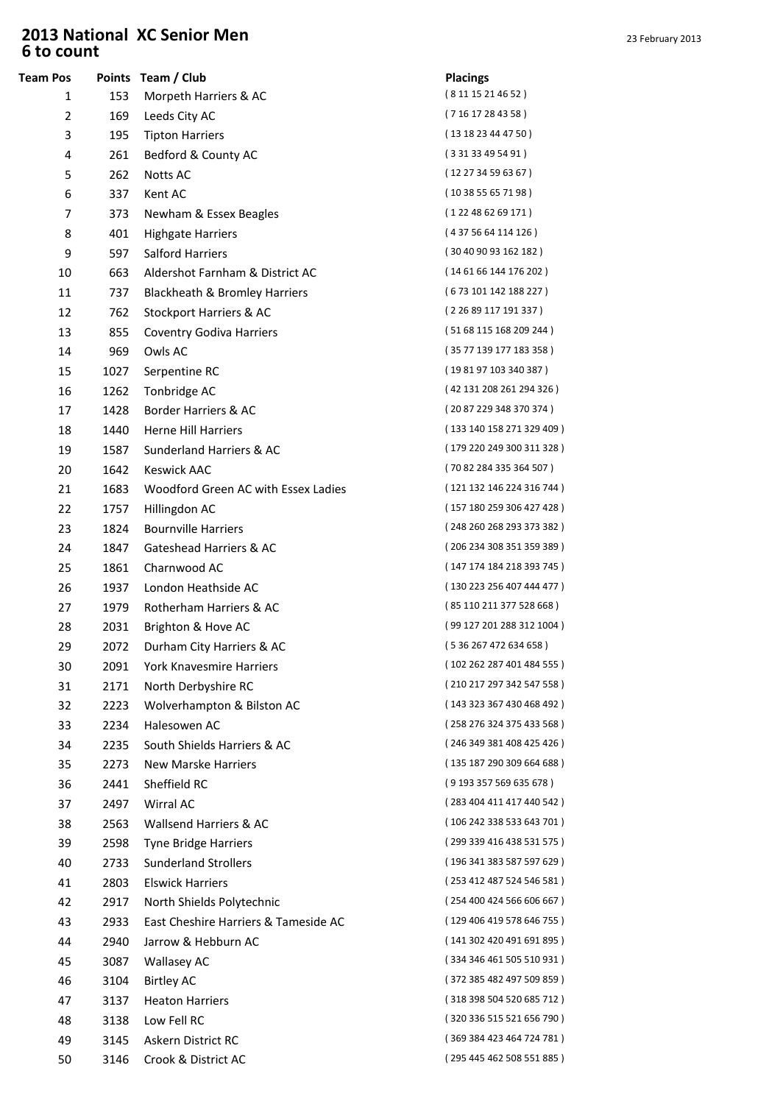## **2013 National XC Senior Men** 2013 23 February 2013 6 to count

| <b>Team Pos</b> |              | Points Team / Club                          | <b>Placings</b>           |
|-----------------|--------------|---------------------------------------------|---------------------------|
| 1               | 153          | Morpeth Harriers & AC                       | (8 11 15 21 46 52)        |
| 2               | 169          | Leeds City AC                               | (71617284358)             |
| 3               | 195          | <b>Tipton Harriers</b>                      | (131823444750)            |
| 4               | 261          | Bedford & County AC                         | (33133495491)             |
| 5               | 262          | Notts AC                                    | (122734596367)            |
| 6               | 337          | Kent AC                                     | (103855657198)            |
| 7               | 373          | Newham & Essex Beagles                      | (122486269171)            |
| 8               | 401          | <b>Highgate Harriers</b>                    | (4375664114126)           |
| 9               | 597          | Salford Harriers                            | (30409093162182)          |
| 10              | 663          | Aldershot Farnham & District AC             | (146166144176202)         |
| 11              | 737          | Blackheath & Bromley Harriers               | (673101142188227)         |
| 12              | 762          | Stockport Harriers & AC                     | (2 26 89 117 191 337)     |
| 13              | 855          | <b>Coventry Godiva Harriers</b>             | (51 68 115 168 209 244)   |
| 14              | 969          | Owls AC                                     | (35 77 139 177 183 358)   |
| 15              | 1027         | Serpentine RC                               | (198197103340387)         |
| 16              | 1262         | Tonbridge AC                                | (42 131 208 261 294 326)  |
| 17              | 1428         | Border Harriers & AC                        | (2087229348370374)        |
| 18              | 1440         | <b>Herne Hill Harriers</b>                  | (133 140 158 271 329 409) |
| 19              | 1587         | Sunderland Harriers & AC                    | (179 220 249 300 311 328) |
| 20              | 1642         | <b>Keswick AAC</b>                          | (70 82 284 335 364 507)   |
| 21              | 1683         | Woodford Green AC with Essex Ladies         | (121 132 146 224 316 744) |
| 22              | 1757         | Hillingdon AC                               | (157 180 259 306 427 428) |
| 23              | 1824         | <b>Bournville Harriers</b>                  | (248 260 268 293 373 382) |
| 24              | 1847         | Gateshead Harriers & AC                     | (206 234 308 351 359 389) |
| 25              | 1861         | Charnwood AC                                | (147 174 184 218 393 745) |
| 26              | 1937         | London Heathside AC                         | (130 223 256 407 444 477) |
| 27              | 1979         | Rotherham Harriers & AC                     | (85 110 211 377 528 668)  |
| 28              | 2031         | Brighton & Hove AC                          | (99 127 201 288 312 1004) |
| 29              | 2072         | Durham City Harriers & AC                   | (536267472634658)         |
| 30              | 2091         | York Knavesmire Harriers                    | (102 262 287 401 484 555) |
| 31              | 2171         | North Derbyshire RC                         | (210 217 297 342 547 558) |
| 32              | 2223         | Wolverhampton & Bilston AC                  | (143 323 367 430 468 492) |
| 33              | 2234         | Halesowen AC                                | (258 276 324 375 433 568) |
| 34              | 2235         | South Shields Harriers & AC                 | (246 349 381 408 425 426) |
| 35              | 2273         | New Marske Harriers                         | (135 187 290 309 664 688) |
| 36              | 2441         | Sheffield RC                                | (9193357569635678)        |
| 37              | 2497         | Wirral AC                                   | (283 404 411 417 440 542) |
| 38              | 2563         | Wallsend Harriers & AC                      | (106 242 338 533 643 701) |
| 39              | 2598         | <b>Tyne Bridge Harriers</b>                 | (299 339 416 438 531 575) |
| 40              | 2733         | <b>Sunderland Strollers</b>                 | (196 341 383 587 597 629) |
| 41              | 2803         | <b>Elswick Harriers</b>                     | (253 412 487 524 546 581) |
| 42              | 2917         | North Shields Polytechnic                   | (254 400 424 566 606 667) |
| 43              | 2933         | East Cheshire Harriers & Tameside AC        | (129 406 419 578 646 755) |
| 44              | 2940         | Jarrow & Hebburn AC                         | (141 302 420 491 691 895) |
| 45              | 3087         | <b>Wallasey AC</b>                          | (334 346 461 505 510 931) |
| 46              |              |                                             | (372 385 482 497 509 859) |
| 47              | 3104<br>3137 | <b>Birtley AC</b><br><b>Heaton Harriers</b> | (318 398 504 520 685 712) |
|                 |              |                                             | (320 336 515 521 656 790) |
| 48              | 3138         | Low Fell RC                                 | (369 384 423 464 724 781) |
| 49              | 3145         | Askern District RC                          | (295 445 462 508 551 885) |
| 50              | 3146         | Crook & District AC                         |                           |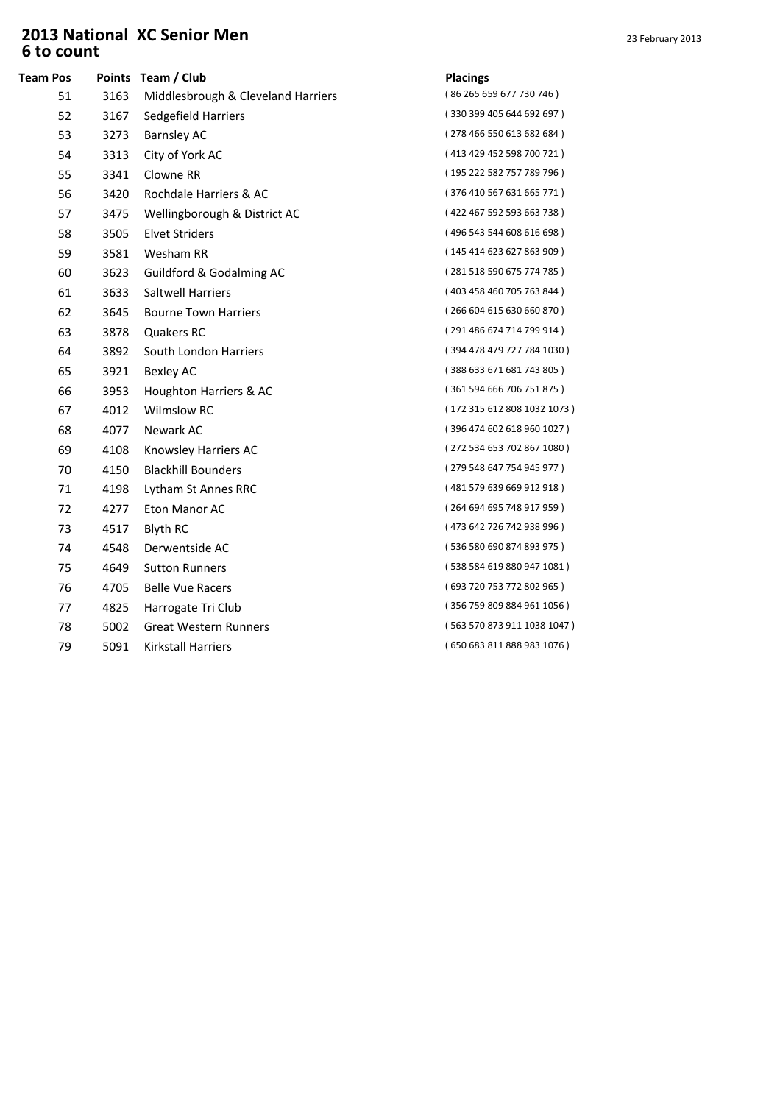## **2013 National XC Senior Men** 23 February 2013 6 to count

| <b>Team Pos</b> |      | Points Team / Club                 | <b>Placings</b> |
|-----------------|------|------------------------------------|-----------------|
| 51              | 3163 | Middlesbrough & Cleveland Harriers | (86 265 6)      |
| 52              | 3167 | Sedgefield Harriers                | (330 399        |
| 53              | 3273 | <b>Barnsley AC</b>                 | (278466)        |
| 54              | 3313 | City of York AC                    | (413429)        |
| 55              | 3341 | Clowne RR                          | (195 222        |
| 56              | 3420 | Rochdale Harriers & AC             | (376410)        |
| 57              | 3475 | Wellingborough & District AC       | (422467)        |
| 58              | 3505 | <b>Elvet Striders</b>              | (496 543        |
| 59              | 3581 | Wesham RR                          | (145414)        |
| 60              | 3623 | Guildford & Godalming AC           | (281518)        |
| 61              | 3633 | Saltwell Harriers                  | (403458         |
| 62              | 3645 | <b>Bourne Town Harriers</b>        | (266604)        |
| 63              | 3878 | Quakers RC                         | (291 486)       |
| 64              | 3892 | South London Harriers              | (394 478        |
| 65              | 3921 | <b>Bexley AC</b>                   | (388633)        |
| 66              | 3953 | Houghton Harriers & AC             | (361594)        |
| 67              | 4012 | <b>Wilmslow RC</b>                 | (172315)        |
| 68              | 4077 | Newark AC                          | (396 474)       |
| 69              | 4108 | Knowsley Harriers AC               | (272 534)       |
| 70              | 4150 | <b>Blackhill Bounders</b>          | (279 548)       |
| 71              | 4198 | Lytham St Annes RRC                | (481 579)       |
| 72              | 4277 | Eton Manor AC                      | (264694)        |
| 73              | 4517 | <b>Blyth RC</b>                    | (473642)        |
| 74              | 4548 | Derwentside AC                     | (536 580        |
| 75              | 4649 | <b>Sutton Runners</b>              | (538 584)       |
| 76              | 4705 | <b>Belle Vue Racers</b>            | (693720)        |
| 77              | 4825 | Harrogate Tri Club                 | (356 759)       |
| 78              | 5002 | <b>Great Western Runners</b>       | (563570)        |
| 79              | 5091 | Kirkstall Harriers                 | (650683)        |
|                 |      |                                    |                 |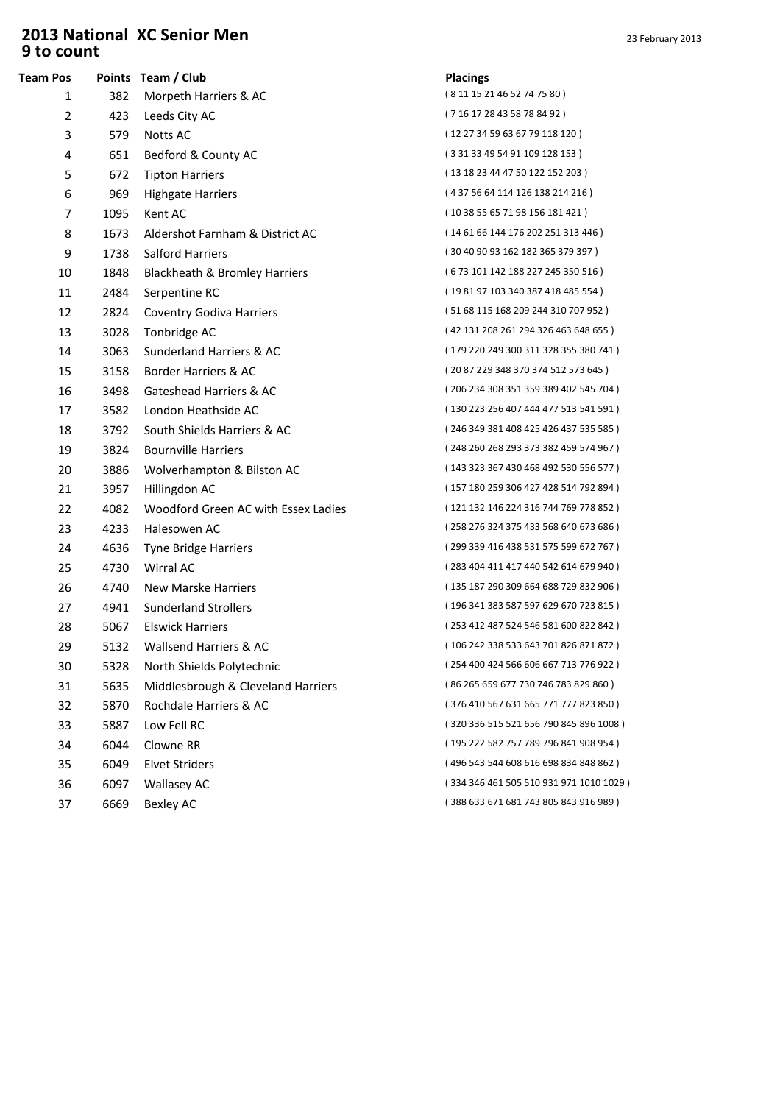## **2013 National XC Senior Men** 2013 23 February 2013 9 to count

| <b>Team Pos</b> |      | Points Team / Club                  | <b>Placings</b> |
|-----------------|------|-------------------------------------|-----------------|
| 1               | 382  | Morpeth Harriers & AC               | (8 11 15 2      |
| $\overline{2}$  | 423  | Leeds City AC                       | (716172         |
| 3               | 579  | <b>Notts AC</b>                     | (12 27 34       |
| 4               | 651  | Bedford & County AC                 | (331334)        |
| 5               | 672  | <b>Tipton Harriers</b>              | (13 18 23       |
| 6               | 969  | <b>Highgate Harriers</b>            | (437566)        |
| 7               | 1095 | Kent AC                             | (10 38 55       |
| 8               | 1673 | Aldershot Farnham & District AC     | (146166)        |
| 9               | 1738 | Salford Harriers                    | (304090)        |
| 10              | 1848 | Blackheath & Bromley Harriers       | (673101         |
| 11              | 2484 | Serpentine RC                       | (198197         |
| 12              | 2824 | <b>Coventry Godiva Harriers</b>     | (516811)        |
| 13              | 3028 | Tonbridge AC                        | (42 131 2)      |
| 14              | 3063 | Sunderland Harriers & AC            | (179 220)       |
| 15              | 3158 | Border Harriers & AC                | (208722         |
| 16              | 3498 | Gateshead Harriers & AC             | (206 234)       |
| 17              | 3582 | London Heathside AC                 | (130223)        |
| 18              | 3792 | South Shields Harriers & AC         | (246 349        |
| 19              | 3824 | <b>Bournville Harriers</b>          | (248260)        |
| 20              | 3886 | Wolverhampton & Bilston AC          | (143333)        |
| 21              | 3957 | Hillingdon AC                       | (157180)        |
| 22              | 4082 | Woodford Green AC with Essex Ladies | (121132)        |
| 23              | 4233 | Halesowen AC                        | (258 276        |
| 24              | 4636 | <b>Tyne Bridge Harriers</b>         | (299 339        |
| 25              | 4730 | Wirral AC                           | (283404         |
| 26              | 4740 | New Marske Harriers                 | (135187)        |
| 27              | 4941 | <b>Sunderland Strollers</b>         | (196341)        |
| 28              | 5067 | <b>Elswick Harriers</b>             | (253412)        |
| 29              | 5132 | Wallsend Harriers & AC              | (106242)        |
| 30              | 5328 | North Shields Polytechnic           | $(254400 \cdot$ |
| 31              | 5635 | Middlesbrough & Cleveland Harriers  | (86 265 6)      |
| 32              | 5870 | Rochdale Harriers & AC              | (376410)        |
| 33              | 5887 | Low Fell RC                         | (320 336)       |
| 34              | 6044 | Clowne RR                           | (195 222)       |
| 35              | 6049 | <b>Elvet Striders</b>               | (496 543        |
| 36              | 6097 | <b>Wallasey AC</b>                  | (334346)        |
| 37              | 6669 | <b>Bexley AC</b>                    | (388633)        |
|                 |      |                                     |                 |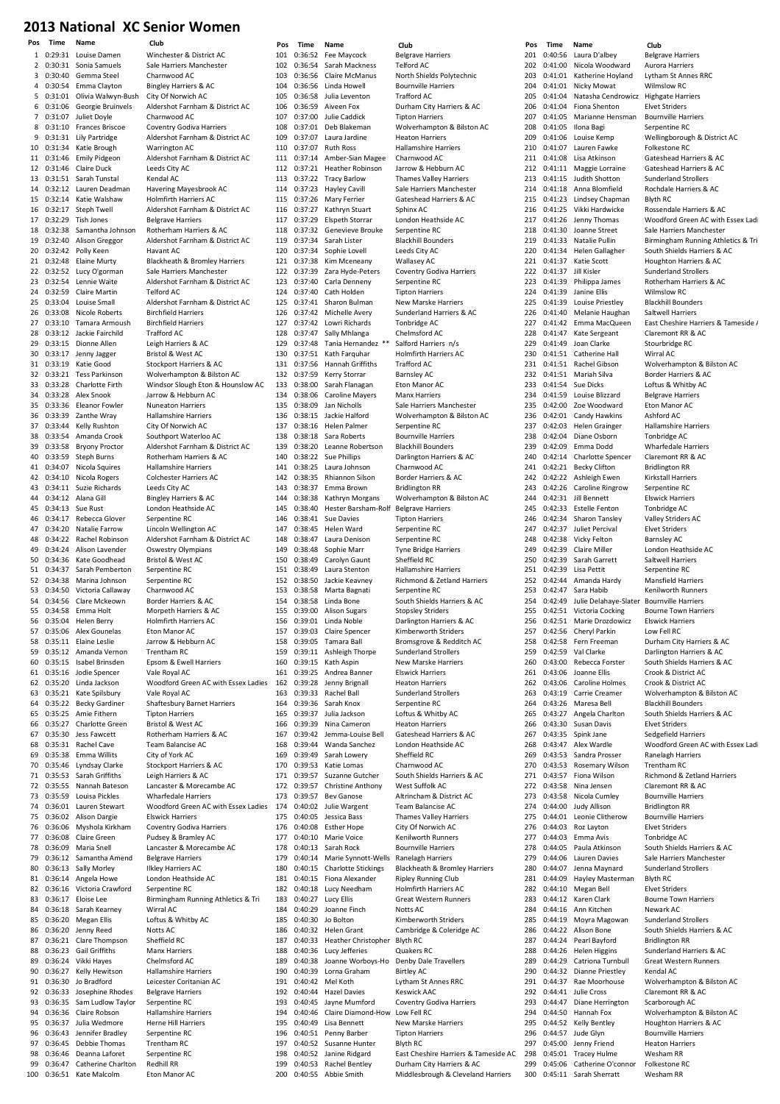Pos Time Name Club Pos Time Name Club Pos Time Name Club 0:29:31 Louise Damen Winchester & District AC<br>0:30:31 Sonia Samuels Sale Harriers Manchester 2 0:30:31 Sonia Samuels Sale Harriers Manuels Sale Harriers Manuels Sale Harriers Manuels  $3.0:30:40.$  Gemma Steel 4 0:30:54 Emma Clayton Bingley Harriers & AC<br>5 0:31:01 Olivia Walwyn-Bush City Of Norwich AC 5 0:31:01 Olivia Walwyn-Bush<br>6 0:31:06 Georgie Bruinvels 0:31:07 Juliet Doyle Charnwood AC 8 0:31:10 Frances Briscoe Coventry Godiva Harriers 9 0:31:31 Lily Partridge Aldershot Farnham & District AC 10 Katie Brough Warrington AC<br>10 Emily Pidgeon Aldershot Farnh 11 0:31:46 Emily Pidgeon Aldershot Farnham & District AC  $0:31:46$  Claire Duck 13 0:31:51 Sarah Tunstal Kendal AC 14 0:32:12 Lauren Deadman Havering Mayesbrook AC 15 0:32:14 Katie Walshaw Holmfirth Harriers AC<br>16 0:32:17 Steph Twell Aldershot Farnham & 16 0:32:17 Steph Twell Aldershot Farnham & District AC 18 0:32:38 Samantha Johnson Rotherham Harriers & AC 19 0:32:40 Alison Greggor Aldershot Farnham & District AC Polly Keen 21 0:32:48 Elaine Murty Blackheath & Bromley Harriers 22 0:32:52 Lucy O'gorman Sale Harriers Manchester 23 0:32:54 Lennie Waite Aldershot Farnham & District AC 24 0:32:59 Claire Martin Telford AC<br>25 0:33:04 Louise Small Aldershot F 26 0:33:08 Nicole Roberts Birchfield Harriers<br>27 0:33:10 Tamara Armoush Birchfield Harriers Tamara Armoush 28 0:33:12 Jackie Fairchild Trafford AC<br>29 0:33:15 Dionne Allen Leigh Harrie 29 0:33:15 Dionne Allen Leigh Harriers & AC 30 0:33:17 Jenny Jagger Bristol & West AC<br>31 0:33:19 Katie Good Stockport Harriers 32 0:33:21 Tess Parkinson Wolverhampton & Bilston AC 33 0:33:28 Charlotte Firth Windsor Slough Eton & Hounslow AC<br>34 0:33:28 Alex Snook Jarrow & Hebburn AC 34 0:33:28 Alex Snook Jarrow & Hebburn AC<br>35 0:33:36 Eleanor Fowler Nuneaton Harriers 35 0:33:36 Eleanor Fowler Nuneaton Harriers 36 0:33:39 Zanthe Wray Hallamshire Harriers<br>37 0:33:44 Kelly Rushton City Of Norwich AC 37 0:33:44 Kelly Rushton 38 0:33:54 Amanda Crook Southport Waterloo AC 39 0:33:58 Bryony Proctor Aldershot Farnham & District AC 41 0:34:07 Nicola Squires Hallamshire Harriers 42 0:34:10 Nicola Rogers Colchester Harriers AC 43 0:34:11 Suzie Richards Leeds City AC<br>44 0:34:12 Alana Gill Bingley Harrie 4 Alana Gill Bingley Harriers & AC<br>12 Sue Rust London Heathside AC 45 0:34:13 Sue Rust London Heathside AC 46 0:34:17 Rebecca Glover Serpentine RC 47 0:34:20 Natalie Farrow Lincoln Wellington AC 48 0:34:22 Rachel Robinson Aldershot Farnham & District AC 49 0:34:24 Alison Lavender Oswestry Olympians<br>50 0:34:36 Kate Goodhead Bristol & West AC 0:34:36 Kate Goodhead Bristol & West AC<br>0:34:37 Sarah Pemberton Serpentine RC 51 0:34:37 Sarah Pemberton<br>52 0:34:38 Marina Johnson 53 0:34:50 Victoria Callaway Charnwood AC 54 0:34:56 Clare Mckeown Border Harriers & AC 56 0:35:04 Helen Berry Holmfirth Harriers AC 57 0:35:06 Alex Gounelas Eton Manor AC 58 0:35:11 Elaine Leslie Jarrow & Hebburn AC<br>59 0:35:12 Amanda Vernon Trentham RC Amanda Vernon 60 0:35:15 Isabel Brinsden Epsom & Ewell Harriers 61 0:35:16 Jodie Spencer Vale Royal AC 62 0:35:20 Linda Jackson Woodford Green AC with Essex Ladies 63 0:35:21 Kate Spilsbury Vale Royal AC 64 0:35:22 Becky Gardiner Shaftesbury Barnet Harriers 66 0:35:27 Charlotte Green Bristol & West AC 67 0:35:30 Jess Fawcett Rotherham Harriers & AC 68 0:35:31 Rachel Cave Team Balancise AC 69 0:35:38 Emma Willits City of York AC<br>70 0:35:46 Lyndsay Clarke Stockport Harri  $71$  0:35:53 Sarah Griffiths 72 0:35:55 Nannah Bateson Lancaster & Morecambe AC 73 0:35:59 Louisa Pickles Wharfedale Harriers 74 0:36:01 Lauren Stewart Woodford Green AC with Essex Ladies 75 0:36:02 Alison Dargie Elswick Harriers<br>76 0:36:06 Myshola Kirkham Coventry Godiva 0:36:06 Myshola Kirkham Coventry Godiva Harriers 77 0:36:08 Claire Green Pudsey & Bramley AC 78 0:36:09 Maria Snell Lancaster & Morecambe AC 79 0:36:12 Samantha Amend Belgrave Harriers<br>80 0:36:13 Sally Morley Ilkley Harriers AC 81 0:36:14 Angela Howe London Heathside AC 82 0:36:16 Victoria Crawford Serpentine RC 83 0:36:17 Eloise Lee Birmingham Running Athletics & Tri<br>84 0:36:18 Sarah Kearney Wirral AC  $0:36:18$  Sarah Kearney 85 0:36:20 Megan Ellis Loftus & Whitby AC 86 0:36:20 Jenny Reed Notts AC 87 0:36:21 Clare Thompson Sheffield RC 88 0:36:23 Gail Griffiths Manx Harriers<br>89 0:36:24 Vikki Haves Chelmsford AC 89 0:36:24 Vikki Hayes Chelmsford AC 90 0:36:27 Kelly Hewitson Hallamshire Harriers 92 0:36:33 Josephine Rhodes Belgrave Harriers 93 0:36:35 Sam Ludlow Taylor Serpentine RC 94 0:36:36 Claire Robson Hallamshire Harriers 96 0:36:43 Jennifer Bradley Serpentine RC 97 0:36:45 Debbie Thomas Trentham RC 98 0:36:46 Deanna Laforet Serpentine RC<br>99 0:36:47 Catherine Charlton Redhill RR 99 0:36:47 Catherine Charlton 100 0:36:51 Kate Malcolm Eton Manor AC

6 0:31:06 Georgie Bruinvels Aldershot Farnham & District AC 17 Die Belgrave Harriers 25 0:33:04 Louise Small Aldershot Farnham & District AC Stockport Harriers & AC 40 0:33:59 Steph Burns Rotherham Harriers & AC Serpentine RC Morpeth Harriers & AC **Tipton Harriers Stockport Harriers & AC**<br>Leigh Harriers & AC **Ilkley Harriers AC** 91 0:36:30 Jo Bradford Leicester Coritanian AC Herne Hill Harriers

101 0:36:52 Fee Maycock Belgrave Harriers<br>102 0:36:54 Sarah Mackness Telford AC 102 0:36:54 Sarah Mackness 104 0:36:56 Linda Howell Bournville Harriers<br>105 0:36:58 Julia Leventon Trafford AC 105 0:36:58 Julia Leventon<br>106 0:36:59 Aiveen Fox 0:37:00 Julie Caddick Tipton Harriers 0:37:01 Deb Blakeman Wolverhampton & Bilston AC 109 0:37:07 Laura Jardine Heaton Harriers<br>110 0:37:07 Ruth Ross Hallamshire Hari 0:37:14 Amber-Sian Magee Charnwood AC 0:37:22 Tracy Barlow Thames Valley Harriers 114 0:37:23 Hayley Cavill Sale Harriers Manchester<br>115 0:37:26 Mary Ferrier Gateshead Harriers & AC 0:37:26 Mary Ferrier Gateshead Harriers & AC 116 0:37:27 Kathryn Stuart Sphinx AC<br>117 0:37:29 Elspeth Storrar London Heathside AC elspeth Storrar 0:37:32 Genevieve Brouke Serpentine RC 119 0:37:34 Sarah Lister Blackhill Bounders<br>120 0:37:34 Sophie Lovell Leeds City AC 0:37:38 Kim Mceneany Wallasey AC 0:37:39 Zara Hyde-Peters Coventry Godiva Harriers 0:37:40 Carla Denneny Serpentine RC 124 0:37:40 Cath Holden Tipton Harriers<br>125 0:37:41 Sharon Bulman New Marske Ha 0:37:42 Michelle Avery Sunderland Harriers & AC 0:37:47 Sally Mhlanga Chelmsford AC 0:37:48 Tania Hernandez \*\* Salford Harriers n/s 130 0:37:51 Kath Farquhar Holmfirth Harriers AC<br>131 0:37:56 Hannah Griffiths Trafford AC Hannah Griffiths 0:37:59 Kerry Storrar Barnsley AC 0:38:00 Sarah Flanagan Eton Manor AC 0:38:06 Caroline Mayers<br>135 0:38:09 Jan Nicholls 0:38:15 Jackie Halford Wolverhampton & Bilston AC 137 0:38:16 Helen Palmer Serpentine RC 0:38:18 Sara Roberts Bournville Harriers 139 0:38:20 Leanne Robertson Blackhill Bounders<br>140 0:38:22 Sue Phillins Darlington Harriers 0:38:25 Laura Johnson Charnwood AC 0:38:35 Rhiannon Silson Border Harriers & AC 143 0:38:37 Emma Brown Bridlington RR<br>144 0:38:38 Kathryn Morgans Wolverhampto 144 0:38:38 Kathryn Morgans Wolverhampton & Bilston AC<br>145 0:38:40 Hester Barsham-Rolf Belgrave Harriers 145 - Hester Barsham-Rolf 0:38:41 Sue Davies Tipton Harriers 0:38:45 Helen Ward Serpentine RC 0:38:47 Laura Denison Serpentine RC 149 0:38:48 Sophie Marr Tyne Bridge Harriers<br>150 0:38:49 Carolyn Gaunt Sheffield RC 150 0:38:49 Carolyn Gaunt<br>151 0:38:49 Laura Stenton 0:38:49 Laura Stenton Hallamshire Harriers 0:38:58 Marta Bagnati Serpentine RC 154 0:38:58 Linda Bone South Shields Harriers & AC<br>155 0:39:00 Alison Sugars Stopslev Striders 0:39:01 Linda Noble Darlington Harriers & AC 0:39:03 Claire Spencer Kimberworth Striders 0:39:05 Tamara Ball Bromsgrove & Redditch AC 160 0:39:15 Kath Aspin New Marske Harriers<br>161 0:39:25 Andrea Banner Flswick Harriers  $0:39:25$  Andrea Banner 0:39:28 Jenny Brignall Heaton Harriers 0:39:33 Rachel Ball Sunderland Strollers 164 0:39:36 Sarah Knox Serpentine RC<br>165 0:39:37 Julia Jackson Loftus & Whith 166 0:39:39 Nina Cameron Heaton Harriers 0:39:42 Jemma-Louise Bell Gateshead Harriers & AC 0:39:44 Wanda Sanchez London Heathside AC 169 0:39:49 Sarah Lowery<br>170 0:39:53 Katie Lomas 0:39:57 Suzanne Gutcher South Shields Harriers & AC 0:39:57 Christine Anthony West Suffolk AC 173 0:39:57 Bev Ganose Altrincham & District AC<br>174 0:40:02 Julie Wargent Team Balancise AC 0:40:02 Julie Wargent Team Balancise AC 0:40:05 Jessica Bass Thames Valley Harriers 0:40:08 Esther Hope City Of Norwich AC 0:40:10 Marie Voice Kenilworth Runners 178 0:40:13 Sarah Rock Bournville Harriers<br>179 0:40:14 Marie Synnott-Wells Ranelagh Harriers 0:40:14 Marie Synnott-Wells Ranelagh Harriers 0:40:15 Fiona Alexander Ripley Running Club 0:40:18 Lucy Needham Holmfirth Harriers AC 183 0:40:27 Lucy Ellis Great Western Runners<br>184 0:40:29 Joanne Finch Notts AC Joanne Finch 0:40:30 Jo Bolton Kimberworth Striders 0:40:32 Helen Grant Cambridge & Coleridge AC 0:40:33 Heather Christopher Blyth RC 188 0:40:36 Lucy Jefferies Quakers RC<br>189 0:40:38 Joanne Worboys-Ho Denby Dale 190 0:40:39 Lorna Graham Birtley AC<br>191 0:40:42 Mel Koth Lytham St 0:40:44 Hazel Davies Keswick AAC 0:40:45 Jayne Mumford Coventry Godiva Harriers 0:40:46 Claire Diamond-How Low Fell RC 0:40:51 Penny Barber Tipton Harriers 0:40:52 Susanne Hunter Blyth RC 0:40:52 Janine Ridgard East Cheshire Harriers & Tameside AC 0:40:53 Rachel Bentley Durham City Harriers & AC

North Shields Polytechnic 11616112<br>Durham City Harriers & AC 110 0:37:07 Ruth Ross Hallamshire Harriers Jarrow & Hebburn AC Leeds City AC .<br>New Marske Harriers Tonbridge AC Sale Harriers Manchester Darlington Harriers & AC 152 0:38:50 Jackie Keavney Richmond & Zetland Harriers Stopsley Striders Sunderland Strollers Loftus & Whitby AC Charnwood AC Blackheath & Bromley Harriers -<br>Denby Dale Travellers Lytham St Annes RRC New Marske Harriers 200 0:40:55 Abbie Smith Middlesbrough & Cleveland Harriers

201 0:40:56 Laura D'albey Belgrave Harriers<br>202 0:41:00 Nicola Woodward Aurora Harriers 202 0:41:00 Nicola Woodward Aurora Harriers<br>203 0:41:01 Katherine Hovland Lytham St Annes RRC Katherine Hoyland 204 0:41:01 Nicky Mowat Wilmslow RC<br>205 0:41:04 Natasha Cendrowicz Highgate Harriers 205 0:41:04 Natasha Cendrowicz Highgate Har<br>206 0:41:04 Fiona Shenton Elvet Striders 0:41:04 Fiona Shenton<br>0:41:05 Marianne Hen 207 0:41:05 Marianne Hensman Bournville Harriers 208 0:41:05 Ilona Bagi Serpentine RC 209 0:41:06 Louise Kemp Wellingborough & District AC<br>210 0:41:07 Lauren Fawke Folkestone RC 211 0:41:08 Lisa Atkinson Gateshead Harriers & AC<br>212 0:41:11 Maggie Lorraine Gateshead Harriers & AC 213 0:41:15 Judith Shotton Sunderland Strollers 214 0:41:18 Anna Blomfield Rochdale Harriers & AC<br>215 0:41:23 Lindsey Chanman Blyth RC 215 0:41:23 Lindsey Chapman<br>216 0:41:25 Vikki Hardwicke 216 0:41:25 Vikki Hardwicke Rossendale Harriers & AC 218 0:41:30 Joanne Street Sale Harriers Manchester<br>219 0:41:33 Natalie Pullin Birmingham Running Athl 221 0:41:37 Katie Scott Houghton Harriers & AC 222 0:41:37 Jill Kisler Sunderland Strollers 223 0:41:39 Philippa James Rotherham Harriers & AC 224 0:41:39 Janine Ellis Wilmslow RC<br>225 0:41:39 Louise Priestley Blackhill Boun 226 0:41:40 Melanie Haughan Saltwell Harriers<br>227 0:41:42 Fmma MacQueen Fast Cheshire Ha 228 0:41:47 Kate Sergeant Claremont RR & AC 229 0:41:49 Joan Clarke Stourbridge RC<br>230 0:41:51 Catherine Hall Wirral AC 230 0:41:51 Catherine Hall<br>231 0:41:51 Rachel Gibson 232 0:41:51 Mariah Silva Border Harriers & AC 233 0:41:54 Sue Dicks Loftus & Whitby AC<br>234 0:41:59 Louise Blizzard Belgrave Harriers 234 0:41:59 Louise Blizzard Belgrave Harriers 20e Woodward Eton Manor<br>Candy Hawkins Ashford AC  $236$   $0.42.01$  Candy Hawkins 237 0:42:03 Helen Grainger Hallamshire Harriers 238 0:42:04 Diane Osborn Tonbridge AC 239 0:42:09 Emma Dodd Wharfedale Harriers<br>240 0:42:14 Charlotte Spencer Claremont RR & AC 241 0:42:21 Becky Clifton Bridlington RR 242 0:42:22 Ashleigh Ewen Kirkstall Harriers 243 0:42:26 Caroline Ringrow Serpentine RC<br>244 0:42:31 Jill Bennett Flswick Harrier 244 0:42:31 Jill Bennett<br>245 0:42:33 Estelle Fenton Tonbridge AC 246 0:42:34 Sharon Tansley Valley Striders AC 247 0:42:37 Juliet Percival Elvet Striders 248 0:42:38 Vicky Felton Barnsley AC 249 0:42:39 Claire Miller London Heathside AC<br>250 0:42:39 Sarah Garrett Saltwell Harriers 250 0:42:39 Sarah Garrett Saltwell Harriers<br>251 0:42:39 Lisa Pettit Serpentine RC 251 0:42:39 Lisa Pettit Serpentine RC<br>252 0:42:44 Amanda Hardy Mansfield Harriers 252 0:42:44 Amanda Hardy Mansfield Harriers 253 0:42:47 Sara Habib Kenilworth Runners 254 0:42:49 Julie Delahaye-Slater Bournville Harriers 256 0:42:51 Marie Drozdowicz Elswick Harriers 257 0:42:56 Cheryl Parkin Low Fell RC 258 0:42:58 Fern Freeman Durham City Harriers & AC<br>259 0:42:59 Val Clarke Darlington Harriers & AC 260 0:43:00 Rebecca Forster South Shields Harriers & AC 261 0:43:06 Joanne Ellis Crook & District AC 262 0:43:06 Caroline Holmes Crook & District AC 263 0:43:19 Carrie Creamer Wolverhampton & Bilston AC 264 0:43:26 Maresa Bell Blackhill Bounders<br>265 0:43:27 Angela Charlton South Shields Harri 266 0:43:30 Susan Davis Elvet Striders 267 0:43:35 Spink Jane Sedgefield Harriers 269 0:43:53 Sandra Prosser Ranelagh Harriers<br>270 0:43:53 Rosemary Wilson Trentham RC Rosemary Wilson 271 0:43:57 Fiona Wilson Richmond & Zetland Harriers 272 0:43:58 Nina Jensen Claremont RR & AC 273 0:43:58 Nicola Cumley Bournville Harriers<br>274 0:44:00 Judy Allison Bridlington RR 274 0:44:00 Judy Allison Bridlington RR 275 0:44:01 Leonie Clitherow Bournville Harriers<br>276 0:44:03 Roz Layton Flyet Striders Roz Layton 277 0:44:03 Emma Avis Tonbridge AC 278 0:44:05 Paula Atkinson South Shields Harriers & AC 279 0:44:06 Lauren Davies Sale Harriers Manchester<br>280 0:44:07 Jenna Maynard Sunderland Strollers 281 0:44:09 Hayley Masterman Blyth RC 282 0:44:10 Megan Bell Elvet Striders 283 0:44:12 Karen Clark Bourne Town Harriers<br>284 0:44:16 Ann Kitchen Newark AC Ann Kitchen 285 0:44:19 Moyra Magowan Sunderland Strollers<br>286 0:44:22 Alison Bone South Shields Harrier 286 0:44:22 Alison Bone South Shields Harriers & AC 287 0:44:24 Pearl Bayford Bridlington RR 288 0:44:26 Helen Higgins Sunderland Harriers & AC<br>289 0:44:29 Catriona Turnbull Great Western Bunners 290 0:44:32 Dianne Priestley Kendal AC<br>291 0:44:37 Rae Moorbouse Wolverban 292 0:44:41 Julie Cross Claremont RR & AC<br>293 0:44:47 Diane Herrington Scarborough AC 293 0:44:47 Diane Herrington Scarborough AC<br>294 0:44:50 Hannah Fox Wolverhampton 294 0:44:50 Hannah Fox Wolverhampton & Bilston AC<br>295 0:44:52 Kelly Bentley Houghton Harriers & AC 296 0:44:57 Jude Glyn Bournville Harriers 297 0:45:00 Jenny Friend Heaton Harriers 298 0:45:01 Tracey Hulme Wesham RR<br>299 0:45:06 Catherine O'connor Folkestone RC 299 0:45:06 Catherine O'connor 300 0:45:11 Sarah Sherratt Wesham RR

Folkestone RC Gateshead Harriers & AC Woodford Green AC with Essex Ladies 219 0:41:33 Natalie Pullin Birmingham Running Athletics & Tri 220 0:41:34 Helen Gallagher South Shields Harriers & AC 225 0:41:39 Louise Priestley Blackhill Bounders East Cheshire Harriers & Tameside A Wolverhampton & Bilston AC Claremont RR & AC Tonbridge AC 255 0:42:51 Victoria Cocking Bourne Town Harriers Darlington Harriers & AC 25 South Shields Harriers & AC 268 0:43:47 Alex Wardle Woodford Green AC with Essex Ladi Sunderland Strollers Great Western Runners Wolverhampton & Bilston AC Houghton Harriers & AC